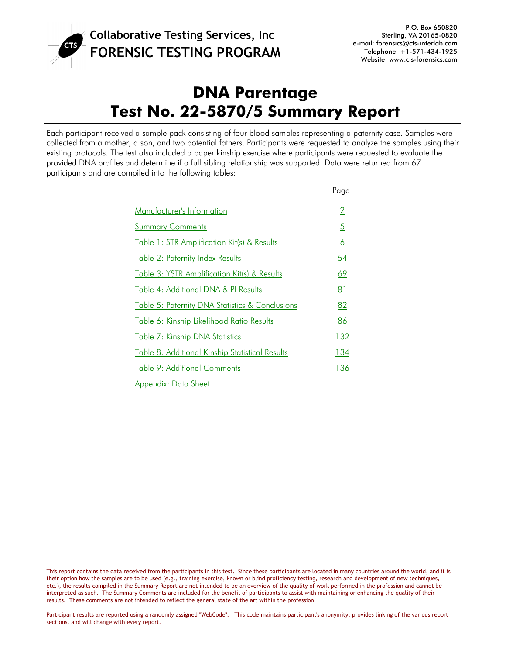

# **DNA Parentage Test No. 22-5870/5 Summary Report**

Each participant received a sample pack consisting of four blood samples representing a paternity case. Samples were collected from a mother, a son, and two potential fathers. Participants were requested to analyze the samples using their existing protocols. The test also included a paper kinship exercise where participants were requested to evaluate the provided DNA profiles and determine if a full sibling relationship was supported. Data were returned from 67 participants and are compiled into the following tables:

|                                                 | Page            |
|-------------------------------------------------|-----------------|
| Manufacturer's Information                      | $\overline{2}$  |
| <b>Summary Comments</b>                         | $\overline{5}$  |
| Table 1: STR Amplification Kit(s) & Results     | $\underline{6}$ |
| <u> Table 2: Paternity Index Results</u>        | 54              |
| Table 3: YSTR Amplification Kit(s) & Results    | <u>69</u>       |
| Table 4: Additional DNA & PI Results            | 81              |
| Table 5: Paternity DNA Statistics & Conclusions | 82              |
| Table 6: Kinship Likelihood Ratio Results       | <u>86</u>       |
| Table 7: Kinship DNA Statistics                 | <u>132</u>      |
| Table 8: Additional Kinship Statistical Results | <u>134</u>      |
| Table 9: Additional Comments                    | 136             |
| Appendix: Data Sheet                            |                 |

This report contains the data received from the participants in this test. Since these participants are located in many countries around the world, and it is their option how the samples are to be used (e.g., training exercise, known or blind proficiency testing, research and development of new techniques, etc.), the results compiled in the Summary Report are not intended to be an overview of the quality of work performed in the profession and cannot be interpreted as such. The Summary Comments are included for the benefit of participants to assist with maintaining or enhancing the quality of their results. These comments are not intended to reflect the general state of the art within the profession.

Participant results are reported using a randomly assigned "WebCode". This code maintains participant's anonymity, provides linking of the various report sections, and will change with every report.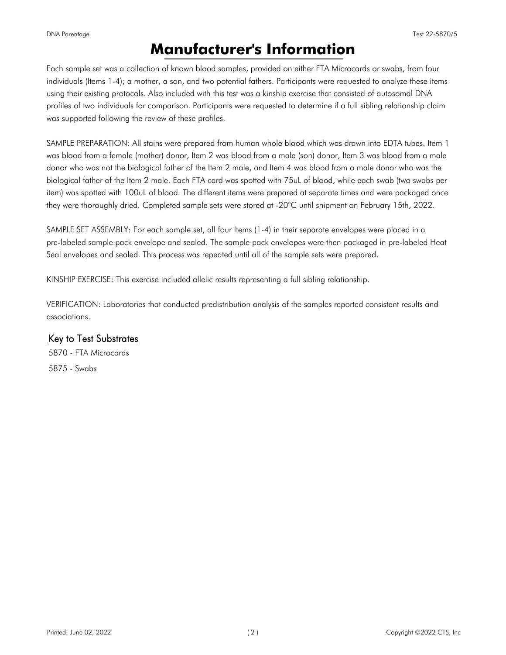#### <span id="page-1-0"></span>DNA Parentage Test 22-5870/5

### **Manufacturer's Information**

Each sample set was a collection of known blood samples, provided on either FTA Microcards or swabs, from four individuals (Items 1-4); a mother, a son, and two potential fathers. Participants were requested to analyze these items using their existing protocols. Also included with this test was a kinship exercise that consisted of autosomal DNA profiles of two individuals for comparison. Participants were requested to determine if a full sibling relationship claim was supported following the review of these profiles.

SAMPLE PREPARATION: All stains were prepared from human whole blood which was drawn into EDTA tubes. Item 1 was blood from a female (mother) donor, Item 2 was blood from a male (son) donor, Item 3 was blood from a male donor who was not the biological father of the Item 2 male, and Item 4 was blood from a male donor who was the biological father of the Item 2 male. Each FTA card was spotted with 75uL of blood, while each swab (two swabs per item) was spotted with 100uL of blood. The different items were prepared at separate times and were packaged once they were thoroughly dried. Completed sample sets were stored at -20°C until shipment on February 15th, 2022.

SAMPLE SET ASSEMBLY: For each sample set, all four Items (1-4) in their separate envelopes were placed in a pre-labeled sample pack envelope and sealed. The sample pack envelopes were then packaged in pre-labeled Heat Seal envelopes and sealed. This process was repeated until all of the sample sets were prepared.

KINSHIP EXERCISE: This exercise included allelic results representing a full sibling relationship.

VERIFICATION: Laboratories that conducted predistribution analysis of the samples reported consistent results and associations.

### Key to Test Substrates

5870 - FTA Microcards 5875 - Swabs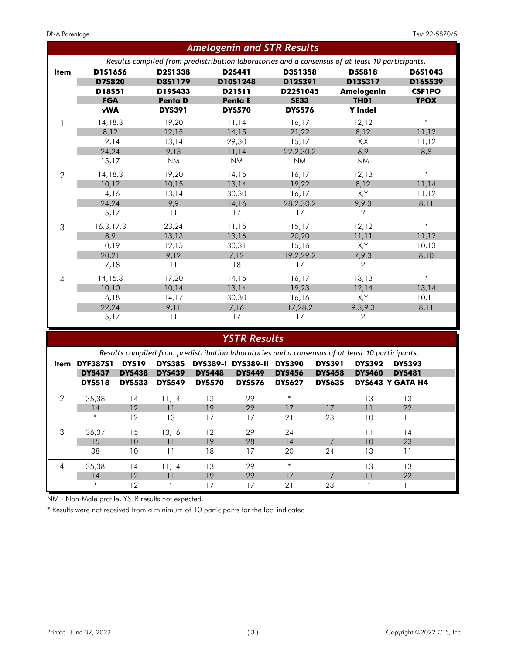|                |            |                | <b>Amelogenin and STR Results</b> |               |                                                                                                 |               |
|----------------|------------|----------------|-----------------------------------|---------------|-------------------------------------------------------------------------------------------------|---------------|
|                |            |                |                                   |               | Results compiled from predistribution laboratories and a consensus of at least 10 participants. |               |
| <b>Item</b>    | D151656    | D2S1338        | D2S441                            | D3S1358       | <b>D5S818</b>                                                                                   | D6S1043       |
|                | D75820     | D8S1179        | D10S1248                          | D12S391       | D13S317                                                                                         | D16S539       |
|                | D18S51     | D19S433        | D21511                            | D22S1045      | <b>Amelogenin</b>                                                                               | <b>CSF1PO</b> |
|                | <b>FGA</b> | <b>Penta D</b> | <b>Penta E</b>                    | <b>SE33</b>   | <b>TH01</b>                                                                                     | <b>TPOX</b>   |
|                | <b>vWA</b> | <b>DYS391</b>  | <b>DYS570</b>                     | <b>DYS576</b> | <b>Y</b> Indel                                                                                  |               |
|                | 14,18.3    | 19,20          | 11,14                             | 16,17         | 12,12                                                                                           | $\ast$        |
|                | 8,12       | 12,15          | 14,15                             | 21,22         | 8,12                                                                                            | 11,12         |
|                | 12,14      | 13,14          | 29,30                             | 15,17         | X,X                                                                                             | 11,12         |
|                | 24,24      | 9,13           | 11,14                             | 22.2,30.2     | 6,9                                                                                             | 8,8           |
|                | 15,17      | <b>NM</b>      | <b>NM</b>                         | <b>NM</b>     | <b>NM</b>                                                                                       |               |
| $\overline{2}$ | 14,18.3    | 19,20          | 14,15                             | 16,17         | 12,13                                                                                           | $\ast$        |
|                | 10,12      | 10,15          | 13,14                             | 19,22         | 8,12                                                                                            | 11,14         |
|                | 14,16      | 13,14          | 30,30                             | 16,17         | X,Y                                                                                             | 11,12         |
|                | 24,24      | 9,9            | 14,16                             | 28.2,30.2     | 9,9.3                                                                                           | 8,11          |
|                | 15,17      | 11             | 17                                | 17            | 2                                                                                               |               |
| 3              | 16.3,17.3  | 23,24          | 11,15                             | 15,17         | 12,12                                                                                           | $\ast$        |
|                | 8,9        | 13,13          | 13,16                             | 20,20         | 11,11                                                                                           | 11,12         |
|                | 10,19      | 12,15          | 30,31                             | 15,16         | X,Y                                                                                             | 10,13         |
|                | 20,21      | 9,12           | 7,12                              | 19.2,29.2     | 7,9.3                                                                                           | 8,10          |
|                | 17,18      | 11             | 18                                | 17            | $\overline{2}$                                                                                  |               |
| 4              | 14,15.3    | 17,20          | 14,15                             | 16,17         | 13,13                                                                                           | $\ast$        |
|                | 10,10      | 10,14          | 13,14                             | 19,23         | 12,14                                                                                           | 13,14         |
|                | 16,18      | 14,17          | 30,30                             | 16,16         | X,Y                                                                                             | 10,11         |
|                | 22,24      | 9,11           | 7,16                              | 17,28.2       | 9.3,9.3                                                                                         | 8,11          |
|                | 15,17      | 11             | 17                                | 17            | $\overline{2}$                                                                                  |               |
|                |            |                |                                   |               |                                                                                                 |               |

### *YSTR Results*

|      | Results compiled from predistribution laboratories and a consensus of at least 10 participants. |                   |               |                 |                  |               |               |               |                         |  |
|------|-------------------------------------------------------------------------------------------------|-------------------|---------------|-----------------|------------------|---------------|---------------|---------------|-------------------------|--|
| ltem | <b>DYF387S1</b>                                                                                 | DYS <sub>19</sub> | <b>DYS385</b> | <b>DYS389-1</b> | <b>DYS389-II</b> | <b>DYS390</b> | <b>DYS391</b> | <b>DYS392</b> | <b>DYS393</b>           |  |
|      | <b>DYS437</b>                                                                                   | <b>DYS438</b>     | <b>DYS439</b> | <b>DYS448</b>   | <b>DYS449</b>    | <b>DYS456</b> | <b>DYS458</b> | <b>DYS460</b> | <b>DYS481</b>           |  |
|      | <b>DYS518</b>                                                                                   | <b>DYS533</b>     | <b>DYS549</b> | <b>DYS570</b>   | <b>DYS576</b>    | <b>DYS627</b> | <b>DYS635</b> |               | <b>DYS643 Y GATA H4</b> |  |
| 2    | 35,38                                                                                           | 14                | 11.14         | 13              | 29               | $\ast$        |               | 13            | 13                      |  |
|      | 14                                                                                              | 12                | 11            | 19              | 29               | 17            | 17            |               | 22                      |  |
|      | $\ast$                                                                                          | 12                | 13            | 17              | 17               | 21            | 23            | 10            | 11                      |  |
| 3    | 36,37                                                                                           | 15                | 13,16         | 12              | 29               | 24            | 11            | 11            | 14                      |  |
|      | 15                                                                                              | 10                | 11            | 19              | 28               | 14            | 17            | 10            | 23                      |  |
|      | 38                                                                                              | 10                | 11            | 18              | 17               | 20            | 24            | 13            | 11                      |  |
| 4    | 35,38                                                                                           | 14                | 11,14         | 13              | 29               | $\ast$        | 11            | 13            | 13                      |  |
|      | 14                                                                                              | 12                | 11            | 19              | 29               | 17            | 17            |               | 22                      |  |
|      | $\ast$                                                                                          | 12                | $\ast$        | 17              | 17               | 21            | 23            | $\ast$        |                         |  |

NM - Non-Male profile, YSTR results not expected.

\* Results were not received from a minimum of 10 participants for the loci indicated.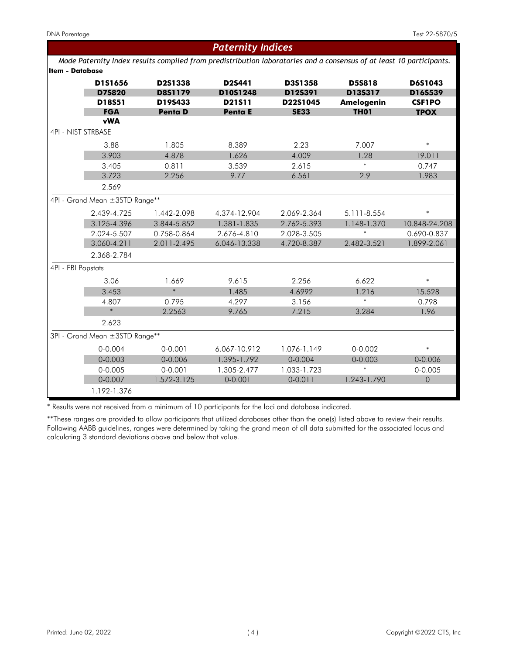| Paternity Indices<br>Mode Paternity Index results compiled from predistribution laboratories and a consensus of at least 10 participants.<br>Item - Database<br>D5S818<br>D151656<br>D2S1338<br>D2S441<br>D3S1358<br>D6S1043<br><b>D75820</b><br>D8S1179<br>D10S1248<br>D12S391<br>D13S317<br>D16S539<br>D18S51<br>D19S433<br>D21S11<br>D22S1045<br><b>Amelogenin</b><br><b>CSF1PO</b><br><b>FGA</b><br>Penta D<br>Penta E<br><b>TH01</b><br><b>SE33</b><br><b>TPOX</b><br><b>vWA</b><br>4PI - NIST STRBASE<br>3.88<br>1.805<br>8.389<br>2.23<br>7.007<br>$\ast$<br>4.878<br>3.903<br>1.626<br>4.009<br>1.28<br>19.011<br>$\ast$<br>3.405<br>0.811<br>3.539<br>2.615<br>0.747<br>3.723<br>2.256<br>9.77<br>2.9<br>1.983<br>6.561<br>2.569<br>4PI - Grand Mean ±3STD Range**<br>$\ast$<br>2.439-4.725<br>1.442-2.098<br>4.374-12.904<br>2.069-2.364<br>5.111-8.554<br>3.125-4.396<br>1.381-1.835<br>2.762-5.393<br>3.844-5.852<br>1.148-1.370<br>10.848-24.208<br>$\ast$<br>2.024-5.507<br>2.676-4.810<br>0.758-0.864<br>2.028-3.505<br>0.690-0.837<br>3.060-4.211<br>2.011-2.495<br>6.046-13.338<br>4.720-8.387<br>2.482-3.521<br>1.899-2.061<br>2.368-2.784<br>3.06<br>1.669<br>9.615<br>2.256<br>6.622<br>$\ast$<br>$\ast$<br>3.453<br>1.485<br>4.6992<br>1.216<br>15.528<br>$\ast$<br>4.807<br>4.297<br>3.156<br>0.798<br>0.795<br>$\ast$<br>2.2563<br>9.765<br>7.215<br>3.284<br>1.96<br>2.623<br>3PI - Grand Mean ±3STD Range**<br>$0 - 0.004$<br>$0 - 0.001$<br>1.076-1.149<br>$0 - 0.002$<br>6.067-10.912<br>$\ast$<br>$0 - 0.003$<br>$0 - 0.006$<br>1.395-1.792<br>$0 - 0.003$<br>$0 - 0.004$<br>0-0.006<br>$\ast$<br>$0 - 0.005$<br>$0 - 0.001$<br>1.305-2.477<br>1.033-1.723<br>$0 - 0.005$<br>$0 - 0.007$<br>$\mathbf 0$<br>1.572-3.125<br>$0 - 0.001$<br>$0 - 0.011$<br>1.243-1.790<br>1.192-1.376 |  |  |  |
|----------------------------------------------------------------------------------------------------------------------------------------------------------------------------------------------------------------------------------------------------------------------------------------------------------------------------------------------------------------------------------------------------------------------------------------------------------------------------------------------------------------------------------------------------------------------------------------------------------------------------------------------------------------------------------------------------------------------------------------------------------------------------------------------------------------------------------------------------------------------------------------------------------------------------------------------------------------------------------------------------------------------------------------------------------------------------------------------------------------------------------------------------------------------------------------------------------------------------------------------------------------------------------------------------------------------------------------------------------------------------------------------------------------------------------------------------------------------------------------------------------------------------------------------------------------------------------------------------------------------------------------------------------------------------------------------------------------------------------------------------------------------------------------------------------------|--|--|--|
|                                                                                                                                                                                                                                                                                                                                                                                                                                                                                                                                                                                                                                                                                                                                                                                                                                                                                                                                                                                                                                                                                                                                                                                                                                                                                                                                                                                                                                                                                                                                                                                                                                                                                                                                                                                                                |  |  |  |
|                                                                                                                                                                                                                                                                                                                                                                                                                                                                                                                                                                                                                                                                                                                                                                                                                                                                                                                                                                                                                                                                                                                                                                                                                                                                                                                                                                                                                                                                                                                                                                                                                                                                                                                                                                                                                |  |  |  |
|                                                                                                                                                                                                                                                                                                                                                                                                                                                                                                                                                                                                                                                                                                                                                                                                                                                                                                                                                                                                                                                                                                                                                                                                                                                                                                                                                                                                                                                                                                                                                                                                                                                                                                                                                                                                                |  |  |  |
|                                                                                                                                                                                                                                                                                                                                                                                                                                                                                                                                                                                                                                                                                                                                                                                                                                                                                                                                                                                                                                                                                                                                                                                                                                                                                                                                                                                                                                                                                                                                                                                                                                                                                                                                                                                                                |  |  |  |
|                                                                                                                                                                                                                                                                                                                                                                                                                                                                                                                                                                                                                                                                                                                                                                                                                                                                                                                                                                                                                                                                                                                                                                                                                                                                                                                                                                                                                                                                                                                                                                                                                                                                                                                                                                                                                |  |  |  |
|                                                                                                                                                                                                                                                                                                                                                                                                                                                                                                                                                                                                                                                                                                                                                                                                                                                                                                                                                                                                                                                                                                                                                                                                                                                                                                                                                                                                                                                                                                                                                                                                                                                                                                                                                                                                                |  |  |  |
|                                                                                                                                                                                                                                                                                                                                                                                                                                                                                                                                                                                                                                                                                                                                                                                                                                                                                                                                                                                                                                                                                                                                                                                                                                                                                                                                                                                                                                                                                                                                                                                                                                                                                                                                                                                                                |  |  |  |
|                                                                                                                                                                                                                                                                                                                                                                                                                                                                                                                                                                                                                                                                                                                                                                                                                                                                                                                                                                                                                                                                                                                                                                                                                                                                                                                                                                                                                                                                                                                                                                                                                                                                                                                                                                                                                |  |  |  |
|                                                                                                                                                                                                                                                                                                                                                                                                                                                                                                                                                                                                                                                                                                                                                                                                                                                                                                                                                                                                                                                                                                                                                                                                                                                                                                                                                                                                                                                                                                                                                                                                                                                                                                                                                                                                                |  |  |  |
|                                                                                                                                                                                                                                                                                                                                                                                                                                                                                                                                                                                                                                                                                                                                                                                                                                                                                                                                                                                                                                                                                                                                                                                                                                                                                                                                                                                                                                                                                                                                                                                                                                                                                                                                                                                                                |  |  |  |
|                                                                                                                                                                                                                                                                                                                                                                                                                                                                                                                                                                                                                                                                                                                                                                                                                                                                                                                                                                                                                                                                                                                                                                                                                                                                                                                                                                                                                                                                                                                                                                                                                                                                                                                                                                                                                |  |  |  |
|                                                                                                                                                                                                                                                                                                                                                                                                                                                                                                                                                                                                                                                                                                                                                                                                                                                                                                                                                                                                                                                                                                                                                                                                                                                                                                                                                                                                                                                                                                                                                                                                                                                                                                                                                                                                                |  |  |  |
|                                                                                                                                                                                                                                                                                                                                                                                                                                                                                                                                                                                                                                                                                                                                                                                                                                                                                                                                                                                                                                                                                                                                                                                                                                                                                                                                                                                                                                                                                                                                                                                                                                                                                                                                                                                                                |  |  |  |
|                                                                                                                                                                                                                                                                                                                                                                                                                                                                                                                                                                                                                                                                                                                                                                                                                                                                                                                                                                                                                                                                                                                                                                                                                                                                                                                                                                                                                                                                                                                                                                                                                                                                                                                                                                                                                |  |  |  |
|                                                                                                                                                                                                                                                                                                                                                                                                                                                                                                                                                                                                                                                                                                                                                                                                                                                                                                                                                                                                                                                                                                                                                                                                                                                                                                                                                                                                                                                                                                                                                                                                                                                                                                                                                                                                                |  |  |  |
|                                                                                                                                                                                                                                                                                                                                                                                                                                                                                                                                                                                                                                                                                                                                                                                                                                                                                                                                                                                                                                                                                                                                                                                                                                                                                                                                                                                                                                                                                                                                                                                                                                                                                                                                                                                                                |  |  |  |
|                                                                                                                                                                                                                                                                                                                                                                                                                                                                                                                                                                                                                                                                                                                                                                                                                                                                                                                                                                                                                                                                                                                                                                                                                                                                                                                                                                                                                                                                                                                                                                                                                                                                                                                                                                                                                |  |  |  |
|                                                                                                                                                                                                                                                                                                                                                                                                                                                                                                                                                                                                                                                                                                                                                                                                                                                                                                                                                                                                                                                                                                                                                                                                                                                                                                                                                                                                                                                                                                                                                                                                                                                                                                                                                                                                                |  |  |  |
| 4PI - FBI Popstats                                                                                                                                                                                                                                                                                                                                                                                                                                                                                                                                                                                                                                                                                                                                                                                                                                                                                                                                                                                                                                                                                                                                                                                                                                                                                                                                                                                                                                                                                                                                                                                                                                                                                                                                                                                             |  |  |  |
|                                                                                                                                                                                                                                                                                                                                                                                                                                                                                                                                                                                                                                                                                                                                                                                                                                                                                                                                                                                                                                                                                                                                                                                                                                                                                                                                                                                                                                                                                                                                                                                                                                                                                                                                                                                                                |  |  |  |
|                                                                                                                                                                                                                                                                                                                                                                                                                                                                                                                                                                                                                                                                                                                                                                                                                                                                                                                                                                                                                                                                                                                                                                                                                                                                                                                                                                                                                                                                                                                                                                                                                                                                                                                                                                                                                |  |  |  |
|                                                                                                                                                                                                                                                                                                                                                                                                                                                                                                                                                                                                                                                                                                                                                                                                                                                                                                                                                                                                                                                                                                                                                                                                                                                                                                                                                                                                                                                                                                                                                                                                                                                                                                                                                                                                                |  |  |  |
|                                                                                                                                                                                                                                                                                                                                                                                                                                                                                                                                                                                                                                                                                                                                                                                                                                                                                                                                                                                                                                                                                                                                                                                                                                                                                                                                                                                                                                                                                                                                                                                                                                                                                                                                                                                                                |  |  |  |
|                                                                                                                                                                                                                                                                                                                                                                                                                                                                                                                                                                                                                                                                                                                                                                                                                                                                                                                                                                                                                                                                                                                                                                                                                                                                                                                                                                                                                                                                                                                                                                                                                                                                                                                                                                                                                |  |  |  |
|                                                                                                                                                                                                                                                                                                                                                                                                                                                                                                                                                                                                                                                                                                                                                                                                                                                                                                                                                                                                                                                                                                                                                                                                                                                                                                                                                                                                                                                                                                                                                                                                                                                                                                                                                                                                                |  |  |  |
|                                                                                                                                                                                                                                                                                                                                                                                                                                                                                                                                                                                                                                                                                                                                                                                                                                                                                                                                                                                                                                                                                                                                                                                                                                                                                                                                                                                                                                                                                                                                                                                                                                                                                                                                                                                                                |  |  |  |
|                                                                                                                                                                                                                                                                                                                                                                                                                                                                                                                                                                                                                                                                                                                                                                                                                                                                                                                                                                                                                                                                                                                                                                                                                                                                                                                                                                                                                                                                                                                                                                                                                                                                                                                                                                                                                |  |  |  |
|                                                                                                                                                                                                                                                                                                                                                                                                                                                                                                                                                                                                                                                                                                                                                                                                                                                                                                                                                                                                                                                                                                                                                                                                                                                                                                                                                                                                                                                                                                                                                                                                                                                                                                                                                                                                                |  |  |  |
|                                                                                                                                                                                                                                                                                                                                                                                                                                                                                                                                                                                                                                                                                                                                                                                                                                                                                                                                                                                                                                                                                                                                                                                                                                                                                                                                                                                                                                                                                                                                                                                                                                                                                                                                                                                                                |  |  |  |
|                                                                                                                                                                                                                                                                                                                                                                                                                                                                                                                                                                                                                                                                                                                                                                                                                                                                                                                                                                                                                                                                                                                                                                                                                                                                                                                                                                                                                                                                                                                                                                                                                                                                                                                                                                                                                |  |  |  |

\* Results were not received from a minimum of 10 participants for the loci and database indicated.

\*\*These ranges are provided to allow participants that utilized databases other than the one(s) listed above to review their results. Following AABB guidelines, ranges were determined by taking the grand mean of all data submitted for the associated locus and calculating 3 standard deviations above and below that value.

### *Paternity Indices*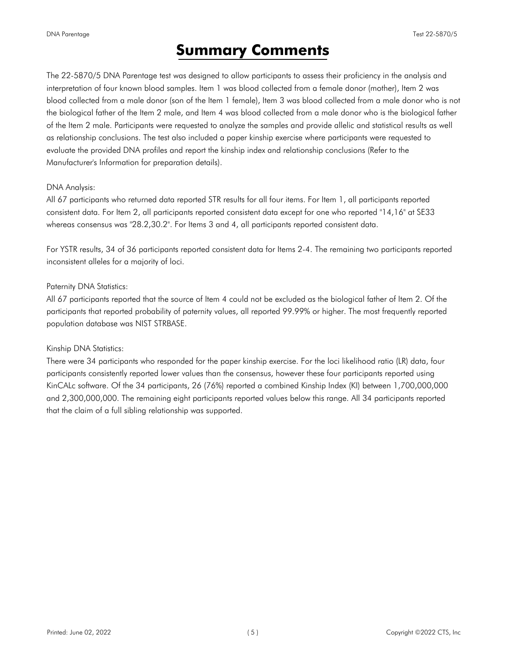# **Summary Comments**

<span id="page-4-0"></span>The 22-5870/5 DNA Parentage test was designed to allow participants to assess their proficiency in the analysis and interpretation of four known blood samples. Item 1 was blood collected from a female donor (mother), Item 2 was blood collected from a male donor (son of the Item 1 female), Item 3 was blood collected from a male donor who is not the biological father of the Item 2 male, and Item 4 was blood collected from a male donor who is the biological father of the Item 2 male. Participants were requested to analyze the samples and provide allelic and statistical results as well as relationship conclusions. The test also included a paper kinship exercise where participants were requested to evaluate the provided DNA profiles and report the kinship index and relationship conclusions (Refer to the Manufacturer's Information for preparation details).

### DNA Analysis:

All 67 participants who returned data reported STR results for all four items. For Item 1, all participants reported consistent data. For Item 2, all participants reported consistent data except for one who reported "14,16" at SE33 whereas consensus was "28.2,30.2". For Items 3 and 4, all participants reported consistent data.

For YSTR results, 34 of 36 participants reported consistent data for Items 2-4. The remaining two participants reported inconsistent alleles for a majority of loci.

### Paternity DNA Statistics:

All 67 participants reported that the source of Item 4 could not be excluded as the biological father of Item 2. Of the participants that reported probability of paternity values, all reported 99.99% or higher. The most frequently reported population database was NIST STRBASE.

#### Kinship DNA Statistics:

There were 34 participants who responded for the paper kinship exercise. For the loci likelihood ratio (LR) data, four participants consistently reported lower values than the consensus, however these four participants reported using KinCALc software. Of the 34 participants, 26 (76%) reported a combined Kinship Index (KI) between 1,700,000,000 and 2,300,000,000. The remaining eight participants reported values below this range. All 34 participants reported that the claim of a full sibling relationship was supported.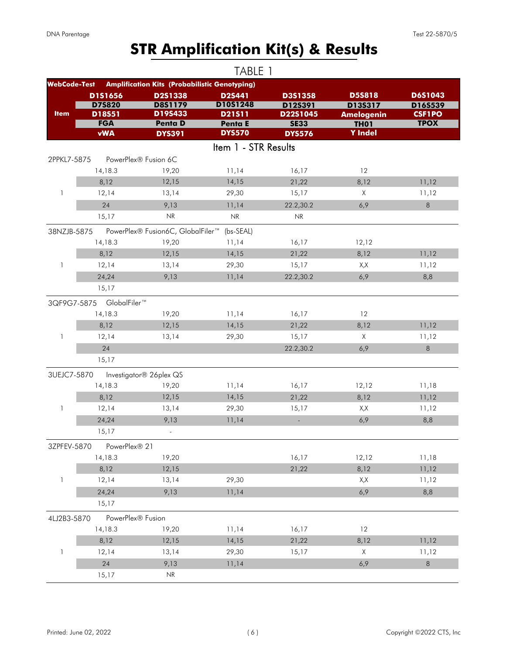# **STR Amplification Kit(s) & Results**

<span id="page-5-0"></span>

|                     |                         |                                                         | TABLE 1              |                                   |                                  |                          |
|---------------------|-------------------------|---------------------------------------------------------|----------------------|-----------------------------------|----------------------------------|--------------------------|
| <b>WebCode-Test</b> |                         | <b>Amplification Kits (Probabilistic Genotyping)</b>    |                      |                                   |                                  |                          |
|                     | D151656                 | D2S1338                                                 | D2S441               | D3S1358                           | <b>D5S818</b>                    | D6S1043                  |
| <b>Item</b>         | <b>D75820</b><br>D18S51 | <b>D8S1179</b><br>D19S433                               | D10S1248<br>D21511   | D12S391<br>D22S1045               | D13S317                          | D16S539<br><b>CSF1PO</b> |
|                     | <b>FGA</b>              | <b>Penta D</b>                                          | Penta E              | <b>SE33</b>                       | <b>Amelogenin</b><br><b>TH01</b> | <b>TPOX</b>              |
|                     | <b>vWA</b>              | <b>DYS391</b>                                           | <b>DYS570</b>        | <b>DYS576</b>                     | <b>Y</b> Indel                   |                          |
|                     |                         |                                                         | Item 1 - STR Results |                                   |                                  |                          |
| 2PPKL7-5875         |                         | PowerPlex® Fusion 6C                                    |                      |                                   |                                  |                          |
|                     | 14,18.3                 | 19,20                                                   | 11,14                | 16,17                             | 12                               |                          |
|                     | 8,12                    | 12,15                                                   | 14,15                | 21,22                             | 8,12                             | 11,12                    |
| 1                   | 12,14                   | 13,14                                                   | 29,30                | 15,17                             | X                                | 11,12                    |
|                     | 24                      | 9,13                                                    | 11,14                | 22.2,30.2                         | 6,9                              | 8                        |
|                     | 15,17                   | NR                                                      | NR                   | $\ensuremath{\mathsf{NR}}\xspace$ |                                  |                          |
| 38NZJB-5875         |                         | PowerPlex® Fusion6C, GlobalFiler <sup>™</sup> (bs-SEAL) |                      |                                   |                                  |                          |
|                     | 14,18.3                 | 19,20                                                   | 11,14                | 16,17                             | 12,12                            |                          |
|                     | 8,12                    | 12,15                                                   | 14,15                | 21,22                             | 8,12                             | 11,12                    |
| $\mathbf{1}$        | 12,14                   | 13,14                                                   | 29,30                | 15,17                             | X,X                              | 11,12                    |
|                     | 24,24                   | 9,13                                                    | 11,14                | 22.2,30.2                         | 6,9                              | 8,8                      |
|                     | 15,17                   |                                                         |                      |                                   |                                  |                          |
| 3QF9G7-5875         | GlobalFiler™            |                                                         |                      |                                   |                                  |                          |
|                     | 14,18.3                 | 19,20                                                   | 11,14                | 16,17                             | 12                               |                          |
|                     | 8,12                    | 12,15                                                   | 14,15                | 21,22                             | 8,12                             | 11,12                    |
| 1                   | 12,14                   | 13,14                                                   | 29,30                | 15,17                             | X                                | 11,12                    |
|                     | 24                      |                                                         |                      | 22.2,30.2                         | 6,9                              | 8                        |
|                     | 15,17                   |                                                         |                      |                                   |                                  |                          |
| 3UEJC7-5870         |                         | Investigator® 26plex QS                                 |                      |                                   |                                  |                          |
|                     | 14,18.3                 | 19,20                                                   | 11,14                | 16,17                             | 12,12                            | 11,18                    |
|                     | 8,12                    | 12,15                                                   | 14,15                | 21,22                             | 8,12                             | 11,12                    |
| 1                   | 12,14                   | 13,14                                                   | 29,30                | 15,17                             | X,X                              | 11,12                    |
|                     | 24,24                   | 9,13                                                    | 11,14                | $\blacksquare$                    | 6,9                              | 8,8                      |
|                     | 15,17                   | $\overline{\phantom{a}}$                                |                      |                                   |                                  |                          |
| 3ZPFEV-5870         | PowerPlex® 21           |                                                         |                      |                                   |                                  |                          |
|                     | 14,18.3                 | 19,20                                                   |                      | 16,17                             | 12,12                            | 11,18                    |
|                     | 8,12                    | 12,15                                                   |                      | 21,22                             | 8,12                             | 11,12                    |
| $\mathbf{1}$        | 12,14                   | 13,14                                                   | 29,30                |                                   | X,X                              | 11,12                    |
|                     | 24,24                   | 9,13                                                    | 11,14                |                                   | 6,9                              | 8,8                      |
|                     | 15,17                   |                                                         |                      |                                   |                                  |                          |
| 4LJ2B3-5870         | PowerPlex® Fusion       |                                                         |                      |                                   |                                  |                          |
|                     | 14,18.3                 | 19,20                                                   | 11,14                | 16,17                             | 12                               |                          |
|                     | 8,12                    | 12,15                                                   | 14,15                | 21,22                             | 8,12                             | 11,12                    |
| 1                   | 12,14                   | 13,14                                                   | 29,30                | 15,17                             | Χ                                | 11,12                    |
|                     | 24                      | 9,13                                                    | 11,14                |                                   | 6,9                              | 8                        |
|                     | 15,17                   | NR                                                      |                      |                                   |                                  |                          |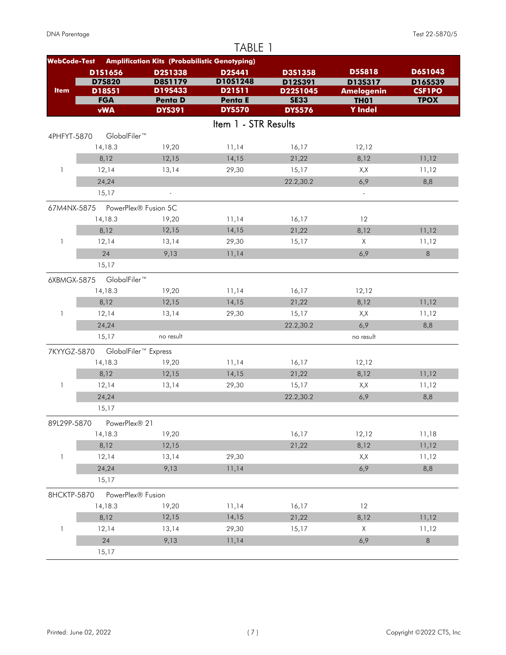|                     |                                  |                                                      | TABLE 1                  |                         |                                  |                              |
|---------------------|----------------------------------|------------------------------------------------------|--------------------------|-------------------------|----------------------------------|------------------------------|
| <b>WebCode-Test</b> |                                  | <b>Amplification Kits (Probabilistic Genotyping)</b> |                          |                         |                                  |                              |
|                     | D1S1656                          | D2S1338                                              | D2S441                   | D3S1358                 | <b>D5S818</b>                    | D6S1043                      |
|                     | <b>D75820</b>                    | <b>D8S1179</b>                                       | D10S1248                 | D12S391                 | D13S317                          | D16S539                      |
| <b>Item</b>         | D18S51<br><b>FGA</b>             | D19S433<br><b>Penta D</b>                            | D21511<br><b>Penta E</b> | D22S1045<br><b>SE33</b> | <b>Amelogenin</b><br><b>TH01</b> | <b>CSF1PO</b><br><b>TPOX</b> |
|                     | <b>vWA</b>                       | <b>DYS391</b>                                        | <b>DYS570</b>            | <b>DYS576</b>           | <b>Y</b> Indel                   |                              |
|                     |                                  |                                                      | Item 1 - STR Results     |                         |                                  |                              |
| 4PHFYT-5870         | GlobalFiler™                     |                                                      |                          |                         |                                  |                              |
|                     | 14,18.3                          | 19,20                                                | 11,14                    | 16,17                   | 12,12                            |                              |
|                     | 8,12                             | 12,15                                                | 14,15                    | 21,22                   | 8,12                             | 11,12                        |
| $\mathbf{1}$        | 12,14                            | 13,14                                                | 29,30                    | 15,17                   | X,X                              | 11,12                        |
|                     | 24,24                            |                                                      |                          | 22.2,30.2               | 6,9                              | 8,8                          |
|                     | 15,17                            | $\overline{\phantom{a}}$                             |                          |                         | $\Box$                           |                              |
|                     | 67M4NX-5875 PowerPlex® Fusion 5C |                                                      |                          |                         |                                  |                              |
|                     | 14,18.3                          | 19,20                                                | 11,14                    | 16,17                   | 12                               |                              |
|                     | 8,12                             | 12,15                                                | 14,15                    | 21,22                   | 8,12                             | 11,12                        |
| 1                   | 12,14                            | 13,14                                                | 29,30                    | 15,17                   | $\times$                         | 11,12                        |
|                     | 24                               | 9,13                                                 | 11,14                    |                         | 6,9                              | 8                            |
|                     | 15,17                            |                                                      |                          |                         |                                  |                              |
| 6XBMGX-5875         | GlobalFiler™                     |                                                      |                          |                         |                                  |                              |
|                     | 14,18.3                          | 19,20                                                | 11,14                    | 16,17                   | 12,12                            |                              |
|                     | 8,12                             | 12,15                                                | 14,15                    | 21,22                   | 8,12                             | 11,12                        |
| $\mathbf{1}$        | 12,14                            | 13,14                                                | 29,30                    | 15,17                   | X,X                              | 11,12                        |
|                     | 24,24                            |                                                      |                          | 22.2,30.2               | 6,9                              | 8,8                          |
|                     | 15,17                            | no result                                            |                          |                         | no result                        |                              |
| 7KYYGZ-5870         |                                  | GlobalFiler <sup>™</sup> Express                     |                          |                         |                                  |                              |
|                     | 14,18.3                          | 19,20                                                | 11,14                    | 16,17                   | 12,12                            |                              |
|                     | 8,12                             | 12,15                                                | 14,15                    | 21,22                   | 8,12                             | 11,12                        |
| 1                   | 12,14                            | 13,14                                                | 29,30                    | 15,17                   | X,X                              | 11,12                        |
|                     | 24,24                            |                                                      |                          | 22.2,30.2               | 6,9                              | 8,8                          |
|                     | 15,17                            |                                                      |                          |                         |                                  |                              |
| 89L29P-5870         | PowerPlex® 21                    |                                                      |                          |                         |                                  |                              |
|                     | 14,18.3                          | 19,20                                                |                          | 16,17                   | 12,12                            | 11,18                        |
|                     | 8,12                             | 12,15                                                |                          | 21,22                   | 8,12                             | 11,12                        |
| $\mathbf{1}$        | 12,14                            | 13,14                                                | 29,30                    |                         | X,X                              | 11,12                        |
|                     | 24,24                            | 9,13                                                 | 11,14                    |                         | 6,9                              | 8,8                          |
|                     | 15,17                            |                                                      |                          |                         |                                  |                              |
| 8HCKTP-5870         | PowerPlex® Fusion                |                                                      |                          |                         |                                  |                              |
|                     | 14,18.3                          | 19,20                                                | 11,14                    | 16,17                   | 12                               |                              |
|                     | 8,12                             | 12,15                                                | 14,15                    | 21,22                   | 8,12                             | 11,12                        |
| 1                   | 12,14                            | 13,14                                                | 29,30                    | 15,17                   | X                                | 11,12                        |
|                     | 24                               | 9,13                                                 | 11,14                    |                         | 6,9                              | $\,8\,$                      |
|                     | 15,17                            |                                                      |                          |                         |                                  |                              |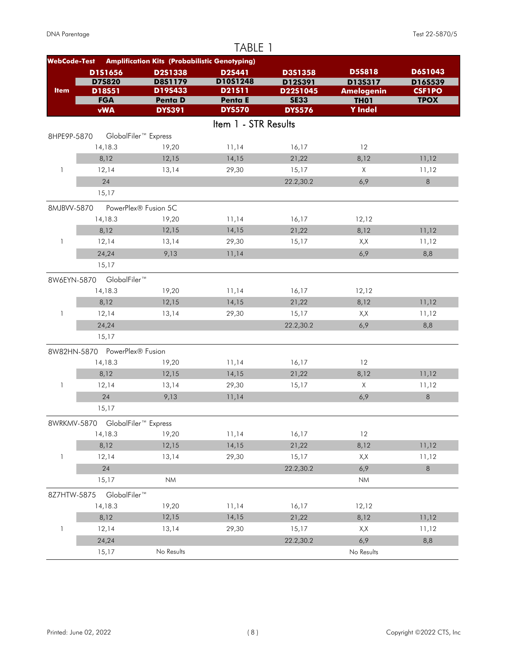|                     |                                  |                                                      | TABLE 1              |                         |                                  |                              |
|---------------------|----------------------------------|------------------------------------------------------|----------------------|-------------------------|----------------------------------|------------------------------|
| <b>WebCode-Test</b> |                                  | <b>Amplification Kits (Probabilistic Genotyping)</b> |                      |                         |                                  |                              |
|                     | D1S1656                          | D2S1338                                              | D2S441               | D3S1358                 | <b>D5S818</b>                    | D6S1043                      |
|                     | <b>D75820</b>                    | <b>D8S1179</b><br>D19S433                            | D10S1248             | D12S391                 | D13S317                          | D16S539                      |
| <b>Item</b>         | D18S51<br><b>FGA</b>             | <b>Penta D</b>                                       | D21511<br>Penta E    | D22S1045<br><b>SE33</b> | <b>Amelogenin</b><br><b>TH01</b> | <b>CSF1PO</b><br><b>TPOX</b> |
|                     | <b>vWA</b>                       | <b>DYS391</b>                                        | <b>DYS570</b>        | <b>DYS576</b>           | <b>Y</b> Indel                   |                              |
|                     |                                  |                                                      | Item 1 - STR Results |                         |                                  |                              |
| 8HPE9P-5870         |                                  | GlobalFiler <sup>™</sup> Express                     |                      |                         |                                  |                              |
|                     | 14,18.3                          | 19,20                                                | 11,14                | 16,17                   | 12                               |                              |
|                     | 8,12                             | 12,15                                                | 14,15                | 21,22                   | 8,12                             | 11,12                        |
| $\mathbf{1}$        | 12,14                            | 13,14                                                | 29,30                | 15,17                   | $\times$                         | 11,12                        |
|                     | 24                               |                                                      |                      | 22.2,30.2               | 6,9                              | $\,8\,$                      |
|                     | 15,17                            |                                                      |                      |                         |                                  |                              |
| 8MJBVV-5870         |                                  | PowerPlex® Fusion 5C                                 |                      |                         |                                  |                              |
|                     | 14,18.3                          | 19,20                                                | 11,14                | 16,17                   | 12,12                            |                              |
|                     | 8,12                             | 12,15                                                | 14,15                | 21,22                   | 8,12                             | 11,12                        |
| 1                   | 12,14                            | 13,14                                                | 29,30                | 15,17                   | X,X                              | 11,12                        |
|                     | 24,24                            | 9,13                                                 | 11,14                |                         | 6,9                              | 8,8                          |
|                     | 15,17                            |                                                      |                      |                         |                                  |                              |
|                     | 8W6EYN-5870 GlobalFiler™         |                                                      |                      |                         |                                  |                              |
|                     | 14,18.3                          | 19,20                                                | 11,14                | 16,17                   | 12,12                            |                              |
|                     | 8,12                             | 12,15                                                | 14,15                | 21,22                   | 8,12                             | 11,12                        |
| $\mathbf{1}$        | 12,14                            | 13,14                                                | 29,30                | 15,17                   | X, X                             | 11,12                        |
|                     | 24,24                            |                                                      |                      | 22.2,30.2               | 6,9                              | 8,8                          |
|                     | 15,17                            |                                                      |                      |                         |                                  |                              |
|                     | 8W82HN-5870 PowerPlex® Fusion    |                                                      |                      |                         |                                  |                              |
|                     | 14,18.3                          | 19,20                                                | 11,14                | 16,17                   | 12                               |                              |
|                     | 8,12                             | 12,15                                                | 14,15                | 21,22                   | 8,12                             | 11,12                        |
| 1                   | 12,14                            | 13,14                                                | 29,30                | 15,17                   | X                                | 11,12                        |
|                     | 24                               | 9,13                                                 | 11,14                |                         | 6,9                              | 8                            |
|                     | 15,17                            |                                                      |                      |                         |                                  |                              |
|                     | 8WRKMV-5870 GlobalFiler™ Express |                                                      |                      |                         |                                  |                              |
|                     | 14,18.3                          | 19,20                                                | 11,14                | 16,17                   | 12                               |                              |
|                     | 8,12                             | 12,15                                                | 14,15                | 21,22                   | 8,12                             | 11,12                        |
| $\mathbf{1}$        | 12,14                            | 13,14                                                | 29,30                | 15,17                   | X,X                              | 11,12                        |
|                     | 24                               |                                                      |                      | 22.2,30.2               | 6,9                              | $\,8\,$                      |
|                     | 15,17                            | <b>NM</b>                                            |                      |                         | <b>NM</b>                        |                              |
| 8Z7HTW-5875         | GlobalFiler™                     |                                                      |                      |                         |                                  |                              |
|                     | 14,18.3                          | 19,20                                                | 11,14                | 16,17                   | 12,12                            |                              |
|                     | 8,12                             | 12,15                                                | 14,15                | 21,22                   | 8,12                             | 11,12                        |
| 1                   | 12,14                            | 13,14                                                | 29,30                | 15,17                   | X,X                              | 11,12                        |
|                     | 24,24                            |                                                      |                      | 22.2,30.2               | 6,9                              | 8,8                          |
|                     | 15,17                            | No Results                                           |                      |                         | No Results                       |                              |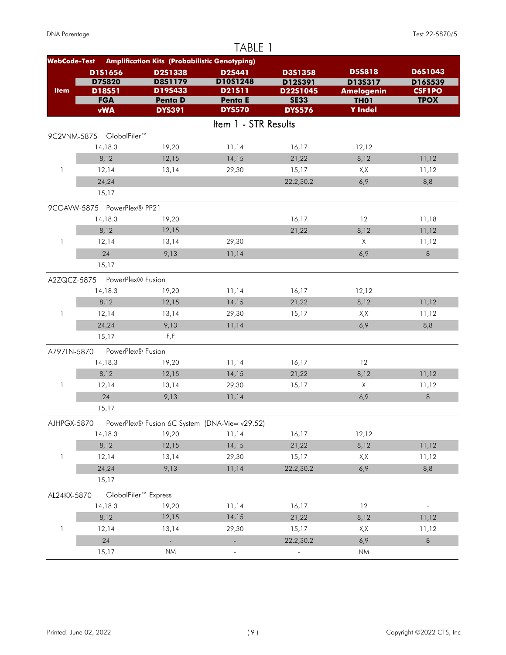|                     |                               |                                                      | TABLE 1                  |                         |                                  |                              |
|---------------------|-------------------------------|------------------------------------------------------|--------------------------|-------------------------|----------------------------------|------------------------------|
| <b>WebCode-Test</b> |                               | <b>Amplification Kits (Probabilistic Genotyping)</b> |                          |                         |                                  |                              |
|                     | D1S1656                       | D2S1338                                              | <b>D2S441</b>            | <b>D3S1358</b>          | <b>D5S818</b>                    | D6S1043                      |
| <b>Item</b>         | <b>D75820</b>                 | <b>D8S1179</b><br>D19S433                            | D10S1248<br>D21511       | D12S391                 | D13S317                          | D16S539                      |
|                     | D18S51<br><b>FGA</b>          | <b>Penta D</b>                                       | Penta E                  | D22S1045<br><b>SE33</b> | <b>Amelogenin</b><br><b>TH01</b> | <b>CSF1PO</b><br><b>TPOX</b> |
|                     | <b>vWA</b>                    | <b>DYS391</b>                                        | <b>DYS570</b>            | <b>DYS576</b>           | <b>Y</b> Indel                   |                              |
|                     |                               |                                                      | Item 1 - STR Results     |                         |                                  |                              |
|                     | 9C2VNM-5875 GlobalFiler™      |                                                      |                          |                         |                                  |                              |
|                     | 14,18.3                       | 19,20                                                | 11,14                    | 16,17                   | 12,12                            |                              |
|                     | 8,12                          | 12,15                                                | 14,15                    | 21,22                   | 8,12                             | 11,12                        |
| 1                   | 12,14                         | 13,14                                                | 29,30                    | 15,17                   | X,X                              | 11,12                        |
|                     | 24,24                         |                                                      |                          | 22.2,30.2               | 6,9                              | 8,8                          |
|                     | 15,17                         |                                                      |                          |                         |                                  |                              |
|                     | 9CGAVW-5875 PowerPlex® PP21   |                                                      |                          |                         |                                  |                              |
|                     | 14,18.3                       | 19,20                                                |                          | 16,17                   | 12                               | 11,18                        |
|                     | 8,12                          | 12,15                                                |                          | 21,22                   | 8,12                             | 11,12                        |
| 1                   | 12,14                         | 13,14                                                | 29,30                    |                         | $\times$                         | 11,12                        |
|                     | 24                            | 9,13                                                 | 11,14                    |                         | 6,9                              | 8                            |
|                     | 15,17                         |                                                      |                          |                         |                                  |                              |
|                     | A2ZQCZ-5875 PowerPlex® Fusion |                                                      |                          |                         |                                  |                              |
|                     | 14,18.3                       | 19,20                                                | 11,14                    | 16,17                   | 12,12                            |                              |
|                     | 8,12                          | 12,15                                                | 14,15                    | 21,22                   | 8,12                             | 11,12                        |
| 1                   | 12,14                         | 13,14                                                | 29,30                    | 15,17                   | X,X                              | 11,12                        |
|                     | 24,24                         | 9,13                                                 | 11,14                    |                         | 6,9                              | 8,8                          |
|                     | 15,17                         | F, F                                                 |                          |                         |                                  |                              |
| A797LN-5870         | PowerPlex® Fusion             |                                                      |                          |                         |                                  |                              |
|                     | 14,18.3                       | 19,20                                                | 11,14                    | 16,17                   | 12                               |                              |
|                     | 8,12                          | 12,15                                                | 14,15                    | 21,22                   | 8,12                             | 11,12                        |
| 1                   | 12,14                         | 13,14                                                | 29,30                    | 15,17                   | Χ                                | 11,12                        |
|                     | 24                            | 9,13                                                 | 11,14                    |                         | 6,9                              | $\,8\,$                      |
|                     | 15,17                         |                                                      |                          |                         |                                  |                              |
| AJHPGX-5870         |                               | PowerPlex® Fusion 6C System (DNA-View v29.52)        |                          |                         |                                  |                              |
|                     | 14,18.3                       | 19,20                                                | 11,14                    | 16,17                   | 12,12                            |                              |
|                     | 8,12                          | 12,15                                                | 14,15                    | 21,22                   | 8,12                             | 11,12                        |
| 1                   | 12,14                         | 13,14                                                | 29,30                    | 15,17                   | X,X                              | 11,12                        |
|                     | 24,24                         | 9,13                                                 | 11,14                    | 22.2,30.2               | 6,9                              | 8,8                          |
|                     | 15,17                         |                                                      |                          |                         |                                  |                              |
| AL24KX-5870         |                               | GlobalFiler <sup>™</sup> Express                     |                          |                         |                                  |                              |
|                     | 14,18.3                       | 19,20                                                | 11,14                    | 16,17                   | 12                               |                              |
|                     | 8,12                          | 12,15                                                | 14,15                    | 21,22                   | 8,12                             | 11,12                        |
| 1                   | 12,14                         | 13,14                                                | 29,30                    | 15,17                   | X,X                              | 11,12                        |
|                     | 24                            | $\Box$                                               | $\overline{\phantom{a}}$ | 22.2,30.2               | 6,9                              | $\,8\,$                      |
|                     | 15,17                         | $\mathsf{N}\mathsf{M}$                               |                          |                         | <b>NM</b>                        |                              |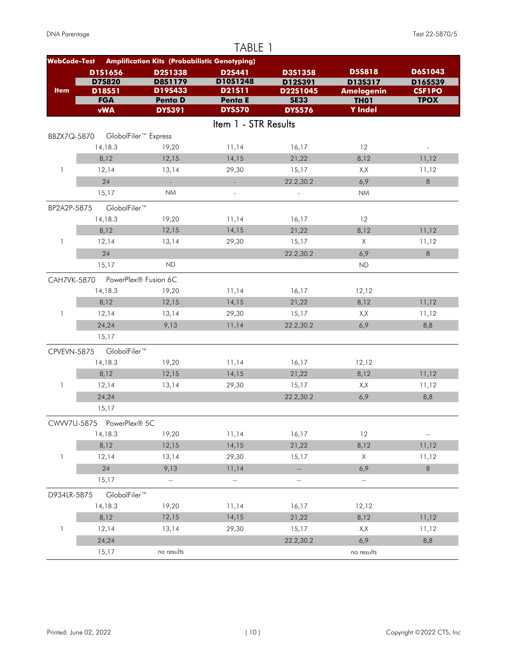| <b>Amplification Kits (Probabilistic Genotyping)</b><br><b>WebCode-Test</b><br><b>D5S818</b><br>D1S1656<br>D3S1358<br>D2S1338<br>D2S441<br>D10S1248<br><b>D75820</b><br><b>D8S1179</b><br>D13S317<br>D12S391<br>D19S433<br><b>Item</b><br>D18S51<br>D21511<br>D22S1045<br><b>Amelogenin</b><br><b>CSF1PO</b><br><b>FGA</b><br><b>SE33</b><br><b>TPOX</b><br><b>Penta D</b><br><b>Penta E</b><br><b>TH01</b><br><b>DYS570</b><br><b>Y</b> Indel<br><b>vWA</b><br><b>DYS391</b><br><b>DYS576</b><br>Item 1 - STR Results<br>GlobalFiler <sup>™</sup> Express<br>BBZX7Q-5870<br>14,18.3<br>19,20<br>11,14<br>16,17<br>12<br>8,12<br>12,15<br>14,15<br>21,22<br>8,12<br>11,12<br>$\mathbf{1}$<br>12,14<br>13,14<br>29,30<br>15,17<br>X,X<br>11,12<br>24<br>6,9<br>$\,8\,$<br>22.2,30.2<br>$\sim$<br>$\mathbb{Z}^{\mathbb{Z}}$<br><b>NM</b><br>15,17<br><b>NM</b><br>$\overline{\phantom{a}}$<br>$\overline{a}$<br>GlobalFiler™<br>BP2A2P-5875<br>14,18.3<br>12<br>19,20<br>11,14<br>16,17<br>12,15<br>14,15<br>8,12<br>21,22<br>8,12<br>11,12<br>12,14<br>29,30<br>$\times$<br>1<br>13,14<br>15,17<br>11,12<br>24<br>8<br>22.2,30.2<br>6,9<br><b>ND</b><br>15,17<br>ND<br>PowerPlex® Fusion 6C<br><b>CAH7VK-5870</b><br>14,18.3<br>19,20<br>11,14<br>16,17<br>12,12<br>12,15<br>21,22<br>8,12<br>8,12<br>14,15<br>11,12<br>$\mathbf{1}$<br>12,14<br>13,14<br>29,30<br>15,17<br>X, X<br>11,12<br>24,24<br>9,13<br>11,14<br>6,9<br>22.2,30.2<br>8,8<br>15,17<br>GlobalFiler™<br>CPVEVN-5875<br>14,18.3<br>19,20<br>11,14<br>16,17<br>12,12<br>8,12<br>12,15<br>14,15<br>21,22<br>8,12<br>11,12<br>13,14<br>29,30<br>15,17<br>12,14<br>X,X<br>11,12<br>1<br>24,24<br>22.2,30.2<br>6,9<br>8,8<br>15,17<br>CWW7U-5875 PowerPlex® 5C<br>16,17<br>14,18.3<br>19,20<br>11,14<br>12<br>$\overline{\phantom{a}}$<br>8,12<br>12,15<br>14,15<br>21,22<br>8,12<br>11,12<br>$\mathbf{1}$<br>29,30<br>X<br>12,14<br>13,14<br>15,17<br>11,12<br>24<br>$\,8\,$<br>9,13<br>11,14<br>6,9<br>Щ,<br>15,17<br>$\mathbb{L}^2$<br>$\mathbb{L}^2$<br>$\overline{\phantom{a}}$ .<br>$\overline{\phantom{a}}$<br>GlobalFiler™<br>D934LR-5875<br>14,18.3<br>19,20<br>11,14<br>16,17<br>12,12<br>8,12<br>12,15<br>14,15<br>21,22<br>8,12<br>11,12<br>29,30<br>1<br>12,14<br>13,14<br>15,17<br>X,X<br>11,12<br>24,24<br>22.2,30.2<br>6,9<br>8,8 |       |            | TABLE 1 |            |         |
|---------------------------------------------------------------------------------------------------------------------------------------------------------------------------------------------------------------------------------------------------------------------------------------------------------------------------------------------------------------------------------------------------------------------------------------------------------------------------------------------------------------------------------------------------------------------------------------------------------------------------------------------------------------------------------------------------------------------------------------------------------------------------------------------------------------------------------------------------------------------------------------------------------------------------------------------------------------------------------------------------------------------------------------------------------------------------------------------------------------------------------------------------------------------------------------------------------------------------------------------------------------------------------------------------------------------------------------------------------------------------------------------------------------------------------------------------------------------------------------------------------------------------------------------------------------------------------------------------------------------------------------------------------------------------------------------------------------------------------------------------------------------------------------------------------------------------------------------------------------------------------------------------------------------------------------------------------------------------------------------------------------------------------------------------------------------------------------------------------------------------------------------------------------------------------------------------------------------------------------------------------------------------------------------------------------|-------|------------|---------|------------|---------|
|                                                                                                                                                                                                                                                                                                                                                                                                                                                                                                                                                                                                                                                                                                                                                                                                                                                                                                                                                                                                                                                                                                                                                                                                                                                                                                                                                                                                                                                                                                                                                                                                                                                                                                                                                                                                                                                                                                                                                                                                                                                                                                                                                                                                                                                                                                               |       |            |         |            |         |
|                                                                                                                                                                                                                                                                                                                                                                                                                                                                                                                                                                                                                                                                                                                                                                                                                                                                                                                                                                                                                                                                                                                                                                                                                                                                                                                                                                                                                                                                                                                                                                                                                                                                                                                                                                                                                                                                                                                                                                                                                                                                                                                                                                                                                                                                                                               |       |            |         |            | D6S1043 |
|                                                                                                                                                                                                                                                                                                                                                                                                                                                                                                                                                                                                                                                                                                                                                                                                                                                                                                                                                                                                                                                                                                                                                                                                                                                                                                                                                                                                                                                                                                                                                                                                                                                                                                                                                                                                                                                                                                                                                                                                                                                                                                                                                                                                                                                                                                               |       |            |         |            | D16S539 |
|                                                                                                                                                                                                                                                                                                                                                                                                                                                                                                                                                                                                                                                                                                                                                                                                                                                                                                                                                                                                                                                                                                                                                                                                                                                                                                                                                                                                                                                                                                                                                                                                                                                                                                                                                                                                                                                                                                                                                                                                                                                                                                                                                                                                                                                                                                               |       |            |         |            |         |
|                                                                                                                                                                                                                                                                                                                                                                                                                                                                                                                                                                                                                                                                                                                                                                                                                                                                                                                                                                                                                                                                                                                                                                                                                                                                                                                                                                                                                                                                                                                                                                                                                                                                                                                                                                                                                                                                                                                                                                                                                                                                                                                                                                                                                                                                                                               |       |            |         |            |         |
|                                                                                                                                                                                                                                                                                                                                                                                                                                                                                                                                                                                                                                                                                                                                                                                                                                                                                                                                                                                                                                                                                                                                                                                                                                                                                                                                                                                                                                                                                                                                                                                                                                                                                                                                                                                                                                                                                                                                                                                                                                                                                                                                                                                                                                                                                                               |       |            |         |            |         |
|                                                                                                                                                                                                                                                                                                                                                                                                                                                                                                                                                                                                                                                                                                                                                                                                                                                                                                                                                                                                                                                                                                                                                                                                                                                                                                                                                                                                                                                                                                                                                                                                                                                                                                                                                                                                                                                                                                                                                                                                                                                                                                                                                                                                                                                                                                               |       |            |         |            |         |
|                                                                                                                                                                                                                                                                                                                                                                                                                                                                                                                                                                                                                                                                                                                                                                                                                                                                                                                                                                                                                                                                                                                                                                                                                                                                                                                                                                                                                                                                                                                                                                                                                                                                                                                                                                                                                                                                                                                                                                                                                                                                                                                                                                                                                                                                                                               |       |            |         |            |         |
|                                                                                                                                                                                                                                                                                                                                                                                                                                                                                                                                                                                                                                                                                                                                                                                                                                                                                                                                                                                                                                                                                                                                                                                                                                                                                                                                                                                                                                                                                                                                                                                                                                                                                                                                                                                                                                                                                                                                                                                                                                                                                                                                                                                                                                                                                                               |       |            |         |            |         |
|                                                                                                                                                                                                                                                                                                                                                                                                                                                                                                                                                                                                                                                                                                                                                                                                                                                                                                                                                                                                                                                                                                                                                                                                                                                                                                                                                                                                                                                                                                                                                                                                                                                                                                                                                                                                                                                                                                                                                                                                                                                                                                                                                                                                                                                                                                               |       |            |         |            |         |
|                                                                                                                                                                                                                                                                                                                                                                                                                                                                                                                                                                                                                                                                                                                                                                                                                                                                                                                                                                                                                                                                                                                                                                                                                                                                                                                                                                                                                                                                                                                                                                                                                                                                                                                                                                                                                                                                                                                                                                                                                                                                                                                                                                                                                                                                                                               |       |            |         |            |         |
|                                                                                                                                                                                                                                                                                                                                                                                                                                                                                                                                                                                                                                                                                                                                                                                                                                                                                                                                                                                                                                                                                                                                                                                                                                                                                                                                                                                                                                                                                                                                                                                                                                                                                                                                                                                                                                                                                                                                                                                                                                                                                                                                                                                                                                                                                                               |       |            |         |            |         |
|                                                                                                                                                                                                                                                                                                                                                                                                                                                                                                                                                                                                                                                                                                                                                                                                                                                                                                                                                                                                                                                                                                                                                                                                                                                                                                                                                                                                                                                                                                                                                                                                                                                                                                                                                                                                                                                                                                                                                                                                                                                                                                                                                                                                                                                                                                               |       |            |         |            |         |
|                                                                                                                                                                                                                                                                                                                                                                                                                                                                                                                                                                                                                                                                                                                                                                                                                                                                                                                                                                                                                                                                                                                                                                                                                                                                                                                                                                                                                                                                                                                                                                                                                                                                                                                                                                                                                                                                                                                                                                                                                                                                                                                                                                                                                                                                                                               |       |            |         |            |         |
|                                                                                                                                                                                                                                                                                                                                                                                                                                                                                                                                                                                                                                                                                                                                                                                                                                                                                                                                                                                                                                                                                                                                                                                                                                                                                                                                                                                                                                                                                                                                                                                                                                                                                                                                                                                                                                                                                                                                                                                                                                                                                                                                                                                                                                                                                                               |       |            |         |            |         |
|                                                                                                                                                                                                                                                                                                                                                                                                                                                                                                                                                                                                                                                                                                                                                                                                                                                                                                                                                                                                                                                                                                                                                                                                                                                                                                                                                                                                                                                                                                                                                                                                                                                                                                                                                                                                                                                                                                                                                                                                                                                                                                                                                                                                                                                                                                               |       |            |         |            |         |
|                                                                                                                                                                                                                                                                                                                                                                                                                                                                                                                                                                                                                                                                                                                                                                                                                                                                                                                                                                                                                                                                                                                                                                                                                                                                                                                                                                                                                                                                                                                                                                                                                                                                                                                                                                                                                                                                                                                                                                                                                                                                                                                                                                                                                                                                                                               |       |            |         |            |         |
|                                                                                                                                                                                                                                                                                                                                                                                                                                                                                                                                                                                                                                                                                                                                                                                                                                                                                                                                                                                                                                                                                                                                                                                                                                                                                                                                                                                                                                                                                                                                                                                                                                                                                                                                                                                                                                                                                                                                                                                                                                                                                                                                                                                                                                                                                                               |       |            |         |            |         |
|                                                                                                                                                                                                                                                                                                                                                                                                                                                                                                                                                                                                                                                                                                                                                                                                                                                                                                                                                                                                                                                                                                                                                                                                                                                                                                                                                                                                                                                                                                                                                                                                                                                                                                                                                                                                                                                                                                                                                                                                                                                                                                                                                                                                                                                                                                               |       |            |         |            |         |
|                                                                                                                                                                                                                                                                                                                                                                                                                                                                                                                                                                                                                                                                                                                                                                                                                                                                                                                                                                                                                                                                                                                                                                                                                                                                                                                                                                                                                                                                                                                                                                                                                                                                                                                                                                                                                                                                                                                                                                                                                                                                                                                                                                                                                                                                                                               |       |            |         |            |         |
|                                                                                                                                                                                                                                                                                                                                                                                                                                                                                                                                                                                                                                                                                                                                                                                                                                                                                                                                                                                                                                                                                                                                                                                                                                                                                                                                                                                                                                                                                                                                                                                                                                                                                                                                                                                                                                                                                                                                                                                                                                                                                                                                                                                                                                                                                                               |       |            |         |            |         |
|                                                                                                                                                                                                                                                                                                                                                                                                                                                                                                                                                                                                                                                                                                                                                                                                                                                                                                                                                                                                                                                                                                                                                                                                                                                                                                                                                                                                                                                                                                                                                                                                                                                                                                                                                                                                                                                                                                                                                                                                                                                                                                                                                                                                                                                                                                               |       |            |         |            |         |
|                                                                                                                                                                                                                                                                                                                                                                                                                                                                                                                                                                                                                                                                                                                                                                                                                                                                                                                                                                                                                                                                                                                                                                                                                                                                                                                                                                                                                                                                                                                                                                                                                                                                                                                                                                                                                                                                                                                                                                                                                                                                                                                                                                                                                                                                                                               |       |            |         |            |         |
|                                                                                                                                                                                                                                                                                                                                                                                                                                                                                                                                                                                                                                                                                                                                                                                                                                                                                                                                                                                                                                                                                                                                                                                                                                                                                                                                                                                                                                                                                                                                                                                                                                                                                                                                                                                                                                                                                                                                                                                                                                                                                                                                                                                                                                                                                                               |       |            |         |            |         |
|                                                                                                                                                                                                                                                                                                                                                                                                                                                                                                                                                                                                                                                                                                                                                                                                                                                                                                                                                                                                                                                                                                                                                                                                                                                                                                                                                                                                                                                                                                                                                                                                                                                                                                                                                                                                                                                                                                                                                                                                                                                                                                                                                                                                                                                                                                               |       |            |         |            |         |
|                                                                                                                                                                                                                                                                                                                                                                                                                                                                                                                                                                                                                                                                                                                                                                                                                                                                                                                                                                                                                                                                                                                                                                                                                                                                                                                                                                                                                                                                                                                                                                                                                                                                                                                                                                                                                                                                                                                                                                                                                                                                                                                                                                                                                                                                                                               |       |            |         |            |         |
|                                                                                                                                                                                                                                                                                                                                                                                                                                                                                                                                                                                                                                                                                                                                                                                                                                                                                                                                                                                                                                                                                                                                                                                                                                                                                                                                                                                                                                                                                                                                                                                                                                                                                                                                                                                                                                                                                                                                                                                                                                                                                                                                                                                                                                                                                                               |       |            |         |            |         |
|                                                                                                                                                                                                                                                                                                                                                                                                                                                                                                                                                                                                                                                                                                                                                                                                                                                                                                                                                                                                                                                                                                                                                                                                                                                                                                                                                                                                                                                                                                                                                                                                                                                                                                                                                                                                                                                                                                                                                                                                                                                                                                                                                                                                                                                                                                               |       |            |         |            |         |
|                                                                                                                                                                                                                                                                                                                                                                                                                                                                                                                                                                                                                                                                                                                                                                                                                                                                                                                                                                                                                                                                                                                                                                                                                                                                                                                                                                                                                                                                                                                                                                                                                                                                                                                                                                                                                                                                                                                                                                                                                                                                                                                                                                                                                                                                                                               |       |            |         |            |         |
|                                                                                                                                                                                                                                                                                                                                                                                                                                                                                                                                                                                                                                                                                                                                                                                                                                                                                                                                                                                                                                                                                                                                                                                                                                                                                                                                                                                                                                                                                                                                                                                                                                                                                                                                                                                                                                                                                                                                                                                                                                                                                                                                                                                                                                                                                                               |       |            |         |            |         |
|                                                                                                                                                                                                                                                                                                                                                                                                                                                                                                                                                                                                                                                                                                                                                                                                                                                                                                                                                                                                                                                                                                                                                                                                                                                                                                                                                                                                                                                                                                                                                                                                                                                                                                                                                                                                                                                                                                                                                                                                                                                                                                                                                                                                                                                                                                               |       |            |         |            |         |
|                                                                                                                                                                                                                                                                                                                                                                                                                                                                                                                                                                                                                                                                                                                                                                                                                                                                                                                                                                                                                                                                                                                                                                                                                                                                                                                                                                                                                                                                                                                                                                                                                                                                                                                                                                                                                                                                                                                                                                                                                                                                                                                                                                                                                                                                                                               |       |            |         |            |         |
|                                                                                                                                                                                                                                                                                                                                                                                                                                                                                                                                                                                                                                                                                                                                                                                                                                                                                                                                                                                                                                                                                                                                                                                                                                                                                                                                                                                                                                                                                                                                                                                                                                                                                                                                                                                                                                                                                                                                                                                                                                                                                                                                                                                                                                                                                                               |       |            |         |            |         |
|                                                                                                                                                                                                                                                                                                                                                                                                                                                                                                                                                                                                                                                                                                                                                                                                                                                                                                                                                                                                                                                                                                                                                                                                                                                                                                                                                                                                                                                                                                                                                                                                                                                                                                                                                                                                                                                                                                                                                                                                                                                                                                                                                                                                                                                                                                               |       |            |         |            |         |
|                                                                                                                                                                                                                                                                                                                                                                                                                                                                                                                                                                                                                                                                                                                                                                                                                                                                                                                                                                                                                                                                                                                                                                                                                                                                                                                                                                                                                                                                                                                                                                                                                                                                                                                                                                                                                                                                                                                                                                                                                                                                                                                                                                                                                                                                                                               |       |            |         |            |         |
|                                                                                                                                                                                                                                                                                                                                                                                                                                                                                                                                                                                                                                                                                                                                                                                                                                                                                                                                                                                                                                                                                                                                                                                                                                                                                                                                                                                                                                                                                                                                                                                                                                                                                                                                                                                                                                                                                                                                                                                                                                                                                                                                                                                                                                                                                                               |       |            |         |            |         |
|                                                                                                                                                                                                                                                                                                                                                                                                                                                                                                                                                                                                                                                                                                                                                                                                                                                                                                                                                                                                                                                                                                                                                                                                                                                                                                                                                                                                                                                                                                                                                                                                                                                                                                                                                                                                                                                                                                                                                                                                                                                                                                                                                                                                                                                                                                               |       |            |         |            |         |
|                                                                                                                                                                                                                                                                                                                                                                                                                                                                                                                                                                                                                                                                                                                                                                                                                                                                                                                                                                                                                                                                                                                                                                                                                                                                                                                                                                                                                                                                                                                                                                                                                                                                                                                                                                                                                                                                                                                                                                                                                                                                                                                                                                                                                                                                                                               |       |            |         |            |         |
|                                                                                                                                                                                                                                                                                                                                                                                                                                                                                                                                                                                                                                                                                                                                                                                                                                                                                                                                                                                                                                                                                                                                                                                                                                                                                                                                                                                                                                                                                                                                                                                                                                                                                                                                                                                                                                                                                                                                                                                                                                                                                                                                                                                                                                                                                                               |       |            |         |            |         |
|                                                                                                                                                                                                                                                                                                                                                                                                                                                                                                                                                                                                                                                                                                                                                                                                                                                                                                                                                                                                                                                                                                                                                                                                                                                                                                                                                                                                                                                                                                                                                                                                                                                                                                                                                                                                                                                                                                                                                                                                                                                                                                                                                                                                                                                                                                               |       |            |         |            |         |
|                                                                                                                                                                                                                                                                                                                                                                                                                                                                                                                                                                                                                                                                                                                                                                                                                                                                                                                                                                                                                                                                                                                                                                                                                                                                                                                                                                                                                                                                                                                                                                                                                                                                                                                                                                                                                                                                                                                                                                                                                                                                                                                                                                                                                                                                                                               |       |            |         |            |         |
|                                                                                                                                                                                                                                                                                                                                                                                                                                                                                                                                                                                                                                                                                                                                                                                                                                                                                                                                                                                                                                                                                                                                                                                                                                                                                                                                                                                                                                                                                                                                                                                                                                                                                                                                                                                                                                                                                                                                                                                                                                                                                                                                                                                                                                                                                                               |       |            |         |            |         |
|                                                                                                                                                                                                                                                                                                                                                                                                                                                                                                                                                                                                                                                                                                                                                                                                                                                                                                                                                                                                                                                                                                                                                                                                                                                                                                                                                                                                                                                                                                                                                                                                                                                                                                                                                                                                                                                                                                                                                                                                                                                                                                                                                                                                                                                                                                               | 15,17 | no results |         | no results |         |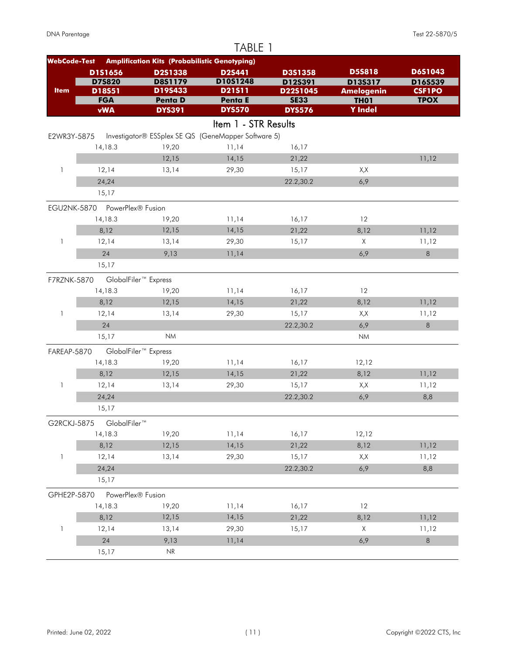|                     |                                          |                                                      | TABLE 1              |                         |                                  |                              |
|---------------------|------------------------------------------|------------------------------------------------------|----------------------|-------------------------|----------------------------------|------------------------------|
| <b>WebCode-Test</b> |                                          | <b>Amplification Kits (Probabilistic Genotyping)</b> |                      |                         |                                  |                              |
|                     | D1S1656                                  | D2S1338                                              | D2S441               | D3S1358                 | <b>D5S818</b>                    | D6S1043                      |
|                     | <b>D75820</b>                            | <b>D8S1179</b>                                       | D10S1248             | D12S391                 | D13S317                          | D16S539                      |
| <b>Item</b>         | D18S51<br><b>FGA</b>                     | D19S433<br><b>Penta D</b>                            | D21511<br>Penta E    | D22S1045<br><b>SE33</b> | <b>Amelogenin</b><br><b>TH01</b> | <b>CSF1PO</b><br><b>TPOX</b> |
|                     | <b>vWA</b>                               | <b>DYS391</b>                                        | <b>DYS570</b>        | <b>DYS576</b>           | <b>Y</b> Indel                   |                              |
|                     |                                          |                                                      | Item 1 - STR Results |                         |                                  |                              |
| E2WR3Y-5875         |                                          | Investigator® ESSplex SE QS (GeneMapper Software 5)  |                      |                         |                                  |                              |
|                     | 14,18.3                                  | 19,20                                                | 11,14                | 16,17                   |                                  |                              |
|                     |                                          | 12,15                                                | 14,15                | 21,22                   |                                  | 11,12                        |
| $\mathbf{1}$        | 12,14                                    | 13,14                                                | 29,30                | 15,17                   | X, X                             |                              |
|                     | 24,24                                    |                                                      |                      | 22.2,30.2               | 6,9                              |                              |
|                     | 15,17                                    |                                                      |                      |                         |                                  |                              |
|                     |                                          |                                                      |                      |                         |                                  |                              |
|                     | EGU2NK-5870 PowerPlex® Fusion<br>14,18.3 | 19,20                                                | 11,14                | 16,17                   | 12                               |                              |
|                     | 8,12                                     | 12,15                                                | 14,15                | 21,22                   | 8,12                             | 11,12                        |
| 1                   | 12,14                                    | 13,14                                                | 29,30                | 15,17                   | $\times$                         | 11,12                        |
|                     | 24                                       | 9,13                                                 | 11,14                |                         | 6,9                              | 8                            |
|                     | 15,17                                    |                                                      |                      |                         |                                  |                              |
|                     |                                          |                                                      |                      |                         |                                  |                              |
| F7RZNK-5870         |                                          | GlobalFiler <sup>™</sup> Express                     |                      |                         |                                  |                              |
|                     | 14,18.3                                  | 19,20                                                | 11,14                | 16,17                   | 12                               |                              |
|                     | 8,12                                     | 12,15                                                | 14,15                | 21,22                   | 8,12                             | 11,12                        |
| $\mathbf{1}$        | 12,14                                    | 13,14                                                | 29,30                | 15,17                   | X,X                              | 11,12                        |
|                     | 24                                       | <b>NM</b>                                            |                      | 22.2,30.2               | 6,9                              | $\,8\,$                      |
|                     | 15,17                                    |                                                      |                      |                         | <b>NM</b>                        |                              |
| FAREAP-5870         |                                          | GlobalFiler <sup>™</sup> Express                     |                      |                         |                                  |                              |
|                     | 14,18.3                                  | 19,20                                                | 11,14                | 16,17                   | 12,12                            |                              |
|                     | 8,12                                     | 12,15                                                | 14,15                | 21,22                   | 8,12                             | 11,12                        |
| 1                   | 12,14                                    | 13,14                                                | 29,30                | 15,17                   | X,X                              | 11,12                        |
|                     | 24,24                                    |                                                      |                      | 22.2,30.2               | 6,9                              | 8,8                          |
|                     | 15,17                                    |                                                      |                      |                         |                                  |                              |
| G2RCKJ-5875         | GlobalFiler™                             |                                                      |                      |                         |                                  |                              |
|                     | 14,18.3                                  | 19,20                                                | 11,14                | 16,17                   | 12,12                            |                              |
|                     | 8,12                                     | 12,15                                                | 14,15                | 21,22                   | 8,12                             | 11,12                        |
| $\mathbf{1}$        | 12,14                                    | 13,14                                                | 29,30                | 15,17                   | X,X                              | 11,12                        |
|                     | 24,24                                    |                                                      |                      | 22.2,30.2               | 6,9                              | 8,8                          |
|                     | 15,17                                    |                                                      |                      |                         |                                  |                              |
| GPHE2P-5870         | PowerPlex® Fusion                        |                                                      |                      |                         |                                  |                              |
|                     | 14,18.3                                  | 19,20                                                | 11,14                | 16,17                   | 12                               |                              |
|                     | 8,12                                     | 12,15                                                | 14,15                | 21,22                   | 8,12                             | 11,12                        |
| 1                   | 12,14                                    | 13,14                                                | 29,30                | 15,17                   | Χ                                | 11,12                        |
|                     | 24                                       | 9,13                                                 | 11,14                |                         | 6,9                              | 8                            |
|                     | 15,17                                    | $\ensuremath{\mathsf{NR}}\xspace$                    |                      |                         |                                  |                              |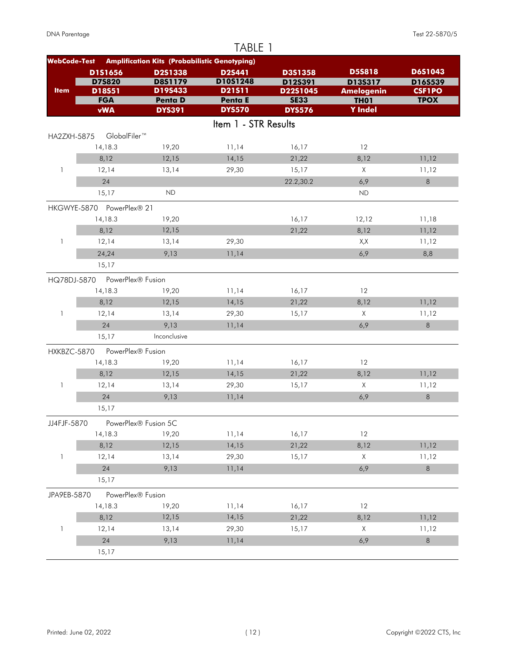|                     |                           |                                                      | TABLE 1              |                     |                              |                          |
|---------------------|---------------------------|------------------------------------------------------|----------------------|---------------------|------------------------------|--------------------------|
| <b>WebCode-Test</b> |                           | <b>Amplification Kits (Probabilistic Genotyping)</b> |                      |                     |                              |                          |
|                     | D1S1656                   | D2S1338                                              | <b>D2S441</b>        | D3S1358             | <b>D5S818</b>                | D6S1043                  |
| <b>Item</b>         | <b>D75820</b><br>D18S51   | D8S1179<br>D19S433                                   | D10S1248<br>D21511   | D12S391<br>D22S1045 | D13S317<br><b>Amelogenin</b> | D16S539<br><b>CSF1PO</b> |
|                     | <b>FGA</b>                | <b>Penta D</b>                                       | <b>Penta E</b>       | <b>SE33</b>         | <b>TH01</b>                  | <b>TPOX</b>              |
|                     | <b>vWA</b>                | <b>DYS391</b>                                        | <b>DYS570</b>        | <b>DYS576</b>       | <b>Y</b> Indel               |                          |
|                     |                           |                                                      | Item 1 - STR Results |                     |                              |                          |
| HA2ZXH-5875         | GlobalFiler™              |                                                      |                      |                     |                              |                          |
|                     | 14,18.3                   | 19,20                                                | 11,14                | 16,17               | 12                           |                          |
|                     | 8,12                      | 12,15                                                | 14,15                | 21,22               | 8,12                         | 11,12                    |
| $\mathbf{1}$        | 12,14                     | 13,14                                                | 29,30                | 15,17               | $\times$                     | 11,12                    |
|                     | 24                        |                                                      |                      | 22.2,30.2           | 6,9                          | $\,8\,$                  |
|                     | 15,17                     | <b>ND</b>                                            |                      |                     | <b>ND</b>                    |                          |
|                     | HKGWYE-5870 PowerPlex® 21 |                                                      |                      |                     |                              |                          |
|                     | 14,18.3                   | 19,20                                                |                      | 16,17               | 12,12                        | 11,18                    |
|                     | 8,12                      | 12,15                                                |                      | 21,22               | 8,12                         | 11,12                    |
| 1                   | 12,14                     | 13,14                                                | 29,30                |                     | X,X                          | 11,12                    |
|                     | 24,24                     | 9,13                                                 | 11,14                |                     | 6,9                          | 8,8                      |
|                     | 15,17                     |                                                      |                      |                     |                              |                          |
| HQ78DJ-5870         | PowerPlex® Fusion         |                                                      |                      |                     |                              |                          |
|                     | 14,18.3                   | 19,20                                                | 11,14                | 16,17               | 12                           |                          |
|                     | 8,12                      | 12,15                                                | 14,15                | 21,22               | 8,12                         | 11,12                    |
| 1                   | 12,14                     | 13,14                                                | 29,30                | 15,17               | $\times$                     | 11,12                    |
|                     | 24                        | 9,13                                                 | 11,14                |                     | 6,9                          | $\,8\,$                  |
|                     | 15,17                     | Inconclusive                                         |                      |                     |                              |                          |
| HXKBZC-5870         | PowerPlex® Fusion         |                                                      |                      |                     |                              |                          |
|                     | 14,18.3                   | 19,20                                                | 11,14                | 16,17               | 12                           |                          |
|                     | 8,12                      | 12,15                                                | 14,15                | 21,22               | 8,12                         | 11,12                    |
| 1                   | 12,14                     | 13,14                                                | 29,30                | 15,17               | $\times$                     | 11,12                    |
|                     | 24                        | 9,13                                                 | 11,14                |                     | 6,9                          | 8                        |
|                     | 15,17                     |                                                      |                      |                     |                              |                          |
| JJ4FJF-5870         |                           | PowerPlex® Fusion 5C                                 |                      |                     |                              |                          |
|                     | 14,18.3                   | 19,20                                                | 11,14                | 16,17               | 12                           |                          |
|                     | 8,12                      | 12,15                                                | 14,15                | 21,22               | 8,12                         | 11,12                    |
| $\mathbf{1}$        | 12,14                     | 13,14                                                | 29,30                | 15,17               | X                            | 11,12                    |
|                     | 24                        | 9,13                                                 | 11,14                |                     | 6,9                          | $\,8\,$                  |
|                     | 15,17                     |                                                      |                      |                     |                              |                          |
| JPA9EB-5870         | PowerPlex® Fusion         |                                                      |                      |                     |                              |                          |
|                     | 14,18.3                   | 19,20                                                | 11,14                | 16,17               | 12                           |                          |
|                     | 8,12                      | 12,15                                                | 14,15                | 21,22               | 8,12                         | 11,12                    |
| $\mathbf{1}$        | 12,14                     | 13,14                                                | 29,30                | 15,17               | X                            | 11,12                    |
|                     | 24                        | 9,13                                                 | 11,14                |                     | 6,9                          | $\,8\,$                  |
|                     | 15,17                     |                                                      |                      |                     |                              |                          |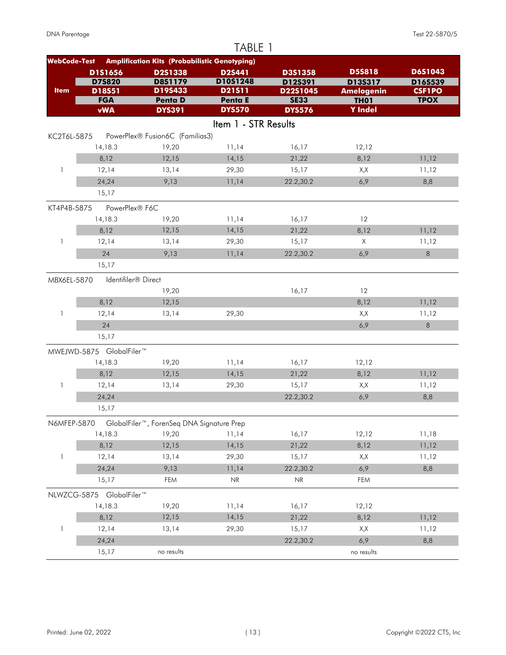|                     |                                 |                                                      | TABLE 1              |                                   |                              |                          |
|---------------------|---------------------------------|------------------------------------------------------|----------------------|-----------------------------------|------------------------------|--------------------------|
| <b>WebCode-Test</b> |                                 | <b>Amplification Kits (Probabilistic Genotyping)</b> |                      |                                   |                              |                          |
|                     | D1S1656                         | D2S1338                                              | D2S441               | D3S1358                           | <b>D5S818</b>                | <b>D6S1043</b>           |
| <b>Item</b>         | <b>D75820</b><br>D18S51         | D8S1179<br>D19S433                                   | D10S1248<br>D21511   | D12S391<br>D22S1045               | D13S317<br><b>Amelogenin</b> | D16S539<br><b>CSF1PO</b> |
|                     | <b>FGA</b>                      | <b>Penta D</b>                                       | Penta E              | <b>SE33</b>                       | <b>TH01</b>                  | <b>TPOX</b>              |
|                     | <b>vWA</b>                      | <b>DYS391</b>                                        | <b>DYS570</b>        | <b>DYS576</b>                     | <b>Y</b> Indel               |                          |
|                     |                                 |                                                      | Item 1 - STR Results |                                   |                              |                          |
| KC2T6L-5875         |                                 | PowerPlex® Fusion6C (Familias3)                      |                      |                                   |                              |                          |
|                     | 14,18.3                         | 19,20                                                | 11,14                | 16,17                             | 12,12                        |                          |
|                     | 8,12                            | 12,15                                                | 14,15                | 21,22                             | 8,12                         | 11,12                    |
| 1                   | 12,14                           | 13,14                                                | 29,30                | 15,17                             | X,X                          | 11,12                    |
|                     | 24,24                           | 9,13                                                 | 11,14                | 22.2,30.2                         | 6,9                          | 8,8                      |
|                     | 15,17                           |                                                      |                      |                                   |                              |                          |
| KT4P4B-5875         | PowerPlex® F6C                  |                                                      |                      |                                   |                              |                          |
|                     | 14,18.3                         | 19,20                                                | 11,14                | 16,17                             | 12                           |                          |
|                     | 8,12                            | 12,15                                                | 14,15                | 21,22                             | 8,12                         | 11,12                    |
| 1                   | 12,14                           | 13,14                                                | 29,30                | 15,17                             | $\times$                     | 11,12                    |
|                     | 24                              | 9,13                                                 | 11,14                | 22.2,30.2                         | 6,9                          | 8                        |
|                     | 15,17                           |                                                      |                      |                                   |                              |                          |
| MBX6EL-5870         | Identifiler <sup>®</sup> Direct |                                                      |                      |                                   |                              |                          |
|                     |                                 | 19,20                                                |                      | 16,17                             | 12                           |                          |
|                     | 8,12                            | 12,15                                                |                      |                                   | 8,12                         | 11,12                    |
| 1                   | 12,14                           | 13,14                                                | 29,30                |                                   | X,X                          | 11,12                    |
|                     | 24                              |                                                      |                      |                                   | 6,9                          | $\,8\,$                  |
|                     | 15,17                           |                                                      |                      |                                   |                              |                          |
|                     | MWEJWD-5875 GlobalFiler™        |                                                      |                      |                                   |                              |                          |
|                     | 14,18.3                         | 19,20                                                | 11,14                | 16,17                             | 12,12                        |                          |
|                     | 8,12                            | 12,15                                                | 14,15                | 21,22                             | 8,12                         | 11,12                    |
| 1                   | 12,14                           | 13,14                                                | 29,30                | 15,17                             | X,X                          | 11,12                    |
|                     | 24,24                           |                                                      |                      | 22.2,30.2                         | 6,9                          | 8,8                      |
|                     | 15,17                           |                                                      |                      |                                   |                              |                          |
| N6MFEP-5870         |                                 | GlobalFiler™, ForenSeq DNA Signature Prep            |                      |                                   |                              |                          |
|                     | 14,18.3                         | 19,20                                                | 11,14                | 16,17                             | 12,12                        | 11,18                    |
|                     | 8,12                            | 12,15                                                | 14,15                | 21,22                             | 8,12                         | 11,12                    |
| 1                   | 12,14                           | 13,14                                                | 29,30                | 15,17                             | X,X                          | 11,12                    |
|                     | 24,24                           | 9,13                                                 | 11,14                | 22.2,30.2                         | 6,9                          | 8,8                      |
|                     | 15,17                           | FEM                                                  | NR                   | $\ensuremath{\mathsf{NR}}\xspace$ | FEM                          |                          |
|                     | NLWZCG-5875 GlobalFiler™        |                                                      |                      |                                   |                              |                          |
|                     | 14,18.3                         | 19,20                                                | 11,14                | 16,17                             | 12,12                        |                          |
|                     | 8,12                            | 12,15                                                | 14,15                | 21,22                             | 8,12                         | 11,12                    |
| $\mathbf{1}$        | 12,14                           | 13,14                                                | 29,30                | 15,17                             | X,X                          | 11,12                    |
|                     | 24,24                           |                                                      |                      | 22.2,30.2                         | 6,9                          | 8,8                      |
|                     | 15,17                           | no results                                           |                      |                                   | no results                   |                          |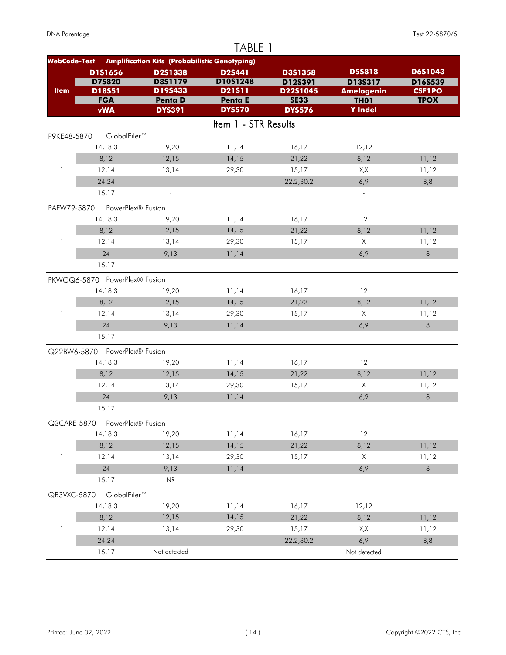|                     |                               |                                                      | TABLE 1              |                         |                                  |                              |
|---------------------|-------------------------------|------------------------------------------------------|----------------------|-------------------------|----------------------------------|------------------------------|
| <b>WebCode-Test</b> |                               | <b>Amplification Kits (Probabilistic Genotyping)</b> |                      |                         |                                  |                              |
|                     | D1S1656                       | D2S1338                                              | <b>D2S441</b>        | <b>D3S1358</b>          | <b>D5S818</b>                    | D6S1043                      |
| <b>Item</b>         | <b>D75820</b>                 | <b>D8S1179</b><br>D19S433                            | D10S1248<br>D21511   | D12S391                 | D13S317                          | D16S539                      |
|                     | D18S51<br><b>FGA</b>          | <b>Penta D</b>                                       | Penta E              | D22S1045<br><b>SE33</b> | <b>Amelogenin</b><br><b>TH01</b> | <b>CSF1PO</b><br><b>TPOX</b> |
|                     | <b>vWA</b>                    | <b>DYS391</b>                                        | <b>DYS570</b>        | <b>DYS576</b>           | <b>Y</b> Indel                   |                              |
|                     |                               |                                                      | Item 1 - STR Results |                         |                                  |                              |
| P9KE48-5870         | GlobalFiler™                  |                                                      |                      |                         |                                  |                              |
|                     | 14,18.3                       | 19,20                                                | 11,14                | 16,17                   | 12,12                            |                              |
|                     | 8,12                          | 12,15                                                | 14,15                | 21,22                   | 8,12                             | 11,12                        |
| $\mathbf{1}$        | 12,14                         | 13,14                                                | 29,30                | 15,17                   | X,X                              | 11,12                        |
|                     | 24,24                         |                                                      |                      | 22.2,30.2               | 6,9                              | 8,8                          |
|                     | 15,17                         | $\overline{\phantom{a}}$                             |                      |                         | $\mathbb{Z}^2$                   |                              |
| PAFW79-5870         | PowerPlex® Fusion             |                                                      |                      |                         |                                  |                              |
|                     | 14,18.3                       | 19,20                                                | 11,14                | 16,17                   | 12                               |                              |
|                     | 8,12                          | 12,15                                                | 14,15                | 21,22                   | 8,12                             | 11,12                        |
| 1                   | 12,14                         | 13,14                                                | 29,30                | 15,17                   | $\times$                         | 11,12                        |
|                     | 24                            | 9,13                                                 | 11,14                |                         | 6,9                              | $\,8\,$                      |
|                     | 15,17                         |                                                      |                      |                         |                                  |                              |
|                     | PKWGQ6-5870 PowerPlex® Fusion |                                                      |                      |                         |                                  |                              |
|                     | 14,18.3                       | 19,20                                                | 11,14                | 16,17                   | 12                               |                              |
|                     | 8,12                          | 12,15                                                | 14,15                | 21,22                   | 8,12                             | 11,12                        |
| 1                   | 12,14                         | 13,14                                                | 29,30                | 15,17                   | X                                | 11,12                        |
|                     | 24                            | 9,13                                                 | 11,14                |                         | 6,9                              | 8                            |
|                     | 15,17                         |                                                      |                      |                         |                                  |                              |
|                     | Q22BW6-5870 PowerPlex® Fusion |                                                      |                      |                         |                                  |                              |
|                     | 14,18.3                       | 19,20                                                | 11,14                | 16,17                   | 12                               |                              |
|                     | 8,12                          | 12,15                                                | 14,15                | 21,22                   | 8,12                             | 11,12                        |
| 1                   | 12,14                         | 13,14                                                | 29,30                | 15,17                   | Χ                                | 11,12                        |
|                     | 24                            | 9,13                                                 | 11,14                |                         | 6,9                              | $\,8\,$                      |
|                     | 15,17                         |                                                      |                      |                         |                                  |                              |
| Q3CARE-5870         | PowerPlex® Fusion             |                                                      |                      |                         |                                  |                              |
|                     | 14,18.3                       | 19,20                                                | 11,14                | 16,17                   | 12                               |                              |
|                     | 8,12                          | 12,15                                                | 14,15                | 21,22                   | 8,12                             | 11,12                        |
| 1                   | 12,14                         | 13,14                                                | 29,30                | 15,17                   | Χ                                | 11,12                        |
|                     | 24                            | 9,13                                                 | 11,14                |                         | 6,9                              | 8                            |
|                     | 15,17                         | NR                                                   |                      |                         |                                  |                              |
| QB3VXC-5870         | GlobalFiler™                  |                                                      |                      |                         |                                  |                              |
|                     | 14,18.3                       | 19,20                                                | 11,14                | 16,17                   | 12,12                            |                              |
|                     | 8,12                          | 12,15                                                | 14,15                | 21,22                   | 8,12                             | 11,12                        |
| 1                   | 12,14                         | 13,14                                                | 29,30                | 15,17                   | X,X                              | 11,12                        |
|                     | 24,24                         |                                                      |                      | 22.2,30.2               | 6,9                              | 8,8                          |
|                     | 15,17                         | Not detected                                         |                      |                         | Not detected                     |                              |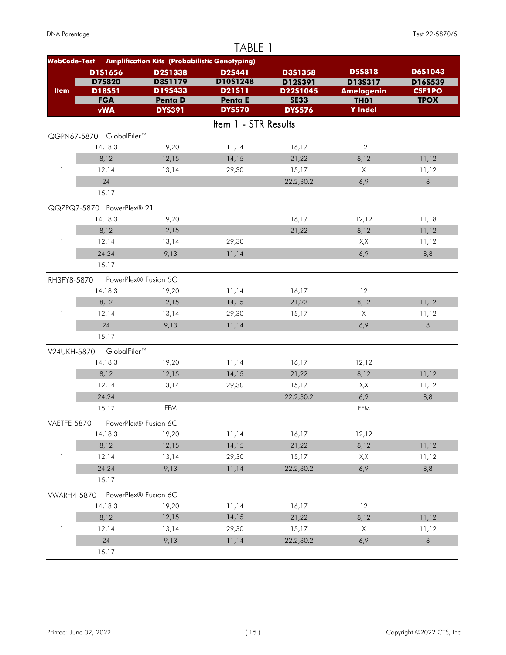|                     |                           |                                                      | TABLE 1              |                     |                              |                          |
|---------------------|---------------------------|------------------------------------------------------|----------------------|---------------------|------------------------------|--------------------------|
| <b>WebCode-Test</b> |                           | <b>Amplification Kits (Probabilistic Genotyping)</b> |                      |                     |                              |                          |
|                     | D1S1656                   | D2S1338                                              | <b>D2S441</b>        | D3S1358             | <b>D5S818</b>                | D6S1043                  |
| <b>Item</b>         | <b>D75820</b><br>D18S51   | D8S1179<br>D19S433                                   | D10S1248<br>D21511   | D12S391<br>D22S1045 | D13S317<br><b>Amelogenin</b> | D16S539<br><b>CSF1PO</b> |
|                     | <b>FGA</b>                | <b>Penta D</b>                                       | Penta E              | <b>SE33</b>         | <b>TH01</b>                  | <b>TPOX</b>              |
|                     | <b>vWA</b>                | <b>DYS391</b>                                        | <b>DYS570</b>        | <b>DYS576</b>       | <b>Y</b> Indel               |                          |
|                     |                           |                                                      | Item 1 - STR Results |                     |                              |                          |
|                     | QGPN67-5870 GlobalFiler™  |                                                      |                      |                     |                              |                          |
|                     | 14,18.3                   | 19,20                                                | 11,14                | 16,17               | 12                           |                          |
|                     | 8,12                      | 12,15                                                | 14,15                | 21,22               | 8,12                         | 11,12                    |
| 1                   | 12,14                     | 13,14                                                | 29,30                | 15,17               | $\times$                     | 11,12                    |
|                     | 24                        |                                                      |                      | 22.2,30.2           | 6,9                          | $\,8\,$                  |
|                     | 15,17                     |                                                      |                      |                     |                              |                          |
|                     | QQZPQ7-5870 PowerPlex® 21 |                                                      |                      |                     |                              |                          |
|                     | 14,18.3                   | 19,20                                                |                      | 16,17               | 12,12                        | 11,18                    |
|                     | 8,12                      | 12,15                                                |                      | 21,22               | 8,12                         | 11,12                    |
| 1                   | 12,14                     | 13,14                                                | 29,30                |                     | X,X                          | 11,12                    |
|                     | 24,24                     | 9,13                                                 | 11,14                |                     | 6,9                          | 8,8                      |
|                     | 15,17                     |                                                      |                      |                     |                              |                          |
| RH3FY8-5870         |                           | PowerPlex® Fusion 5C                                 |                      |                     |                              |                          |
|                     | 14,18.3                   | 19,20                                                | 11,14                | 16,17               | 12                           |                          |
|                     | 8,12                      | 12,15                                                | 14,15                | 21,22               | 8,12                         | 11,12                    |
| 1                   | 12,14                     | 13,14                                                | 29,30                | 15,17               | X                            | 11,12                    |
|                     | 24                        | 9,13                                                 | 11,14                |                     | 6,9                          | $\,8\,$                  |
|                     | 15,17                     |                                                      |                      |                     |                              |                          |
| V24UKH-5870         | GlobalFiler <sup>™</sup>  |                                                      |                      |                     |                              |                          |
|                     | 14,18.3                   | 19,20                                                | 11,14                | 16,17               | 12,12                        |                          |
|                     | 8,12                      | 12,15                                                | 14,15                | 21,22               | 8,12                         | 11,12                    |
| 1                   | 12,14                     | 13,14                                                | 29,30                | 15,17               | X,X                          | 11,12                    |
|                     | 24,24                     |                                                      |                      | 22.2,30.2           | 6,9                          | 8,8                      |
|                     | 15,17                     | FEM                                                  |                      |                     | FEM                          |                          |
| VAETFE-5870         |                           | PowerPlex® Fusion 6C                                 |                      |                     |                              |                          |
|                     | 14,18.3                   | 19,20                                                | 11,14                | 16,17               | 12,12                        |                          |
|                     | 8,12                      | 12,15                                                | 14,15                | 21,22               | 8,12                         | 11,12                    |
| 1                   | 12,14                     | 13,14                                                | 29,30                | 15,17               | X,X                          | 11,12                    |
|                     | 24,24                     | 9,13                                                 | 11,14                | 22.2,30.2           | 6,9                          | 8,8                      |
|                     | 15,17                     |                                                      |                      |                     |                              |                          |
| <b>VWARH4-5870</b>  |                           | PowerPlex® Fusion 6C                                 |                      |                     |                              |                          |
|                     | 14,18.3                   | 19,20                                                | 11,14                | 16,17               | 12                           |                          |
|                     | 8,12                      | 12,15                                                | 14,15                | 21,22               | 8,12                         | 11,12                    |
| $\mathbf{1}$        | 12,14                     | 13,14                                                | 29,30                | 15,17               | X                            | 11,12                    |
|                     | 24                        | 9,13                                                 | 11,14                | 22.2,30.2           | 6,9                          | $\,8\,$                  |
|                     | 15,17                     |                                                      |                      |                     |                              |                          |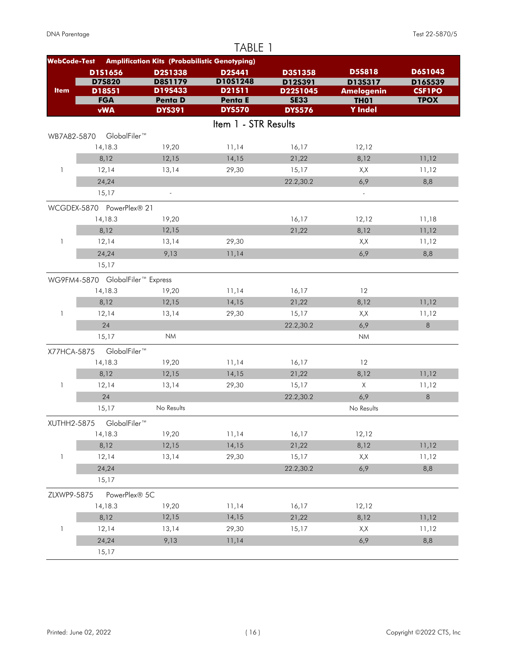|                     |                                  |                                                      | TABLE 1              |                     |                                  |                          |
|---------------------|----------------------------------|------------------------------------------------------|----------------------|---------------------|----------------------------------|--------------------------|
| <b>WebCode-Test</b> |                                  | <b>Amplification Kits (Probabilistic Genotyping)</b> |                      |                     |                                  |                          |
|                     | D1S1656                          | D2S1338                                              | <b>D2S441</b>        | D3S1358             | <b>D5S818</b>                    | D6S1043                  |
| <b>Item</b>         | <b>D75820</b><br>D18S51          | <b>D8S1179</b><br>D19S433                            | D10S1248<br>D21511   | D12S391<br>D22S1045 | D13S317                          | D16S539<br><b>CSF1PO</b> |
|                     | <b>FGA</b>                       | <b>Penta D</b>                                       | Penta E              | <b>SE33</b>         | <b>Amelogenin</b><br><b>TH01</b> | <b>TPOX</b>              |
|                     | <b>vWA</b>                       | <b>DYS391</b>                                        | <b>DYS570</b>        | <b>DYS576</b>       | <b>Y</b> Indel                   |                          |
|                     |                                  |                                                      | Item 1 - STR Results |                     |                                  |                          |
| WB7A82-5870         | GlobalFiler™                     |                                                      |                      |                     |                                  |                          |
|                     | 14,18.3                          | 19,20                                                | 11,14                | 16,17               | 12,12                            |                          |
|                     | 8,12                             | 12,15                                                | 14,15                | 21,22               | 8,12                             | 11,12                    |
| $\mathbf{1}$        | 12,14                            | 13,14                                                | 29,30                | 15,17               | X,X                              | 11,12                    |
|                     | 24,24                            |                                                      |                      | 22.2,30.2           | 6,9                              | 8,8                      |
|                     | 15,17                            | $\overline{\phantom{a}}$                             |                      |                     | $\mathbb{Z}^2$                   |                          |
|                     | WCGDEX-5870 PowerPlex® 21        |                                                      |                      |                     |                                  |                          |
|                     | 14,18.3                          | 19,20                                                |                      | 16,17               | 12,12                            | 11,18                    |
|                     | 8,12                             | 12,15                                                |                      | 21,22               | 8,12                             | 11,12                    |
| $\mathbf{1}$        | 12,14                            | 13,14                                                | 29,30                |                     | X,X                              | 11,12                    |
|                     | 24,24                            | 9,13                                                 | 11,14                |                     | 6,9                              | 8,8                      |
|                     | 15,17                            |                                                      |                      |                     |                                  |                          |
|                     | WG9FM4-5870 GlobalFiler™ Express |                                                      |                      |                     |                                  |                          |
|                     | 14,18.3                          | 19,20                                                | 11,14                | 16,17               | 12                               |                          |
|                     | 8,12                             | 12,15                                                | 14,15                | 21,22               | 8,12                             | 11,12                    |
| $\mathbf{1}$        | 12,14                            | 13,14                                                | 29,30                | 15,17               | X,X                              | 11,12                    |
|                     | 24                               |                                                      |                      | 22.2,30.2           | 6,9                              | 8                        |
|                     | 15,17                            | <b>NM</b>                                            |                      |                     | <b>NM</b>                        |                          |
| X77HCA-5875         | GlobalFiler™                     |                                                      |                      |                     |                                  |                          |
|                     | 14,18.3                          | 19,20                                                | 11,14                | 16,17               | 12                               |                          |
|                     | 8,12                             | 12,15                                                | 14,15                | 21,22               | 8,12                             | 11,12                    |
| 1                   | 12,14                            | 13,14                                                | 29,30                | 15,17               | X                                | 11,12                    |
|                     | 24                               |                                                      |                      | 22.2,30.2           | 6,9                              | 8                        |
|                     | 15,17                            | No Results                                           |                      |                     | No Results                       |                          |
| XUTHH2-5875         | GlobalFiler™                     |                                                      |                      |                     |                                  |                          |
|                     | 14,18.3                          | 19,20                                                | 11,14                | 16,17               | 12,12                            |                          |
|                     | 8,12                             | 12,15                                                | 14,15                | 21,22               | 8,12                             | 11,12                    |
| $\mathbf{1}$        | 12,14                            | 13,14                                                | 29,30                | 15,17               | X,X                              | 11,12                    |
|                     | 24,24                            |                                                      |                      | 22.2,30.2           | 6,9                              | 8,8                      |
|                     | 15,17                            |                                                      |                      |                     |                                  |                          |
| ZLXWP9-5875         | PowerPlex® 5C                    |                                                      |                      |                     |                                  |                          |
|                     | 14,18.3                          | 19,20                                                | 11,14                | 16,17               | 12,12                            |                          |
|                     | 8,12                             | 12,15                                                | 14,15                | 21,22               | 8,12                             | 11,12                    |
| $\mathbf{1}$        | 12,14                            | 13,14                                                | 29,30                | 15,17               | X,X                              | 11,12                    |
|                     | 24,24                            | 9,13                                                 | 11,14                |                     | 6,9                              | 8,8                      |
|                     | 15,17                            |                                                      |                      |                     |                                  |                          |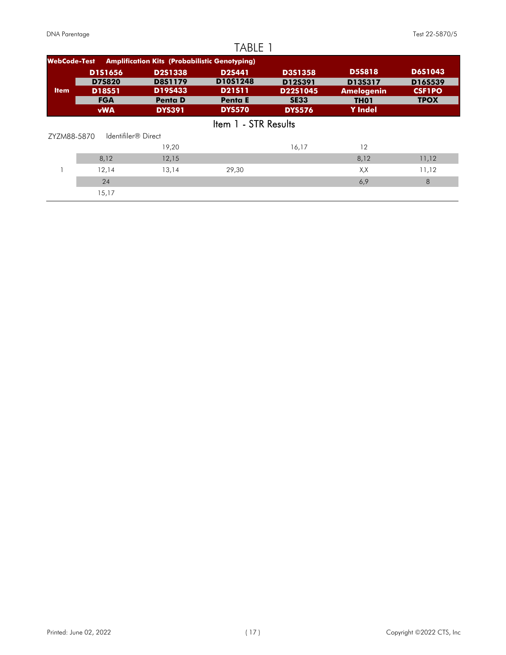|                     |                     |                                                      | TABLE 1              |                |                   |                |
|---------------------|---------------------|------------------------------------------------------|----------------------|----------------|-------------------|----------------|
| <b>WebCode-Test</b> |                     | <b>Amplification Kits (Probabilistic Genotyping)</b> |                      |                |                   |                |
|                     | <b>D1S1656</b>      | <b>D2S1338</b>                                       | D <sub>2</sub> S441  | <b>D3S1358</b> | <b>D5S818</b>     | <b>D6S1043</b> |
|                     | <b>D7S820</b>       | <b>D8S1179</b>                                       | D10S1248             | D12S391        | D13S317           | D16S539        |
| <b>Item</b>         | D18S51              | D19S433                                              | <b>D21S11</b>        | D22S1045       | <b>Amelogenin</b> | <b>CSF1PO</b>  |
|                     | <b>FGA</b>          | <b>Penta D</b>                                       | <b>Penta E</b>       | <b>SE33</b>    | <b>TH01</b>       | <b>TPOX</b>    |
|                     | <b>vWA</b>          | <b>DYS391</b>                                        | <b>DYS570</b>        | <b>DYS576</b>  | <b>Y</b> Indel    |                |
|                     |                     |                                                      | Item 1 - STR Results |                |                   |                |
| ZYZM88-5870         | Identifiler® Direct |                                                      |                      |                |                   |                |
|                     |                     | 19,20                                                |                      | 16,17          | 12                |                |
|                     | 8,12                | 12,15                                                |                      |                | 8,12              | 11,12          |
|                     | 12,14               | 13,14                                                | 29,30                |                | X,X               | 11,12          |
|                     | 24                  |                                                      |                      |                | 6,9               | 8              |
|                     | 15,17               |                                                      |                      |                |                   |                |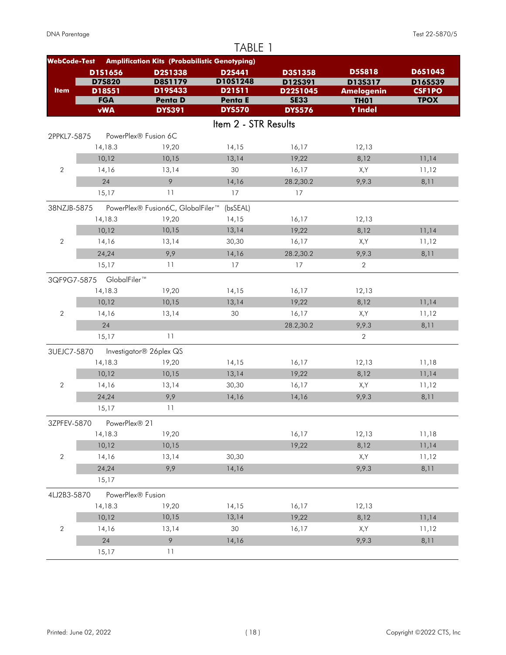| TABLE 1<br><b>Amplification Kits (Probabilistic Genotyping)</b><br><b>WebCode-Test</b> |                          |                                   |                      |                         |                                                               |                              |  |  |
|----------------------------------------------------------------------------------------|--------------------------|-----------------------------------|----------------------|-------------------------|---------------------------------------------------------------|------------------------------|--|--|
|                                                                                        |                          |                                   |                      |                         |                                                               |                              |  |  |
|                                                                                        | <b>D75820</b>            | <b>D8S1179</b>                    | D10S1248             | D12S391                 | D13S317<br><b>Amelogenin</b><br><b>TH01</b><br><b>Y</b> Indel | D16S539                      |  |  |
| <b>Item</b>                                                                            | D18S51<br><b>FGA</b>     | D19S433<br><b>Penta D</b>         | D21511<br>Penta E    | D22S1045<br><b>SE33</b> |                                                               | <b>CSF1PO</b><br><b>TPOX</b> |  |  |
|                                                                                        | <b>vWA</b>               | <b>DYS391</b>                     | <b>DYS570</b>        | <b>DYS576</b>           |                                                               |                              |  |  |
|                                                                                        |                          |                                   | Item 2 - STR Results |                         |                                                               |                              |  |  |
|                                                                                        |                          |                                   |                      |                         |                                                               |                              |  |  |
| 2PPKL7-5875                                                                            |                          | PowerPlex® Fusion 6C              |                      |                         |                                                               |                              |  |  |
|                                                                                        | 14,18.3                  | 19,20                             | 14,15                | 16,17                   | 12,13                                                         |                              |  |  |
|                                                                                        | 10,12                    | 10,15                             | 13,14                | 19,22                   | 8,12                                                          | 11,14                        |  |  |
| $\overline{2}$                                                                         | 14,16                    | 13,14                             | 30                   | 16,17                   | X,Y                                                           | 11,12                        |  |  |
|                                                                                        | 24                       | $\circ$                           | 14,16                | 28.2,30.2               | 9,9.3                                                         | 8,11                         |  |  |
|                                                                                        | 15,17                    | 11                                | 17                   | 17                      |                                                               |                              |  |  |
| 38NZJB-5875                                                                            |                          | PowerPlex® Fusion6C, GlobalFiler™ | (bsSEAL)             |                         |                                                               |                              |  |  |
|                                                                                        | 14,18.3                  | 19,20                             | 14,15                | 16,17                   | 12,13                                                         |                              |  |  |
|                                                                                        | 10,12                    | 10,15                             | 13,14                | 19,22                   | 8,12                                                          | 11,14                        |  |  |
| $\overline{2}$                                                                         | 14,16                    | 13,14                             | 30,30                | 16,17                   | X,Y                                                           | 11,12                        |  |  |
|                                                                                        | 24,24                    | 9,9                               | 14,16                | 28.2,30.2               | 9,9.3                                                         | 8,11                         |  |  |
|                                                                                        | 15,17                    | 11                                | 17                   | 17                      | $\overline{2}$                                                |                              |  |  |
|                                                                                        | 3QF9G7-5875 GlobalFiler™ |                                   |                      |                         |                                                               |                              |  |  |
|                                                                                        | 14,18.3                  | 19,20                             | 14,15                | 16,17                   | 12,13                                                         |                              |  |  |
|                                                                                        | 10,12                    | 10,15                             | 13,14                | 19,22                   | 8,12                                                          | 11,14                        |  |  |
| $\overline{2}$                                                                         | 14,16                    | 13,14                             | 30                   | 16,17                   | X,Y                                                           | 11,12                        |  |  |
|                                                                                        | 24                       |                                   |                      | 28.2,30.2               | 9,9.3                                                         | 8,11                         |  |  |
|                                                                                        | 15,17                    | 11                                |                      |                         | $\overline{2}$                                                |                              |  |  |
| 3UEJC7-5870                                                                            |                          | Investigator® 26plex QS           |                      |                         |                                                               |                              |  |  |
|                                                                                        | 14,18.3                  | 19,20                             | 14,15                | 16,17                   | 12,13                                                         | 11,18                        |  |  |
|                                                                                        | 10,12                    | 10,15                             | 13,14                | 19,22                   | 8,12                                                          | 11,14                        |  |  |
| $\overline{2}$                                                                         | 14,16                    | 13,14                             | 30,30                | 16,17                   | X,Y                                                           | 11,12                        |  |  |
|                                                                                        | 24,24                    | 9,9                               | 14,16                | 14,16                   | 9,9.3                                                         | 8,11                         |  |  |
|                                                                                        | 15,17                    | 11                                |                      |                         |                                                               |                              |  |  |
|                                                                                        |                          |                                   |                      |                         |                                                               |                              |  |  |
| 3ZPFEV-5870                                                                            | PowerPlex® 21            |                                   |                      |                         |                                                               |                              |  |  |
|                                                                                        | 14,18.3                  | 19,20                             |                      | 16,17                   | 12,13                                                         | 11,18                        |  |  |
|                                                                                        | 10,12                    | 10,15                             |                      | 19,22                   | 8,12                                                          | 11,14                        |  |  |
| $\overline{2}$                                                                         | 14,16                    | 13,14                             | 30,30                |                         | X,Y                                                           | 11,12                        |  |  |
|                                                                                        | 24,24                    | 9,9                               | 14,16                |                         | 9,9.3                                                         | 8,11                         |  |  |
|                                                                                        | 15,17                    |                                   |                      |                         |                                                               |                              |  |  |
| 4LJ2B3-5870                                                                            | PowerPlex® Fusion        |                                   |                      |                         |                                                               |                              |  |  |
|                                                                                        | 14,18.3                  | 19,20                             | 14,15                | 16,17                   | 12,13                                                         |                              |  |  |
|                                                                                        | 10,12                    | 10,15                             | 13,14                | 19,22                   | 8,12                                                          | 11,14                        |  |  |
| $\sqrt{2}$                                                                             | 14,16                    | 13,14                             | 30                   | 16,17                   | X,Y                                                           | 11,12                        |  |  |
|                                                                                        | 24                       | 9                                 | 14,16                |                         | 9,9.3                                                         | 8,11                         |  |  |
|                                                                                        | 15,17                    | $11$                              |                      |                         |                                                               |                              |  |  |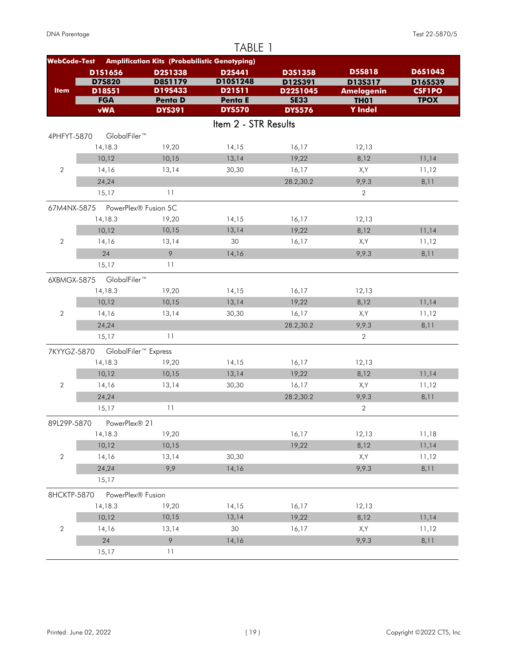|                     |                                  |                                                      | TABLE 1              |                     |                              |                          |
|---------------------|----------------------------------|------------------------------------------------------|----------------------|---------------------|------------------------------|--------------------------|
| <b>WebCode-Test</b> |                                  | <b>Amplification Kits (Probabilistic Genotyping)</b> |                      |                     |                              |                          |
|                     | D1S1656                          | D2S1338                                              | D2S441               | D3S1358             | <b>D5S818</b>                | D6S1043                  |
| <b>Item</b>         | <b>D75820</b><br>D18S51          | D8S1179<br>D19S433                                   | D10S1248<br>D21511   | D12S391<br>D22S1045 | D135317<br><b>Amelogenin</b> | D16S539<br><b>CSF1PO</b> |
|                     | <b>FGA</b>                       | <b>Penta D</b>                                       | Penta E              | <b>SE33</b>         | <b>TH01</b>                  | <b>TPOX</b>              |
|                     | <b>vWA</b>                       | <b>DYS391</b>                                        | <b>DYS570</b>        | <b>DYS576</b>       | <b>Y</b> Indel               |                          |
|                     |                                  |                                                      | Item 2 - STR Results |                     |                              |                          |
| 4PHFYT-5870         | GlobalFiler™                     |                                                      |                      |                     |                              |                          |
|                     | 14,18.3                          | 19,20                                                | 14,15                | 16,17               | 12,13                        |                          |
|                     | 10,12                            | 10,15                                                | 13,14                | 19,22               | 8,12                         | 11,14                    |
| $\overline{2}$      | 14,16                            | 13,14                                                | 30,30                | 16,17               | X,Y                          | 11,12                    |
|                     | 24,24                            |                                                      |                      | 28.2,30.2           | 9,9.3                        | 8,11                     |
|                     | 15,17                            | 11                                                   |                      |                     | $\overline{2}$               |                          |
|                     | 67M4NX-5875 PowerPlex® Fusion 5C |                                                      |                      |                     |                              |                          |
|                     | 14,18.3                          | 19,20                                                | 14,15                | 16,17               | 12,13                        |                          |
|                     | 10,12                            | 10,15                                                | 13,14                | 19,22               | 8,12                         | 11,14                    |
| $\overline{2}$      | 14,16                            | 13,14                                                | 30                   | 16,17               | X,Y                          | 11,12                    |
|                     | 24                               | 9                                                    | 14,16                |                     | 9,9.3                        | 8,11                     |
|                     | 15,17                            | 11                                                   |                      |                     |                              |                          |
| 6XBMGX-5875         | GlobalFiler™                     |                                                      |                      |                     |                              |                          |
|                     | 14,18.3                          | 19,20                                                | 14,15                | 16,17               | 12,13                        |                          |
|                     | 10,12                            | 10,15                                                | 13,14                | 19,22               | 8,12                         | 11,14                    |
| $\overline{2}$      | 14,16                            | 13,14                                                | 30,30                | 16,17               | X,Y                          | 11,12                    |
|                     | 24,24                            |                                                      |                      | 28.2,30.2           | 9,9.3                        | 8,11                     |
|                     | 15,17                            | 11                                                   |                      |                     | 2                            |                          |
| 7KYYGZ-5870         |                                  | GlobalFiler <sup>™</sup> Express                     |                      |                     |                              |                          |
|                     | 14,18.3                          | 19,20                                                | 14,15                | 16,17               | 12,13                        |                          |
|                     | 10,12                            | 10,15                                                | 13,14                | 19,22               | 8,12                         | 11,14                    |
| 2                   | 14,16                            | 13,14                                                | 30,30                | 16,17               | X,Y                          | 11,12                    |
|                     | 24,24                            |                                                      |                      | 28.2,30.2           | 9,9.3                        | 8,11                     |
|                     | 15,17                            | $\overline{11}$                                      |                      |                     | $\sqrt{2}$                   |                          |
| 89L29P-5870         | PowerPlex® 21                    |                                                      |                      |                     |                              |                          |
|                     | 14,18.3                          | 19,20                                                |                      | 16,17               | 12,13                        | 11,18                    |
|                     | 10,12                            | 10,15                                                |                      | 19,22               | 8,12                         | 11,14                    |
| $\sqrt{2}$          | 14,16                            | 13,14                                                | 30,30                |                     | X,Y                          | 11,12                    |
|                     | 24,24                            | 9,9                                                  | 14,16                |                     | 9,9.3                        | 8,11                     |
|                     | 15,17                            |                                                      |                      |                     |                              |                          |
| 8HCKTP-5870         | PowerPlex® Fusion                |                                                      |                      |                     |                              |                          |
|                     | 14,18.3                          | 19,20                                                | 14,15                | 16,17               | 12,13                        |                          |
|                     | 10,12                            | 10,15                                                | 13,14                | 19,22               | 8,12                         | 11,14                    |
| $\sqrt{2}$          | 14,16                            | 13,14                                                | 30                   | 16,17               | X,Y                          | 11,12                    |
|                     | 24                               | 9                                                    | 14,16                |                     | 9,9.3                        | 8,11                     |
|                     | 15,17                            | 11                                                   |                      |                     |                              |                          |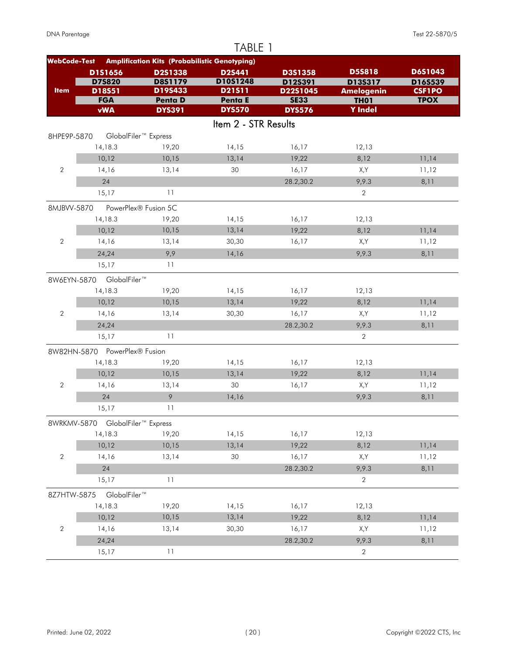|                     | TABLE 1                          |                                                      |                                 |                         |                               |                              |  |  |  |
|---------------------|----------------------------------|------------------------------------------------------|---------------------------------|-------------------------|-------------------------------|------------------------------|--|--|--|
| <b>WebCode-Test</b> |                                  | <b>Amplification Kits (Probabilistic Genotyping)</b> |                                 |                         |                               |                              |  |  |  |
|                     | D1S1656                          | D2S1338                                              | D2S441                          | D3S1358                 | <b>D5S818</b>                 | D6S1043                      |  |  |  |
|                     | <b>D75820</b>                    | <b>D8S1179</b>                                       | D10S1248                        | D12S391                 | D135317                       | D16S539                      |  |  |  |
| <b>Item</b>         | D18S51<br><b>FGA</b>             | D19S433<br><b>Penta D</b>                            | D21511                          | D22S1045<br><b>SE33</b> | <b>Amelogenin</b>             | <b>CSF1PO</b><br><b>TPOX</b> |  |  |  |
|                     | <b>vWA</b>                       | <b>DYS391</b>                                        | <b>Penta E</b><br><b>DYS570</b> | <b>DYS576</b>           | <b>TH01</b><br><b>Y</b> Indel |                              |  |  |  |
|                     |                                  |                                                      | Item 2 - STR Results            |                         |                               |                              |  |  |  |
|                     |                                  |                                                      |                                 |                         |                               |                              |  |  |  |
| 8HPE9P-5870         | 14,18.3                          | GlobalFiler <sup>™</sup> Express<br>19,20            | 14,15                           | 16,17                   | 12,13                         |                              |  |  |  |
|                     | 10,12                            | 10,15                                                | 13,14                           | 19,22                   | 8,12                          | 11,14                        |  |  |  |
| $\overline{2}$      | 14,16                            | 13,14                                                | 30                              | 16,17                   | X,Y                           | 11,12                        |  |  |  |
|                     |                                  |                                                      |                                 |                         |                               |                              |  |  |  |
|                     | 24                               | 11                                                   |                                 | 28.2,30.2               | 9,9.3                         | 8,11                         |  |  |  |
|                     | 15,17                            |                                                      |                                 |                         | $\mathbf{2}$                  |                              |  |  |  |
| 8MJBVV-5870         |                                  | PowerPlex® Fusion 5C                                 |                                 |                         |                               |                              |  |  |  |
|                     | 14,18.3                          | 19,20                                                | 14,15                           | 16,17                   | 12,13                         |                              |  |  |  |
|                     | 10,12                            | 10,15                                                | 13,14                           | 19,22                   | 8,12                          | 11,14                        |  |  |  |
| $\overline{2}$      | 14,16                            | 13,14                                                | 30,30                           | 16,17                   | X,Y                           | 11,12                        |  |  |  |
|                     | 24,24                            | 9,9                                                  | 14,16                           |                         | 9,9.3                         | 8,11                         |  |  |  |
|                     | 15,17                            | 11                                                   |                                 |                         |                               |                              |  |  |  |
|                     | 8W6EYN-5870 GlobalFiler™         |                                                      |                                 |                         |                               |                              |  |  |  |
|                     | 14,18.3                          | 19,20                                                | 14,15                           | 16,17                   | 12,13                         |                              |  |  |  |
|                     | 10,12                            | 10,15                                                | 13,14                           | 19,22                   | 8,12                          | 11,14                        |  |  |  |
| $\overline{2}$      | 14,16                            | 13,14                                                | 30,30                           | 16,17                   | X,Y                           | 11,12                        |  |  |  |
|                     | 24,24                            |                                                      |                                 | 28.2,30.2               | 9,9.3                         | 8,11                         |  |  |  |
|                     | 15,17                            | 11                                                   |                                 |                         | $\overline{2}$                |                              |  |  |  |
|                     | 8W82HN-5870 PowerPlex® Fusion    |                                                      |                                 |                         |                               |                              |  |  |  |
|                     | 14,18.3                          | 19,20                                                | 14,15                           | 16,17                   | 12,13                         |                              |  |  |  |
|                     | 10,12                            | 10,15                                                | 13,14                           | 19,22                   | 8,12                          | 11,14                        |  |  |  |
| $\overline{2}$      | 14,16                            | 13,14                                                | 30                              | 16,17                   | X,Y                           | 11,12                        |  |  |  |
|                     | 24                               | 9                                                    | 14,16                           |                         | 9,9.3                         | 8,11                         |  |  |  |
|                     | 15,17                            | 11                                                   |                                 |                         |                               |                              |  |  |  |
|                     | 8WRKMV-5870 GlobalFiler™ Express |                                                      |                                 |                         |                               |                              |  |  |  |
|                     | 14,18.3                          | 19,20                                                | 14,15                           | 16,17                   | 12,13                         |                              |  |  |  |
|                     | 10,12                            | 10,15                                                | 13,14                           | 19,22                   | 8,12                          | 11,14                        |  |  |  |
| $\sqrt{2}$          | 14,16                            | 13,14                                                | 30                              | 16,17                   | X,Y                           | 11,12                        |  |  |  |
|                     | 24                               |                                                      |                                 | 28.2,30.2               | 9,9.3                         | 8,11                         |  |  |  |
|                     | 15,17                            | 11                                                   |                                 |                         | $\overline{2}$                |                              |  |  |  |
|                     |                                  |                                                      |                                 |                         |                               |                              |  |  |  |
| 8Z7HTW-5875         | GlobalFiler™                     |                                                      |                                 |                         |                               |                              |  |  |  |
|                     | 14,18.3                          | 19,20                                                | 14,15                           | 16,17                   | 12,13                         |                              |  |  |  |
|                     | 10,12                            | 10,15                                                | 13,14                           | 19,22                   | 8,12                          | 11,14                        |  |  |  |
| $\sqrt{2}$          | 14,16                            | 13,14                                                | 30,30                           | 16,17                   | X,Y                           | 11,12                        |  |  |  |
|                     | 24,24                            |                                                      |                                 | 28.2,30.2               | 9,9.3                         | 8,11                         |  |  |  |
|                     | 15,17                            | 11                                                   |                                 |                         | $\overline{2}$                |                              |  |  |  |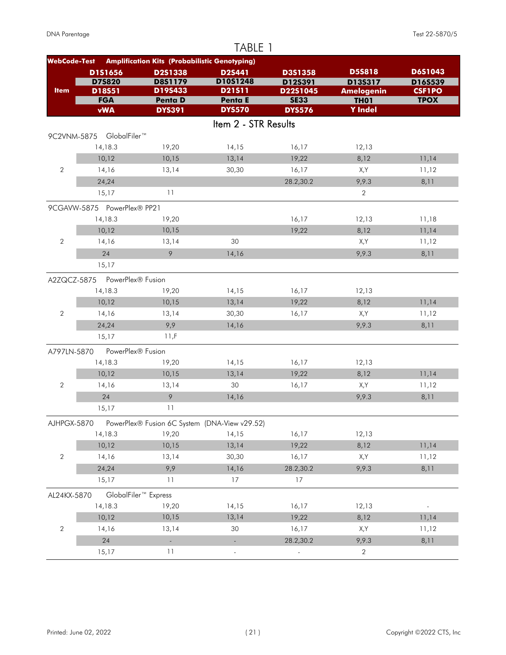|                     |                               |                                                      | TABLE 1              |                     |                              |                          |
|---------------------|-------------------------------|------------------------------------------------------|----------------------|---------------------|------------------------------|--------------------------|
| <b>WebCode-Test</b> |                               | <b>Amplification Kits (Probabilistic Genotyping)</b> |                      |                     |                              |                          |
|                     | D1S1656                       | D2S1338                                              | <b>D2S441</b>        | D3S1358             | <b>D5S818</b>                | <b>D6S1043</b>           |
| <b>Item</b>         | <b>D75820</b><br>D18S51       | D8S1179<br>D19S433                                   | D10S1248<br>D21511   | D12S391<br>D22S1045 | D13S317<br><b>Amelogenin</b> | D16S539<br><b>CSF1PO</b> |
|                     | <b>FGA</b>                    | <b>Penta D</b>                                       | Penta E              | <b>SE33</b>         | TH <sub>01</sub>             | <b>TPOX</b>              |
|                     | <b>vWA</b>                    | <b>DYS391</b>                                        | <b>DYS570</b>        | <b>DYS576</b>       | <b>Y</b> Indel               |                          |
|                     |                               |                                                      | Item 2 - STR Results |                     |                              |                          |
|                     | 9C2VNM-5875 GlobalFiler™      |                                                      |                      |                     |                              |                          |
|                     | 14,18.3                       | 19,20                                                | 14,15                | 16,17               | 12,13                        |                          |
|                     | 10,12                         | 10,15                                                | 13,14                | 19,22               | 8,12                         | 11,14                    |
| $\overline{2}$      | 14,16                         | 13,14                                                | 30,30                | 16,17               | X,Y                          | 11,12                    |
|                     | 24,24                         |                                                      |                      | 28.2,30.2           | 9,9.3                        | 8,11                     |
|                     | 15,17                         | 11                                                   |                      |                     | $\overline{2}$               |                          |
|                     | 9CGAVW-5875 PowerPlex® PP21   |                                                      |                      |                     |                              |                          |
|                     | 14,18.3                       | 19,20                                                |                      | 16,17               | 12,13                        | 11,18                    |
|                     | 10,12                         | 10,15                                                |                      | 19,22               | 8,12                         | 11,14                    |
| $\overline{2}$      | 14,16                         | 13,14                                                | 30                   |                     | X,Y                          | 11,12                    |
|                     | 24                            | 9                                                    | 14,16                |                     | 9,9.3                        | 8,11                     |
|                     | 15,17                         |                                                      |                      |                     |                              |                          |
|                     | A2ZQCZ-5875 PowerPlex® Fusion |                                                      |                      |                     |                              |                          |
|                     | 14,18.3                       | 19,20                                                | 14,15                | 16,17               | 12,13                        |                          |
|                     | 10,12                         | 10,15                                                | 13,14                | 19,22               | 8,12                         | 11,14                    |
| 2                   | 14,16                         | 13,14                                                | 30,30                | 16,17               | X,Y                          | 11,12                    |
|                     | 24,24                         | 9,9                                                  | 14,16                |                     | 9,9.3                        | 8,11                     |
|                     | 15,17                         | 11.F                                                 |                      |                     |                              |                          |
| A797LN-5870         | PowerPlex® Fusion             |                                                      |                      |                     |                              |                          |
|                     | 14,18.3                       | 19,20                                                | 14,15                | 16,17               | 12,13                        |                          |
|                     | 10,12                         | 10,15                                                | 13,14                | 19,22               | 8,12                         | 11,14                    |
| 2                   | 14,16                         | 13,14                                                | 30                   | 16,17               | X,Y                          | 11,12                    |
|                     | 24                            | 9                                                    | 14,16                |                     | 9,9.3                        | 8,11                     |
|                     | 15,17                         | 11                                                   |                      |                     |                              |                          |
| AJHPGX-5870         |                               | PowerPlex® Fusion 6C System (DNA-View v29.52)        |                      |                     |                              |                          |
|                     | 14,18.3                       | 19,20                                                | 14,15                | 16,17               | 12,13                        |                          |
|                     | 10,12                         | 10,15                                                | 13,14                | 19,22               | 8,12                         | 11,14                    |
| $\sqrt{2}$          | 14,16                         | 13,14                                                | 30,30                | 16,17               | X,Y                          | 11,12                    |
|                     | 24,24                         | 9,9                                                  | 14,16                | 28.2,30.2           | 9,9.3                        | 8,11                     |
|                     | 15,17                         | 11                                                   | 17                   | 17                  |                              |                          |
| AL24KX-5870         |                               | GlobalFiler <sup>™</sup> Express                     |                      |                     |                              |                          |
|                     | 14,18.3                       | 19,20                                                | 14,15                | 16,17               | 12,13                        |                          |
|                     | 10,12                         | 10,15                                                | 13,14                | 19,22               | 8,12                         | 11,14                    |
| $\sqrt{2}$          | 14,16                         | 13,14                                                | 30                   | 16,17               | X,Y                          | 11,12                    |
|                     | 24                            | ÷,                                                   |                      | 28.2,30.2           | 9,9.3                        | 8,11                     |
|                     | 15,17                         | 11                                                   | ÷                    |                     | $\overline{2}$               |                          |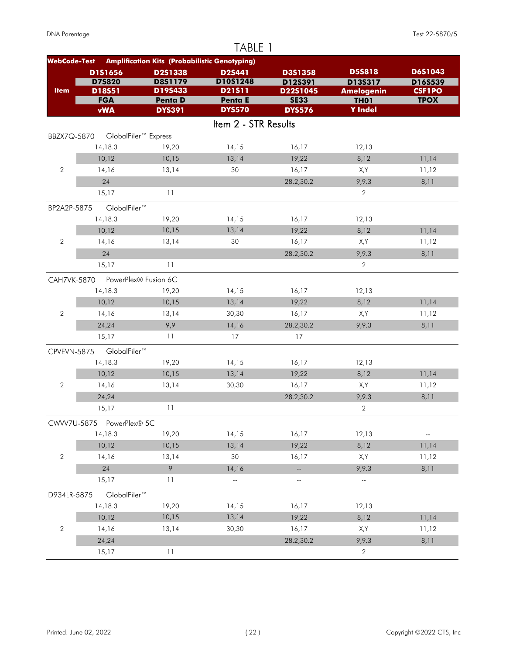| TABLE 1             |                          |                                                      |                      |                            |                                  |                              |  |  |
|---------------------|--------------------------|------------------------------------------------------|----------------------|----------------------------|----------------------------------|------------------------------|--|--|
| <b>WebCode-Test</b> |                          | <b>Amplification Kits (Probabilistic Genotyping)</b> |                      |                            |                                  |                              |  |  |
|                     | D1S1656                  | D2S1338                                              | D2S441               | D3S1358                    | <b>D5S818</b>                    | D6S1043                      |  |  |
|                     | <b>D75820</b>            | <b>D8S1179</b>                                       | D10S1248             | D12S391                    | D13S317                          | D16S539                      |  |  |
| <b>Item</b>         | D18S51<br><b>FGA</b>     | D19S433<br><b>Penta D</b>                            | D21511<br>Penta E    | D22S1045<br><b>SE33</b>    | <b>Amelogenin</b><br><b>TH01</b> | <b>CSF1PO</b><br><b>TPOX</b> |  |  |
|                     | <b>vWA</b>               | <b>DYS391</b>                                        | <b>DYS570</b>        | <b>DYS576</b>              | <b>Y</b> Indel                   |                              |  |  |
|                     |                          |                                                      | Item 2 - STR Results |                            |                                  |                              |  |  |
| BBZX7Q-5870         |                          | GlobalFiler <sup>™</sup> Express                     |                      |                            |                                  |                              |  |  |
|                     | 14,18.3                  | 19,20                                                | 14,15                | 16,17                      | 12,13                            |                              |  |  |
|                     | 10,12                    | 10,15                                                | 13,14                | 19,22                      | 8,12                             | 11,14                        |  |  |
| $\overline{2}$      | 14,16                    | 13,14                                                | 30                   | 16,17                      | X,Y                              | 11,12                        |  |  |
|                     | 24                       |                                                      |                      | 28.2,30.2                  | 9,9.3                            | 8,11                         |  |  |
|                     | 15,17                    | 11                                                   |                      |                            | $\overline{2}$                   |                              |  |  |
| BP2A2P-5875         | GlobalFiler™             |                                                      |                      |                            |                                  |                              |  |  |
|                     | 14,18.3                  | 19,20                                                | 14,15                | 16,17                      | 12,13                            |                              |  |  |
|                     | 10,12                    | 10,15                                                | 13,14                | 19,22                      | 8,12                             | 11,14                        |  |  |
| $\overline{2}$      | 14,16                    | 13,14                                                | 30                   | 16,17                      | X,Y                              | 11,12                        |  |  |
|                     | 24                       |                                                      |                      | 28.2,30.2                  | 9,9.3                            | 8,11                         |  |  |
|                     | 15,17                    | 11                                                   |                      |                            | $\overline{2}$                   |                              |  |  |
| <b>CAH7VK-5870</b>  |                          | PowerPlex® Fusion 6C                                 |                      |                            |                                  |                              |  |  |
|                     | 14,18.3                  | 19,20                                                | 14,15                | 16,17                      | 12,13                            |                              |  |  |
|                     | 10,12                    | 10,15                                                | 13,14                | 19,22                      | 8,12                             | 11,14                        |  |  |
| $\overline{2}$      | 14,16                    | 13,14                                                | 30,30                | 16,17                      | X,Y                              | 11,12                        |  |  |
|                     | 24,24                    | 9,9                                                  | 14,16                | 28.2,30.2                  | 9,9.3                            | 8,11                         |  |  |
|                     | 15,17                    | 11                                                   | 17                   | 17                         |                                  |                              |  |  |
| CPVEVN-5875         | GlobalFiler™             |                                                      |                      |                            |                                  |                              |  |  |
|                     | 14,18.3                  | 19,20                                                | 14,15                | 16,17                      | 12,13                            |                              |  |  |
|                     | 10,12                    | 10,15                                                | 13,14                | 19,22                      | 8,12                             | 11,14                        |  |  |
| $\overline{2}$      | 14,16                    | 13,14                                                | 30,30                | 16,17                      | X,Y                              | 11,12                        |  |  |
|                     | 24,24                    |                                                      |                      | 28.2,30.2                  | 9,9.3                            | 8,11                         |  |  |
|                     | 15,17                    | 11                                                   |                      |                            | $\overline{2}$                   |                              |  |  |
|                     | CWW7U-5875 PowerPlex® 5C |                                                      |                      |                            |                                  |                              |  |  |
|                     | 14,18.3                  | 19,20                                                | 14,15                | 16,17                      | 12,13                            | н,                           |  |  |
|                     | 10,12                    | 10,15                                                | 13,14                | 19,22                      | 8,12                             | 11,14                        |  |  |
| $\sqrt{2}$          | 14,16                    | 13,14                                                | 30                   | 16,17                      | X,Y                              | 11,12                        |  |  |
|                     | 24                       | 9                                                    | 14,16                | $\overline{\phantom{a}}$   | 9,9.3                            | 8,11                         |  |  |
|                     | 15,17                    | 11                                                   | $\mathbb{L}^2$       | $\overline{\phantom{a}}$ . | $\overline{\phantom{a}}$         |                              |  |  |
| D934LR-5875         | GlobalFiler™             |                                                      |                      |                            |                                  |                              |  |  |
|                     | 14,18.3                  | 19,20                                                | 14,15                | 16,17                      | 12,13                            |                              |  |  |
|                     | 10,12                    | 10,15                                                | 13,14                | 19,22                      | 8,12                             | 11,14                        |  |  |
| $\sqrt{2}$          | 14,16                    | 13,14                                                | 30,30                | 16,17                      | X,Y                              | 11,12                        |  |  |
|                     | 24,24                    |                                                      |                      | 28.2,30.2                  | 9,9.3                            | 8,11                         |  |  |
|                     | 15,17                    | 11                                                   |                      |                            | 2                                |                              |  |  |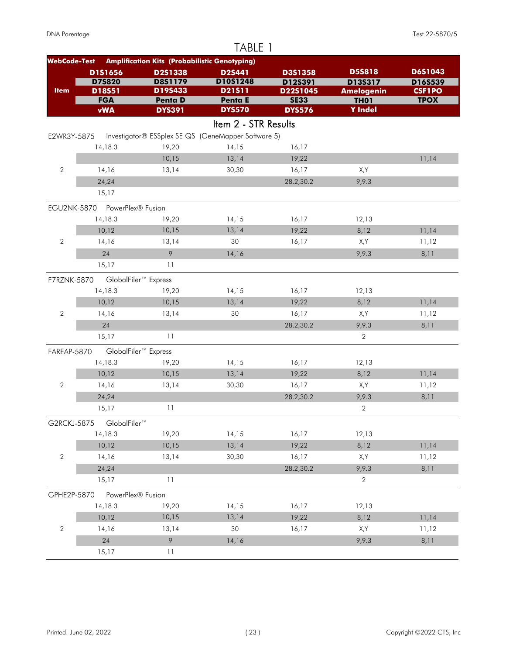|                     |                               |                                                      | TABLE 1              |                         |                                  |                              |
|---------------------|-------------------------------|------------------------------------------------------|----------------------|-------------------------|----------------------------------|------------------------------|
| <b>WebCode-Test</b> |                               | <b>Amplification Kits (Probabilistic Genotyping)</b> |                      |                         |                                  |                              |
|                     | D1S1656                       | D2S1338                                              | D2S441               | D3S1358                 | <b>D5S818</b>                    | D6S1043                      |
|                     | <b>D75820</b>                 | <b>D8S1179</b>                                       | D10S1248             | D12S391                 | D13S317                          | D16S539                      |
| <b>Item</b>         | D18S51<br><b>FGA</b>          | D19S433<br><b>Penta D</b>                            | D21511<br>Penta E    | D22S1045<br><b>SE33</b> | <b>Amelogenin</b><br><b>TH01</b> | <b>CSF1PO</b><br><b>TPOX</b> |
|                     | <b>vWA</b>                    | <b>DYS391</b>                                        | <b>DYS570</b>        | <b>DYS576</b>           | <b>Y</b> Indel                   |                              |
|                     |                               |                                                      | Item 2 - STR Results |                         |                                  |                              |
|                     |                               | Investigator® ESSplex SE QS (GeneMapper Software 5)  |                      |                         |                                  |                              |
| E2WR3Y-5875         | 14,18.3                       | 19,20                                                | 14,15                | 16,17                   |                                  |                              |
|                     |                               | 10,15                                                | 13,14                | 19,22                   |                                  | 11,14                        |
| $\overline{2}$      | 14,16                         | 13,14                                                | 30,30                | 16,17                   | X,Y                              |                              |
|                     | 24,24                         |                                                      |                      | 28.2,30.2               | 9,9.3                            |                              |
|                     | 15,17                         |                                                      |                      |                         |                                  |                              |
|                     |                               |                                                      |                      |                         |                                  |                              |
|                     | EGU2NK-5870 PowerPlex® Fusion |                                                      |                      |                         |                                  |                              |
|                     | 14,18.3                       | 19,20                                                | 14,15                | 16,17                   | 12,13                            |                              |
|                     | 10,12                         | 10,15                                                | 13,14                | 19,22                   | 8,12                             | 11,14                        |
| $\overline{2}$      | 14,16                         | 13,14                                                | 30                   | 16,17                   | X,Y                              | 11,12                        |
|                     | 24                            | 9                                                    | 14,16                |                         | 9,9.3                            | 8,11                         |
|                     | 15,17                         | 11                                                   |                      |                         |                                  |                              |
| F7RZNK-5870         |                               | GlobalFiler <sup>™</sup> Express                     |                      |                         |                                  |                              |
|                     | 14,18.3                       | 19,20                                                | 14,15                | 16,17                   | 12,13                            |                              |
|                     | 10,12                         | 10,15                                                | 13,14                | 19,22                   | 8,12                             | 11,14                        |
| $\sqrt{2}$          | 14,16                         | 13,14                                                | 30                   | 16,17                   | X,Y                              | 11,12                        |
|                     | 24                            |                                                      |                      | 28.2,30.2               | 9,9.3                            | 8,11                         |
|                     | 15,17                         | 11                                                   |                      |                         | $\overline{2}$                   |                              |
| FAREAP-5870         |                               | GlobalFiler <sup>™</sup> Express                     |                      |                         |                                  |                              |
|                     | 14,18.3                       | 19,20                                                | 14,15                | 16,17                   | 12,13                            |                              |
|                     | 10,12                         | 10,15                                                | 13,14                | 19,22                   | 8,12                             | 11,14                        |
| $\overline{2}$      | 14,16                         | 13,14                                                | 30,30                | 16,17                   | X,Y                              | 11,12                        |
|                     | 24,24                         |                                                      |                      | 28.2,30.2               | 9,9.3                            | 8,11                         |
|                     | 15,17                         | 11                                                   |                      |                         | $\overline{2}$                   |                              |
| G2RCKJ-5875         | GlobalFiler™                  |                                                      |                      |                         |                                  |                              |
|                     | 14,18.3                       | 19,20                                                | 14, 15               | 16,17                   | 12,13                            |                              |
|                     | 10,12                         | 10,15                                                | 13,14                | 19,22                   | 8,12                             | 11,14                        |
| $\sqrt{2}$          | 14,16                         | 13,14                                                | 30,30                | 16,17                   | X,Y                              | 11,12                        |
|                     | 24,24                         |                                                      |                      | 28.2,30.2               | 9,9.3                            | 8,11                         |
|                     | 15,17                         | 11                                                   |                      |                         | $\mathbf{2}$                     |                              |
| GPHE2P-5870         | PowerPlex® Fusion             |                                                      |                      |                         |                                  |                              |
|                     | 14,18.3                       | 19,20                                                | 14,15                | 16,17                   | 12,13                            |                              |
|                     | 10,12                         | 10,15                                                | 13,14                | 19,22                   | 8,12                             | 11,14                        |
| $\sqrt{2}$          | 14,16                         | 13,14                                                | 30                   | 16,17                   | X,Y                              | 11,12                        |
|                     | 24                            | $\circ$                                              | 14,16                |                         | 9,9.3                            | 8,11                         |
|                     |                               |                                                      |                      |                         |                                  |                              |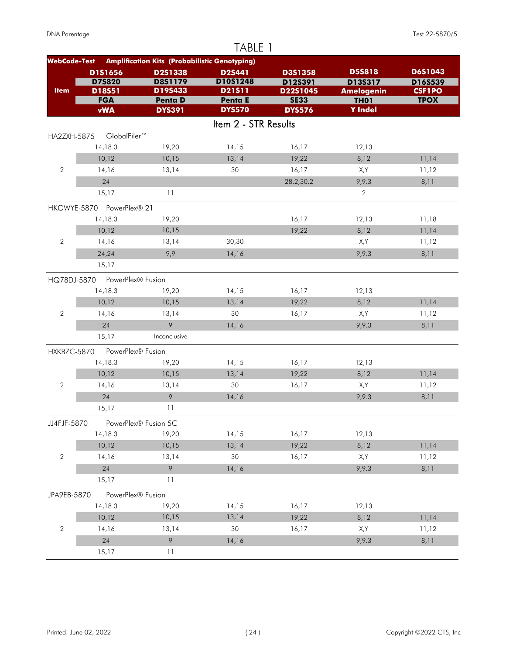|                     |                           |                                                      | TABLE 1              |                    |                          |                    |
|---------------------|---------------------------|------------------------------------------------------|----------------------|--------------------|--------------------------|--------------------|
| <b>WebCode-Test</b> |                           | <b>Amplification Kits (Probabilistic Genotyping)</b> |                      |                    |                          |                    |
|                     | D1S1656<br><b>D75820</b>  | D2S1338<br><b>D8S1179</b>                            | D2S441<br>D10S1248   | D3S1358<br>D12S391 | <b>D5S818</b><br>D13S317 | D6S1043<br>D16S539 |
| <b>Item</b>         | D18S51                    | D19S433                                              | D21511               | D22S1045           | <b>Amelogenin</b>        | <b>CSF1PO</b>      |
|                     | <b>FGA</b>                | <b>Penta D</b>                                       | Penta E              | <b>SE33</b>        | <b>TH01</b>              | <b>TPOX</b>        |
|                     | <b>vWA</b>                | <b>DYS391</b>                                        | <b>DYS570</b>        | <b>DYS576</b>      | <b>Y</b> Indel           |                    |
|                     |                           |                                                      | Item 2 - STR Results |                    |                          |                    |
| <b>HA2ZXH-5875</b>  | GlobalFiler™              |                                                      |                      |                    |                          |                    |
|                     | 14,18.3                   | 19,20                                                | 14,15                | 16,17              | 12,13                    |                    |
|                     | 10,12                     | 10,15                                                | 13,14                | 19,22              | 8,12                     | 11,14              |
| $\overline{2}$      | 14,16                     | 13,14                                                | 30                   | 16,17              | X,Y                      | 11,12              |
|                     | 24                        |                                                      |                      | 28.2,30.2          | 9,9.3                    | 8,11               |
|                     | 15,17                     | 11                                                   |                      |                    | $\overline{2}$           |                    |
|                     | HKGWYE-5870 PowerPlex® 21 |                                                      |                      |                    |                          |                    |
|                     | 14,18.3                   | 19,20                                                |                      | 16,17              | 12,13                    | 11,18              |
|                     | 10,12                     | 10,15                                                |                      | 19,22              | 8,12                     | 11,14              |
| $\overline{2}$      | 14,16                     | 13,14                                                | 30,30                |                    | X,Y                      | 11,12              |
|                     | 24,24                     | 9,9                                                  | 14,16                |                    | 9,9.3                    | 8,11               |
|                     | 15,17                     |                                                      |                      |                    |                          |                    |
| HQ78DJ-5870         | PowerPlex® Fusion         |                                                      |                      |                    |                          |                    |
|                     | 14,18.3                   | 19,20                                                | 14,15                | 16,17              | 12,13                    |                    |
|                     | 10,12                     | 10,15                                                | 13,14                | 19,22              | 8,12                     | 11,14              |
| $\overline{2}$      | 14,16                     | 13,14                                                | 30                   | 16,17              | X,Y                      | 11,12              |
|                     | 24                        | 9                                                    | 14,16                |                    | 9,9.3                    | 8,11               |
|                     | 15,17                     | Inconclusive                                         |                      |                    |                          |                    |
| HXKBZC-5870         | PowerPlex® Fusion         |                                                      |                      |                    |                          |                    |
|                     | 14,18.3                   | 19,20                                                | 14,15                | 16,17              | 12,13                    |                    |
|                     | 10,12                     | 10,15                                                | 13,14                | 19,22              | 8,12                     | 11,14              |
| $\overline{2}$      | 14,16                     | 13,14                                                | 30                   | 16,17              | X,Y                      | 11,12              |
|                     | 24                        | 9                                                    | 14,16                |                    | 9,9.3                    | 8,11               |
|                     | 15,17                     | 11                                                   |                      |                    |                          |                    |
| JJ4FJF-5870         |                           | PowerPlex® Fusion 5C                                 |                      |                    |                          |                    |
|                     | 14,18.3                   | 19,20                                                | 14,15                | 16,17              | 12,13                    |                    |
|                     | 10,12                     | 10,15                                                | 13,14                | 19,22              | 8,12                     | 11,14              |
| $\sqrt{2}$          | 14,16                     | 13,14                                                | 30                   | 16,17              | X,Y                      | 11,12              |
|                     | 24                        | 9                                                    | 14,16                |                    | 9,9.3                    | 8,11               |
|                     | 15,17                     | 11                                                   |                      |                    |                          |                    |
| JPA9EB-5870         | PowerPlex® Fusion         |                                                      |                      |                    |                          |                    |
|                     | 14,18.3                   | 19,20                                                | 14,15                | 16,17              | 12,13                    |                    |
|                     | 10,12                     | 10,15                                                | 13,14                | 19,22              | 8,12                     | 11,14              |
| $\sqrt{2}$          | 14,16                     | 13,14                                                | 30                   | 16,17              | X,Y                      | 11,12              |
|                     | 24                        | 9                                                    | 14,16                |                    | 9,9.3                    | 8,11               |
|                     | 15,17                     | 11                                                   |                      |                    |                          |                    |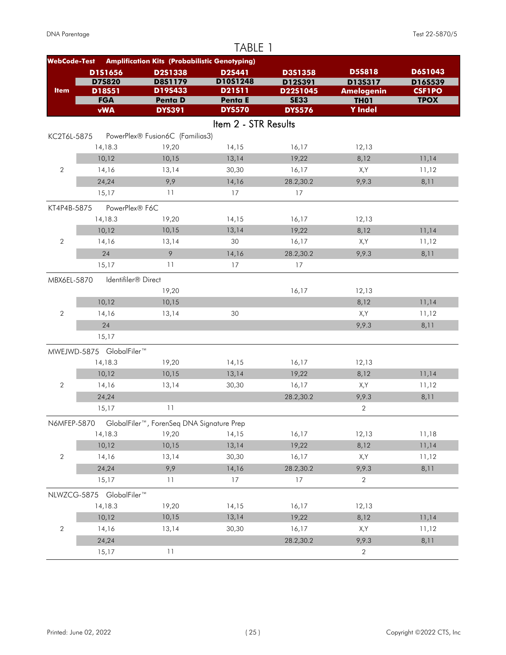|                     |                                 |                                                      | TABLE 1              |                         |                                  |                              |
|---------------------|---------------------------------|------------------------------------------------------|----------------------|-------------------------|----------------------------------|------------------------------|
| <b>WebCode-Test</b> |                                 | <b>Amplification Kits (Probabilistic Genotyping)</b> |                      |                         |                                  |                              |
|                     | D1S1656                         | D2S1338                                              | D2S441               | D3S1358                 | <b>D5S818</b>                    | D6S1043                      |
|                     | <b>D75820</b>                   | <b>D8S1179</b>                                       | D10S1248             | D12S391                 | D13S317                          | D16S539                      |
| <b>Item</b>         | D18S51<br><b>FGA</b>            | D19S433<br><b>Penta D</b>                            | D21511<br>Penta E    | D22S1045<br><b>SE33</b> | <b>Amelogenin</b><br><b>TH01</b> | <b>CSF1PO</b><br><b>TPOX</b> |
|                     | <b>vWA</b>                      | <b>DYS391</b>                                        | <b>DYS570</b>        | <b>DYS576</b>           | <b>Y</b> Indel                   |                              |
|                     |                                 |                                                      | Item 2 - STR Results |                         |                                  |                              |
| KC2T6L-5875         |                                 | PowerPlex® Fusion6C (Familias3)                      |                      |                         |                                  |                              |
|                     | 14,18.3                         | 19,20                                                | 14,15                | 16,17                   | 12,13                            |                              |
|                     | 10,12                           | 10,15                                                | 13,14                | 19,22                   | 8,12                             | 11,14                        |
| $\overline{2}$      | 14,16                           | 13,14                                                | 30,30                | 16,17                   | X,Y                              | 11,12                        |
|                     | 24,24                           | 9,9                                                  | 14,16                | 28.2,30.2               | 9,9.3                            | 8,11                         |
|                     | 15,17                           | 11                                                   | 17                   | 17                      |                                  |                              |
| KT4P4B-5875         | PowerPlex® F6C                  |                                                      |                      |                         |                                  |                              |
|                     | 14,18.3                         | 19,20                                                | 14,15                | 16,17                   | 12,13                            |                              |
|                     | 10,12                           | 10,15                                                | 13,14                | 19,22                   | 8,12                             | 11,14                        |
| $\overline{2}$      | 14,16                           | 13,14                                                | 30                   | 16,17                   | X,Y                              | 11,12                        |
|                     | 24                              | 9                                                    | 14,16                | 28.2,30.2               | 9,9.3                            | 8,11                         |
|                     | 15,17                           | 11                                                   | 17                   | 17                      |                                  |                              |
|                     |                                 |                                                      |                      |                         |                                  |                              |
| MBX6EL-5870         | Identifiler <sup>®</sup> Direct |                                                      |                      |                         |                                  |                              |
|                     | 10,12                           | 19,20<br>10,15                                       |                      | 16,17                   | 12,13<br>8,12                    | 11,14                        |
| $\sqrt{2}$          | 14,16                           | 13,14                                                | 30                   |                         | X,Y                              | 11,12                        |
|                     | 24                              |                                                      |                      |                         | 9,9.3                            | 8,11                         |
|                     | 15,17                           |                                                      |                      |                         |                                  |                              |
|                     |                                 |                                                      |                      |                         |                                  |                              |
|                     | MWEJWD-5875 GlobalFiler™        |                                                      |                      |                         |                                  |                              |
|                     | 14,18.3                         | 19,20                                                | 14,15                | 16,17                   | 12,13                            |                              |
|                     | 10,12                           | 10,15                                                | 13,14                | 19,22                   | 8,12                             | 11,14                        |
| $\overline{2}$      | 14,16                           | 13,14                                                | 30,30                | 16,17                   | X,Y                              | 11,12                        |
|                     | 24,24                           |                                                      |                      | 28.2,30.2               | 9,9.3                            | 8,11                         |
|                     | 15,17                           | 11                                                   |                      |                         | $\overline{2}$                   |                              |
| N6MFEP-5870         |                                 | GlobalFiler™, ForenSeq DNA Signature Prep            |                      |                         |                                  |                              |
|                     | 14,18.3                         | 19,20                                                | 14,15                | 16,17                   | 12,13                            | 11,18                        |
|                     | 10,12                           | 10,15                                                | 13,14                | 19,22                   | 8,12                             | 11,14                        |
| $\sqrt{2}$          | 14,16                           | 13,14                                                | 30,30                | 16,17                   | X,Y                              | 11,12                        |
|                     | 24,24                           | 9,9                                                  | 14,16                | 28.2,30.2               | 9,9.3                            | 8,11                         |
|                     | 15,17                           | 11                                                   | 17                   | 17                      | $\overline{2}$                   |                              |
|                     | NLWZCG-5875 GlobalFiler™        |                                                      |                      |                         |                                  |                              |
|                     | 14,18.3                         | 19,20                                                | 14,15                | 16,17                   | 12,13                            |                              |
|                     | 10,12                           | 10,15                                                | 13,14                | 19,22                   | 8,12                             | 11,14                        |
| $\sqrt{2}$          | 14,16                           | 13,14                                                | 30,30                | 16,17                   | X,Y                              | 11,12                        |
|                     | 24,24                           |                                                      |                      | 28.2,30.2               | 9,9.3                            | 8,11                         |
|                     | 15,17                           | 11                                                   |                      |                         | $\overline{2}$                   |                              |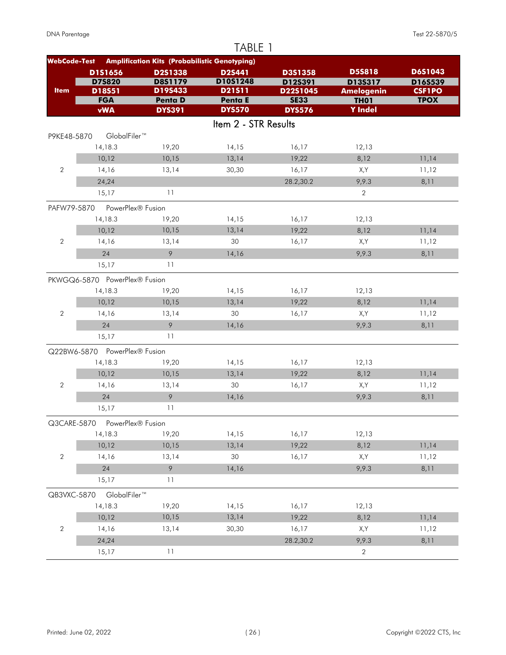|                     |                               |                                                      | TABLE 1              |                         |                                  |                              |
|---------------------|-------------------------------|------------------------------------------------------|----------------------|-------------------------|----------------------------------|------------------------------|
| <b>WebCode-Test</b> |                               | <b>Amplification Kits (Probabilistic Genotyping)</b> |                      |                         |                                  |                              |
|                     | D1S1656                       | D2S1338                                              | D2S441               | D3S1358                 | <b>D5S818</b>                    | D6S1043                      |
|                     | <b>D75820</b>                 | <b>D8S1179</b>                                       | D10S1248             | D12S391                 | D13S317                          | D16S539                      |
| <b>Item</b>         | D18S51<br><b>FGA</b>          | D19S433<br><b>Penta D</b>                            | D21511<br>Penta E    | D22S1045<br><b>SE33</b> | <b>Amelogenin</b><br><b>TH01</b> | <b>CSF1PO</b><br><b>TPOX</b> |
|                     | <b>vWA</b>                    | <b>DYS391</b>                                        | <b>DYS570</b>        | <b>DYS576</b>           | <b>Y</b> Indel                   |                              |
|                     |                               |                                                      | Item 2 - STR Results |                         |                                  |                              |
| P9KE48-5870         | GlobalFiler <sup>™</sup>      |                                                      |                      |                         |                                  |                              |
|                     | 14,18.3                       | 19,20                                                | 14,15                | 16,17                   | 12,13                            |                              |
|                     | 10,12                         | 10,15                                                | 13,14                | 19,22                   | 8,12                             | 11,14                        |
| $\mathbf{2}$        | 14,16                         | 13,14                                                | 30,30                | 16,17                   | X,Y                              | 11,12                        |
|                     | 24,24                         |                                                      |                      | 28.2,30.2               | 9,9.3                            | 8,11                         |
|                     | 15,17                         | 11                                                   |                      |                         | $\overline{2}$                   |                              |
| PAFW79-5870         | PowerPlex® Fusion             |                                                      |                      |                         |                                  |                              |
|                     | 14,18.3                       | 19,20                                                | 14,15                | 16,17                   | 12,13                            |                              |
|                     | 10,12                         | 10,15                                                | 13,14                | 19,22                   | 8,12                             | 11,14                        |
| $\mathbf{2}$        | 14,16                         | 13,14                                                | 30                   | 16,17                   | X,Y                              | 11,12                        |
|                     | 24                            | 9                                                    | 14,16                |                         | 9,9.3                            | 8,11                         |
|                     | 15,17                         | 11                                                   |                      |                         |                                  |                              |
|                     | PKWGQ6-5870 PowerPlex® Fusion |                                                      |                      |                         |                                  |                              |
|                     | 14,18.3                       | 19,20                                                | 14,15                | 16,17                   | 12,13                            |                              |
|                     | 10,12                         | 10,15                                                | 13,14                | 19,22                   | 8,12                             | 11,14                        |
| $\mathbf{2}$        | 14,16                         | 13,14                                                | 30                   | 16,17                   | X,Y                              | 11,12                        |
|                     | 24                            | 9                                                    | 14,16                |                         | 9,9.3                            | 8,11                         |
|                     | 15,17                         | 11                                                   |                      |                         |                                  |                              |
|                     | Q22BW6-5870 PowerPlex® Fusion |                                                      |                      |                         |                                  |                              |
|                     | 14,18.3                       | 19,20                                                | 14,15                | 16,17                   | 12,13                            |                              |
|                     | 10,12                         | 10,15                                                | 13,14                | 19,22                   | 8,12                             | 11,14                        |
| $\mathbf 2$         | 14,16                         | 13,14                                                | 30                   | 16,17                   | X,Y                              | 11,12                        |
|                     | 24                            | $\circ$                                              | 14,16                |                         | 9,9.3                            | 8,11                         |
|                     | 15,17                         | 11                                                   |                      |                         |                                  |                              |
| Q3CARE-5870         | PowerPlex® Fusion             |                                                      |                      |                         |                                  |                              |
|                     | 14,18.3                       | 19,20                                                | 14,15                | 16,17                   | 12,13                            |                              |
|                     | 10,12                         | 10,15                                                | 13,14                | 19,22                   | 8,12                             | 11,14                        |
| $\mathbf{2}$        | 14,16                         | 13,14                                                | 30                   | 16,17                   | X,Y                              | 11,12                        |
|                     | 24                            | $\circ$                                              | 14,16                |                         | 9,9.3                            | 8,11                         |
|                     | 15,17                         | 11                                                   |                      |                         |                                  |                              |
| QB3VXC-5870         | GlobalFiler™                  |                                                      |                      |                         |                                  |                              |
|                     | 14,18.3                       | 19,20                                                | 14,15                | 16,17                   | 12,13                            |                              |
|                     | 10,12                         | 10,15                                                | 13,14                | 19,22                   | 8,12                             | 11,14                        |
| $\mathbf{2}$        | 14,16                         | 13,14                                                | 30,30                | 16,17                   | X,Y                              | 11,12                        |
|                     | 24,24                         |                                                      |                      | 28.2,30.2               | 9,9.3                            | 8,11                         |
|                     | 15,17                         | 11                                                   |                      |                         | $\overline{2}$                   |                              |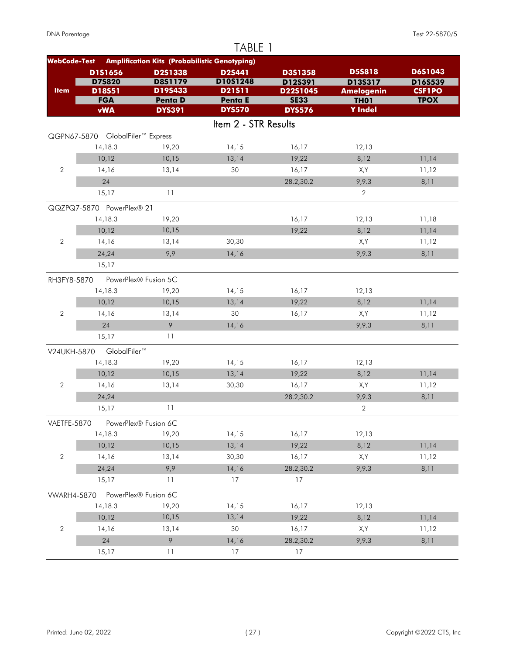|                     |                                  |                                                      | TABLE 1              |                         |                                  |                              |
|---------------------|----------------------------------|------------------------------------------------------|----------------------|-------------------------|----------------------------------|------------------------------|
| <b>WebCode-Test</b> |                                  | <b>Amplification Kits (Probabilistic Genotyping)</b> |                      |                         |                                  |                              |
|                     | D1S1656                          | D2S1338                                              | <b>D2S441</b>        | D3S1358                 | <b>D5S818</b>                    | D6S1043                      |
|                     | D75820                           | <b>D8S1179</b>                                       | D10S1248             | D12S391                 | D13S317                          | D16S539                      |
| <b>Item</b>         | D18S51<br><b>FGA</b>             | D19S433<br><b>Penta D</b>                            | D21511<br>Penta E    | D22S1045<br><b>SE33</b> | <b>Amelogenin</b><br><b>TH01</b> | <b>CSF1PO</b><br><b>TPOX</b> |
|                     | <b>vWA</b>                       | <b>DYS391</b>                                        | <b>DYS570</b>        | <b>DYS576</b>           | <b>Y</b> Indel                   |                              |
|                     |                                  |                                                      | Item 2 - STR Results |                         |                                  |                              |
|                     | QGPN67-5870 GlobalFiler™ Express |                                                      |                      |                         |                                  |                              |
|                     | 14,18.3                          | 19,20                                                | 14,15                | 16,17                   | 12,13                            |                              |
|                     | 10,12                            | 10,15                                                | 13,14                | 19,22                   | 8,12                             | 11,14                        |
| $\overline{2}$      | 14,16                            | 13,14                                                | 30                   | 16,17                   | X,Y                              | 11,12                        |
|                     | 24                               |                                                      |                      | 28.2,30.2               | 9,9.3                            | 8,11                         |
|                     | 15,17                            | 11                                                   |                      |                         | 2                                |                              |
|                     | QQZPQ7-5870 PowerPlex® 21        |                                                      |                      |                         |                                  |                              |
|                     | 14,18.3                          | 19,20                                                |                      | 16,17                   | 12,13                            | 11,18                        |
|                     | 10,12                            | 10,15                                                |                      | 19,22                   | 8,12                             | 11,14                        |
| 2                   | 14,16                            | 13,14                                                | 30,30                |                         | X,Y                              | 11,12                        |
|                     | 24,24                            | 9,9                                                  | 14,16                |                         | 9,9.3                            | 8,11                         |
|                     | 15,17                            |                                                      |                      |                         |                                  |                              |
|                     |                                  |                                                      |                      |                         |                                  |                              |
| RH3FY8-5870         |                                  | PowerPlex® Fusion 5C                                 |                      |                         |                                  |                              |
|                     | 14,18.3                          | 19,20                                                | 14,15                | 16,17                   | 12,13                            |                              |
| $\mathbf{2}$        | 10,12<br>14,16                   | 10,15<br>13,14                                       | 13,14<br>30          | 19,22<br>16,17          | 8,12<br>X,Y                      | 11,14<br>11,12               |
|                     | 24                               | 9                                                    | 14,16                |                         | 9,9.3                            | 8,11                         |
|                     | 15,17                            | 11                                                   |                      |                         |                                  |                              |
|                     |                                  |                                                      |                      |                         |                                  |                              |
| V24UKH-5870         | GlobalFiler™                     |                                                      |                      |                         |                                  |                              |
|                     | 14,18.3                          | 19,20                                                | 14,15                | 16,17                   | 12,13                            |                              |
|                     | 10,12                            | 10,15                                                | 13,14                | 19,22                   | 8,12                             | 11,14                        |
| $\overline{2}$      | 14,16                            | 13,14                                                | 30,30                | 16,17                   | X,Y                              | 11,12                        |
|                     | 24,24                            |                                                      |                      | 28.2,30.2               | 9,9.3                            | 8,11                         |
|                     | 15,17                            | 11                                                   |                      |                         | $\sqrt{2}$                       |                              |
| VAETFE-5870         |                                  | PowerPlex® Fusion 6C                                 |                      |                         |                                  |                              |
|                     | 14,18.3                          | 19,20                                                | 14,15                | 16,17                   | 12,13                            |                              |
|                     | 10,12                            | 10,15                                                | 13,14                | 19,22                   | 8,12                             | 11,14                        |
| $\sqrt{2}$          | 14,16                            | 13,14                                                | 30,30                | 16,17                   | X,Y                              | 11,12                        |
|                     | 24,24                            | 9,9                                                  | 14,16                | 28.2,30.2               | 9,9.3                            | 8,11                         |
|                     | 15,17                            | 11                                                   | 17                   | 17                      |                                  |                              |
| <b>VWARH4-5870</b>  |                                  | PowerPlex® Fusion 6C                                 |                      |                         |                                  |                              |
|                     | 14,18.3                          | 19,20                                                | 14,15                | 16,17                   | 12,13                            |                              |
|                     | 10,12                            | 10,15                                                | 13,14                | 19,22                   | 8,12                             | 11,14                        |
| $\sqrt{2}$          | 14,16                            | 13,14                                                | 30                   | 16,17                   | X,Y                              | 11,12                        |
|                     | 24                               | 9                                                    | 14,16                | 28.2,30.2               | 9,9.3                            | 8,11                         |
|                     | 15,17                            | 11                                                   | 17                   | 17                      |                                  |                              |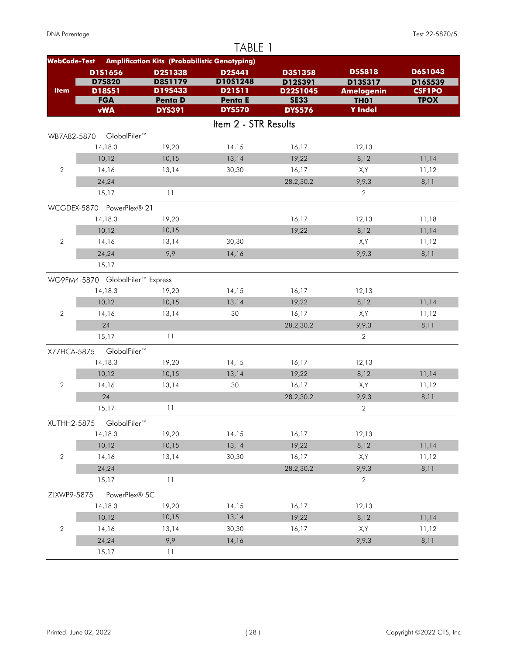|                     |                                  |                                                      | TABLE 1              |                    |                          |                    |
|---------------------|----------------------------------|------------------------------------------------------|----------------------|--------------------|--------------------------|--------------------|
| <b>WebCode-Test</b> |                                  | <b>Amplification Kits (Probabilistic Genotyping)</b> |                      |                    |                          |                    |
|                     | D1S1656<br><b>D75820</b>         | D2S1338<br><b>D8S1179</b>                            | D2S441<br>D10S1248   | D3S1358<br>D12S391 | <b>D5S818</b><br>D135317 | D6S1043<br>D16S539 |
| <b>Item</b>         | D18S51                           | D19S433                                              | D21511               | D22S1045           | <b>Amelogenin</b>        | <b>CSF1PO</b>      |
|                     | <b>FGA</b>                       | Penta D                                              | Penta E              | <b>SE33</b>        | <b>TH01</b>              | <b>TPOX</b>        |
|                     | <b>vWA</b>                       | <b>DYS391</b>                                        | <b>DYS570</b>        | <b>DYS576</b>      | <b>Y</b> Indel           |                    |
|                     |                                  |                                                      | Item 2 - STR Results |                    |                          |                    |
| WB7A82-5870         | GlobalFiler™                     |                                                      |                      |                    |                          |                    |
|                     | 14,18.3                          | 19,20                                                | 14,15                | 16,17              | 12,13                    |                    |
|                     | 10,12                            | 10,15                                                | 13,14                | 19,22              | 8,12                     | 11,14              |
| $\overline{2}$      | 14,16                            | 13,14                                                | 30,30                | 16,17              | X,Y                      | 11,12              |
|                     | 24,24                            |                                                      |                      | 28.2,30.2          | 9,9.3                    | 8,11               |
|                     | 15,17                            | 11                                                   |                      |                    | $\overline{2}$           |                    |
|                     | WCGDEX-5870 PowerPlex® 21        |                                                      |                      |                    |                          |                    |
|                     | 14,18.3                          | 19,20                                                |                      | 16,17              | 12,13                    | 11,18              |
|                     | 10,12                            | 10,15                                                |                      | 19,22              | 8,12                     | 11,14              |
| $\overline{2}$      | 14,16                            | 13,14                                                | 30,30                |                    | X,Y                      | 11,12              |
|                     | 24,24                            | 9,9                                                  | 14,16                |                    | 9,9.3                    | 8,11               |
|                     | 15,17                            |                                                      |                      |                    |                          |                    |
|                     | WG9FM4-5870 GlobalFiler™ Express |                                                      |                      |                    |                          |                    |
|                     | 14,18.3                          | 19,20                                                | 14,15                | 16,17              | 12,13                    |                    |
|                     | 10,12                            | 10,15                                                | 13,14                | 19,22              | 8,12                     | 11,14              |
| $\overline{2}$      | 14,16                            | 13,14                                                | 30                   | 16,17              | X,Y                      | 11,12              |
|                     | 24                               |                                                      |                      | 28.2,30.2          | 9,9.3                    | 8,11               |
|                     | 15,17                            | 11                                                   |                      |                    | $\overline{2}$           |                    |
| X77HCA-5875         | GlobalFiler™                     |                                                      |                      |                    |                          |                    |
|                     | 14,18.3                          | 19,20                                                | 14,15                | 16,17              | 12,13                    |                    |
|                     | 10,12                            | 10,15                                                | 13,14                | 19,22              | 8,12                     | 11,14              |
| 2                   | 14,16                            | 13,14                                                | 30                   | 16,17              | X,Y                      | 11,12              |
|                     | 24                               |                                                      |                      | 28.2,30.2          | 9,9.3                    | 8,11               |
|                     | 15,17                            | 11                                                   |                      |                    | $\overline{2}$           |                    |
| XUTHH2-5875         | GlobalFiler™                     |                                                      |                      |                    |                          |                    |
|                     | 14,18.3                          | 19,20                                                | 14,15                | 16,17              | 12,13                    |                    |
|                     | 10,12                            | 10,15                                                | 13,14                | 19,22              | 8,12                     | 11,14              |
| $\sqrt{2}$          | 14,16                            | 13,14                                                | 30,30                | 16,17              | X,Y                      | 11,12              |
|                     | 24,24                            |                                                      |                      | 28.2,30.2          | 9,9.3                    | 8,11               |
|                     | 15,17                            | 11                                                   |                      |                    | $\overline{2}$           |                    |
| ZLXWP9-5875         | PowerPlex® 5C                    |                                                      |                      |                    |                          |                    |
|                     | 14,18.3                          | 19,20                                                | 14,15                | 16,17              | 12,13                    |                    |
|                     | 10,12                            | 10,15                                                | 13,14                | 19,22              | 8,12                     | 11,14              |
| $\sqrt{2}$          | 14,16                            | 13,14                                                | 30,30                | 16,17              | X,Y                      | 11,12              |
|                     | 24,24                            | 9,9                                                  | 14,16                |                    | 9,9.3                    | 8,11               |
|                     | 15,17                            | 11                                                   |                      |                    |                          |                    |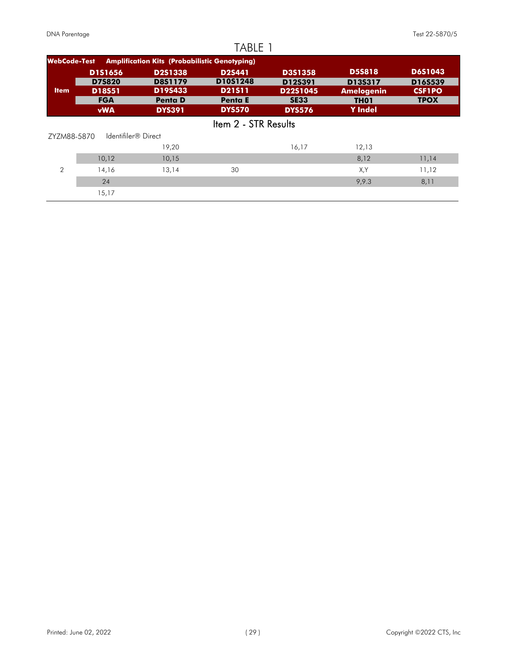|                     |                         |                                                      | TABLE 1                   |                     |                                       |                          |
|---------------------|-------------------------|------------------------------------------------------|---------------------------|---------------------|---------------------------------------|--------------------------|
| <b>WebCode-Test</b> |                         | <b>Amplification Kits (Probabilistic Genotyping)</b> |                           |                     |                                       |                          |
|                     | <b>D1S1656</b>          | <b>D2S1338</b>                                       | <b>D2S441</b>             | <b>D3S1358</b>      | <b>D5S818</b>                         | <b>D6S1043</b>           |
| <b>Item</b>         | <b>D7S820</b><br>D18S51 | <b>D8S1179</b><br>D19S433                            | D10S1248<br><b>D21511</b> | D12S391<br>D22S1045 | D13S317                               | D16S539<br><b>CSF1PO</b> |
|                     | <b>FGA</b>              | <b>Penta D</b>                                       | <b>Penta E</b>            | <b>SE33</b>         | <b>Amelogenin</b><br>TH <sub>01</sub> | <b>TPOX</b>              |
|                     | <b>vWA</b>              | <b>DYS391</b>                                        | <b>DYS570</b>             | <b>DYS576</b>       | <b>Y</b> Indel                        |                          |
|                     |                         |                                                      | Item 2 - STR Results      |                     |                                       |                          |
| ZYZM88-5870         | Identifiler® Direct     |                                                      |                           |                     |                                       |                          |
|                     |                         | 19,20                                                |                           | 16,17               | 12,13                                 |                          |
|                     | 10,12                   | 10,15                                                |                           |                     | 8,12                                  | 11,14                    |
| $\mathcal{P}$       | 14,16                   | 13,14                                                | 30                        |                     | X,Y                                   | 11,12                    |
|                     | 24                      |                                                      |                           |                     | 9,9.3                                 | 8,11                     |
|                     | 15,17                   |                                                      |                           |                     |                                       |                          |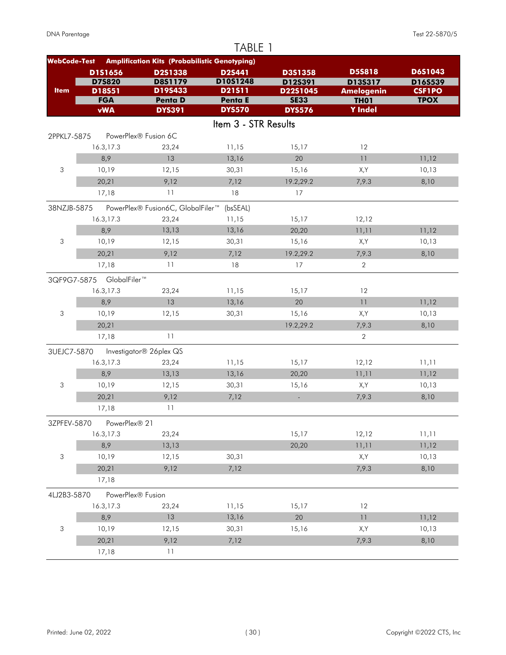|                     |                          |                                                      | TABLE 1              |                     |                              |                          |
|---------------------|--------------------------|------------------------------------------------------|----------------------|---------------------|------------------------------|--------------------------|
| <b>WebCode-Test</b> |                          | <b>Amplification Kits (Probabilistic Genotyping)</b> |                      |                     |                              |                          |
|                     | D1S1656                  | D2S1338                                              | D2S441               | D3S1358             | <b>D5S818</b>                | D6S1043                  |
| <b>Item</b>         | <b>D75820</b><br>D18S51  | <b>D8S1179</b><br>D19S433                            | D10S1248<br>D21511   | D12S391<br>D22S1045 | D135317<br><b>Amelogenin</b> | D16S539<br><b>CSF1PO</b> |
|                     | <b>FGA</b>               | <b>Penta D</b>                                       | Penta E              | <b>SE33</b>         | <b>TH01</b>                  | <b>TPOX</b>              |
|                     | <b>vWA</b>               | <b>DYS391</b>                                        | <b>DYS570</b>        | <b>DYS576</b>       | <b>Y</b> Indel               |                          |
|                     |                          |                                                      | Item 3 - STR Results |                     |                              |                          |
| 2PPKL7-5875         |                          | PowerPlex® Fusion 6C                                 |                      |                     |                              |                          |
|                     | 16.3,17.3                | 23,24                                                | 11,15                | 15,17               | 12                           |                          |
|                     | 8,9                      | 13                                                   | 13,16                | 20                  | 11                           | 11,12                    |
| 3                   | 10,19                    | 12,15                                                | 30,31                | 15,16               | X,Y                          | 10,13                    |
|                     | 20,21                    | 9,12                                                 | 7,12                 | 19.2,29.2           | 7,9.3                        | 8,10                     |
|                     | 17,18                    | 11                                                   | 18                   | 17                  |                              |                          |
| 38NZJB-5875         |                          | PowerPlex® Fusion6C, GlobalFiler™                    | (bsSEAL)             |                     |                              |                          |
|                     | 16.3,17.3                | 23,24                                                | 11,15                | 15,17               | 12,12                        |                          |
|                     | 8,9                      | 13,13                                                | 13,16                | 20,20               | 11,11                        | 11,12                    |
| 3                   | 10,19                    | 12,15                                                | 30,31                | 15,16               | X,Y                          | 10,13                    |
|                     | 20,21                    | 9,12                                                 | 7,12                 | 19.2,29.2           | 7,9.3                        | 8,10                     |
|                     | 17,18                    | 11                                                   | 18                   | 17                  | $\overline{2}$               |                          |
|                     | 3QF9G7-5875 GlobalFiler™ |                                                      |                      |                     |                              |                          |
|                     | 16.3,17.3                | 23,24                                                | 11,15                | 15,17               | 12                           |                          |
|                     | 8,9                      | 13                                                   | 13,16                | 20                  | 11                           | 11,12                    |
| 3                   | 10,19                    | 12,15                                                | 30,31                | 15,16               | X,Y                          | 10,13                    |
|                     | 20,21                    |                                                      |                      | 19.2,29.2           | 7,9.3                        | 8,10                     |
|                     | 17,18                    | 11                                                   |                      |                     | $\overline{2}$               |                          |
| 3UEJC7-5870         |                          | Investigator® 26plex QS                              |                      |                     |                              |                          |
|                     | 16.3,17.3                | 23,24                                                | 11,15                | 15,17               | 12,12                        | 11,11                    |
|                     | 8,9                      | 13,13                                                | 13,16                | 20,20               | 11,11                        | 11,12                    |
| 3                   | 10,19                    | 12,15                                                | 30,31                | 15,16               | X,Y                          | 10,13                    |
|                     | 20,21                    | 9,12                                                 | 7,12                 | $\Box$              | 7,9.3                        | 8,10                     |
|                     | 17,18                    | 11                                                   |                      |                     |                              |                          |
| 3ZPFEV-5870         | PowerPlex® 21            |                                                      |                      |                     |                              |                          |
|                     | 16.3,17.3                | 23,24                                                |                      | 15,17               | 12,12                        | 11,11                    |
|                     | 8,9                      | 13,13                                                |                      | 20,20               | 11,11                        | 11,12                    |
| 3                   | 10,19                    | 12,15                                                | 30,31                |                     | X,Y                          | 10,13                    |
|                     | 20,21                    | 9,12                                                 | 7,12                 |                     | 7,9.3                        | 8,10                     |
|                     | 17,18                    |                                                      |                      |                     |                              |                          |
| 4LJ2B3-5870         | PowerPlex® Fusion        |                                                      |                      |                     |                              |                          |
|                     | 16.3,17.3                | 23,24                                                | 11,15                | 15,17               | 12                           |                          |
|                     | 8,9                      | 13                                                   | 13,16                | 20                  | $\overline{1}\,\overline{1}$ | 11,12                    |
| 3                   | 10,19                    | 12,15                                                | 30,31                | 15,16               | X,Y                          | 10,13                    |
|                     | 20,21                    | 9,12                                                 | 7,12                 |                     | 7,9.3                        | 8,10                     |
|                     | 17,18                    | 11                                                   |                      |                     |                              |                          |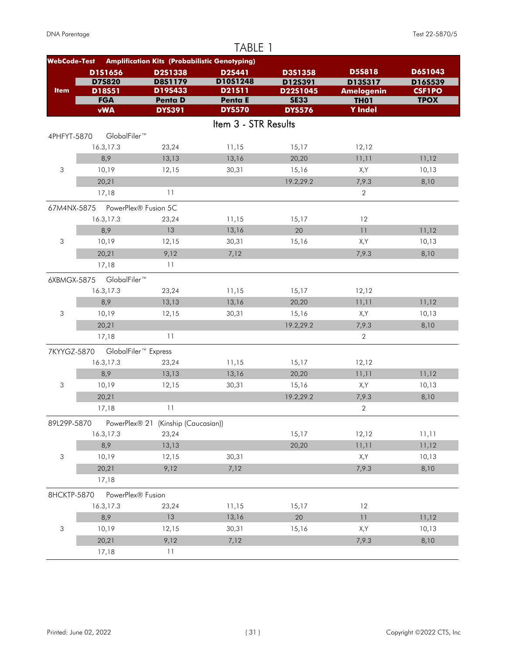|                           |                                  |                                                      | TABLE 1                  |                         |                                  |                              |
|---------------------------|----------------------------------|------------------------------------------------------|--------------------------|-------------------------|----------------------------------|------------------------------|
| <b>WebCode-Test</b>       |                                  | <b>Amplification Kits (Probabilistic Genotyping)</b> |                          |                         |                                  |                              |
|                           | D1S1656                          | D2S1338                                              | D2S441                   | D3S1358                 | <b>D5S818</b>                    | D6S1043                      |
|                           | <b>D75820</b>                    | <b>D8S1179</b>                                       | D10S1248                 | D12S391                 | D13S317                          | D16S539                      |
| <b>Item</b>               | D18S51<br><b>FGA</b>             | D19S433<br><b>Penta D</b>                            | D21511<br><b>Penta E</b> | D22S1045<br><b>SE33</b> | <b>Amelogenin</b><br><b>TH01</b> | <b>CSF1PO</b><br><b>TPOX</b> |
|                           | <b>vWA</b>                       | <b>DYS391</b>                                        | <b>DYS570</b>            | <b>DYS576</b>           | <b>Y</b> Indel                   |                              |
|                           |                                  |                                                      | Item 3 - STR Results     |                         |                                  |                              |
| 4PHFYT-5870               | GlobalFiler™                     |                                                      |                          |                         |                                  |                              |
|                           | 16.3,17.3                        | 23,24                                                | 11,15                    | 15,17                   | 12,12                            |                              |
|                           | 8,9                              | 13,13                                                | 13,16                    | 20,20                   | 11,11                            | 11,12                        |
| 3                         | 10,19                            | 12,15                                                | 30,31                    | 15,16                   | X,Y                              | 10,13                        |
|                           | 20,21                            |                                                      |                          | 19.2,29.2               | 7,9.3                            | 8,10                         |
|                           | 17,18                            | 11                                                   |                          |                         | $\overline{2}$                   |                              |
|                           |                                  |                                                      |                          |                         |                                  |                              |
|                           | 67M4NX-5875 PowerPlex® Fusion 5C |                                                      |                          |                         | 12                               |                              |
|                           | 16.3,17.3<br>8,9                 | 23,24<br>13                                          | 11,15<br>13,16           | 15,17<br>20             | 11                               |                              |
|                           |                                  |                                                      |                          |                         |                                  | 11,12                        |
| 3                         | 10,19                            | 12,15                                                | 30,31                    | 15,16                   | X,Y                              | 10,13                        |
|                           | 20,21                            | 9,12<br>11                                           | 7,12                     |                         | 7,9.3                            | 8,10                         |
|                           | 17,18                            |                                                      |                          |                         |                                  |                              |
| 6XBMGX-5875               | GlobalFiler™                     |                                                      |                          |                         |                                  |                              |
|                           | 16.3,17.3                        | 23,24                                                | 11,15                    | 15,17                   | 12,12                            |                              |
|                           | 8,9                              | 13,13                                                | 13,16                    | 20,20                   | 11,11                            | 11,12                        |
| 3                         | 10,19                            | 12,15                                                | 30,31                    | 15,16                   | X,Y                              | 10,13                        |
|                           | 20,21                            |                                                      |                          | 19.2,29.2               | 7,9.3                            | 8,10                         |
|                           | 17,18                            | 11                                                   |                          |                         | $\overline{2}$                   |                              |
| 7KYYGZ-5870               |                                  | GlobalFiler <sup>™</sup> Express                     |                          |                         |                                  |                              |
|                           | 16.3,17.3                        | 23,24                                                | 11,15                    | 15,17                   | 12,12                            |                              |
|                           | 8,9                              | 13,13                                                | 13,16                    | 20,20                   | 11,11                            | 11,12                        |
| 3                         | 10,19                            | 12,15                                                | 30,31                    | 15,16                   | X,Y                              | 10,13                        |
|                           | 20,21                            |                                                      |                          | 19.2,29.2               | 7,9.3                            | 8,10                         |
|                           | 17,18                            | 11                                                   |                          |                         | $\overline{2}$                   |                              |
| 89L29P-5870               |                                  | PowerPlex® 21 (Kinship (Caucasian))                  |                          |                         |                                  |                              |
|                           | 16.3,17.3                        | 23,24                                                |                          | 15,17                   | 12,12                            | 11,11                        |
|                           | 8,9                              | 13,13                                                |                          | 20,20                   | 11,11                            | 11,12                        |
| $\sqrt{3}$                | 10,19                            | 12,15                                                | 30,31                    |                         | X,Y                              | 10,13                        |
|                           | 20,21                            | 9,12                                                 | 7,12                     |                         | 7,9.3                            | 8,10                         |
|                           | 17,18                            |                                                      |                          |                         |                                  |                              |
| 8HCKTP-5870               | PowerPlex® Fusion                |                                                      |                          |                         |                                  |                              |
|                           | 16.3,17.3                        | 23,24                                                | 11,15                    | 15,17                   | 12                               |                              |
|                           | 8,9                              | 13                                                   | 13,16                    | 20                      | $\overline{1}\,\overline{1}$     | 11,12                        |
| $\ensuremath{\mathsf{3}}$ | 10,19                            | 12,15                                                | 30,31                    | 15,16                   | X,Y                              | 10,13                        |
|                           | 20,21                            | 9,12                                                 | 7,12                     |                         | 7,9.3                            | 8,10                         |
|                           | 17,18                            | 11                                                   |                          |                         |                                  |                              |
|                           |                                  |                                                      |                          |                         |                                  |                              |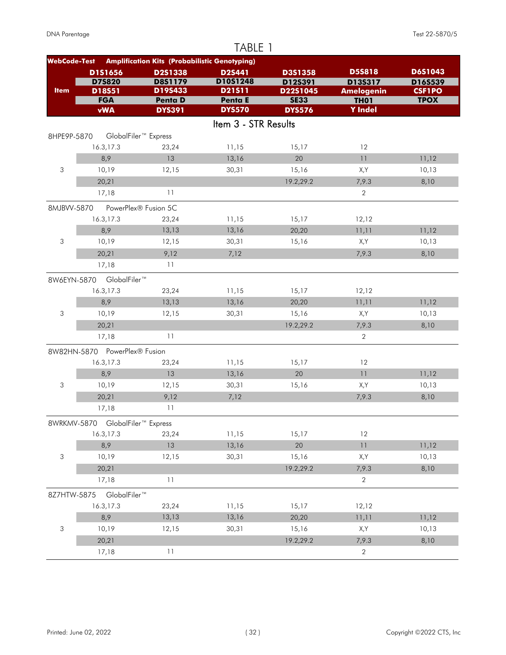|                           |                                  |                                                      | TABLE 1              |                     |                              |                          |
|---------------------------|----------------------------------|------------------------------------------------------|----------------------|---------------------|------------------------------|--------------------------|
| <b>WebCode-Test</b>       |                                  | <b>Amplification Kits (Probabilistic Genotyping)</b> |                      |                     |                              |                          |
|                           | D1S1656                          | D2S1338                                              | D2S441               | D3S1358             | <b>D5S818</b>                | D6S1043                  |
| <b>Item</b>               | <b>D75820</b><br>D18S51          | D8S1179<br>D19S433                                   | D10S1248<br>D21511   | D12S391<br>D22S1045 | D13S317<br><b>Amelogenin</b> | D16S539<br><b>CSF1PO</b> |
|                           | <b>FGA</b>                       | <b>Penta D</b>                                       | Penta E              | <b>SE33</b>         | <b>TH01</b>                  | <b>TPOX</b>              |
|                           | <b>vWA</b>                       | <b>DYS391</b>                                        | <b>DYS570</b>        | <b>DYS576</b>       | <b>Y</b> Indel               |                          |
|                           |                                  |                                                      | Item 3 - STR Results |                     |                              |                          |
| 8HPE9P-5870               |                                  | GlobalFiler <sup>™</sup> Express                     |                      |                     |                              |                          |
|                           | 16.3,17.3                        | 23,24                                                | 11,15                | 15,17               | 12                           |                          |
|                           | 8,9                              | 13                                                   | 13,16                | 20                  | 11                           | 11,12                    |
| 3                         | 10,19                            | 12,15                                                | 30,31                | 15,16               | X,Y                          | 10,13                    |
|                           | 20,21                            |                                                      |                      | 19.2,29.2           | 7,9.3                        | 8,10                     |
|                           | 17,18                            | 11                                                   |                      |                     | $\overline{2}$               |                          |
| 8MJBVV-5870               |                                  | PowerPlex® Fusion 5C                                 |                      |                     |                              |                          |
|                           | 16.3,17.3                        | 23,24                                                | 11,15                | 15,17               | 12,12                        |                          |
|                           | 8,9                              | 13,13                                                | 13,16                | 20,20               | 11,11                        | 11,12                    |
| 3                         | 10,19                            | 12,15                                                | 30,31                | 15,16               | X,Y                          | 10,13                    |
|                           | 20,21                            | 9,12                                                 | 7,12                 |                     | 7,9.3                        | 8,10                     |
|                           | 17,18                            | 11                                                   |                      |                     |                              |                          |
|                           | 8W6EYN-5870 GlobalFiler™         |                                                      |                      |                     |                              |                          |
|                           | 16.3,17.3                        | 23,24                                                | 11,15                | 15,17               | 12,12                        |                          |
|                           | 8,9                              | 13,13                                                | 13,16                | 20,20               | 11,11                        | 11,12                    |
| 3                         | 10,19                            | 12,15                                                | 30,31                | 15,16               | X,Y                          | 10,13                    |
|                           | 20,21                            |                                                      |                      | 19.2,29.2           | 7,9.3                        | 8,10                     |
|                           | 17,18                            | 11                                                   |                      |                     | $\overline{2}$               |                          |
|                           | 8W82HN-5870 PowerPlex® Fusion    |                                                      |                      |                     |                              |                          |
|                           | 16.3,17.3                        | 23,24                                                | 11,15                | 15,17               | 12                           |                          |
|                           | 8,9                              | 13                                                   | 13,16                | 20                  | 11                           | 11,12                    |
| 3                         | 10,19                            | 12,15                                                | 30,31                | 15,16               | X,Y                          | 10,13                    |
|                           | 20,21                            | 9,12                                                 | 7,12                 |                     | 7,9.3                        | 8,10                     |
|                           | 17,18                            | 11                                                   |                      |                     |                              |                          |
|                           | 8WRKMV-5870 GlobalFiler™ Express |                                                      |                      |                     |                              |                          |
|                           | 16.3,17.3                        | 23,24                                                | 11,15                | 15,17               | 12                           |                          |
|                           | 8,9                              | 13                                                   | 13,16                | 20                  | 11                           | 11,12                    |
| $\ensuremath{\mathsf{3}}$ | 10,19                            | 12,15                                                | 30,31                | 15,16               | X,Y                          | 10,13                    |
|                           | 20,21                            |                                                      |                      | 19.2,29.2           | 7,9.3                        | 8,10                     |
|                           | 17,18                            | 11                                                   |                      |                     | $\overline{2}$               |                          |
| 8Z7HTW-5875               | GlobalFiler™                     |                                                      |                      |                     |                              |                          |
|                           | 16.3,17.3                        | 23,24                                                | 11,15                | 15,17               | 12,12                        |                          |
|                           | 8,9                              | 13,13                                                | 13,16                | 20,20               | 11,11                        | 11,12                    |
| 3                         | 10,19                            | 12,15                                                | 30,31                | 15,16               | X,Y                          | 10,13                    |
|                           | 20,21                            |                                                      |                      | 19.2,29.2           | 7,9.3                        | 8,10                     |
|                           | 17,18                            | 11                                                   |                      |                     | 2                            |                          |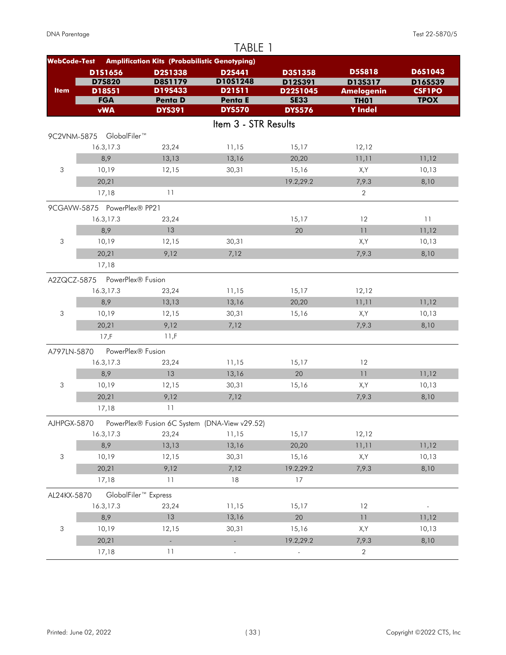|                     |                               |                                                      | TABLE 1                   |                           |                              |                    |
|---------------------|-------------------------------|------------------------------------------------------|---------------------------|---------------------------|------------------------------|--------------------|
| <b>WebCode-Test</b> |                               | <b>Amplification Kits (Probabilistic Genotyping)</b> |                           |                           |                              |                    |
|                     | D1S1656<br><b>D75820</b>      | D2S1338<br><b>D8S1179</b>                            | <b>D2S441</b><br>D10S1248 | <b>D3S1358</b><br>D12S391 | <b>D5S818</b><br>D13S317     | D6S1043<br>D16S539 |
| <b>Item</b>         | D18S51                        | D19S433                                              | D21511                    | D22S1045                  | <b>Amelogenin</b>            | <b>CSF1PO</b>      |
|                     | <b>FGA</b>                    | <b>Penta D</b>                                       | <b>Penta E</b>            | <b>SE33</b>               | <b>TH01</b>                  | <b>TPOX</b>        |
|                     | <b>vWA</b>                    | <b>DYS391</b>                                        | <b>DYS570</b>             | <b>DYS576</b>             | <b>Y</b> Indel               |                    |
|                     |                               |                                                      | Item 3 - STR Results      |                           |                              |                    |
|                     | 9C2VNM-5875 GlobalFiler™      |                                                      |                           |                           |                              |                    |
|                     | 16.3,17.3                     | 23,24                                                | 11,15                     | 15,17                     | 12,12                        |                    |
|                     | 8,9                           | 13,13                                                | 13,16                     | 20,20                     | 11,11                        | 11,12              |
| 3                   | 10,19                         | 12,15                                                | 30,31                     | 15,16                     | X,Y                          | 10,13              |
|                     | 20,21                         |                                                      |                           | 19.2,29.2                 | 7,9.3                        | 8,10               |
|                     | 17,18                         | 11                                                   |                           |                           | $\overline{2}$               |                    |
|                     | 9CGAVW-5875 PowerPlex® PP21   |                                                      |                           |                           |                              |                    |
|                     | 16.3,17.3                     | 23,24                                                |                           | 15,17                     | 12                           | 11                 |
|                     | 8,9                           | 13                                                   |                           | 20                        | 11                           | 11,12              |
| 3                   | 10,19                         | 12,15                                                | 30,31                     |                           | X,Y                          | 10,13              |
|                     | 20,21                         | 9,12                                                 | 7,12                      |                           | 7,9.3                        | 8,10               |
|                     | 17,18                         |                                                      |                           |                           |                              |                    |
|                     | A2ZQCZ-5875 PowerPlex® Fusion |                                                      |                           |                           |                              |                    |
|                     | 16.3,17.3                     | 23,24                                                | 11,15                     | 15,17                     | 12,12                        |                    |
|                     | 8,9                           | 13,13                                                | 13,16                     | 20,20                     | 11,11                        | 11,12              |
| 3                   | 10,19                         | 12,15                                                | 30,31                     | 15,16                     | X,Y                          | 10,13              |
|                     | 20,21                         | 9,12                                                 | 7,12                      |                           | 7,9.3                        | 8,10               |
|                     | 17,F                          | 11,F                                                 |                           |                           |                              |                    |
|                     | PowerPlex® Fusion             |                                                      |                           |                           |                              |                    |
| A797LN-5870         | 16.3,17.3                     | 23,24                                                | 11,15                     | 15,17                     | 12                           |                    |
|                     | 8,9                           | 13                                                   | 13,16                     | 20                        | 11                           | 11,12              |
| 3                   | 10,19                         | 12,15                                                | 30,31                     | 15,16                     | X,Y                          | 10,13              |
|                     | 20,21                         | 9,12                                                 | 7,12                      |                           | 7,9.3                        | 8,10               |
|                     | 17,18                         | 11                                                   |                           |                           |                              |                    |
|                     |                               |                                                      |                           |                           |                              |                    |
| AJHPGX-5870         |                               | PowerPlex® Fusion 6C System (DNA-View v29.52)        |                           |                           |                              |                    |
|                     | 16.3,17.3                     | 23,24                                                | 11,15                     | 15,17                     | 12,12                        |                    |
|                     | 8,9                           | 13,13                                                | 13,16                     | 20,20                     | 11,11                        | 11,12              |
| 3                   | 10,19                         | 12,15                                                | 30,31                     | 15,16                     | X,Y                          | 10,13              |
|                     | 20,21                         | 9,12                                                 | 7,12                      | 19.2,29.2                 | 7,9.3                        | 8,10               |
|                     | 17,18                         | 11                                                   | 18                        | 17                        |                              |                    |
| AL24KX-5870         |                               | GlobalFiler <sup>™</sup> Express                     |                           |                           |                              |                    |
|                     | 16.3,17.3                     | 23,24                                                | 11,15                     | 15,17                     | 12                           |                    |
|                     | 8,9                           | 13                                                   | 13,16                     | 20                        | $\overline{1}\,\overline{1}$ | 11,12              |
| 3                   | 10,19                         | 12,15                                                | 30,31                     | 15,16                     | X,Y                          | 10,13              |
|                     | 20,21                         | $\omega$                                             | L,                        | 19.2,29.2                 | 7,9.3                        | 8,10               |
|                     | 17,18                         | 11                                                   | $\overline{\phantom{a}}$  |                           | $\sqrt{2}$                   |                    |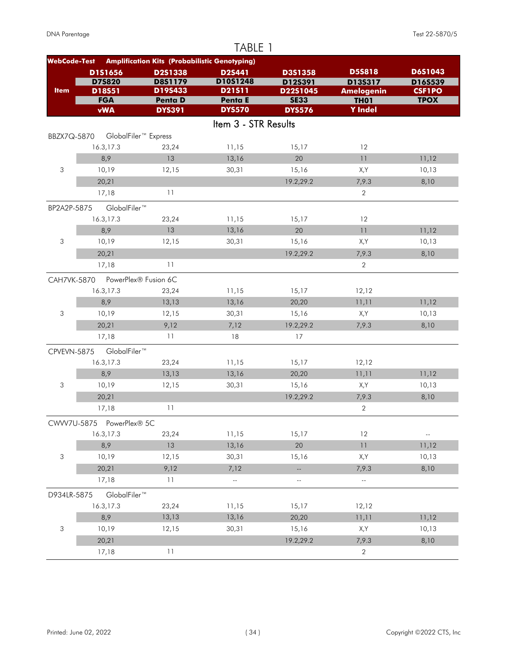|                     |                          |                                                      | TABLE 1                         |                              |                               |                          |
|---------------------|--------------------------|------------------------------------------------------|---------------------------------|------------------------------|-------------------------------|--------------------------|
| <b>WebCode-Test</b> |                          | <b>Amplification Kits (Probabilistic Genotyping)</b> |                                 |                              |                               |                          |
|                     | D1S1656                  | D2S1338                                              | D2S441                          | D3S1358                      | <b>D5S818</b>                 | D6S1043                  |
|                     | <b>D75820</b>            | <b>D8S1179</b>                                       | D10S1248                        | D12S391                      | D13S317                       | D16S539                  |
| <b>Item</b>         | D18S51                   | D19S433                                              | D21511                          | D22S1045                     | <b>Amelogenin</b>             | <b>CSF1PO</b>            |
|                     | <b>FGA</b><br><b>vWA</b> | <b>Penta D</b><br><b>DYS391</b>                      | <b>Penta E</b><br><b>DYS570</b> | <b>SE33</b><br><b>DYS576</b> | <b>TH01</b><br><b>Y</b> Indel | <b>TPOX</b>              |
|                     |                          |                                                      |                                 |                              |                               |                          |
|                     |                          |                                                      | Item 3 - STR Results            |                              |                               |                          |
| BBZX7Q-5870         |                          | GlobalFiler <sup>™</sup> Express                     |                                 |                              |                               |                          |
|                     | 16.3,17.3                | 23,24                                                | 11,15                           | 15,17                        | 12                            |                          |
|                     | 8,9                      | 13                                                   | 13,16                           | 20                           | 11                            | 11,12                    |
| 3                   | 10,19                    | 12,15                                                | 30,31                           | 15,16                        | X,Y                           | 10,13                    |
|                     | 20,21                    |                                                      |                                 | 19.2,29.2                    | 7,9.3                         | 8,10                     |
|                     | 17,18                    | 11                                                   |                                 |                              | $\overline{2}$                |                          |
| BP2A2P-5875         | GlobalFiler™             |                                                      |                                 |                              |                               |                          |
|                     | 16.3,17.3                | 23,24                                                | 11,15                           | 15,17                        | 12                            |                          |
|                     | 8,9                      | 13                                                   | 13,16                           | 20                           | 11                            | 11,12                    |
| 3                   | 10,19                    | 12,15                                                | 30,31                           | 15,16                        | X,Y                           | 10,13                    |
|                     | 20,21                    |                                                      |                                 | 19.2,29.2                    | 7,9.3                         | 8,10                     |
|                     | 17,18                    | 11                                                   |                                 |                              | 2                             |                          |
| <b>CAH7VK-5870</b>  |                          | PowerPlex® Fusion 6C                                 |                                 |                              |                               |                          |
|                     | 16.3,17.3                | 23,24                                                | 11,15                           | 15,17                        | 12,12                         |                          |
|                     | 8,9                      | 13,13                                                | 13,16                           | 20,20                        | 11,11                         | 11,12                    |
| 3                   | 10,19                    | 12,15                                                | 30,31                           | 15,16                        | X,Y                           | 10,13                    |
|                     | 20,21                    | 9,12                                                 | 7,12                            | 19.2,29.2                    | 7,9.3                         | 8,10                     |
|                     | 17,18                    | 11                                                   | 18                              | 17                           |                               |                          |
|                     |                          |                                                      |                                 |                              |                               |                          |
| CPVEVN-5875         | GlobalFiler™             |                                                      |                                 |                              |                               |                          |
|                     | 16.3,17.3<br>8,9         | 23,24                                                | 11,15                           | 15,17                        | 12,12                         |                          |
| 3                   | 10,19                    | 13,13<br>12,15                                       | 13,16<br>30,31                  | 20,20<br>15,16               | 11,11<br>X,Y                  | 11,12<br>10,13           |
|                     |                          |                                                      |                                 |                              |                               |                          |
|                     | 20,21                    | 11                                                   |                                 | 19.2,29.2                    | 7,9.3<br>$\overline{2}$       | 8,10                     |
|                     | 17,18                    |                                                      |                                 |                              |                               |                          |
|                     | CWW7U-5875 PowerPlex® 5C |                                                      |                                 |                              |                               |                          |
|                     | 16.3,17.3                | 23,24                                                | 11,15                           | 15,17                        | 12                            | $\overline{\phantom{a}}$ |
|                     | 8,9                      | 13                                                   | 13,16                           | 20                           | $\overline{1}\,\overline{1}$  | 11,12                    |
| 3                   | 10,19                    | 12,15                                                | 30,31                           | 15,16                        | X,Y                           | 10,13                    |
|                     | 20,21                    | 9,12                                                 | 7,12                            | Щ,                           | 7,9.3                         | 8,10                     |
|                     | 17,18                    | 11                                                   | $\mathbb{Z}^2$                  | $\overline{\phantom{a}}$     | $\overline{\phantom{a}}$      |                          |
| D934LR-5875         | GlobalFiler™             |                                                      |                                 |                              |                               |                          |
|                     | 16.3,17.3                | 23,24                                                | 11,15                           | 15,17                        | 12,12                         |                          |
|                     | 8,9                      | 13,13                                                | 13,16                           | 20,20                        | 11,11                         | 11,12                    |
| 3                   | 10,19                    | 12,15                                                | 30,31                           | 15,16                        | X,Y                           | 10,13                    |
|                     | 20,21                    |                                                      |                                 | 19.2,29.2                    | 7,9.3                         | 8,10                     |
|                     | 17,18                    | 11                                                   |                                 |                              | 2                             |                          |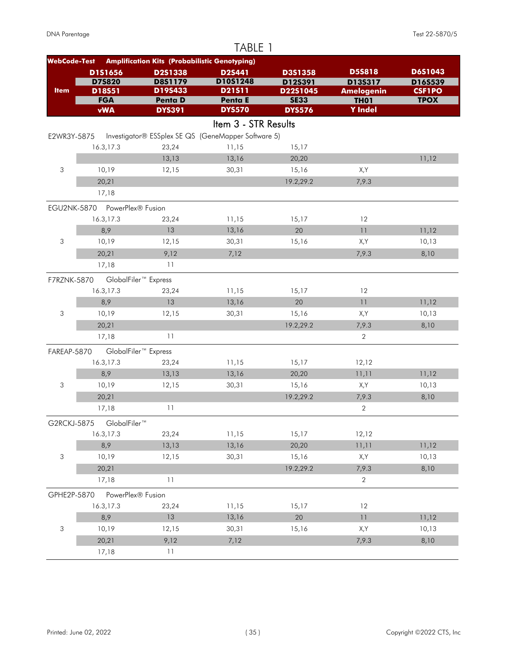|                     |                               |                                                      | TABLE 1              |                         |                                  |                              |
|---------------------|-------------------------------|------------------------------------------------------|----------------------|-------------------------|----------------------------------|------------------------------|
| <b>WebCode-Test</b> |                               | <b>Amplification Kits (Probabilistic Genotyping)</b> |                      |                         |                                  |                              |
|                     | D1S1656                       | D2S1338                                              | D2S441               | D3S1358                 | <b>D5S818</b>                    | D6S1043                      |
|                     | <b>D75820</b>                 | <b>D8S1179</b>                                       | D10S1248             | D12S391                 | D13S317                          | D16S539                      |
| <b>Item</b>         | D18S51<br><b>FGA</b>          | D19S433<br><b>Penta D</b>                            | D21511<br>Penta E    | D22S1045<br><b>SE33</b> | <b>Amelogenin</b><br><b>TH01</b> | <b>CSF1PO</b><br><b>TPOX</b> |
|                     | <b>vWA</b>                    | <b>DYS391</b>                                        | <b>DYS570</b>        | <b>DYS576</b>           | <b>Y</b> Indel                   |                              |
|                     |                               |                                                      | Item 3 - STR Results |                         |                                  |                              |
| E2WR3Y-5875         |                               | Investigator® ESSplex SE QS (GeneMapper Software 5)  |                      |                         |                                  |                              |
|                     | 16.3,17.3                     | 23,24                                                | 11,15                | 15,17                   |                                  |                              |
|                     |                               | 13,13                                                | 13,16                | 20,20                   |                                  | 11,12                        |
| 3                   | 10,19                         | 12,15                                                | 30,31                | 15,16                   | X,Y                              |                              |
|                     | 20,21                         |                                                      |                      | 19.2,29.2               | 7,9.3                            |                              |
|                     | 17,18                         |                                                      |                      |                         |                                  |                              |
|                     | EGU2NK-5870 PowerPlex® Fusion |                                                      |                      |                         |                                  |                              |
|                     | 16.3,17.3                     | 23,24                                                | 11,15                | 15,17                   | 12                               |                              |
|                     | 8,9                           | 13                                                   | 13,16                | 20                      | 11                               | 11,12                        |
| 3                   | 10,19                         | 12,15                                                | 30,31                | 15,16                   | X,Y                              | 10,13                        |
|                     | 20,21                         | 9,12                                                 | 7,12                 |                         | 7,9.3                            | 8,10                         |
|                     | 17,18                         | 11                                                   |                      |                         |                                  |                              |
|                     |                               |                                                      |                      |                         |                                  |                              |
| F7RZNK-5870         |                               | GlobalFiler <sup>™</sup> Express                     |                      |                         |                                  |                              |
|                     | 16.3,17.3                     | 23,24                                                | 11,15                | 15,17                   | 12                               |                              |
| 3                   | 8,9                           | 13                                                   | 13,16                | 20                      | 11                               | 11,12                        |
|                     | 10,19                         | 12,15                                                | 30,31                | 15,16                   | X,Y                              | 10,13                        |
|                     | 20,21                         |                                                      |                      | 19.2,29.2               | 7,9.3                            | 8,10                         |
|                     | 17,18                         | 11                                                   |                      |                         | $\overline{2}$                   |                              |
| FAREAP-5870         |                               | GlobalFiler <sup>™</sup> Express                     |                      |                         |                                  |                              |
|                     | 16.3,17.3                     | 23,24                                                | 11,15                | 15,17                   | 12,12                            |                              |
|                     | 8,9                           | 13,13                                                | 13,16                | 20,20                   | 11,11                            | 11,12                        |
| 3                   | 10,19                         | 12,15                                                | 30,31                | 15,16                   | X,Y                              | 10,13                        |
|                     | 20,21                         |                                                      |                      | 19.2,29.2               | 7,9.3                            | 8,10                         |
|                     | 17,18                         | 11                                                   |                      |                         | $\overline{2}$                   |                              |
| G2RCKJ-5875         | GlobalFiler™                  |                                                      |                      |                         |                                  |                              |
|                     | 16.3,17.3                     | 23,24                                                | 11,15                | 15,17                   | 12,12                            |                              |
|                     | 8,9                           | 13,13                                                | 13,16                | 20,20                   | 11,11                            | 11,12                        |
| $\sqrt{3}$          | 10,19                         | 12,15                                                | 30,31                | 15,16                   | X,Y                              | 10,13                        |
|                     | 20,21                         |                                                      |                      | 19.2,29.2               | 7,9.3                            | 8,10                         |
|                     | 17,18                         | 11                                                   |                      |                         | $\overline{2}$                   |                              |
| GPHE2P-5870         | PowerPlex® Fusion             |                                                      |                      |                         |                                  |                              |
|                     | 16.3,17.3                     | 23,24                                                | 11,15                | 15,17                   | 12                               |                              |
|                     | 8,9                           | 13                                                   | 13,16                | 20                      | $\overline{1}\,\overline{1}$     | 11,12                        |
| 3                   | 10,19                         | 12,15                                                | 30,31                | 15,16                   | X,Y                              | 10,13                        |
|                     | 20,21                         | 9,12                                                 | 7,12                 |                         | 7,9.3                            | 8,10                         |
|                     | 17,18                         | 11                                                   |                      |                         |                                  |                              |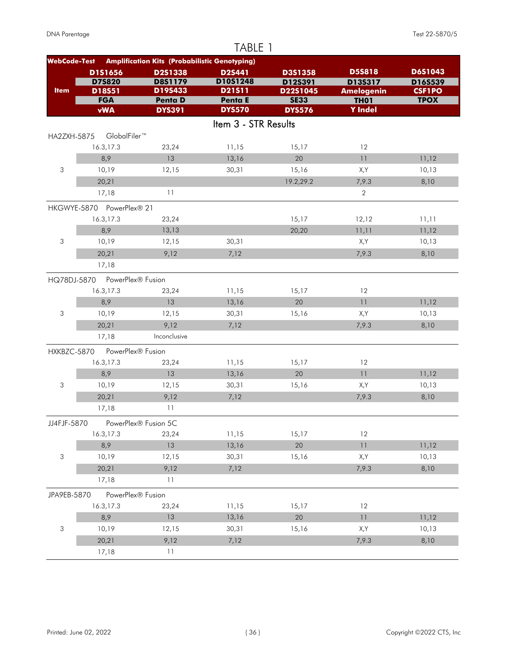|                           |                           |                                                      | TABLE 1              |                     |                                  |                          |
|---------------------------|---------------------------|------------------------------------------------------|----------------------|---------------------|----------------------------------|--------------------------|
| <b>WebCode-Test</b>       |                           | <b>Amplification Kits (Probabilistic Genotyping)</b> |                      |                     |                                  |                          |
|                           | D1S1656                   | D2S1338                                              | <b>D2S441</b>        | D3S1358             | <b>D5S818</b>                    | <b>D6S1043</b>           |
| <b>Item</b>               | <b>D75820</b><br>D18S51   | D8S1179<br>D19S433                                   | D10S1248<br>D21511   | D12S391<br>D22S1045 | D13S317                          | D16S539<br><b>CSF1PO</b> |
|                           | <b>FGA</b>                | <b>Penta D</b>                                       | Penta E              | <b>SE33</b>         | <b>Amelogenin</b><br><b>TH01</b> | <b>TPOX</b>              |
|                           | <b>vWA</b>                | <b>DYS391</b>                                        | <b>DYS570</b>        | <b>DYS576</b>       | <b>Y</b> Indel                   |                          |
|                           |                           |                                                      | Item 3 - STR Results |                     |                                  |                          |
| HA2ZXH-5875               | GlobalFiler™              |                                                      |                      |                     |                                  |                          |
|                           | 16.3,17.3                 | 23,24                                                | 11,15                | 15,17               | 12                               |                          |
|                           | 8,9                       | 13                                                   | 13,16                | 20                  | 11                               | 11,12                    |
| 3                         | 10,19                     | 12,15                                                | 30,31                | 15,16               | X,Y                              | 10,13                    |
|                           | 20,21                     |                                                      |                      | 19.2,29.2           | 7,9.3                            | 8,10                     |
|                           | 17,18                     | 11                                                   |                      |                     | $\overline{2}$                   |                          |
|                           | HKGWYE-5870 PowerPlex® 21 |                                                      |                      |                     |                                  |                          |
|                           | 16.3,17.3                 | 23,24                                                |                      | 15,17               | 12,12                            | 11,11                    |
|                           | 8,9                       | 13,13                                                |                      | 20,20               | 11,11                            | 11,12                    |
| 3                         | 10,19                     | 12,15                                                | 30,31                |                     | X,Y                              | 10,13                    |
|                           | 20,21                     | 9,12                                                 | 7,12                 |                     | 7,9.3                            | 8,10                     |
|                           | 17,18                     |                                                      |                      |                     |                                  |                          |
| HQ78DJ-5870               | PowerPlex® Fusion         |                                                      |                      |                     |                                  |                          |
|                           | 16.3,17.3                 | 23,24                                                | 11,15                | 15,17               | 12                               |                          |
|                           | 8,9                       | 13                                                   | 13,16                | 20                  | 11                               | 11,12                    |
| 3                         | 10,19                     | 12,15                                                | 30,31                | 15,16               | X,Y                              | 10,13                    |
|                           | 20,21                     | 9,12                                                 | 7,12                 |                     | 7,9.3                            | 8,10                     |
|                           | 17,18                     | Inconclusive                                         |                      |                     |                                  |                          |
| HXKBZC-5870               | PowerPlex® Fusion         |                                                      |                      |                     |                                  |                          |
|                           | 16.3,17.3                 | 23,24                                                | 11,15                | 15,17               | 12                               |                          |
|                           | 8,9                       | 13                                                   | 13,16                | 20                  | 11                               | 11,12                    |
| 3                         | 10,19                     | 12,15                                                | 30,31                | 15,16               | X,Y                              | 10,13                    |
|                           | 20,21                     | 9,12                                                 | 7,12                 |                     | 7,9.3                            | 8,10                     |
|                           | 17,18                     | 11                                                   |                      |                     |                                  |                          |
| JJ4FJF-5870               |                           | PowerPlex® Fusion 5C                                 |                      |                     |                                  |                          |
|                           | 16.3,17.3                 | 23,24                                                | 11,15                | 15,17               | 12                               |                          |
|                           | 8,9                       | 13                                                   | 13,16                | 20                  | 11                               | 11,12                    |
| $\ensuremath{\mathsf{3}}$ | 10,19                     | 12,15                                                | 30,31                | 15,16               | X,Y                              | 10,13                    |
|                           | 20,21                     | 9,12                                                 | 7,12                 |                     | 7,9.3                            | 8,10                     |
|                           | 17,18                     | 11                                                   |                      |                     |                                  |                          |
| JPA9EB-5870               | PowerPlex® Fusion         |                                                      |                      |                     |                                  |                          |
|                           | 16.3,17.3                 | 23,24                                                | 11,15                | 15,17               | 12                               |                          |
|                           | 8,9                       | 13                                                   | 13,16                | 20                  | $\overline{1}\,\overline{1}$     | 11,12                    |
| 3                         | 10,19                     | 12,15                                                | 30,31                | 15,16               | X,Y                              | 10,13                    |
|                           | 20,21                     | 9,12                                                 | 7,12                 |                     | 7,9.3                            | 8,10                     |
|                           | 17,18                     | 11                                                   |                      |                     |                                  |                          |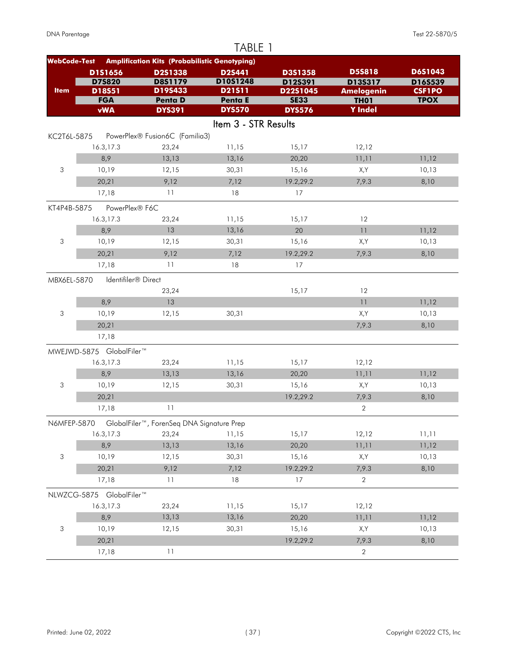| <b>Amplification Kits (Probabilistic Genotyping)</b><br><b>WebCode-Test</b><br><b>D5S818</b><br>D6S1043<br>D1S1656<br>D2S1338<br><b>D2S441</b><br>D3S1358<br><b>D7S820</b><br><b>D8S1179</b><br>D10S1248<br>D12S391<br>D13S317<br>D16S539<br>D19S433<br><b>Item</b><br>D21511<br>D22S1045<br>D18S51<br><b>CSF1PO</b><br><b>Amelogenin</b><br><b>FGA</b><br><b>Penta D</b><br><b>TPOX</b><br><b>SE33</b><br><b>TH01</b><br>Penta E<br><b>vWA</b><br><b>Y</b> Indel<br><b>DYS570</b><br><b>DYS391</b><br><b>DYS576</b><br>Item 3 - STR Results<br>PowerPlex® Fusion6C (Familia3)<br>KC2T6L-5875<br>16.3,17.3<br>23,24<br>11,15<br>15,17<br>12,12<br>8,9<br>13,13<br>13,16<br>11,12<br>20,20<br>11,11<br>3<br>10,19<br>30,31<br>15,16<br>12,15<br>X,Y<br>10,13<br>20,21<br>9,12<br>7,12<br>19.2,29.2<br>7,9.3<br>8,10<br>11<br>17,18<br>18<br>17<br>PowerPlex® F6C<br>16.3,17.3<br>11,15<br>15,17<br>12<br>23,24<br>13<br>8,9<br>13,16<br>20<br>11<br>11,12<br>3<br>10,19<br>30,31<br>15,16<br>X,Y<br>10,13<br>12,15<br>9,12<br>19.2,29.2<br>20,21<br>7,12<br>7,9.3<br>8,10<br>11<br>18<br>17,18<br>17<br>Identifiler® Direct<br>15,17<br>12<br>23,24<br>8,9<br>13<br>11<br>11,12<br>3<br>10,19<br>X,Y<br>12,15<br>30,31<br>10,13<br>20,21<br>7,9.3<br>8,10<br>17,18<br>16.3,17.3<br>23,24<br>11,15<br>12,12<br>15,17<br>8,9<br>13,13<br>13,16<br>20,20<br>11,11<br>11,12<br>3<br>30,31<br>10,19<br>12,15<br>15,16<br>X,Y<br>10,13<br>19.2,29.2<br>20,21<br>7,9.3<br>8,10<br>11<br>$\overline{2}$<br>17,18<br>GlobalFiler™, ForenSeq DNA Signature Prep<br>15,17<br>16.3,17.3<br>23,24<br>11,15<br>12,12<br>11,11<br>8,9<br>13,13<br>13,16<br>20,20<br>11,11<br>11,12<br>3<br>10,19<br>30,31<br>15,16<br>X,Y<br>10,13<br>12,15<br>20,21<br>9,12<br>7,12<br>19.2,29.2<br>7,9.3<br>8,10<br>$\mathbf 2$<br>17,18<br>11<br>18<br>17<br>16.3,17.3<br>23,24<br>11,15<br>15,17<br>12,12 |  | TABLE 1 |  |  |
|-------------------------------------------------------------------------------------------------------------------------------------------------------------------------------------------------------------------------------------------------------------------------------------------------------------------------------------------------------------------------------------------------------------------------------------------------------------------------------------------------------------------------------------------------------------------------------------------------------------------------------------------------------------------------------------------------------------------------------------------------------------------------------------------------------------------------------------------------------------------------------------------------------------------------------------------------------------------------------------------------------------------------------------------------------------------------------------------------------------------------------------------------------------------------------------------------------------------------------------------------------------------------------------------------------------------------------------------------------------------------------------------------------------------------------------------------------------------------------------------------------------------------------------------------------------------------------------------------------------------------------------------------------------------------------------------------------------------------------------------------------------------------------------------------------------------------------------------------------------------------------|--|---------|--|--|
|                                                                                                                                                                                                                                                                                                                                                                                                                                                                                                                                                                                                                                                                                                                                                                                                                                                                                                                                                                                                                                                                                                                                                                                                                                                                                                                                                                                                                                                                                                                                                                                                                                                                                                                                                                                                                                                                               |  |         |  |  |
|                                                                                                                                                                                                                                                                                                                                                                                                                                                                                                                                                                                                                                                                                                                                                                                                                                                                                                                                                                                                                                                                                                                                                                                                                                                                                                                                                                                                                                                                                                                                                                                                                                                                                                                                                                                                                                                                               |  |         |  |  |
|                                                                                                                                                                                                                                                                                                                                                                                                                                                                                                                                                                                                                                                                                                                                                                                                                                                                                                                                                                                                                                                                                                                                                                                                                                                                                                                                                                                                                                                                                                                                                                                                                                                                                                                                                                                                                                                                               |  |         |  |  |
|                                                                                                                                                                                                                                                                                                                                                                                                                                                                                                                                                                                                                                                                                                                                                                                                                                                                                                                                                                                                                                                                                                                                                                                                                                                                                                                                                                                                                                                                                                                                                                                                                                                                                                                                                                                                                                                                               |  |         |  |  |
|                                                                                                                                                                                                                                                                                                                                                                                                                                                                                                                                                                                                                                                                                                                                                                                                                                                                                                                                                                                                                                                                                                                                                                                                                                                                                                                                                                                                                                                                                                                                                                                                                                                                                                                                                                                                                                                                               |  |         |  |  |
|                                                                                                                                                                                                                                                                                                                                                                                                                                                                                                                                                                                                                                                                                                                                                                                                                                                                                                                                                                                                                                                                                                                                                                                                                                                                                                                                                                                                                                                                                                                                                                                                                                                                                                                                                                                                                                                                               |  |         |  |  |
|                                                                                                                                                                                                                                                                                                                                                                                                                                                                                                                                                                                                                                                                                                                                                                                                                                                                                                                                                                                                                                                                                                                                                                                                                                                                                                                                                                                                                                                                                                                                                                                                                                                                                                                                                                                                                                                                               |  |         |  |  |
|                                                                                                                                                                                                                                                                                                                                                                                                                                                                                                                                                                                                                                                                                                                                                                                                                                                                                                                                                                                                                                                                                                                                                                                                                                                                                                                                                                                                                                                                                                                                                                                                                                                                                                                                                                                                                                                                               |  |         |  |  |
|                                                                                                                                                                                                                                                                                                                                                                                                                                                                                                                                                                                                                                                                                                                                                                                                                                                                                                                                                                                                                                                                                                                                                                                                                                                                                                                                                                                                                                                                                                                                                                                                                                                                                                                                                                                                                                                                               |  |         |  |  |
|                                                                                                                                                                                                                                                                                                                                                                                                                                                                                                                                                                                                                                                                                                                                                                                                                                                                                                                                                                                                                                                                                                                                                                                                                                                                                                                                                                                                                                                                                                                                                                                                                                                                                                                                                                                                                                                                               |  |         |  |  |
| KT4P4B-5875                                                                                                                                                                                                                                                                                                                                                                                                                                                                                                                                                                                                                                                                                                                                                                                                                                                                                                                                                                                                                                                                                                                                                                                                                                                                                                                                                                                                                                                                                                                                                                                                                                                                                                                                                                                                                                                                   |  |         |  |  |
|                                                                                                                                                                                                                                                                                                                                                                                                                                                                                                                                                                                                                                                                                                                                                                                                                                                                                                                                                                                                                                                                                                                                                                                                                                                                                                                                                                                                                                                                                                                                                                                                                                                                                                                                                                                                                                                                               |  |         |  |  |
|                                                                                                                                                                                                                                                                                                                                                                                                                                                                                                                                                                                                                                                                                                                                                                                                                                                                                                                                                                                                                                                                                                                                                                                                                                                                                                                                                                                                                                                                                                                                                                                                                                                                                                                                                                                                                                                                               |  |         |  |  |
|                                                                                                                                                                                                                                                                                                                                                                                                                                                                                                                                                                                                                                                                                                                                                                                                                                                                                                                                                                                                                                                                                                                                                                                                                                                                                                                                                                                                                                                                                                                                                                                                                                                                                                                                                                                                                                                                               |  |         |  |  |
|                                                                                                                                                                                                                                                                                                                                                                                                                                                                                                                                                                                                                                                                                                                                                                                                                                                                                                                                                                                                                                                                                                                                                                                                                                                                                                                                                                                                                                                                                                                                                                                                                                                                                                                                                                                                                                                                               |  |         |  |  |
|                                                                                                                                                                                                                                                                                                                                                                                                                                                                                                                                                                                                                                                                                                                                                                                                                                                                                                                                                                                                                                                                                                                                                                                                                                                                                                                                                                                                                                                                                                                                                                                                                                                                                                                                                                                                                                                                               |  |         |  |  |
| MBX6EL-5870<br>MWEJWD-5875 GlobalFiler™<br>N6MFEP-5870<br>NLWZCG-5875 GlobalFiler™                                                                                                                                                                                                                                                                                                                                                                                                                                                                                                                                                                                                                                                                                                                                                                                                                                                                                                                                                                                                                                                                                                                                                                                                                                                                                                                                                                                                                                                                                                                                                                                                                                                                                                                                                                                            |  |         |  |  |
|                                                                                                                                                                                                                                                                                                                                                                                                                                                                                                                                                                                                                                                                                                                                                                                                                                                                                                                                                                                                                                                                                                                                                                                                                                                                                                                                                                                                                                                                                                                                                                                                                                                                                                                                                                                                                                                                               |  |         |  |  |
|                                                                                                                                                                                                                                                                                                                                                                                                                                                                                                                                                                                                                                                                                                                                                                                                                                                                                                                                                                                                                                                                                                                                                                                                                                                                                                                                                                                                                                                                                                                                                                                                                                                                                                                                                                                                                                                                               |  |         |  |  |
|                                                                                                                                                                                                                                                                                                                                                                                                                                                                                                                                                                                                                                                                                                                                                                                                                                                                                                                                                                                                                                                                                                                                                                                                                                                                                                                                                                                                                                                                                                                                                                                                                                                                                                                                                                                                                                                                               |  |         |  |  |
|                                                                                                                                                                                                                                                                                                                                                                                                                                                                                                                                                                                                                                                                                                                                                                                                                                                                                                                                                                                                                                                                                                                                                                                                                                                                                                                                                                                                                                                                                                                                                                                                                                                                                                                                                                                                                                                                               |  |         |  |  |
|                                                                                                                                                                                                                                                                                                                                                                                                                                                                                                                                                                                                                                                                                                                                                                                                                                                                                                                                                                                                                                                                                                                                                                                                                                                                                                                                                                                                                                                                                                                                                                                                                                                                                                                                                                                                                                                                               |  |         |  |  |
|                                                                                                                                                                                                                                                                                                                                                                                                                                                                                                                                                                                                                                                                                                                                                                                                                                                                                                                                                                                                                                                                                                                                                                                                                                                                                                                                                                                                                                                                                                                                                                                                                                                                                                                                                                                                                                                                               |  |         |  |  |
|                                                                                                                                                                                                                                                                                                                                                                                                                                                                                                                                                                                                                                                                                                                                                                                                                                                                                                                                                                                                                                                                                                                                                                                                                                                                                                                                                                                                                                                                                                                                                                                                                                                                                                                                                                                                                                                                               |  |         |  |  |
|                                                                                                                                                                                                                                                                                                                                                                                                                                                                                                                                                                                                                                                                                                                                                                                                                                                                                                                                                                                                                                                                                                                                                                                                                                                                                                                                                                                                                                                                                                                                                                                                                                                                                                                                                                                                                                                                               |  |         |  |  |
|                                                                                                                                                                                                                                                                                                                                                                                                                                                                                                                                                                                                                                                                                                                                                                                                                                                                                                                                                                                                                                                                                                                                                                                                                                                                                                                                                                                                                                                                                                                                                                                                                                                                                                                                                                                                                                                                               |  |         |  |  |
|                                                                                                                                                                                                                                                                                                                                                                                                                                                                                                                                                                                                                                                                                                                                                                                                                                                                                                                                                                                                                                                                                                                                                                                                                                                                                                                                                                                                                                                                                                                                                                                                                                                                                                                                                                                                                                                                               |  |         |  |  |
|                                                                                                                                                                                                                                                                                                                                                                                                                                                                                                                                                                                                                                                                                                                                                                                                                                                                                                                                                                                                                                                                                                                                                                                                                                                                                                                                                                                                                                                                                                                                                                                                                                                                                                                                                                                                                                                                               |  |         |  |  |
|                                                                                                                                                                                                                                                                                                                                                                                                                                                                                                                                                                                                                                                                                                                                                                                                                                                                                                                                                                                                                                                                                                                                                                                                                                                                                                                                                                                                                                                                                                                                                                                                                                                                                                                                                                                                                                                                               |  |         |  |  |
|                                                                                                                                                                                                                                                                                                                                                                                                                                                                                                                                                                                                                                                                                                                                                                                                                                                                                                                                                                                                                                                                                                                                                                                                                                                                                                                                                                                                                                                                                                                                                                                                                                                                                                                                                                                                                                                                               |  |         |  |  |
|                                                                                                                                                                                                                                                                                                                                                                                                                                                                                                                                                                                                                                                                                                                                                                                                                                                                                                                                                                                                                                                                                                                                                                                                                                                                                                                                                                                                                                                                                                                                                                                                                                                                                                                                                                                                                                                                               |  |         |  |  |
|                                                                                                                                                                                                                                                                                                                                                                                                                                                                                                                                                                                                                                                                                                                                                                                                                                                                                                                                                                                                                                                                                                                                                                                                                                                                                                                                                                                                                                                                                                                                                                                                                                                                                                                                                                                                                                                                               |  |         |  |  |
|                                                                                                                                                                                                                                                                                                                                                                                                                                                                                                                                                                                                                                                                                                                                                                                                                                                                                                                                                                                                                                                                                                                                                                                                                                                                                                                                                                                                                                                                                                                                                                                                                                                                                                                                                                                                                                                                               |  |         |  |  |
|                                                                                                                                                                                                                                                                                                                                                                                                                                                                                                                                                                                                                                                                                                                                                                                                                                                                                                                                                                                                                                                                                                                                                                                                                                                                                                                                                                                                                                                                                                                                                                                                                                                                                                                                                                                                                                                                               |  |         |  |  |
|                                                                                                                                                                                                                                                                                                                                                                                                                                                                                                                                                                                                                                                                                                                                                                                                                                                                                                                                                                                                                                                                                                                                                                                                                                                                                                                                                                                                                                                                                                                                                                                                                                                                                                                                                                                                                                                                               |  |         |  |  |
|                                                                                                                                                                                                                                                                                                                                                                                                                                                                                                                                                                                                                                                                                                                                                                                                                                                                                                                                                                                                                                                                                                                                                                                                                                                                                                                                                                                                                                                                                                                                                                                                                                                                                                                                                                                                                                                                               |  |         |  |  |
|                                                                                                                                                                                                                                                                                                                                                                                                                                                                                                                                                                                                                                                                                                                                                                                                                                                                                                                                                                                                                                                                                                                                                                                                                                                                                                                                                                                                                                                                                                                                                                                                                                                                                                                                                                                                                                                                               |  |         |  |  |
|                                                                                                                                                                                                                                                                                                                                                                                                                                                                                                                                                                                                                                                                                                                                                                                                                                                                                                                                                                                                                                                                                                                                                                                                                                                                                                                                                                                                                                                                                                                                                                                                                                                                                                                                                                                                                                                                               |  |         |  |  |
| 8,9<br>13,16                                                                                                                                                                                                                                                                                                                                                                                                                                                                                                                                                                                                                                                                                                                                                                                                                                                                                                                                                                                                                                                                                                                                                                                                                                                                                                                                                                                                                                                                                                                                                                                                                                                                                                                                                                                                                                                                  |  |         |  |  |
| 13,13<br>20,20<br>11,11<br>11,12<br>3<br>10,19<br>12,15<br>30,31<br>15,16<br>X,Y<br>10,13                                                                                                                                                                                                                                                                                                                                                                                                                                                                                                                                                                                                                                                                                                                                                                                                                                                                                                                                                                                                                                                                                                                                                                                                                                                                                                                                                                                                                                                                                                                                                                                                                                                                                                                                                                                     |  |         |  |  |
| 20,21<br>19.2,29.2<br>7,9.3                                                                                                                                                                                                                                                                                                                                                                                                                                                                                                                                                                                                                                                                                                                                                                                                                                                                                                                                                                                                                                                                                                                                                                                                                                                                                                                                                                                                                                                                                                                                                                                                                                                                                                                                                                                                                                                   |  |         |  |  |
| 8,10<br>17,18<br>11<br>$\overline{2}$                                                                                                                                                                                                                                                                                                                                                                                                                                                                                                                                                                                                                                                                                                                                                                                                                                                                                                                                                                                                                                                                                                                                                                                                                                                                                                                                                                                                                                                                                                                                                                                                                                                                                                                                                                                                                                         |  |         |  |  |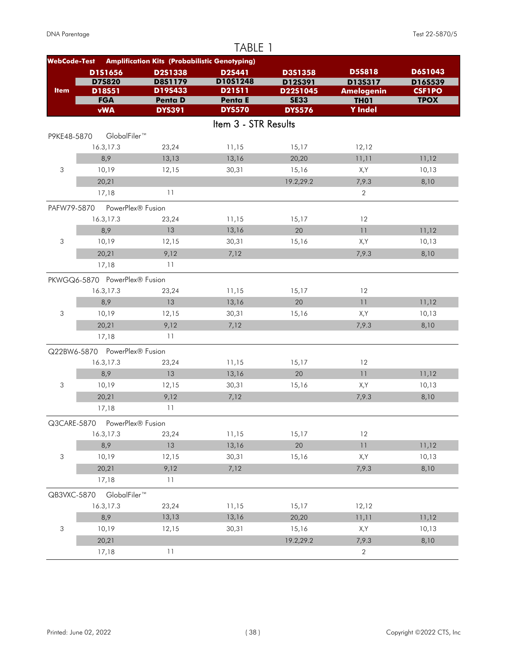|                           |                               |                                                      | TABLE 1                  |                              |                                                                |                |
|---------------------------|-------------------------------|------------------------------------------------------|--------------------------|------------------------------|----------------------------------------------------------------|----------------|
| <b>WebCode-Test</b>       |                               | <b>Amplification Kits (Probabilistic Genotyping)</b> |                          |                              |                                                                |                |
|                           | D1S1656                       | D2S1338                                              | D2S441                   | D3S1358                      | <b>D5S818</b>                                                  | D6S1043        |
|                           | <b>D75820</b>                 | <b>D8S1179</b>                                       | D10S1248                 | D12S391                      | D135317                                                        | D16S539        |
| <b>Item</b>               | D18S51                        | D19S433                                              | D21511                   | D22S1045                     | <b>Amelogenin</b>                                              | <b>CSF1PO</b>  |
|                           | <b>FGA</b><br><b>vWA</b>      | <b>Penta D</b><br><b>DYS391</b>                      | Penta E<br><b>DYS570</b> | <b>SE33</b><br><b>DYS576</b> | <b>TH01</b><br><b>Y</b> Indel                                  | <b>TPOX</b>    |
|                           |                               |                                                      |                          |                              |                                                                |                |
|                           |                               |                                                      | Item 3 - STR Results     |                              |                                                                |                |
| P9KE48-5870               | GlobalFiler™                  |                                                      |                          |                              |                                                                |                |
|                           | 16.3,17.3                     | 23,24                                                | 11,15                    | 15,17                        | 12,12                                                          |                |
|                           | 8,9                           | 13,13                                                | 13,16                    | 20,20                        | 11,11                                                          | 11,12          |
| 3                         | 10,19                         | 12,15                                                | 30,31                    | 15,16                        | X,Y                                                            | 10,13          |
|                           | 20,21                         |                                                      |                          | 19.2,29.2                    | 7,9.3                                                          | 8,10           |
|                           | 17,18                         | 11                                                   |                          |                              | $\overline{2}$                                                 |                |
| PAFW79-5870               | PowerPlex® Fusion             |                                                      |                          |                              |                                                                |                |
|                           | 16.3,17.3                     | 23,24                                                | 11,15                    | 15,17                        | 12                                                             |                |
|                           | 8,9                           | 13                                                   | 13,16                    | 20                           | 11                                                             | 11,12          |
| 3                         | 10,19                         | 12,15                                                | 30,31                    | 15,16                        | X,Y                                                            | 10,13          |
|                           | 20,21                         | 9,12                                                 | 7,12                     |                              | 7,9.3                                                          | 8,10           |
|                           | 17,18                         | 11                                                   |                          |                              |                                                                |                |
|                           | PKWGQ6-5870 PowerPlex® Fusion |                                                      |                          |                              |                                                                |                |
|                           | 16.3,17.3                     | 23,24                                                | 11,15                    | 15,17                        | 12                                                             |                |
|                           | 8,9                           | 13                                                   | 13,16                    | 20                           | 11                                                             | 11,12          |
| 3                         | 10,19                         | 12,15                                                | 30,31                    | 15,16                        | X,Y                                                            | 10,13          |
|                           | 20,21                         | 9,12                                                 | 7,12                     |                              | 7,9.3                                                          | 8,10           |
|                           | 17,18                         | 11                                                   |                          |                              |                                                                |                |
|                           |                               |                                                      |                          |                              |                                                                |                |
|                           | Q22BW6-5870 PowerPlex® Fusion |                                                      |                          |                              | 12                                                             |                |
|                           | 16.3,17.3<br>8,9              | 23,24<br>13                                          | 11,15                    | 15,17<br>20                  | 11                                                             |                |
| 3                         | 10,19                         | 12,15                                                | 13,16<br>30,31           | 15,16                        |                                                                | 11,12<br>10,13 |
|                           |                               |                                                      |                          |                              | X,Y                                                            |                |
|                           | 20,21                         | 9,12                                                 | 7,12                     |                              | 7,9.3                                                          | 8,10           |
|                           | 17,18                         | 11                                                   |                          |                              |                                                                |                |
| Q3CARE-5870               | PowerPlex® Fusion             |                                                      |                          |                              |                                                                |                |
|                           | 16.3,17.3                     | 23,24                                                | 11,15                    | 15,17                        | 12                                                             |                |
|                           | 8,9                           | 13                                                   | 13,16                    | 20                           | $\ensuremath{\mathsf{1}}\xspace\ensuremath{\mathsf{1}}\xspace$ | 11,12          |
| $\sqrt{3}$                | 10,19                         | 12,15                                                | 30,31                    | 15,16                        | X,Y                                                            | 10,13          |
|                           | 20,21                         | 9,12                                                 | 7,12                     |                              | 7,9.3                                                          | 8,10           |
|                           | 17,18                         | 11                                                   |                          |                              |                                                                |                |
| QB3VXC-5870               | GlobalFiler™                  |                                                      |                          |                              |                                                                |                |
|                           | 16.3,17.3                     | 23,24                                                | 11,15                    | 15,17                        | 12,12                                                          |                |
|                           | 8,9                           | 13,13                                                | 13,16                    | 20,20                        | 11,11                                                          | 11,12          |
| $\ensuremath{\mathsf{3}}$ | 10,19                         | 12,15                                                | 30,31                    | 15,16                        | X,Y                                                            | 10,13          |
|                           | 20,21                         |                                                      |                          | 19.2,29.2                    | 7,9.3                                                          | 8,10           |
|                           | 17,18                         | 11                                                   |                          |                              | $\overline{2}$                                                 |                |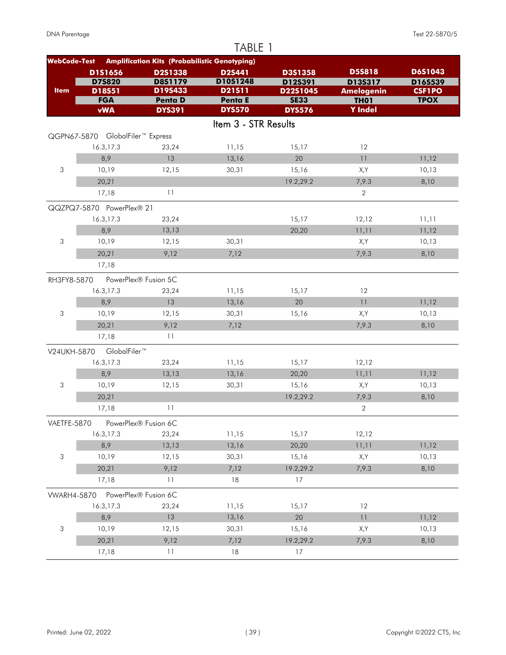|                           |                                  |                                                      | TABLE 1              |                     |                              |                          |
|---------------------------|----------------------------------|------------------------------------------------------|----------------------|---------------------|------------------------------|--------------------------|
| <b>WebCode-Test</b>       |                                  | <b>Amplification Kits (Probabilistic Genotyping)</b> |                      |                     |                              |                          |
|                           | D1S1656                          | D2S1338                                              | D2S441               | D3S1358             | <b>D5S818</b>                | D6S1043                  |
| <b>Item</b>               | <b>D75820</b><br>D18S51          | D8S1179<br>D19S433                                   | D10S1248<br>D21511   | D12S391<br>D22S1045 | D13S317<br><b>Amelogenin</b> | D16S539<br><b>CSF1PO</b> |
|                           | <b>FGA</b>                       | Penta D                                              | Penta E              | <b>SE33</b>         | <b>TH01</b>                  | <b>TPOX</b>              |
|                           | <b>vWA</b>                       | <b>DYS391</b>                                        | <b>DYS570</b>        | <b>DYS576</b>       | <b>Y</b> Indel               |                          |
|                           |                                  |                                                      | Item 3 - STR Results |                     |                              |                          |
|                           | QGPN67-5870 GlobalFiler™ Express |                                                      |                      |                     |                              |                          |
|                           | 16.3, 17.3                       | 23,24                                                | 11,15                | 15,17               | 12                           |                          |
|                           | 8,9                              | 13                                                   | 13,16                | 20                  | 11                           | 11,12                    |
| 3                         | 10,19                            | 12,15                                                | 30,31                | 15,16               | X,Y                          | 10,13                    |
|                           | 20,21                            |                                                      |                      | 19.2,29.2           | 7,9.3                        | 8,10                     |
|                           | 17,18                            | 11                                                   |                      |                     | $\overline{2}$               |                          |
|                           | QQZPQ7-5870 PowerPlex® 21        |                                                      |                      |                     |                              |                          |
|                           | 16.3, 17.3                       | 23,24                                                |                      | 15,17               | 12,12                        | 11,11                    |
|                           | 8,9                              | 13,13                                                |                      | 20,20               | 11,11                        | 11,12                    |
| 3                         | 10,19                            | 12,15                                                | 30,31                |                     | X,Y                          | 10,13                    |
|                           | 20,21                            | 9,12                                                 | 7,12                 |                     | 7,9.3                        | 8,10                     |
|                           | 17,18                            |                                                      |                      |                     |                              |                          |
| RH3FY8-5870               |                                  | PowerPlex® Fusion 5C                                 |                      |                     |                              |                          |
|                           | 16.3,17.3                        | 23,24                                                | 11,15                | 15,17               | 12                           |                          |
|                           | 8,9                              | 13                                                   | 13,16                | 20                  | 11                           | 11,12                    |
| 3                         | 10,19                            | 12,15                                                | 30,31                | 15,16               | X,Y                          | 10,13                    |
|                           | 20,21                            | 9,12                                                 | 7,12                 |                     | 7,9.3                        | 8,10                     |
|                           | 17,18                            | 11                                                   |                      |                     |                              |                          |
| V24UKH-5870               | GlobalFiler™                     |                                                      |                      |                     |                              |                          |
|                           | 16.3,17.3                        | 23,24                                                | 11,15                | 15,17               | 12,12                        |                          |
|                           | 8,9                              | 13,13                                                | 13,16                | 20,20               | 11,11                        | 11,12                    |
| 3                         | 10,19                            | 12,15                                                | 30,31                | 15,16               | X,Y                          | 10,13                    |
|                           | 20,21                            |                                                      |                      | 19.2,29.2           | 7,9.3                        | 8,10                     |
|                           | 17,18                            | 11                                                   |                      |                     | $\sqrt{2}$                   |                          |
| VAETFE-5870               |                                  | PowerPlex® Fusion 6C                                 |                      |                     |                              |                          |
|                           | 16.3,17.3                        | 23,24                                                | 11,15                | 15,17               | 12,12                        |                          |
|                           | 8,9                              | 13,13                                                | 13,16                | 20,20               | 11,11                        | 11,12                    |
| $\ensuremath{\mathsf{3}}$ | 10,19                            | 12,15                                                | 30,31                | 15,16               | X,Y                          | 10,13                    |
|                           | 20,21                            | 9,12                                                 | 7,12                 | 19.2,29.2           | 7,9.3                        | 8,10                     |
|                           | 17,18                            | 11                                                   | 18                   | 17                  |                              |                          |
| <b>VWARH4-5870</b>        |                                  | PowerPlex® Fusion 6C                                 |                      |                     |                              |                          |
|                           | 16.3,17.3                        | 23,24                                                | 11,15                | 15,17               | 12                           |                          |
|                           | 8,9                              | 13                                                   | 13,16                | 20                  | 11                           | 11,12                    |
| 3                         | 10,19                            | 12,15                                                | 30,31                | 15,16               | X,Y                          | 10,13                    |
|                           | 20,21                            | 9,12                                                 | 7,12                 | 19.2,29.2           | 7,9.3                        | 8,10                     |
|                           | 17,18                            | $\overline{11}$                                      | 18                   | 17                  |                              |                          |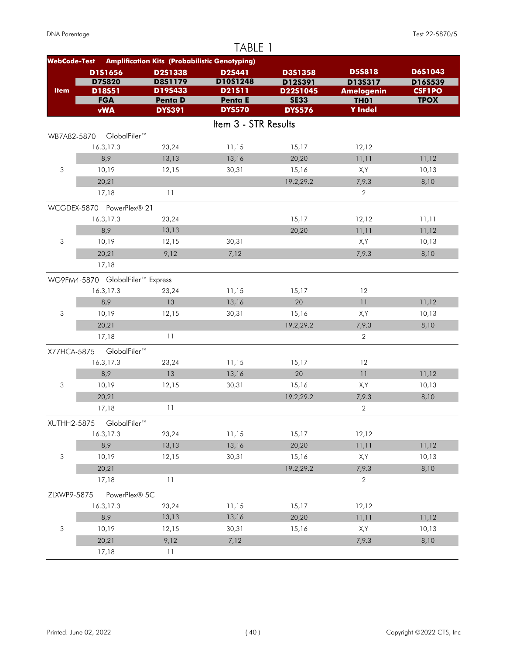|                           |                                  |                                                      | TABLE 1              |                         |                                  |                              |
|---------------------------|----------------------------------|------------------------------------------------------|----------------------|-------------------------|----------------------------------|------------------------------|
| <b>WebCode-Test</b>       |                                  | <b>Amplification Kits (Probabilistic Genotyping)</b> |                      |                         |                                  |                              |
|                           | D1S1656                          | D2S1338                                              | <b>D2S441</b>        | <b>D3S1358</b>          | <b>D5S818</b>                    | D6S1043                      |
|                           | <b>D75820</b>                    | <b>D8S1179</b><br>D19S433                            | D10S1248             | D12S391                 | D13S317                          | D16S539                      |
| <b>Item</b>               | D18S51<br><b>FGA</b>             | <b>Penta D</b>                                       | D21511<br>Penta E    | D22S1045<br><b>SE33</b> | <b>Amelogenin</b><br><b>TH01</b> | <b>CSF1PO</b><br><b>TPOX</b> |
|                           | <b>vWA</b>                       | <b>DYS391</b>                                        | <b>DYS570</b>        | <b>DYS576</b>           | <b>Y</b> Indel                   |                              |
|                           |                                  |                                                      | Item 3 - STR Results |                         |                                  |                              |
| WB7A82-5870               | GlobalFiler™                     |                                                      |                      |                         |                                  |                              |
|                           | 16.3,17.3                        | 23,24                                                | 11,15                | 15,17                   | 12,12                            |                              |
|                           | 8,9                              | 13,13                                                | 13,16                | 20,20                   | 11,11                            | 11,12                        |
| 3                         | 10,19                            | 12,15                                                | 30,31                | 15,16                   | X,Y                              | 10,13                        |
|                           | 20,21                            |                                                      |                      | 19.2,29.2               | 7,9.3                            | 8,10                         |
|                           | 17,18                            | 11                                                   |                      |                         | $\overline{2}$                   |                              |
|                           | WCGDEX-5870 PowerPlex® 21        |                                                      |                      |                         |                                  |                              |
|                           | 16.3,17.3                        | 23,24                                                |                      | 15,17                   | 12,12                            | 11,11                        |
|                           | 8,9                              | 13,13                                                |                      | 20,20                   | 11,11                            | 11,12                        |
| 3                         | 10,19                            | 12,15                                                | 30,31                |                         | X,Y                              | 10,13                        |
|                           | 20,21                            | 9,12                                                 | 7,12                 |                         | 7,9.3                            | 8,10                         |
|                           | 17,18                            |                                                      |                      |                         |                                  |                              |
|                           | WG9FM4-5870 GlobalFiler™ Express |                                                      |                      |                         |                                  |                              |
|                           | 16.3,17.3                        | 23,24                                                | 11,15                | 15,17                   | 12                               |                              |
|                           | 8,9                              | 13                                                   | 13,16                | 20                      | 11                               | 11,12                        |
| 3                         | 10,19                            | 12,15                                                | 30,31                | 15,16                   | X,Y                              | 10,13                        |
|                           | 20,21                            |                                                      |                      | 19.2,29.2               | 7,9.3                            | 8,10                         |
|                           | 17,18                            | 11                                                   |                      |                         | $\overline{2}$                   |                              |
| X77HCA-5875               | GlobalFiler™                     |                                                      |                      |                         |                                  |                              |
|                           | 16.3,17.3                        | 23,24                                                | 11,15                | 15,17                   | 12                               |                              |
|                           | 8,9                              | 13                                                   | 13,16                | 20                      | 11                               | 11,12                        |
| 3                         | 10,19                            | 12,15                                                | 30,31                | 15,16                   | X,Y                              | 10,13                        |
|                           | 20,21                            |                                                      |                      | 19.2,29.2               | 7,9.3                            | 8,10                         |
|                           | 17,18                            | 11                                                   |                      |                         | $\overline{2}$                   |                              |
| XUTHH2-5875               | GlobalFiler™                     |                                                      |                      |                         |                                  |                              |
|                           | 16.3,17.3                        | 23,24                                                | 11,15                | 15,17                   | 12,12                            |                              |
|                           | 8,9                              | 13,13                                                | 13,16                | 20,20                   | 11,11                            | 11,12                        |
| $\ensuremath{\mathsf{3}}$ | 10,19                            | 12,15                                                | 30,31                | 15,16                   | X,Y                              | 10,13                        |
|                           | 20,21                            |                                                      |                      | 19.2,29.2               | 7,9.3                            | 8,10                         |
|                           | 17,18                            | 11                                                   |                      |                         | $\mathbf{2}$                     |                              |
| ZLXWP9-5875               | PowerPlex® 5C                    |                                                      |                      |                         |                                  |                              |
|                           | 16.3,17.3                        | 23,24                                                | 11,15                | 15,17                   | 12,12                            |                              |
|                           | 8,9                              | 13,13                                                | 13,16                | 20,20                   | 11,11                            | 11,12                        |
| 3                         | 10,19                            | 12,15                                                | 30,31                | 15,16                   | X,Y                              | 10,13                        |
|                           | 20,21                            | 9,12                                                 | 7,12                 |                         | 7,9.3                            | 8,10                         |
|                           | 17,18                            | 11                                                   |                      |                         |                                  |                              |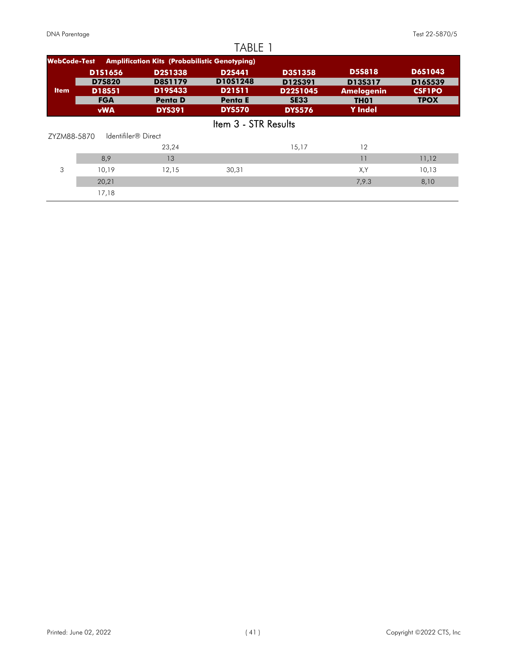|                     |                      |                                                      | TABLE 1                         |                         |                                       |                              |
|---------------------|----------------------|------------------------------------------------------|---------------------------------|-------------------------|---------------------------------------|------------------------------|
| <b>WebCode-Test</b> |                      | <b>Amplification Kits (Probabilistic Genotyping)</b> |                                 |                         |                                       |                              |
|                     | <b>D1S1656</b>       | <b>D2S1338</b>                                       | D2S441                          | <b>D3S1358</b>          | <b>D5S818</b>                         | <b>D6S1043</b>               |
| <b>Item</b>         | <b>D7S820</b>        | <b>D8S1179</b><br>D19S433                            | D10S1248                        | D12S391                 | D13S317                               | D16S539                      |
|                     | D18S51<br><b>FGA</b> | <b>Penta D</b>                                       | <b>D21511</b><br><b>Penta E</b> | D22S1045<br><b>SE33</b> | <b>Amelogenin</b><br>TH <sub>01</sub> | <b>CSF1PO</b><br><b>TPOX</b> |
|                     | <b>vWA</b>           | <b>DYS391</b>                                        | <b>DYS570</b>                   | <b>DYS576</b>           | <b>Y</b> Indel                        |                              |
|                     |                      |                                                      | Item 3 - STR Results            |                         |                                       |                              |
| ZYZM88-5870         | Identifiler® Direct  |                                                      |                                 |                         |                                       |                              |
|                     |                      | 23,24                                                |                                 | 15,17                   | 12                                    |                              |
|                     | 8,9                  | 13                                                   |                                 |                         | 11                                    | 11,12                        |
| 3                   | 10,19                | 12,15                                                | 30,31                           |                         | X,Y                                   | 10,13                        |
|                     | 20,21                |                                                      |                                 |                         | 7,9.3                                 | 8,10                         |
|                     | 17,18                |                                                      |                                 |                         |                                       |                              |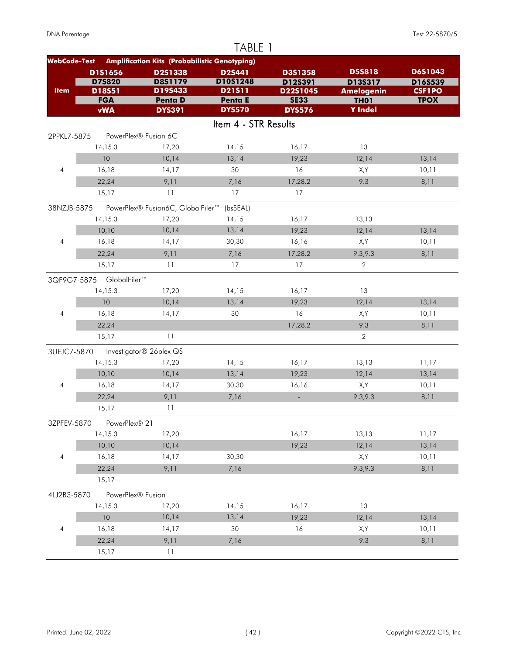|                     |                          |                                                      | TABLE 1              |                         |                                  |                              |
|---------------------|--------------------------|------------------------------------------------------|----------------------|-------------------------|----------------------------------|------------------------------|
| <b>WebCode-Test</b> |                          | <b>Amplification Kits (Probabilistic Genotyping)</b> |                      |                         |                                  |                              |
|                     | D1S1656                  | D2S1338                                              | D2S441               | D3S1358                 | <b>D5S818</b>                    | D6S1043                      |
|                     | <b>D75820</b>            | <b>D8S1179</b>                                       | D10S1248             | D12S391                 | D13S317                          | D16S539                      |
| <b>Item</b>         | D18S51<br><b>FGA</b>     | D19S433<br><b>Penta D</b>                            | D21511<br>Penta E    | D22S1045<br><b>SE33</b> | <b>Amelogenin</b><br><b>TH01</b> | <b>CSF1PO</b><br><b>TPOX</b> |
|                     | <b>vWA</b>               | <b>DYS391</b>                                        | <b>DYS570</b>        | <b>DYS576</b>           | <b>Y</b> Indel                   |                              |
|                     |                          |                                                      | Item 4 - STR Results |                         |                                  |                              |
| 2PPKL7-5875         |                          | PowerPlex® Fusion 6C                                 |                      |                         |                                  |                              |
|                     | 14,15.3                  | 17,20                                                | 14,15                | 16,17                   | 13                               |                              |
|                     | 10                       | 10,14                                                | 13,14                | 19,23                   | 12,14                            | 13,14                        |
| $\overline{4}$      | 16,18                    | 14,17                                                | 30                   | 16                      | X,Y                              | 10,11                        |
|                     | 22,24                    | 9,11                                                 | 7,16                 | 17,28.2                 | 9.3                              | 8,11                         |
|                     | 15,17                    | 11                                                   | 17                   | 17                      |                                  |                              |
| 38NZJB-5875         |                          | PowerPlex® Fusion6C, GlobalFiler™                    | (bsSEAL)             |                         |                                  |                              |
|                     | 14, 15.3                 | 17,20                                                | 14,15                | 16,17                   | 13,13                            |                              |
|                     | 10,10                    | 10,14                                                | 13,14                | 19,23                   | 12,14                            | 13,14                        |
| $\overline{4}$      | 16,18                    | 14,17                                                | 30,30                | 16,16                   | X,Y                              | 10,11                        |
|                     | 22,24                    | 9,11                                                 | 7,16                 | 17,28.2                 | 9.3, 9.3                         | 8,11                         |
|                     | 15,17                    | 11                                                   | 17                   | 17                      | 2                                |                              |
|                     | 3QF9G7-5875 GlobalFiler™ |                                                      |                      |                         |                                  |                              |
|                     | 14, 15.3                 | 17,20                                                | 14,15                | 16,17                   | 13                               |                              |
|                     | 10                       | 10,14                                                | 13,14                | 19,23                   | 12,14                            | 13,14                        |
| $\overline{4}$      | 16,18                    | 14,17                                                | 30                   | 16                      | X,Y                              | 10,11                        |
|                     | 22,24                    |                                                      |                      | 17,28.2                 | 9.3                              | 8,11                         |
|                     | 15,17                    | 11                                                   |                      |                         | $\sqrt{2}$                       |                              |
|                     |                          |                                                      |                      |                         |                                  |                              |
| 3UEJC7-5870         |                          | Investigator® 26plex QS                              |                      |                         |                                  |                              |
|                     | 14,15.3                  | 17,20                                                | 14,15                | 16,17                   | 13,13                            | 11,17                        |
|                     | 10,10                    | 10,14                                                | 13,14                | 19,23                   | 12,14                            | 13,14                        |
| 4                   | 16,18                    | 14,17                                                | 30,30                | 16,16                   | X,Y                              | 10,11                        |
|                     | 22,24                    | 9,11                                                 | 7,16                 | $\omega$                | 9.3,9.3                          | 8,11                         |
|                     | 15,17                    | 11                                                   |                      |                         |                                  |                              |
| 3ZPFEV-5870         | PowerPlex® 21            |                                                      |                      |                         |                                  |                              |
|                     | 14,15.3                  | 17,20                                                |                      | 16,17                   | 13,13                            | 11,17                        |
|                     | 10,10                    | 10,14                                                |                      | 19,23                   | 12,14                            | 13,14                        |
| $\overline{4}$      | 16,18                    | 14,17                                                | 30,30                |                         | X,Y                              | 10,11                        |
|                     | 22,24                    | 9,11                                                 | 7,16                 |                         | 9.3,9.3                          | 8,11                         |
|                     | 15,17                    |                                                      |                      |                         |                                  |                              |
| 4LJ2B3-5870         | PowerPlex® Fusion        |                                                      |                      |                         |                                  |                              |
|                     | 14,15.3                  | 17,20                                                | 14,15                | 16,17                   | 13                               |                              |
|                     | 10                       | 10,14                                                | 13,14                | 19,23                   | 12,14                            | 13,14                        |
| 4                   | 16,18                    | 14,17                                                | 30                   | 16                      | X,Y                              | 10,11                        |
|                     | 22,24                    | 9,11                                                 | 7,16                 |                         | 9.3                              | 8,11                         |
|                     | 15,17                    | $11$                                                 |                      |                         |                                  |                              |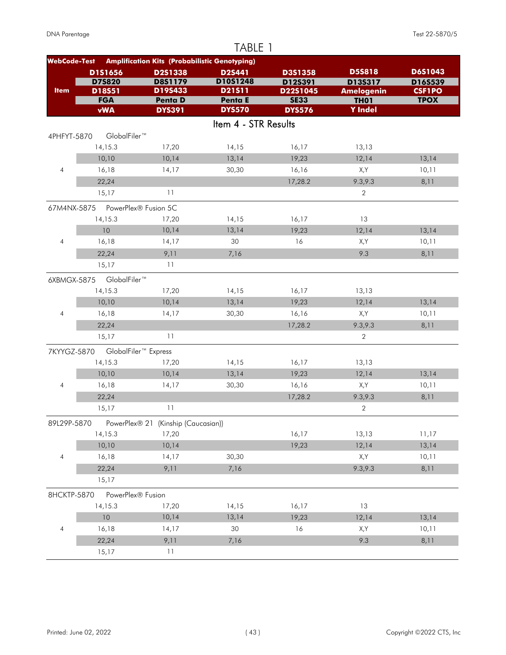|                     |                      |                                                      | TABLE 1                  |                         |                                  |                              |
|---------------------|----------------------|------------------------------------------------------|--------------------------|-------------------------|----------------------------------|------------------------------|
| <b>WebCode-Test</b> |                      | <b>Amplification Kits (Probabilistic Genotyping)</b> |                          |                         |                                  |                              |
|                     | D1S1656              | D2S1338                                              | D2S441                   | D3S1358                 | <b>D5S818</b>                    | D6S1043                      |
|                     | <b>D75820</b>        | <b>D8S1179</b>                                       | D10S1248                 | D12S391                 | D13S317                          | D16S539                      |
| <b>Item</b>         | D18S51<br><b>FGA</b> | D19S433<br><b>Penta D</b>                            | D21511<br><b>Penta E</b> | D22S1045<br><b>SE33</b> | <b>Amelogenin</b><br><b>TH01</b> | <b>CSF1PO</b><br><b>TPOX</b> |
|                     | <b>vWA</b>           | <b>DYS391</b>                                        | <b>DYS570</b>            | <b>DYS576</b>           | <b>Y</b> Indel                   |                              |
|                     |                      |                                                      | Item 4 - STR Results     |                         |                                  |                              |
| 4PHFYT-5870         | GlobalFiler™         |                                                      |                          |                         |                                  |                              |
|                     | 14, 15.3             | 17,20                                                | 14,15                    | 16,17                   | 13,13                            |                              |
|                     | 10,10                | 10,14                                                | 13,14                    | 19,23                   | 12,14                            | 13,14                        |
| $\overline{4}$      | 16,18                | 14,17                                                | 30,30                    | 16,16                   | X,Y                              | 10,11                        |
|                     | 22,24                |                                                      |                          | 17,28.2                 | 9.3, 9.3                         | 8,11                         |
|                     | 15,17                | 11                                                   |                          |                         | $\overline{2}$                   |                              |
| 67M4NX-5875         |                      | PowerPlex® Fusion 5C                                 |                          |                         |                                  |                              |
|                     | 14, 15.3             | 17,20                                                | 14,15                    | 16,17                   | 13                               |                              |
|                     | 10                   | 10,14                                                | 13,14                    | 19,23                   | 12,14                            | 13,14                        |
| $\overline{4}$      | 16,18                | 14,17                                                | 30                       | 16                      | X,Y                              | 10,11                        |
|                     | 22,24                | 9,11                                                 | 7,16                     |                         | 9.3                              | 8,11                         |
|                     | 15,17                | 11                                                   |                          |                         |                                  |                              |
| 6XBMGX-5875         | GlobalFiler™         |                                                      |                          |                         |                                  |                              |
|                     | 14, 15.3             | 17,20                                                | 14,15                    | 16,17                   | 13,13                            |                              |
|                     | 10,10                | 10,14                                                | 13,14                    | 19,23                   | 12,14                            | 13,14                        |
| $\overline{4}$      | 16,18                | 14,17                                                | 30,30                    | 16,16                   | X,Y                              | 10,11                        |
|                     | 22,24                |                                                      |                          | 17,28.2                 | 9.3,9.3                          | 8,11                         |
|                     | 15,17                | 11                                                   |                          |                         | $\mathbf{2}$                     |                              |
| 7KYYGZ-5870         |                      | GlobalFiler <sup>™</sup> Express                     |                          |                         |                                  |                              |
|                     | 14, 15.3             | 17,20                                                | 14,15                    | 16,17                   | 13,13                            |                              |
|                     | 10,10                | 10,14                                                | 13,14                    | 19,23                   | 12,14                            | 13,14                        |
| 4                   | 16,18                | 14,17                                                | 30,30                    | 16,16                   | X,Y                              | 10,11                        |
|                     | 22,24                |                                                      |                          | 17,28.2                 | 9.3,9.3                          | 8,11                         |
|                     | 15,17                | 11                                                   |                          |                         | $\overline{2}$                   |                              |
| 89L29P-5870         |                      | PowerPlex® 21 (Kinship (Caucasian))                  |                          |                         |                                  |                              |
|                     | 14,15.3              | 17,20                                                |                          | 16,17                   | 13,13                            | 11,17                        |
|                     | 10,10                | 10,14                                                |                          | 19,23                   | 12,14                            | 13,14                        |
| $\overline{4}$      | 16,18                | 14,17                                                | 30,30                    |                         | X,Y                              | 10,11                        |
|                     | 22,24                | 9,11                                                 | 7,16                     |                         | 9.3,9.3                          | 8,11                         |
|                     | 15,17                |                                                      |                          |                         |                                  |                              |
| 8HCKTP-5870         | PowerPlex® Fusion    |                                                      |                          |                         |                                  |                              |
|                     | 14,15.3              | 17,20                                                | 14,15                    | 16,17                   | 13                               |                              |
|                     | 10                   | 10,14                                                | 13,14                    | 19,23                   | 12,14                            | 13,14                        |
| 4                   | 16,18                | 14,17                                                | 30                       | 16                      | X,Y                              | 10,11                        |
|                     | 22,24                | 9,11                                                 | 7,16                     |                         | 9.3                              | 8,11                         |
|                     | 15,17                | $11$                                                 |                          |                         |                                  |                              |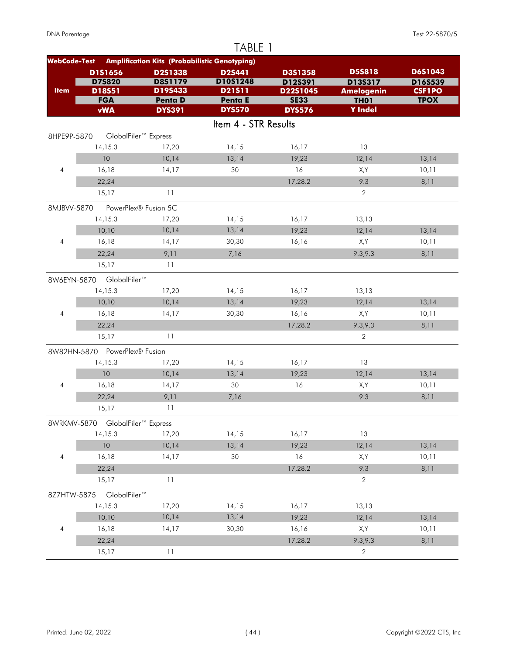|                     |                                             |                                                      | TABLE 1              |                         |                                  |                              |
|---------------------|---------------------------------------------|------------------------------------------------------|----------------------|-------------------------|----------------------------------|------------------------------|
| <b>WebCode-Test</b> |                                             | <b>Amplification Kits (Probabilistic Genotyping)</b> |                      |                         |                                  |                              |
|                     | D1S1656                                     | D2S1338                                              | <b>D2S441</b>        | D3S1358                 | <b>D5S818</b>                    | D6S1043                      |
|                     | <b>D75820</b>                               | <b>D8S1179</b><br>D19S433                            | D10S1248             | D12S391                 | D13S317                          | D16S539                      |
| <b>Item</b>         | D18S51<br><b>FGA</b>                        | <b>Penta D</b>                                       | D21511<br>Penta E    | D22S1045<br><b>SE33</b> | <b>Amelogenin</b><br><b>TH01</b> | <b>CSF1PO</b><br><b>TPOX</b> |
|                     | <b>vWA</b>                                  | <b>DYS391</b>                                        | <b>DYS570</b>        | <b>DYS576</b>           | <b>Y</b> Indel                   |                              |
|                     |                                             |                                                      | Item 4 - STR Results |                         |                                  |                              |
| 8HPE9P-5870         |                                             | GlobalFiler <sup>™</sup> Express                     |                      |                         |                                  |                              |
|                     | 14, 15.3                                    | 17,20                                                | 14,15                | 16,17                   | 13                               |                              |
|                     | 10                                          | 10,14                                                | 13,14                | 19,23                   | 12,14                            | 13,14                        |
| $\overline{4}$      | 16,18                                       | 14,17                                                | 30                   | 16                      | X,Y                              | 10,11                        |
|                     | 22,24                                       |                                                      |                      | 17,28.2                 | 9.3                              | 8,11                         |
|                     | 15,17                                       | 11                                                   |                      |                         | $\overline{2}$                   |                              |
| 8MJBVV-5870         |                                             | PowerPlex® Fusion 5C                                 |                      |                         |                                  |                              |
|                     | 14,15.3                                     | 17,20                                                | 14,15                | 16,17                   | 13,13                            |                              |
|                     | 10,10                                       | 10,14                                                | 13,14                | 19,23                   | 12,14                            | 13,14                        |
| $\overline{4}$      | 16,18                                       | 14,17                                                | 30,30                | 16,16                   | X,Y                              | 10,11                        |
|                     | 22,24                                       | 9,11                                                 | 7,16                 |                         | 9.3, 9.3                         | 8,11                         |
|                     | 15,17                                       | 11                                                   |                      |                         |                                  |                              |
| 8W6EYN-5870         | GlobalFiler™                                |                                                      |                      |                         |                                  |                              |
|                     | 14,15.3                                     | 17,20                                                | 14,15                | 16,17                   | 13,13                            |                              |
|                     | 10,10                                       | 10,14                                                | 13,14                | 19,23                   | 12,14                            | 13,14                        |
| $\overline{4}$      | 16,18                                       | 14,17                                                | 30,30                | 16,16                   | X,Y                              | 10,11                        |
|                     | 22,24                                       |                                                      |                      | 17,28.2                 | 9.3, 9.3                         | 8,11                         |
|                     | 15,17                                       | 11                                                   |                      |                         | $\overline{2}$                   |                              |
|                     | 8W82HN-5870 PowerPlex® Fusion               |                                                      |                      |                         |                                  |                              |
|                     | 14, 15.3                                    | 17,20                                                | 14,15                | 16,17                   | 13                               |                              |
|                     | 10                                          | 10,14                                                | 13,14                | 19,23                   | 12,14                            | 13,14                        |
| 4                   | 16,18                                       | 14,17                                                | 30                   | 16                      | X,Y                              | 10,11                        |
|                     | 22,24                                       | 9,11                                                 | 7,16                 |                         | 9.3                              | 8,11                         |
|                     | 15,17                                       | 11                                                   |                      |                         |                                  |                              |
|                     |                                             |                                                      |                      |                         |                                  |                              |
|                     | 8WRKMV-5870 GlobalFiler™ Express<br>14,15.3 | 17,20                                                | 14,15                | 16,17                   | 13                               |                              |
|                     | 10                                          | 10,14                                                | 13,14                | 19,23                   | 12,14                            | 13,14                        |
| $\overline{4}$      | 16,18                                       | 14,17                                                | 30                   | 16                      | X,Y                              | 10,11                        |
|                     | 22,24                                       |                                                      |                      | 17,28.2                 | 9.3                              | 8,11                         |
|                     | 15,17                                       | 11                                                   |                      |                         | $\mathbf 2$                      |                              |
|                     |                                             |                                                      |                      |                         |                                  |                              |
| 8Z7HTW-5875         | GlobalFiler™                                |                                                      |                      |                         |                                  |                              |
|                     | 14,15.3                                     | 17,20                                                | 14,15                | 16,17                   | 13,13                            |                              |
|                     | 10,10                                       | 10,14                                                | 13,14                | 19,23                   | 12,14                            | 13,14                        |
| 4                   | 16,18                                       | 14,17                                                | 30,30                | 16,16                   | X,Y                              | 10,11                        |
|                     | 22,24                                       |                                                      |                      | 17,28.2                 | 9.3,9.3                          | 8,11                         |
|                     | 15,17                                       | $11\,$                                               |                      |                         | $\sqrt{2}$                       |                              |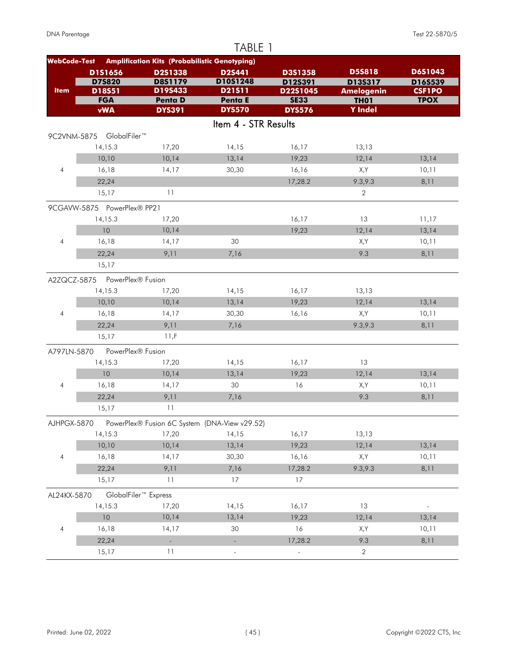|                          |                               |                                                      | TABLE 1                  |                         |                                  |                              |
|--------------------------|-------------------------------|------------------------------------------------------|--------------------------|-------------------------|----------------------------------|------------------------------|
| <b>WebCode-Test</b>      |                               | <b>Amplification Kits (Probabilistic Genotyping)</b> |                          |                         |                                  |                              |
|                          | D1S1656                       | D2S1338                                              | <b>D2S441</b>            | <b>D3S1358</b>          | <b>D5S818</b>                    | D6S1043                      |
|                          | <b>D7S820</b>                 | <b>D8S1179</b><br>D19S433                            | D10S1248                 | D12S391                 | D13S317                          | D16S539                      |
| <b>Item</b>              | D18S51<br><b>FGA</b>          | <b>Penta D</b>                                       | D21511<br>Penta E        | D22S1045<br><b>SE33</b> | <b>Amelogenin</b><br><b>TH01</b> | <b>CSF1PO</b><br><b>TPOX</b> |
|                          | <b>vWA</b>                    | <b>DYS391</b>                                        | <b>DYS570</b>            | <b>DYS576</b>           | <b>Y</b> Indel                   |                              |
|                          |                               |                                                      | Item 4 - STR Results     |                         |                                  |                              |
|                          | 9C2VNM-5875 GlobalFiler™      |                                                      |                          |                         |                                  |                              |
|                          | 14, 15.3                      | 17,20                                                | 14,15                    | 16,17                   | 13,13                            |                              |
|                          | 10,10                         | 10,14                                                | 13,14                    | 19,23                   | 12,14                            | 13,14                        |
| $\overline{4}$           | 16,18                         | 14,17                                                | 30,30                    | 16,16                   | X,Y                              | 10,11                        |
|                          | 22,24                         |                                                      |                          | 17,28.2                 | 9.3, 9.3                         | 8,11                         |
|                          | 15,17                         | 11                                                   |                          |                         | 2                                |                              |
|                          | 9CGAVW-5875 PowerPlex® PP21   |                                                      |                          |                         |                                  |                              |
|                          | 14, 15.3                      | 17,20                                                |                          | 16,17                   | 13                               | 11,17                        |
|                          | 10                            | 10,14                                                |                          | 19,23                   | 12,14                            | 13,14                        |
| $\overline{4}$           | 16,18                         | 14,17                                                | 30                       |                         | X,Y                              | 10,11                        |
|                          | 22,24                         | 9,11                                                 | 7,16                     |                         | 9.3                              | 8,11                         |
|                          | 15.17                         |                                                      |                          |                         |                                  |                              |
|                          | A2ZQCZ-5875 PowerPlex® Fusion |                                                      |                          |                         |                                  |                              |
|                          | 14,15.3                       | 17,20                                                | 14,15                    | 16,17                   | 13,13                            |                              |
|                          | 10,10                         | 10,14                                                | 13,14                    | 19,23                   | 12,14                            | 13,14                        |
| $\overline{4}$           | 16,18                         | 14,17                                                | 30,30                    | 16,16                   | X,Y                              | 10,11                        |
|                          | 22,24                         | 9,11                                                 | 7,16                     |                         | 9.3, 9.3                         | 8,11                         |
|                          | 15,17                         | 11,F                                                 |                          |                         |                                  |                              |
| A797LN-5870              | PowerPlex® Fusion             |                                                      |                          |                         |                                  |                              |
|                          | 14,15.3                       | 17,20                                                | 14,15                    | 16,17                   | 13                               |                              |
|                          | 10                            | 10,14                                                | 13,14                    | 19,23                   | 12,14                            | 13,14                        |
| 4                        | 16,18                         | 14,17                                                | 30                       | 16                      | X,Y                              | 10,11                        |
|                          | 22,24                         | 9,11                                                 | 7,16                     |                         | 9.3                              | 8,11                         |
|                          | 15,17                         | 11                                                   |                          |                         |                                  |                              |
| AJHPGX-5870              |                               | PowerPlex® Fusion 6C System (DNA-View v29.52)        |                          |                         |                                  |                              |
|                          | 14,15.3                       | 17,20                                                | 14,15                    | 16,17                   | 13,13                            |                              |
|                          | 10,10                         | 10,14                                                | 13,14                    | 19,23                   | 12,14                            | 13,14                        |
| $\overline{\mathcal{A}}$ | 16,18                         | 14,17                                                | 30,30                    | 16,16                   | X,Y                              | 10,11                        |
|                          | 22,24                         | 9,11                                                 | 7,16                     | 17,28.2                 | 9.3,9.3                          | 8,11                         |
|                          | 15,17                         | 11                                                   | 17                       | 17                      |                                  |                              |
| AL24KX-5870              |                               | GlobalFiler <sup>™</sup> Express                     |                          |                         |                                  |                              |
|                          | 14,15.3                       | 17,20                                                | 14,15                    | 16,17                   | 13                               |                              |
|                          | 10                            | 10,14                                                | 13,14                    | 19,23                   | 12,14                            | 13,14                        |
| 4                        | 16,18                         | 14,17                                                | 30                       | 16                      | X,Y                              | 10,11                        |
|                          | 22,24                         | $\Box$                                               | $\overline{\phantom{a}}$ | 17,28.2                 | 9.3                              | 8,11                         |
|                          | 15,17                         | 11                                                   |                          |                         | $\sqrt{2}$                       |                              |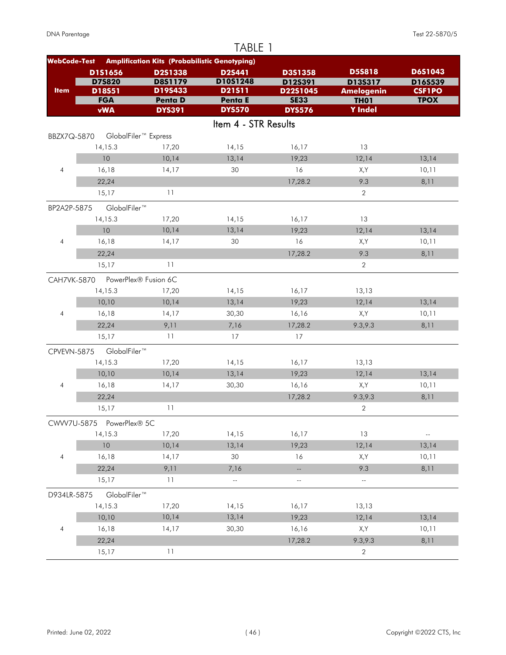| <b>Amplification Kits (Probabilistic Genotyping)</b><br><b>WebCode-Test</b><br><b>D5S818</b><br>D6S1043<br>D1S1656<br>D2S1338<br><b>D2S441</b><br>D3S1358<br>D10S1248<br><b>D75820</b><br><b>D8S1179</b><br>D12S391<br>D13S317<br>D16S539<br>D19S433<br><b>Item</b><br>D21511<br>D18S51<br>D22S1045<br><b>CSF1PO</b><br><b>Amelogenin</b><br><b>FGA</b><br><b>Penta D</b><br><b>TPOX</b><br>Penta E<br><b>SE33</b><br><b>TH01</b><br><b>vWA</b><br><b>Y</b> Indel<br><b>DYS570</b><br><b>DYS391</b><br><b>DYS576</b><br>Item 4 - STR Results<br>GlobalFiler <sup>™</sup> Express<br>BBZX7Q-5870<br>14, 15.3<br>17,20<br>14,15<br>13<br>16,17<br>10<br>10,14<br>13,14<br>19,23<br>12,14<br>13,14<br>$\overline{4}$<br>16,18<br>14,17<br>30<br>16<br>X,Y<br>10,11<br>9.3<br>22,24<br>17,28.2<br>8,11<br>11<br>$\overline{2}$<br>15,17<br>GlobalFiler™<br>BP2A2P-5875<br>14,15.3<br>14,15<br>16,17<br>13<br>17,20<br>10,14<br>13,14<br>10<br>19,23<br>12,14<br>13,14<br>16<br>$\overline{4}$<br>16,18<br>14,17<br>30<br>X,Y<br>10,11<br>9.3<br>22,24<br>17,28.2<br>8,11<br>11<br>15,17<br>$\overline{2}$<br>PowerPlex® Fusion 6C<br>CAH7VK-5870<br>14,15.3<br>17,20<br>14,15<br>13,13<br>16,17<br>10,10<br>10,14<br>13,14<br>19,23<br>12,14<br>13,14<br>$\overline{4}$<br>16,18<br>14,17<br>30,30<br>16,16<br>X,Y<br>10,11<br>22,24<br>9,11<br>7,16<br>17,28.2<br>9.3, 9.3<br>8,11<br>11<br>17<br>15,17<br>17<br>GlobalFiler™<br>CPVEVN-5875<br>14, 15.3<br>14,15<br>13,13<br>17,20<br>16,17<br>10,10<br>10,14<br>13,14<br>19,23<br>12,14<br>13,14<br>30,30<br>4<br>16,18<br>14,17<br>16,16<br>X,Y<br>10,11<br>9.3,9.3<br>22,24<br>17,28.2<br>8,11<br>11<br>$\overline{2}$<br>15,17<br>CWW7U-5875 PowerPlex® 5C<br>16,17<br>13<br>14,15.3<br>17,20<br>14,15<br>н,<br>10<br>10,14<br>19,23<br>13,14<br>12,14<br>13,14<br>$\overline{4}$<br>16,18<br>30<br>X,Y<br>14,17<br>16<br>10,11<br>22,24<br>9,11<br>9.3<br>8,11<br>7,16<br>$\overline{\phantom{a}}$<br>11<br>15,17<br>$\mathbb{L}^2$<br>$\overline{\phantom{a}}$<br>Ξ.<br>GlobalFiler™<br>D934LR-5875<br>14,15.3<br>17,20<br>14,15<br>16,17<br>13,13<br>10,14<br>10,10<br>13,14<br>19,23<br>12,14<br>13,14<br>30,30<br>10,11<br>4<br>16,18<br>14,17<br>16,16<br>X,Y<br>22,24<br>17,28.2<br>9.3, 9.3<br>8,11 |       |    | TABLE 1 |                |  |
|---------------------------------------------------------------------------------------------------------------------------------------------------------------------------------------------------------------------------------------------------------------------------------------------------------------------------------------------------------------------------------------------------------------------------------------------------------------------------------------------------------------------------------------------------------------------------------------------------------------------------------------------------------------------------------------------------------------------------------------------------------------------------------------------------------------------------------------------------------------------------------------------------------------------------------------------------------------------------------------------------------------------------------------------------------------------------------------------------------------------------------------------------------------------------------------------------------------------------------------------------------------------------------------------------------------------------------------------------------------------------------------------------------------------------------------------------------------------------------------------------------------------------------------------------------------------------------------------------------------------------------------------------------------------------------------------------------------------------------------------------------------------------------------------------------------------------------------------------------------------------------------------------------------------------------------------------------------------------------------------------------------------------------------------------------------------------------------------------------------------------------------------------------------------------------------------------------------------------------------------------------------|-------|----|---------|----------------|--|
|                                                                                                                                                                                                                                                                                                                                                                                                                                                                                                                                                                                                                                                                                                                                                                                                                                                                                                                                                                                                                                                                                                                                                                                                                                                                                                                                                                                                                                                                                                                                                                                                                                                                                                                                                                                                                                                                                                                                                                                                                                                                                                                                                                                                                                                               |       |    |         |                |  |
|                                                                                                                                                                                                                                                                                                                                                                                                                                                                                                                                                                                                                                                                                                                                                                                                                                                                                                                                                                                                                                                                                                                                                                                                                                                                                                                                                                                                                                                                                                                                                                                                                                                                                                                                                                                                                                                                                                                                                                                                                                                                                                                                                                                                                                                               |       |    |         |                |  |
|                                                                                                                                                                                                                                                                                                                                                                                                                                                                                                                                                                                                                                                                                                                                                                                                                                                                                                                                                                                                                                                                                                                                                                                                                                                                                                                                                                                                                                                                                                                                                                                                                                                                                                                                                                                                                                                                                                                                                                                                                                                                                                                                                                                                                                                               |       |    |         |                |  |
|                                                                                                                                                                                                                                                                                                                                                                                                                                                                                                                                                                                                                                                                                                                                                                                                                                                                                                                                                                                                                                                                                                                                                                                                                                                                                                                                                                                                                                                                                                                                                                                                                                                                                                                                                                                                                                                                                                                                                                                                                                                                                                                                                                                                                                                               |       |    |         |                |  |
|                                                                                                                                                                                                                                                                                                                                                                                                                                                                                                                                                                                                                                                                                                                                                                                                                                                                                                                                                                                                                                                                                                                                                                                                                                                                                                                                                                                                                                                                                                                                                                                                                                                                                                                                                                                                                                                                                                                                                                                                                                                                                                                                                                                                                                                               |       |    |         |                |  |
|                                                                                                                                                                                                                                                                                                                                                                                                                                                                                                                                                                                                                                                                                                                                                                                                                                                                                                                                                                                                                                                                                                                                                                                                                                                                                                                                                                                                                                                                                                                                                                                                                                                                                                                                                                                                                                                                                                                                                                                                                                                                                                                                                                                                                                                               |       |    |         |                |  |
|                                                                                                                                                                                                                                                                                                                                                                                                                                                                                                                                                                                                                                                                                                                                                                                                                                                                                                                                                                                                                                                                                                                                                                                                                                                                                                                                                                                                                                                                                                                                                                                                                                                                                                                                                                                                                                                                                                                                                                                                                                                                                                                                                                                                                                                               |       |    |         |                |  |
|                                                                                                                                                                                                                                                                                                                                                                                                                                                                                                                                                                                                                                                                                                                                                                                                                                                                                                                                                                                                                                                                                                                                                                                                                                                                                                                                                                                                                                                                                                                                                                                                                                                                                                                                                                                                                                                                                                                                                                                                                                                                                                                                                                                                                                                               |       |    |         |                |  |
|                                                                                                                                                                                                                                                                                                                                                                                                                                                                                                                                                                                                                                                                                                                                                                                                                                                                                                                                                                                                                                                                                                                                                                                                                                                                                                                                                                                                                                                                                                                                                                                                                                                                                                                                                                                                                                                                                                                                                                                                                                                                                                                                                                                                                                                               |       |    |         |                |  |
|                                                                                                                                                                                                                                                                                                                                                                                                                                                                                                                                                                                                                                                                                                                                                                                                                                                                                                                                                                                                                                                                                                                                                                                                                                                                                                                                                                                                                                                                                                                                                                                                                                                                                                                                                                                                                                                                                                                                                                                                                                                                                                                                                                                                                                                               |       |    |         |                |  |
|                                                                                                                                                                                                                                                                                                                                                                                                                                                                                                                                                                                                                                                                                                                                                                                                                                                                                                                                                                                                                                                                                                                                                                                                                                                                                                                                                                                                                                                                                                                                                                                                                                                                                                                                                                                                                                                                                                                                                                                                                                                                                                                                                                                                                                                               |       |    |         |                |  |
|                                                                                                                                                                                                                                                                                                                                                                                                                                                                                                                                                                                                                                                                                                                                                                                                                                                                                                                                                                                                                                                                                                                                                                                                                                                                                                                                                                                                                                                                                                                                                                                                                                                                                                                                                                                                                                                                                                                                                                                                                                                                                                                                                                                                                                                               |       |    |         |                |  |
|                                                                                                                                                                                                                                                                                                                                                                                                                                                                                                                                                                                                                                                                                                                                                                                                                                                                                                                                                                                                                                                                                                                                                                                                                                                                                                                                                                                                                                                                                                                                                                                                                                                                                                                                                                                                                                                                                                                                                                                                                                                                                                                                                                                                                                                               |       |    |         |                |  |
|                                                                                                                                                                                                                                                                                                                                                                                                                                                                                                                                                                                                                                                                                                                                                                                                                                                                                                                                                                                                                                                                                                                                                                                                                                                                                                                                                                                                                                                                                                                                                                                                                                                                                                                                                                                                                                                                                                                                                                                                                                                                                                                                                                                                                                                               |       |    |         |                |  |
|                                                                                                                                                                                                                                                                                                                                                                                                                                                                                                                                                                                                                                                                                                                                                                                                                                                                                                                                                                                                                                                                                                                                                                                                                                                                                                                                                                                                                                                                                                                                                                                                                                                                                                                                                                                                                                                                                                                                                                                                                                                                                                                                                                                                                                                               |       |    |         |                |  |
|                                                                                                                                                                                                                                                                                                                                                                                                                                                                                                                                                                                                                                                                                                                                                                                                                                                                                                                                                                                                                                                                                                                                                                                                                                                                                                                                                                                                                                                                                                                                                                                                                                                                                                                                                                                                                                                                                                                                                                                                                                                                                                                                                                                                                                                               |       |    |         |                |  |
|                                                                                                                                                                                                                                                                                                                                                                                                                                                                                                                                                                                                                                                                                                                                                                                                                                                                                                                                                                                                                                                                                                                                                                                                                                                                                                                                                                                                                                                                                                                                                                                                                                                                                                                                                                                                                                                                                                                                                                                                                                                                                                                                                                                                                                                               |       |    |         |                |  |
|                                                                                                                                                                                                                                                                                                                                                                                                                                                                                                                                                                                                                                                                                                                                                                                                                                                                                                                                                                                                                                                                                                                                                                                                                                                                                                                                                                                                                                                                                                                                                                                                                                                                                                                                                                                                                                                                                                                                                                                                                                                                                                                                                                                                                                                               |       |    |         |                |  |
|                                                                                                                                                                                                                                                                                                                                                                                                                                                                                                                                                                                                                                                                                                                                                                                                                                                                                                                                                                                                                                                                                                                                                                                                                                                                                                                                                                                                                                                                                                                                                                                                                                                                                                                                                                                                                                                                                                                                                                                                                                                                                                                                                                                                                                                               |       |    |         |                |  |
|                                                                                                                                                                                                                                                                                                                                                                                                                                                                                                                                                                                                                                                                                                                                                                                                                                                                                                                                                                                                                                                                                                                                                                                                                                                                                                                                                                                                                                                                                                                                                                                                                                                                                                                                                                                                                                                                                                                                                                                                                                                                                                                                                                                                                                                               |       |    |         |                |  |
|                                                                                                                                                                                                                                                                                                                                                                                                                                                                                                                                                                                                                                                                                                                                                                                                                                                                                                                                                                                                                                                                                                                                                                                                                                                                                                                                                                                                                                                                                                                                                                                                                                                                                                                                                                                                                                                                                                                                                                                                                                                                                                                                                                                                                                                               |       |    |         |                |  |
|                                                                                                                                                                                                                                                                                                                                                                                                                                                                                                                                                                                                                                                                                                                                                                                                                                                                                                                                                                                                                                                                                                                                                                                                                                                                                                                                                                                                                                                                                                                                                                                                                                                                                                                                                                                                                                                                                                                                                                                                                                                                                                                                                                                                                                                               |       |    |         |                |  |
|                                                                                                                                                                                                                                                                                                                                                                                                                                                                                                                                                                                                                                                                                                                                                                                                                                                                                                                                                                                                                                                                                                                                                                                                                                                                                                                                                                                                                                                                                                                                                                                                                                                                                                                                                                                                                                                                                                                                                                                                                                                                                                                                                                                                                                                               |       |    |         |                |  |
|                                                                                                                                                                                                                                                                                                                                                                                                                                                                                                                                                                                                                                                                                                                                                                                                                                                                                                                                                                                                                                                                                                                                                                                                                                                                                                                                                                                                                                                                                                                                                                                                                                                                                                                                                                                                                                                                                                                                                                                                                                                                                                                                                                                                                                                               |       |    |         |                |  |
|                                                                                                                                                                                                                                                                                                                                                                                                                                                                                                                                                                                                                                                                                                                                                                                                                                                                                                                                                                                                                                                                                                                                                                                                                                                                                                                                                                                                                                                                                                                                                                                                                                                                                                                                                                                                                                                                                                                                                                                                                                                                                                                                                                                                                                                               |       |    |         |                |  |
|                                                                                                                                                                                                                                                                                                                                                                                                                                                                                                                                                                                                                                                                                                                                                                                                                                                                                                                                                                                                                                                                                                                                                                                                                                                                                                                                                                                                                                                                                                                                                                                                                                                                                                                                                                                                                                                                                                                                                                                                                                                                                                                                                                                                                                                               |       |    |         |                |  |
|                                                                                                                                                                                                                                                                                                                                                                                                                                                                                                                                                                                                                                                                                                                                                                                                                                                                                                                                                                                                                                                                                                                                                                                                                                                                                                                                                                                                                                                                                                                                                                                                                                                                                                                                                                                                                                                                                                                                                                                                                                                                                                                                                                                                                                                               |       |    |         |                |  |
|                                                                                                                                                                                                                                                                                                                                                                                                                                                                                                                                                                                                                                                                                                                                                                                                                                                                                                                                                                                                                                                                                                                                                                                                                                                                                                                                                                                                                                                                                                                                                                                                                                                                                                                                                                                                                                                                                                                                                                                                                                                                                                                                                                                                                                                               |       |    |         |                |  |
|                                                                                                                                                                                                                                                                                                                                                                                                                                                                                                                                                                                                                                                                                                                                                                                                                                                                                                                                                                                                                                                                                                                                                                                                                                                                                                                                                                                                                                                                                                                                                                                                                                                                                                                                                                                                                                                                                                                                                                                                                                                                                                                                                                                                                                                               |       |    |         |                |  |
|                                                                                                                                                                                                                                                                                                                                                                                                                                                                                                                                                                                                                                                                                                                                                                                                                                                                                                                                                                                                                                                                                                                                                                                                                                                                                                                                                                                                                                                                                                                                                                                                                                                                                                                                                                                                                                                                                                                                                                                                                                                                                                                                                                                                                                                               |       |    |         |                |  |
|                                                                                                                                                                                                                                                                                                                                                                                                                                                                                                                                                                                                                                                                                                                                                                                                                                                                                                                                                                                                                                                                                                                                                                                                                                                                                                                                                                                                                                                                                                                                                                                                                                                                                                                                                                                                                                                                                                                                                                                                                                                                                                                                                                                                                                                               |       |    |         |                |  |
|                                                                                                                                                                                                                                                                                                                                                                                                                                                                                                                                                                                                                                                                                                                                                                                                                                                                                                                                                                                                                                                                                                                                                                                                                                                                                                                                                                                                                                                                                                                                                                                                                                                                                                                                                                                                                                                                                                                                                                                                                                                                                                                                                                                                                                                               |       |    |         |                |  |
|                                                                                                                                                                                                                                                                                                                                                                                                                                                                                                                                                                                                                                                                                                                                                                                                                                                                                                                                                                                                                                                                                                                                                                                                                                                                                                                                                                                                                                                                                                                                                                                                                                                                                                                                                                                                                                                                                                                                                                                                                                                                                                                                                                                                                                                               |       |    |         |                |  |
|                                                                                                                                                                                                                                                                                                                                                                                                                                                                                                                                                                                                                                                                                                                                                                                                                                                                                                                                                                                                                                                                                                                                                                                                                                                                                                                                                                                                                                                                                                                                                                                                                                                                                                                                                                                                                                                                                                                                                                                                                                                                                                                                                                                                                                                               |       |    |         |                |  |
|                                                                                                                                                                                                                                                                                                                                                                                                                                                                                                                                                                                                                                                                                                                                                                                                                                                                                                                                                                                                                                                                                                                                                                                                                                                                                                                                                                                                                                                                                                                                                                                                                                                                                                                                                                                                                                                                                                                                                                                                                                                                                                                                                                                                                                                               |       |    |         |                |  |
|                                                                                                                                                                                                                                                                                                                                                                                                                                                                                                                                                                                                                                                                                                                                                                                                                                                                                                                                                                                                                                                                                                                                                                                                                                                                                                                                                                                                                                                                                                                                                                                                                                                                                                                                                                                                                                                                                                                                                                                                                                                                                                                                                                                                                                                               |       |    |         |                |  |
|                                                                                                                                                                                                                                                                                                                                                                                                                                                                                                                                                                                                                                                                                                                                                                                                                                                                                                                                                                                                                                                                                                                                                                                                                                                                                                                                                                                                                                                                                                                                                                                                                                                                                                                                                                                                                                                                                                                                                                                                                                                                                                                                                                                                                                                               |       |    |         |                |  |
|                                                                                                                                                                                                                                                                                                                                                                                                                                                                                                                                                                                                                                                                                                                                                                                                                                                                                                                                                                                                                                                                                                                                                                                                                                                                                                                                                                                                                                                                                                                                                                                                                                                                                                                                                                                                                                                                                                                                                                                                                                                                                                                                                                                                                                                               |       |    |         |                |  |
|                                                                                                                                                                                                                                                                                                                                                                                                                                                                                                                                                                                                                                                                                                                                                                                                                                                                                                                                                                                                                                                                                                                                                                                                                                                                                                                                                                                                                                                                                                                                                                                                                                                                                                                                                                                                                                                                                                                                                                                                                                                                                                                                                                                                                                                               |       |    |         |                |  |
|                                                                                                                                                                                                                                                                                                                                                                                                                                                                                                                                                                                                                                                                                                                                                                                                                                                                                                                                                                                                                                                                                                                                                                                                                                                                                                                                                                                                                                                                                                                                                                                                                                                                                                                                                                                                                                                                                                                                                                                                                                                                                                                                                                                                                                                               |       |    |         |                |  |
|                                                                                                                                                                                                                                                                                                                                                                                                                                                                                                                                                                                                                                                                                                                                                                                                                                                                                                                                                                                                                                                                                                                                                                                                                                                                                                                                                                                                                                                                                                                                                                                                                                                                                                                                                                                                                                                                                                                                                                                                                                                                                                                                                                                                                                                               |       |    |         |                |  |
|                                                                                                                                                                                                                                                                                                                                                                                                                                                                                                                                                                                                                                                                                                                                                                                                                                                                                                                                                                                                                                                                                                                                                                                                                                                                                                                                                                                                                                                                                                                                                                                                                                                                                                                                                                                                                                                                                                                                                                                                                                                                                                                                                                                                                                                               |       |    |         |                |  |
|                                                                                                                                                                                                                                                                                                                                                                                                                                                                                                                                                                                                                                                                                                                                                                                                                                                                                                                                                                                                                                                                                                                                                                                                                                                                                                                                                                                                                                                                                                                                                                                                                                                                                                                                                                                                                                                                                                                                                                                                                                                                                                                                                                                                                                                               | 15,17 | 11 |         | $\overline{2}$ |  |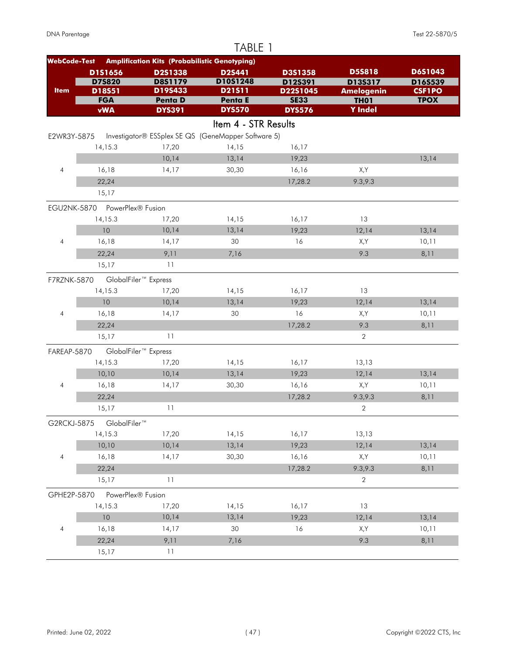|                     |                               |                                                      | TABLE 1                  |                              |                               |               |
|---------------------|-------------------------------|------------------------------------------------------|--------------------------|------------------------------|-------------------------------|---------------|
| <b>WebCode-Test</b> |                               | <b>Amplification Kits (Probabilistic Genotyping)</b> |                          |                              |                               |               |
|                     | D1S1656                       | D2S1338                                              | D2S441                   | D3S1358                      | <b>D5S818</b>                 | D6S1043       |
|                     | <b>D75820</b>                 | <b>D8S1179</b>                                       | D10S1248                 | D12S391                      | D13S317                       | D16S539       |
| <b>Item</b>         | D18S51<br><b>FGA</b>          | D19S433                                              | D21511                   | D22S1045                     | <b>Amelogenin</b>             | <b>CSF1PO</b> |
|                     | <b>vWA</b>                    | <b>Penta D</b><br><b>DYS391</b>                      | Penta E<br><b>DYS570</b> | <b>SE33</b><br><b>DYS576</b> | <b>TH01</b><br><b>Y</b> Indel | <b>TPOX</b>   |
|                     |                               |                                                      |                          |                              |                               |               |
|                     |                               |                                                      | Item 4 - STR Results     |                              |                               |               |
| E2WR3Y-5875         |                               | Investigator® ESSplex SE QS (GeneMapper Software 5)  |                          |                              |                               |               |
|                     | 14,15.3                       | 17,20                                                | 14,15                    | 16,17                        |                               |               |
|                     |                               | 10,14                                                | 13,14                    | 19,23                        |                               | 13,14         |
| $\overline{4}$      | 16,18                         | 14,17                                                | 30,30                    | 16,16                        | X,Y                           |               |
|                     | 22,24                         |                                                      |                          | 17,28.2                      | 9.3, 9.3                      |               |
|                     | 15,17                         |                                                      |                          |                              |                               |               |
|                     | EGU2NK-5870 PowerPlex® Fusion |                                                      |                          |                              |                               |               |
|                     | 14, 15.3                      | 17,20                                                | 14,15                    | 16,17                        | 13                            |               |
|                     | 10                            | 10,14                                                | 13,14                    | 19,23                        | 12,14                         | 13,14         |
| $\overline{4}$      | 16,18                         | 14,17                                                | 30                       | 16                           | X,Y                           | 10,11         |
|                     | 22,24                         | 9,11                                                 | 7,16                     |                              | 9.3                           | 8,11          |
|                     | 15,17                         | 11                                                   |                          |                              |                               |               |
| F7RZNK-5870         |                               | GlobalFiler <sup>™</sup> Express                     |                          |                              |                               |               |
|                     | 14, 15.3                      | 17,20                                                | 14,15                    | 16,17                        | 13                            |               |
|                     | 10                            | 10,14                                                | 13,14                    | 19,23                        | 12,14                         | 13,14         |
| $\overline{4}$      | 16,18                         | 14,17                                                | 30                       | 16                           | X,Y                           | 10,11         |
|                     | 22,24                         |                                                      |                          | 17,28.2                      | 9.3                           | 8,11          |
|                     | 15,17                         | 11                                                   |                          |                              | $\sqrt{2}$                    |               |
| FAREAP-5870         |                               | GlobalFiler <sup>™</sup> Express                     |                          |                              |                               |               |
|                     | 14, 15.3                      | 17,20                                                | 14,15                    | 16,17                        | 13,13                         |               |
|                     | 10,10                         | 10,14                                                | 13,14                    | 19,23                        | 12,14                         | 13,14         |
| 4                   | 16,18                         | 14,17                                                | 30,30                    | 16,16                        | X,Y                           | 10,11         |
|                     | 22,24                         |                                                      |                          | 17,28.2                      | 9.3,9.3                       | 8,11          |
|                     | 15,17                         | 11                                                   |                          |                              | $\overline{2}$                |               |
|                     |                               |                                                      |                          |                              |                               |               |
| G2RCKJ-5875         | GlobalFiler™                  |                                                      |                          |                              |                               |               |
|                     | 14,15.3                       | 17,20                                                | 14,15                    | 16,17                        | 13,13                         |               |
|                     | 10,10                         | 10,14                                                | 13,14                    | 19,23                        | 12,14                         | 13,14         |
| $\overline{4}$      | 16,18                         | 14,17                                                | 30,30                    | 16,16                        | X,Y                           | 10,11         |
|                     | 22,24                         |                                                      |                          | 17,28.2                      | 9.3,9.3                       | 8,11          |
|                     | 15,17                         | 11                                                   |                          |                              | $\sqrt{2}$                    |               |
| GPHE2P-5870         | PowerPlex® Fusion             |                                                      |                          |                              |                               |               |
|                     | 14,15.3                       | 17,20                                                | 14,15                    | 16,17                        | 13                            |               |
|                     | 10                            | 10,14                                                | 13,14                    | 19,23                        | 12,14                         | 13,14         |
| 4                   | 16,18                         | 14,17                                                | 30                       | 16                           | X,Y                           | 10,11         |
|                     | 22,24                         | 9,11                                                 | 7,16                     |                              | 9.3                           | 8,11          |
|                     | 15,17                         | 11                                                   |                          |                              |                               |               |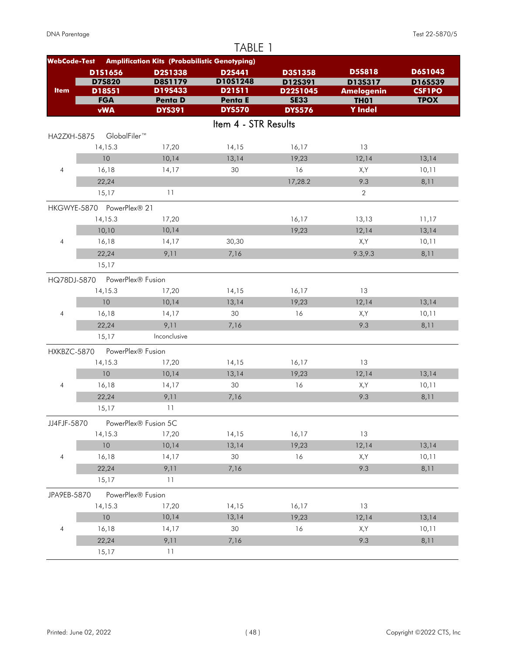|                     |                           |                                                      | TABLE 1              |                         |                                  |                              |
|---------------------|---------------------------|------------------------------------------------------|----------------------|-------------------------|----------------------------------|------------------------------|
| <b>WebCode-Test</b> |                           | <b>Amplification Kits (Probabilistic Genotyping)</b> |                      |                         |                                  |                              |
|                     | D1S1656                   | D2S1338                                              | <b>D2S441</b>        | D3S1358                 | <b>D5S818</b>                    | D6S1043                      |
|                     | <b>D75820</b>             | <b>D8S1179</b>                                       | D10S1248             | D12S391                 | D13S317                          | D16S539                      |
| <b>Item</b>         | D18S51<br><b>FGA</b>      | D19S433<br><b>Penta D</b>                            | D21511<br>Penta E    | D22S1045<br><b>SE33</b> | <b>Amelogenin</b><br><b>TH01</b> | <b>CSF1PO</b><br><b>TPOX</b> |
|                     | <b>vWA</b>                | <b>DYS391</b>                                        | <b>DYS570</b>        | <b>DYS576</b>           | <b>Y</b> Indel                   |                              |
|                     |                           |                                                      | Item 4 - STR Results |                         |                                  |                              |
| HA2ZXH-5875         | GlobalFiler™              |                                                      |                      |                         |                                  |                              |
|                     | 14, 15.3                  | 17,20                                                | 14,15                | 16,17                   | 13                               |                              |
|                     | 10                        | 10,14                                                | 13,14                | 19,23                   | 12,14                            | 13,14                        |
| $\overline{4}$      | 16,18                     | 14,17                                                | 30                   | 16                      | X,Y                              | 10,11                        |
|                     | 22,24                     |                                                      |                      | 17,28.2                 | 9.3                              | 8,11                         |
|                     | 15,17                     | 11                                                   |                      |                         | $\mathbf 2$                      |                              |
|                     | HKGWYE-5870 PowerPlex® 21 |                                                      |                      |                         |                                  |                              |
|                     | 14, 15.3                  | 17,20                                                |                      | 16,17                   | 13,13                            | 11,17                        |
|                     | 10,10                     | 10,14                                                |                      | 19,23                   | 12,14                            | 13,14                        |
| $\overline{4}$      | 16,18                     | 14,17                                                | 30,30                |                         | X,Y                              | 10,11                        |
|                     | 22,24                     | 9,11                                                 | 7,16                 |                         | 9.3,9.3                          | 8,11                         |
|                     | 15,17                     |                                                      |                      |                         |                                  |                              |
| HQ78DJ-5870         | PowerPlex® Fusion         |                                                      |                      |                         |                                  |                              |
|                     | 14,15.3                   | 17,20                                                | 14,15                | 16,17                   | 13                               |                              |
|                     | 10                        | 10,14                                                | 13,14                | 19,23                   | 12,14                            | 13,14                        |
| $\overline{4}$      | 16,18                     | 14,17                                                | 30                   | 16                      | X,Y                              | 10,11                        |
|                     | 22,24                     | 9,11                                                 | 7,16                 |                         | 9.3                              | 8,11                         |
|                     | 15,17                     | Inconclusive                                         |                      |                         |                                  |                              |
| HXKBZC-5870         | PowerPlex® Fusion         |                                                      |                      |                         |                                  |                              |
|                     | 14, 15.3                  | 17,20                                                | 14,15                | 16,17                   | 13                               |                              |
|                     | 10                        | 10,14                                                | 13,14                | 19,23                   | 12,14                            | 13,14                        |
| 4                   | 16,18                     | 14,17                                                | 30                   | 16                      | X,Y                              | 10,11                        |
|                     | 22,24                     | 9,11                                                 | 7,16                 |                         | 9.3                              | 8,11                         |
|                     | 15,17                     | 11                                                   |                      |                         |                                  |                              |
| JJ4FJF-5870         |                           | PowerPlex® Fusion 5C                                 |                      |                         |                                  |                              |
|                     | 14, 15.3                  | 17,20                                                | 14,15                | 16,17                   | 13                               |                              |
|                     | 10                        | 10,14                                                | 13,14                | 19,23                   | 12,14                            | 13,14                        |
| $\overline{4}$      | 16,18                     | 14,17                                                | 30                   | 16                      | X,Y                              | 10,11                        |
|                     | 22,24                     | 9,11                                                 | 7,16                 |                         | 9.3                              | 8,11                         |
|                     | 15,17                     | 11                                                   |                      |                         |                                  |                              |
| JPA9EB-5870         | PowerPlex® Fusion         |                                                      |                      |                         |                                  |                              |
|                     | 14,15.3                   | 17,20                                                | 14,15                | 16,17                   | 13                               |                              |
|                     | $10$                      | 10,14                                                | 13,14                | 19,23                   | 12,14                            | 13,14                        |
| 4                   | 16,18                     | 14,17                                                | 30                   | 16                      | X,Y                              | 10,11                        |
|                     | 22,24                     | 9,11                                                 | 7,16                 |                         | 9.3                              | 8,11                         |
|                     | 15,17                     | 11                                                   |                      |                         |                                  |                              |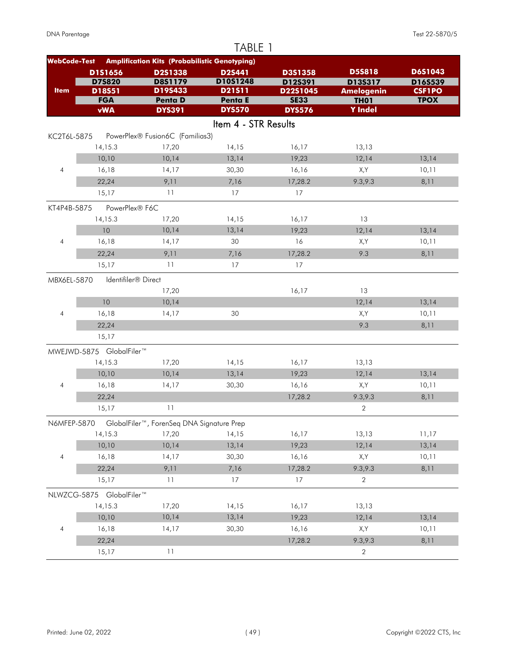| TABLE 1             |                          |                                                      |                      |                     |                                  |                          |  |
|---------------------|--------------------------|------------------------------------------------------|----------------------|---------------------|----------------------------------|--------------------------|--|
| <b>WebCode-Test</b> |                          | <b>Amplification Kits (Probabilistic Genotyping)</b> |                      |                     |                                  |                          |  |
|                     | D1S1656                  | D2S1338                                              | <b>D2S441</b>        | <b>D3S1358</b>      | <b>D5S818</b>                    | D6S1043                  |  |
| <b>Item</b>         | <b>D75820</b><br>D18S51  | <b>D8S1179</b><br>D19S433                            | D10S1248<br>D21511   | D12S391<br>D22S1045 | D13S317                          | D16S539<br><b>CSF1PO</b> |  |
|                     | <b>FGA</b>               | <b>Penta D</b>                                       | Penta E              | <b>SE33</b>         | <b>Amelogenin</b><br><b>TH01</b> | <b>TPOX</b>              |  |
|                     | <b>vWA</b>               | <b>DYS391</b>                                        | <b>DYS570</b>        | <b>DYS576</b>       | <b>Y</b> Indel                   |                          |  |
|                     |                          |                                                      | Item 4 - STR Results |                     |                                  |                          |  |
| KC2T6L-5875         |                          | PowerPlex® Fusion6C (Familias3)                      |                      |                     |                                  |                          |  |
|                     | 14,15.3                  | 17,20                                                | 14,15                | 16,17               | 13,13                            |                          |  |
|                     | 10,10                    | 10,14                                                | 13,14                | 19,23               | 12,14                            | 13,14                    |  |
| $\overline{4}$      | 16,18                    | 14,17                                                | 30,30                | 16,16               | X,Y                              | 10,11                    |  |
|                     | 22,24                    | 9,11                                                 | 7,16                 | 17,28.2             | 9.3, 9.3                         | 8,11                     |  |
|                     | 15,17                    | 11                                                   | 17                   | 17                  |                                  |                          |  |
| KT4P4B-5875         | PowerPlex® F6C           |                                                      |                      |                     |                                  |                          |  |
|                     | 14, 15.3                 | 17,20                                                | 14,15                | 16,17               | 13                               |                          |  |
|                     | 10                       | 10,14                                                | 13,14                | 19,23               | 12,14                            | 13,14                    |  |
| $\overline{4}$      | 16,18                    | 14,17                                                | 30                   | 16                  | X,Y                              | 10,11                    |  |
|                     | 22,24                    | 9,11                                                 | 7,16                 | 17,28.2             | 9.3                              | 8,11                     |  |
|                     | 15,17                    | 11                                                   | 17                   | 17                  |                                  |                          |  |
| MBX6EL-5870         | Identifiler® Direct      |                                                      |                      |                     |                                  |                          |  |
|                     |                          | 17,20                                                |                      | 16,17               | 13                               |                          |  |
|                     | 10                       | 10,14                                                |                      |                     | 12,14                            | 13,14                    |  |
| $\overline{4}$      | 16,18                    | 14,17                                                | 30                   |                     | X,Y                              | 10,11                    |  |
|                     | 22,24                    |                                                      |                      |                     | 9.3                              | 8,11                     |  |
|                     | 15,17                    |                                                      |                      |                     |                                  |                          |  |
|                     | MWEJWD-5875 GlobalFiler™ |                                                      |                      |                     |                                  |                          |  |
|                     | 14, 15.3                 | 17,20                                                | 14,15                | 16,17               | 13,13                            |                          |  |
|                     | 10,10                    | 10,14                                                | 13,14                | 19,23               | 12,14                            | 13,14                    |  |
| 4                   | 16,18                    | 14,17                                                | 30,30                | 16,16               | X,Y                              | 10,11                    |  |
|                     | 22,24                    |                                                      |                      | 17,28.2             | 9.3,9.3                          | 8,11                     |  |
|                     | 15,17                    | 11                                                   |                      |                     | $\overline{2}$                   |                          |  |
| N6MFEP-5870         |                          | GlobalFiler™, ForenSeq DNA Signature Prep            |                      |                     |                                  |                          |  |
|                     | 14,15.3                  | 17,20                                                | 14,15                | 16,17               | 13,13                            | 11,17                    |  |
|                     | 10,10                    | 10,14                                                | 13,14                | 19,23               | 12,14                            | 13,14                    |  |
| $\overline{4}$      | 16,18                    | 14,17                                                | 30,30                | 16,16               | X,Y                              | 10,11                    |  |
|                     | 22,24                    | 9,11                                                 | 7,16                 | 17,28.2             | 9.3,9.3                          | 8,11                     |  |
|                     | 15,17                    | 11                                                   | 17                   | 17                  | 2                                |                          |  |
|                     | NLWZCG-5875 GlobalFiler™ |                                                      |                      |                     |                                  |                          |  |
|                     | 14,15.3                  | 17,20                                                | 14,15                | 16,17               | 13,13                            |                          |  |
|                     | 10,10                    | 10,14                                                | 13,14                | 19,23               | 12,14                            | 13,14                    |  |
| 4                   | 16,18                    | 14,17                                                | 30,30                | 16,16               | X,Y                              | 10,11                    |  |
|                     | 22,24                    |                                                      |                      | 17,28.2             | 9.3,9.3                          | 8,11                     |  |
|                     | 15,17                    | 11                                                   |                      |                     | $\sqrt{2}$                       |                          |  |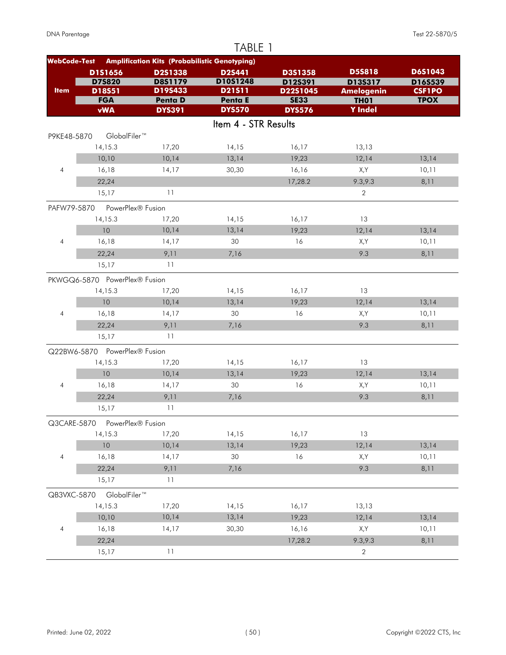| TABLE 1             |                               |                                                      |                          |                              |                               |               |  |  |
|---------------------|-------------------------------|------------------------------------------------------|--------------------------|------------------------------|-------------------------------|---------------|--|--|
| <b>WebCode-Test</b> |                               | <b>Amplification Kits (Probabilistic Genotyping)</b> |                          |                              |                               |               |  |  |
|                     | D1S1656                       | D2S1338                                              | D2S441                   | D3S1358                      | <b>D5S818</b>                 | D6S1043       |  |  |
|                     | <b>D75820</b>                 | <b>D8S1179</b>                                       | D10S1248                 | D12S391                      | D13S317                       | D16S539       |  |  |
| <b>Item</b>         | D18S51                        | D19S433                                              | D21511                   | D22S1045                     | <b>Amelogenin</b>             | <b>CSF1PO</b> |  |  |
|                     | <b>FGA</b><br><b>vWA</b>      | <b>Penta D</b><br><b>DYS391</b>                      | Penta E<br><b>DYS570</b> | <b>SE33</b><br><b>DYS576</b> | <b>TH01</b><br><b>Y</b> Indel | <b>TPOX</b>   |  |  |
|                     |                               |                                                      |                          |                              |                               |               |  |  |
|                     |                               |                                                      | Item 4 - STR Results     |                              |                               |               |  |  |
| P9KE48-5870         | GlobalFiler™                  |                                                      |                          |                              |                               |               |  |  |
|                     | 14, 15.3                      | 17,20                                                | 14,15                    | 16,17                        | 13,13                         |               |  |  |
|                     | 10,10                         | 10,14                                                | 13,14                    | 19,23                        | 12,14                         | 13,14         |  |  |
| $\overline{4}$      | 16,18                         | 14,17                                                | 30,30                    | 16,16                        | X,Y                           | 10,11         |  |  |
|                     | 22,24                         |                                                      |                          | 17,28.2                      | 9.3,9.3                       | 8,11          |  |  |
|                     | 15,17                         | 11                                                   |                          |                              | $\overline{2}$                |               |  |  |
| PAFW79-5870         | PowerPlex® Fusion             |                                                      |                          |                              |                               |               |  |  |
|                     | 14, 15.3                      | 17,20                                                | 14,15                    | 16,17                        | 13                            |               |  |  |
|                     | 10                            | 10,14                                                | 13,14                    | 19,23                        | 12,14                         | 13,14         |  |  |
| $\overline{4}$      | 16,18                         | 14,17                                                | 30                       | 16                           | X,Y                           | 10,11         |  |  |
|                     | 22,24                         | 9,11                                                 | 7,16                     |                              | 9.3                           | 8,11          |  |  |
|                     | 15,17                         | 11                                                   |                          |                              |                               |               |  |  |
|                     | PKWGQ6-5870 PowerPlex® Fusion |                                                      |                          |                              |                               |               |  |  |
|                     | 14, 15.3                      | 17,20                                                | 14,15                    | 16,17                        | 13                            |               |  |  |
|                     | 10                            | 10,14                                                | 13,14                    | 19,23                        | 12,14                         | 13,14         |  |  |
| $\overline{4}$      | 16,18                         | 14,17                                                | 30                       | 16                           | X,Y                           | 10,11         |  |  |
|                     | 22,24                         | 9,11                                                 | 7,16                     |                              | 9.3                           | 8,11          |  |  |
|                     | 15,17                         | 11                                                   |                          |                              |                               |               |  |  |
|                     | Q22BW6-5870 PowerPlex® Fusion |                                                      |                          |                              |                               |               |  |  |
|                     | 14, 15.3                      | 17,20                                                | 14,15                    | 16,17                        | 13                            |               |  |  |
|                     | 10                            | 10,14                                                | 13,14                    | 19,23                        | 12,14                         | 13,14         |  |  |
| 4                   | 16,18                         | 14,17                                                | 30                       | 16                           | X,Y                           | 10,11         |  |  |
|                     | 22,24                         | 9,11                                                 | 7,16                     |                              | 9.3                           |               |  |  |
|                     | 15,17                         | 11                                                   |                          |                              |                               | 8,11          |  |  |
|                     |                               |                                                      |                          |                              |                               |               |  |  |
| Q3CARE-5870         | PowerPlex® Fusion             |                                                      |                          |                              |                               |               |  |  |
|                     | 14,15.3                       | 17,20                                                | 14,15                    | 16,17                        | 13                            |               |  |  |
|                     | $10$                          | 10,14                                                | 13,14                    | 19,23                        | 12,14                         | 13,14         |  |  |
| $\overline{4}$      | 16,18                         | 14,17                                                | 30                       | 16                           | X,Y                           | 10,11         |  |  |
|                     | 22,24                         | 9,11                                                 | 7,16                     |                              | 9.3                           | 8,11          |  |  |
|                     | 15,17                         | 11                                                   |                          |                              |                               |               |  |  |
| QB3VXC-5870         | GlobalFiler™                  |                                                      |                          |                              |                               |               |  |  |
|                     | 14,15.3                       | 17,20                                                | 14,15                    | 16,17                        | 13,13                         |               |  |  |
|                     | 10,10                         | 10,14                                                | 13,14                    | 19,23                        | 12,14                         | 13,14         |  |  |
| $\overline{4}$      | 16,18                         | 14,17                                                | 30,30                    | 16,16                        | X,Y                           | 10,11         |  |  |
|                     | 22,24                         |                                                      |                          | 17,28.2                      | 9.3, 9.3                      | 8,11          |  |  |
|                     | 15,17                         | 11                                                   |                          |                              | $\overline{2}$                |               |  |  |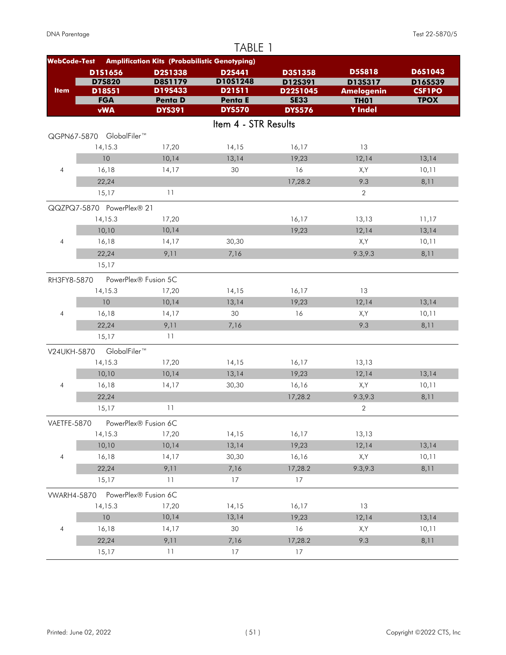|                     |                           |                                                      | TABLE 1              |                     |                              |                          |
|---------------------|---------------------------|------------------------------------------------------|----------------------|---------------------|------------------------------|--------------------------|
| <b>WebCode-Test</b> |                           | <b>Amplification Kits (Probabilistic Genotyping)</b> |                      |                     |                              |                          |
|                     | D1S1656                   | D2S1338                                              | D2S441               | D3S1358             | <b>D5S818</b>                | D6S1043                  |
| <b>Item</b>         | <b>D75820</b><br>D18S51   | D8S1179<br>D19S433                                   | D10S1248<br>D21511   | D12S391<br>D22S1045 | D13S317<br><b>Amelogenin</b> | D16S539<br><b>CSF1PO</b> |
|                     | <b>FGA</b>                | Penta D                                              | Penta E              | <b>SE33</b>         | <b>TH01</b>                  | <b>TPOX</b>              |
|                     | <b>vWA</b>                | <b>DYS391</b>                                        | <b>DYS570</b>        | <b>DYS576</b>       | <b>Y</b> Indel               |                          |
|                     |                           |                                                      | Item 4 - STR Results |                     |                              |                          |
|                     | QGPN67-5870 GlobalFiler™  |                                                      |                      |                     |                              |                          |
|                     | 14, 15.3                  | 17,20                                                | 14,15                | 16,17               | 13                           |                          |
|                     | 10                        | 10,14                                                | 13,14                | 19,23               | 12,14                        | 13,14                    |
| $\overline{4}$      | 16,18                     | 14,17                                                | 30                   | 16                  | X,Y                          | 10,11                    |
|                     | 22,24                     |                                                      |                      | 17,28.2             | 9.3                          | 8,11                     |
|                     | 15,17                     | 11                                                   |                      |                     | $\overline{2}$               |                          |
|                     | QQZPQ7-5870 PowerPlex® 21 |                                                      |                      |                     |                              |                          |
|                     | 14,15.3                   | 17,20                                                |                      | 16,17               | 13,13                        | 11,17                    |
|                     | 10,10                     | 10,14                                                |                      | 19,23               | 12,14                        | 13,14                    |
| $\overline{4}$      | 16,18                     | 14,17                                                | 30,30                |                     | X,Y                          | 10,11                    |
|                     | 22,24                     | 9,11                                                 | 7,16                 |                     | 9.3, 9.3                     | 8,11                     |
|                     | 15,17                     |                                                      |                      |                     |                              |                          |
| RH3FY8-5870         |                           | PowerPlex® Fusion 5C                                 |                      |                     |                              |                          |
|                     | 14,15.3                   | 17,20                                                | 14,15                | 16,17               | 13                           |                          |
|                     | 10                        | 10,14                                                | 13,14                | 19,23               | 12,14                        | 13,14                    |
| $\overline{4}$      | 16,18                     | 14,17                                                | 30                   | 16                  | X,Y                          | 10,11                    |
|                     | 22,24                     | 9,11                                                 | 7,16                 |                     | 9.3                          | 8,11                     |
|                     | 15,17                     | 11                                                   |                      |                     |                              |                          |
| V24UKH-5870         | GlobalFiler™              |                                                      |                      |                     |                              |                          |
|                     | 14,15.3                   | 17,20                                                | 14,15                | 16,17               | 13,13                        |                          |
|                     | 10,10                     | 10,14                                                | 13,14                | 19,23               | 12,14                        | 13,14                    |
| $\overline{4}$      | 16,18                     | 14,17                                                | 30,30                | 16,16               | X,Y                          | 10,11                    |
|                     | 22,24                     |                                                      |                      | 17,28.2             | 9.3, 9.3                     | 8,11                     |
|                     | 15,17                     | 11                                                   |                      |                     | 2                            |                          |
| VAETFE-5870         |                           | PowerPlex® Fusion 6C                                 |                      |                     |                              |                          |
|                     | 14,15.3                   | 17,20                                                | 14,15                | 16,17               | 13,13                        |                          |
|                     | 10,10                     | 10,14                                                | 13,14                | 19,23               | 12,14                        | 13,14                    |
| $\overline{4}$      | 16,18                     | 14,17                                                | 30,30                | 16,16               | X,Y                          | 10,11                    |
|                     | 22,24                     | 9,11                                                 | 7,16                 | 17,28.2             | 9.3,9.3                      | 8,11                     |
|                     | 15,17                     | 11                                                   | 17                   | 17                  |                              |                          |
| <b>VWARH4-5870</b>  |                           | PowerPlex® Fusion 6C                                 |                      |                     |                              |                          |
|                     | 14, 15.3                  | 17,20                                                | 14,15                | 16,17               | 13                           |                          |
|                     | 10                        | 10,14                                                | 13,14                | 19,23               | 12,14                        | 13,14                    |
| 4                   | 16,18                     | 14,17                                                | 30                   | 16                  | X,Y                          | 10,11                    |
|                     | 22,24                     | 9,11                                                 | 7,16                 | 17,28.2             | 9.3                          | 8,11                     |
|                     | 15,17                     | 11                                                   | 17                   | 17                  |                              |                          |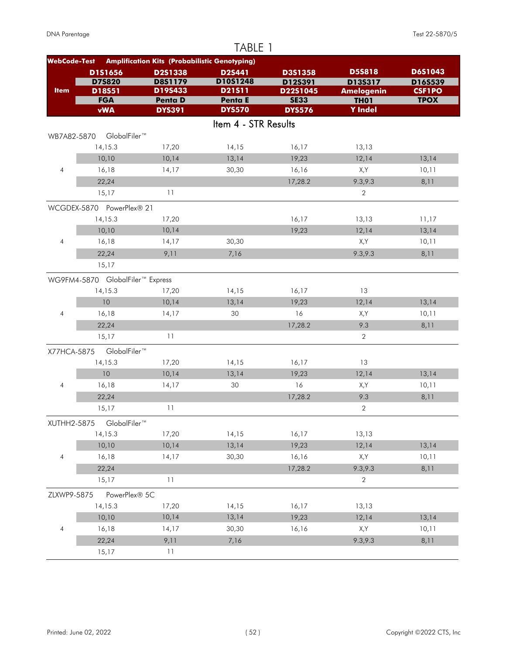| TABLE 1                  |                                  |                                                      |                      |                     |                                  |                          |  |  |
|--------------------------|----------------------------------|------------------------------------------------------|----------------------|---------------------|----------------------------------|--------------------------|--|--|
| <b>WebCode-Test</b>      |                                  | <b>Amplification Kits (Probabilistic Genotyping)</b> |                      |                     |                                  |                          |  |  |
|                          | D1S1656                          | D2S1338                                              | <b>D2S441</b>        | D3S1358             | <b>D5S818</b>                    | D6S1043                  |  |  |
| <b>Item</b>              | <b>D75820</b><br>D18S51          | D8S1179<br>D19S433                                   | D10S1248<br>D21511   | D12S391<br>D22S1045 | D13S317                          | D16S539<br><b>CSF1PO</b> |  |  |
|                          | <b>FGA</b>                       | <b>Penta D</b>                                       | Penta E              | <b>SE33</b>         | <b>Amelogenin</b><br><b>TH01</b> | <b>TPOX</b>              |  |  |
|                          | <b>vWA</b>                       | <b>DYS391</b>                                        | <b>DYS570</b>        | <b>DYS576</b>       | <b>Y</b> Indel                   |                          |  |  |
|                          |                                  |                                                      | Item 4 - STR Results |                     |                                  |                          |  |  |
| WB7A82-5870              | GlobalFiler™                     |                                                      |                      |                     |                                  |                          |  |  |
|                          | 14,15.3                          | 17,20                                                | 14,15                | 16,17               | 13,13                            |                          |  |  |
|                          | 10,10                            | 10,14                                                | 13,14                | 19,23               | 12,14                            | 13,14                    |  |  |
| $\overline{4}$           | 16,18                            | 14,17                                                | 30,30                | 16,16               | X,Y                              | 10,11                    |  |  |
|                          | 22,24                            |                                                      |                      | 17,28.2             | 9.3,9.3                          | 8,11                     |  |  |
|                          | 15,17                            | 11                                                   |                      |                     | $\overline{2}$                   |                          |  |  |
|                          | WCGDEX-5870 PowerPlex® 21        |                                                      |                      |                     |                                  |                          |  |  |
|                          | 14, 15.3                         | 17,20                                                |                      | 16,17               | 13,13                            | 11,17                    |  |  |
|                          | 10,10                            | 10,14                                                |                      | 19,23               | 12,14                            | 13,14                    |  |  |
| $\overline{4}$           | 16,18                            | 14,17                                                | 30,30                |                     | X,Y                              | 10,11                    |  |  |
|                          | 22,24                            | 9,11                                                 | 7,16                 |                     | 9.3,9.3                          | 8,11                     |  |  |
|                          | 15,17                            |                                                      |                      |                     |                                  |                          |  |  |
|                          | WG9FM4-5870 GlobalFiler™ Express |                                                      |                      |                     |                                  |                          |  |  |
|                          | 14, 15.3                         | 17,20                                                | 14,15                | 16,17               | 13                               |                          |  |  |
|                          | 10                               | 10,14                                                | 13,14                | 19,23               | 12,14                            | 13,14                    |  |  |
| $\overline{4}$           | 16,18                            | 14,17                                                | 30                   | 16                  | X,Y                              | 10,11                    |  |  |
|                          | 22,24                            |                                                      |                      | 17,28.2             | 9.3                              | 8,11                     |  |  |
|                          | 15,17                            | 11                                                   |                      |                     | $\sqrt{2}$                       |                          |  |  |
| X77HCA-5875              | GlobalFiler™                     |                                                      |                      |                     |                                  |                          |  |  |
|                          | 14,15.3                          | 17,20                                                | 14,15                | 16,17               | 13                               |                          |  |  |
|                          | 10                               | 10,14                                                | 13,14                | 19,23               | 12,14                            | 13,14                    |  |  |
| $\overline{4}$           | 16,18                            | 14,17                                                | 30                   | 16                  | X,Y                              | 10,11                    |  |  |
|                          | 22,24                            |                                                      |                      | 17,28.2             | 9.3                              | 8,11                     |  |  |
|                          | 15,17                            | 11                                                   |                      |                     | $\sqrt{2}$                       |                          |  |  |
| XUTHH2-5875              | GlobalFiler™                     |                                                      |                      |                     |                                  |                          |  |  |
|                          | 14,15.3                          | 17,20                                                | 14,15                | 16,17               | 13,13                            |                          |  |  |
|                          | 10,10                            | 10,14                                                | 13,14                | 19,23               | 12,14                            | 13,14                    |  |  |
| $\overline{4}$           | 16,18                            | 14,17                                                | 30,30                | 16,16               | X,Y                              | 10,11                    |  |  |
|                          | 22,24                            |                                                      |                      | 17,28.2             | 9.3,9.3                          | 8,11                     |  |  |
|                          | 15,17                            | 11                                                   |                      |                     | $\sqrt{2}$                       |                          |  |  |
| ZLXWP9-5875              | PowerPlex® 5C                    |                                                      |                      |                     |                                  |                          |  |  |
|                          | 14,15.3                          | 17,20                                                | 14,15                | 16,17               | 13,13                            |                          |  |  |
|                          | 10,10                            | 10,14                                                | 13,14                | 19,23               | 12,14                            | 13,14                    |  |  |
| $\overline{\mathcal{A}}$ | 16,18                            | 14,17                                                | 30,30                | 16,16               | X,Y                              | 10,11                    |  |  |
|                          | 22,24                            | 9,11                                                 | 7,16                 |                     | 9.3,9.3                          | 8,11                     |  |  |
|                          | 15,17                            | 11                                                   |                      |                     |                                  |                          |  |  |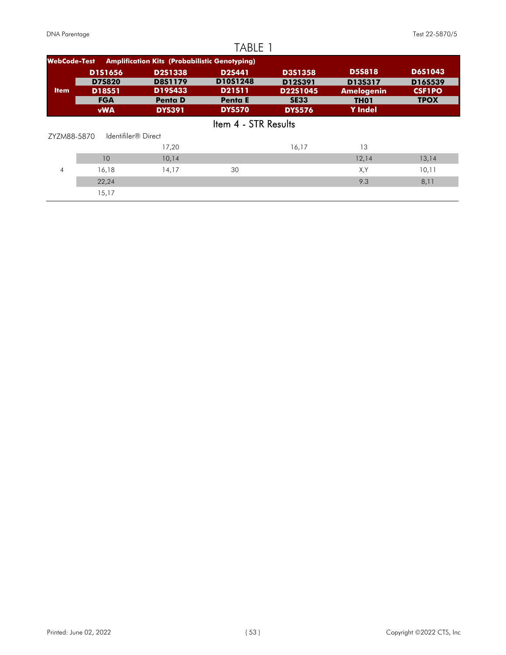|                     |                      |                                                      | TABLE 1                   |                         |                                  |                              |
|---------------------|----------------------|------------------------------------------------------|---------------------------|-------------------------|----------------------------------|------------------------------|
| <b>WebCode-Test</b> |                      | <b>Amplification Kits (Probabilistic Genotyping)</b> |                           |                         |                                  |                              |
|                     | <b>D1S1656</b>       | <b>D2S1338</b>                                       | <b>D2S441</b>             | <b>D3S1358</b>          | <b>D5S818</b>                    | <b>D6S1043</b>               |
| <b>Item</b>         | <b>D7S820</b>        | <b>D8S1179</b><br>D19S433                            | D10S1248<br><b>D21511</b> | D12S391                 | D13S317                          | D16S539                      |
|                     | D18S51<br><b>FGA</b> | <b>Penta D</b>                                       | <b>Penta E</b>            | D22S1045<br><b>SE33</b> | <b>Amelogenin</b><br><b>TH01</b> | <b>CSF1PO</b><br><b>TPOX</b> |
|                     | <b>vWA</b>           | <b>DYS391</b>                                        | <b>DYS570</b>             | <b>DYS576</b>           | <b>Y</b> Indel                   |                              |
|                     |                      |                                                      | Item 4 - STR Results      |                         |                                  |                              |
| ZYZM88-5870         | Identifiler® Direct  |                                                      |                           |                         |                                  |                              |
|                     |                      | 17,20                                                |                           | 16,17                   | 13                               |                              |
|                     | 10                   | 10,14                                                |                           |                         | 12,14                            | 13,14                        |
| $\overline{A}$      | 16,18                | 14,17                                                | 30                        |                         | X,Y                              | 10,11                        |
|                     | 22,24                |                                                      |                           |                         | 9.3                              | 8,11                         |
|                     | 15,17                |                                                      |                           |                         |                                  |                              |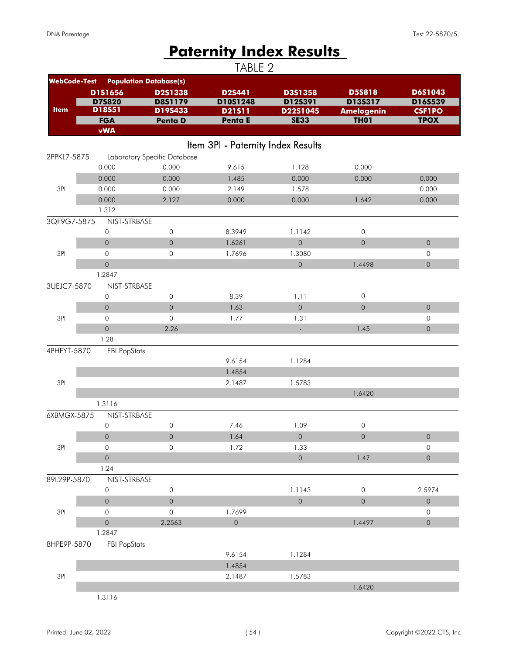# **Paternity Index Results**

|                     |                                     |                               | TABLE 2                            |                             |                     |                     |
|---------------------|-------------------------------------|-------------------------------|------------------------------------|-----------------------------|---------------------|---------------------|
| <b>WebCode-Test</b> |                                     | <b>Population Database(s)</b> |                                    |                             |                     |                     |
|                     | D1S1656                             | D2S1338                       | D2S441                             | D3S1358                     | <b>D5S818</b>       | D6S1043             |
|                     | <b>D75820</b>                       | <b>D8S1179</b>                | D10S1248                           | D12S391                     | D13S317             | D16S539             |
| <b>Item</b>         | D18S51                              | D19S433                       | D21511                             | D22S1045                    | <b>Amelogenin</b>   | <b>CSF1PO</b>       |
|                     | <b>FGA</b>                          | Penta D                       | <b>Penta E</b>                     | <b>SE33</b>                 | <b>TH01</b>         | <b>TPOX</b>         |
|                     | <b>vWA</b>                          |                               |                                    |                             |                     |                     |
|                     |                                     |                               | Item 3PI - Paternity Index Results |                             |                     |                     |
| 2PPKL7-5875         |                                     | Laboratory Specific Database  |                                    |                             |                     |                     |
|                     | 0.000                               | 0.000                         | 9.615                              | 1.128                       | 0.000               |                     |
|                     | 0.000                               | 0.000                         | 1.485                              | 0.000                       | 0.000               | 0.000               |
| 3PI                 | 0.000                               | 0.000                         | 2.149                              | 1.578                       |                     | 0.000               |
|                     | 0.000                               | 2.127                         | 0.000                              | 0.000                       | 1.642               | 0.000               |
|                     | 1.312                               |                               |                                    |                             |                     |                     |
| 3QF9G7-5875         | NIST-STRBASE                        |                               |                                    |                             |                     |                     |
|                     | $\mathsf O$                         | $\mathsf{O}\xspace$           | 8.3949                             | 1.1142                      | $\mathsf{O}\xspace$ |                     |
|                     | $\mathbf 0$                         | $\mathsf{O}\xspace$           | 1.6261                             | $\mathbf 0$                 | $\mathsf{O}\xspace$ | $\mathsf{O}\xspace$ |
| 3PI                 | $\mathsf{O}\xspace$                 | 0                             | 1.7696                             | 1.3080                      |                     | 0                   |
|                     | $\mathsf{O}\xspace$                 |                               |                                    | $\mathsf{O}$                | 1.4498              | $\mathsf{O}\xspace$ |
|                     | 1.2847                              |                               |                                    |                             |                     |                     |
| 3UEJC7-5870         | NIST-STRBASE                        |                               |                                    |                             |                     |                     |
|                     | 0                                   | 0                             | 8.39                               | 1.11                        | $\mathsf{O}\xspace$ |                     |
|                     | $\mathbf 0$                         | $\mathsf{O}\xspace$           | 1.63                               | $\overline{0}$              | $\mathsf{O}\xspace$ | $\mathsf{O}\xspace$ |
| 3PI                 | $\mathbf 0$                         | 0                             | 1.77                               | 1.31                        |                     | 0                   |
|                     | $\mathsf{O}\xspace$                 | 2.26                          |                                    | ÷.                          | 1.45                | $\mathsf{O}\xspace$ |
|                     | 1.28                                |                               |                                    |                             |                     |                     |
| 4PHFYT-5870         | <b>FBI PopStats</b>                 |                               |                                    |                             |                     |                     |
|                     |                                     |                               | 9.6154                             | 1.1284                      |                     |                     |
|                     |                                     |                               | 1.4854                             |                             |                     |                     |
| 3PI                 |                                     |                               | 2.1487                             | 1.5783                      |                     |                     |
|                     |                                     |                               |                                    |                             | 1.6420              |                     |
|                     | 1.3116                              |                               |                                    |                             |                     |                     |
| 6XBMGX-5875         | NIST-STRBASE                        |                               |                                    |                             |                     |                     |
|                     | 0                                   | 0                             | 7.46                               | 1.09                        | $\mathsf{O}\xspace$ |                     |
|                     | $\mathsf{O}$                        | $\mathsf O$                   | 1.64                               | $\mathsf{O}\xspace$         | $\mathsf{O}$        | $\mathsf{O}\xspace$ |
| 3PI                 | $\mathsf{O}\xspace$<br>$\mathsf{O}$ | 0                             | 1.72                               | 1.33<br>$\mathsf{O}\xspace$ |                     | 0                   |
|                     | 1.24                                |                               |                                    |                             | 1.47                | $\mathsf{O}\xspace$ |
| 89L29P-5870         | NIST-STRBASE                        |                               |                                    |                             |                     |                     |
|                     | 0                                   | $\mathsf{O}$                  |                                    | 1.1143                      | $\mathsf{O}\xspace$ | 2.5974              |
|                     | $\mathsf{O}\xspace$                 | $\mathsf O$                   |                                    | $\mathsf{O}\xspace$         | $\mathsf{O}\xspace$ | $\mathsf{O}\xspace$ |
| 3PI                 | $\mathsf{O}$                        | 0                             | 1.7699                             |                             |                     | $\mathsf{O}$        |
|                     | $\mathsf{O}\xspace$                 | 2.2563                        | $\mathsf O$                        |                             | 1.4497              | $\mathsf{O}\xspace$ |
|                     | 1.2847                              |                               |                                    |                             |                     |                     |
| 8HPE9P-5870         | <b>FBI PopStats</b>                 |                               |                                    |                             |                     |                     |
|                     |                                     |                               | 9.6154                             | 1.1284                      |                     |                     |
|                     |                                     |                               | 1.4854                             |                             |                     |                     |
| 3PI                 |                                     |                               | 2.1487                             | 1.5783                      |                     |                     |
|                     |                                     |                               |                                    |                             | 1.6420              |                     |
|                     | 1.3116                              |                               |                                    |                             |                     |                     |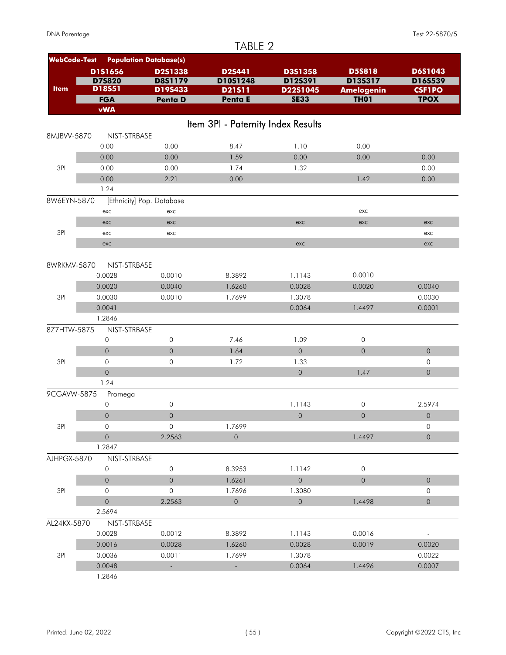|                     |                     |                               | TABLE 2                            |                     |                   |                     |
|---------------------|---------------------|-------------------------------|------------------------------------|---------------------|-------------------|---------------------|
| <b>WebCode-Test</b> |                     | <b>Population Database(s)</b> |                                    |                     |                   |                     |
|                     | D1S1656             | D2S1338                       | <b>D2S441</b>                      | D3S1358             | <b>D5S818</b>     | D6S1043             |
|                     | D75820              | <b>D8S1179</b>                | D10S1248                           | D12S391             | D13S317           | D16S539             |
| <b>Item</b>         | D18S51              | D19S433                       | D21511                             | D22S1045            | <b>Amelogenin</b> | <b>CSF1PO</b>       |
|                     | <b>FGA</b>          | <b>Penta D</b>                | Penta E                            | <b>SE33</b>         | <b>TH01</b>       | <b>TPOX</b>         |
|                     | <b>vWA</b>          |                               |                                    |                     |                   |                     |
|                     |                     |                               | Item 3PI - Paternity Index Results |                     |                   |                     |
| 8MJBVV-5870         | NIST-STRBASE        |                               |                                    |                     |                   |                     |
|                     | 0.00                | 0.00                          | 8.47                               | 1.10                | 0.00              |                     |
|                     | 0.00                | 0.00                          | 1.59                               | 0.00                | 0.00              | 0.00                |
| 3PI                 | 0.00                | 0.00                          | 1.74                               | 1.32                |                   | 0.00                |
|                     | 0.00                | 2.21                          | 0.00                               |                     | 1.42              | 0.00                |
|                     | 1.24                |                               |                                    |                     |                   |                     |
| 8W6EYN-5870         |                     | [Ethnicity] Pop. Database     |                                    |                     |                   |                     |
|                     | exc                 | exc                           |                                    |                     | exc               |                     |
|                     | exc                 | exc                           |                                    | exc                 | exc               | exc                 |
| 3PI                 | exc                 | exc                           |                                    |                     |                   | exc                 |
|                     | exc                 |                               |                                    | exc                 |                   | exc                 |
|                     |                     |                               |                                    |                     |                   |                     |
| 8WRKMV-5870         | NIST-STRBASE        |                               |                                    |                     |                   |                     |
|                     | 0.0028              | 0.0010                        | 8.3892                             | 1.1143              | 0.0010            |                     |
|                     | 0.0020              | 0.0040                        | 1.6260                             | 0.0028              | 0.0020            | 0.0040              |
| 3PI                 | 0.0030              | 0.0010                        | 1.7699                             | 1.3078              |                   | 0.0030              |
|                     | 0.0041              |                               |                                    | 0.0064              | 1.4497            | 0.0001              |
|                     | 1.2846              |                               |                                    |                     |                   |                     |
| 8Z7HTW-5875         | NIST-STRBASE        |                               |                                    |                     |                   |                     |
|                     | $\mathsf{O}\xspace$ | $\circ$                       | 7.46                               | 1.09                | 0                 |                     |
|                     | $\overline{0}$      | $\mathbf{O}$                  | 1.64                               | $\overline{0}$      | $\overline{0}$    | $\overline{0}$      |
| 3PI                 | $\overline{O}$      | $\mathbf 0$                   | 1.72                               | 1.33                |                   | 0                   |
|                     | $\mathbf 0$         |                               |                                    | $\mathbf 0$         | 1.47              | 0                   |
|                     | 1.24                |                               |                                    |                     |                   |                     |
| 9CGAVW-5875         | Promega             |                               |                                    |                     |                   |                     |
|                     | $\mathsf{O}\xspace$ | 0                             |                                    | 1.1143              | 0                 | 2.5974              |
|                     | $\mathbf 0$         | $\mathbf 0$                   |                                    | $\circ$             | $\circ$           | $\mathsf{O}\xspace$ |
| 3PI                 | $\overline{O}$      | $\mathbf 0$                   | 1.7699                             |                     |                   | 0                   |
|                     | $\mathsf{O}\xspace$ | 2.2563                        | $\mathsf{O}\xspace$                |                     | 1.4497            | 0                   |
|                     | 1.2847              |                               |                                    |                     |                   |                     |
| AJHPGX-5870         | NIST-STRBASE        |                               |                                    |                     |                   |                     |
|                     | 0                   | $\mathsf{O}\xspace$           | 8.3953                             | 1.1142              | 0                 |                     |
|                     | $\overline{0}$      | $\circ$                       | 1.6261                             | $\mathsf{O}\xspace$ | $\overline{0}$    | $\overline{0}$      |
| 3PI                 | 0                   | $\mathsf{O}\xspace$           | 1.7696                             | 1.3080              |                   | 0                   |
|                     | $\mathsf{O}$        | 2.2563                        | $\mathsf{O}\xspace$                | $\mathsf{O}\xspace$ | 1.4498            | 0                   |
|                     | 2.5694              |                               |                                    |                     |                   |                     |
| AL24KX-5870         | NIST-STRBASE        |                               |                                    |                     |                   |                     |
|                     | 0.0028              | 0.0012                        | 8.3892                             | 1.1143              | 0.0016            | $\blacksquare$      |
|                     | 0.0016              | 0.0028                        | 1.6260                             | 0.0028              | 0.0019            | 0.0020              |
| 3PI                 | 0.0036              | 0.0011                        | 1.7699                             | 1.3078              |                   | 0.0022              |
|                     | 0.0048              | ÷.                            | $\Box$                             | 0.0064              | 1.4496            | 0.0007              |
|                     | 1.2846              |                               |                                    |                     |                   |                     |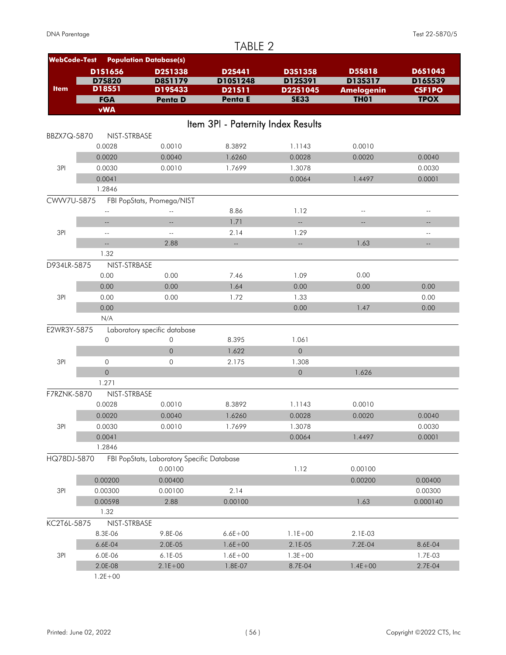| <b>WebCode-Test</b><br><b>Population Database(s)</b><br>D1S1656<br>D3S1358<br><b>D5S818</b><br>D6S1043<br><b>D2S441</b><br>D2S1338<br>D75820<br>D8S1179<br>D10S1248<br>D12S391<br>D13S317<br>D16S539<br>D18S51<br><b>Item</b><br>D19S433<br>D21511<br>D22S1045<br><b>Amelogenin</b><br><b>CSF1PO</b><br><b>SE33</b><br><b>TH01</b><br>Penta E<br><b>TPOX</b><br><b>FGA</b><br>Penta D<br><b>vWA</b><br>Item 3PI - Paternity Index Results<br>NIST-STRBASE<br>BBZX7Q-5870<br>0.0010<br>0.0028<br>8.3892<br>1.1143<br>0.0010<br>0.0020<br>0.0040<br>1.6260<br>0.0028<br>0.0020<br>0.0040<br>3PI<br>1.7699<br>0.0030<br>0.0010<br>1.3078<br>0.0030<br>0.0041<br>0.0064<br>1.4497<br>0.0001<br>1.2846<br>CWW7U-5875<br>FBI PopStats, Promega/NIST<br>8.86<br>1.12<br>$\overline{a}$<br>$\overline{a}$<br>$-$<br>$\overline{\phantom{a}}$<br>1.71<br>u.<br>$\overline{a}$<br>$\overline{\phantom{a}}$<br>$\overline{a}$<br>$-1$<br>3PI<br>2.14<br>1.29<br>$-$<br>$\sim$ $\sim$<br>$\overline{\phantom{a}}$<br>2.88<br>1.63<br>u.<br>цL,<br>Ц.<br>1.32<br>D934LR-5875<br>NIST-STRBASE<br>0.00<br>0.00<br>0.00<br>7.46<br>1.09<br>1.64<br>0.00<br>0.00<br>0.00<br>0.00<br>0.00<br>3PI<br>1.72<br>0.00<br>0.00<br>1.33<br>0.00<br>1.47<br>0.00<br>0.00<br>0.00<br>N/A<br>E2WR3Y-5875<br>Laboratory specific database<br>0<br>0<br>1.061<br>8.395<br>$\overline{O}$<br>$\mathbf 0$<br>1.622<br>3PI<br>$\mathbf 0$<br>$\mathbf 0$<br>2.175<br>1.308<br>$\mathsf{O}$<br>$\mathsf{O}\xspace$<br>1.626<br>1.271<br>F7RZNK-5870<br>NIST-STRBASE<br>0.0028<br>0.0010<br>8.3892<br>1.1143<br>0.0010<br>1.6260<br>0.0020<br>0.0040<br>0.0028<br>0.0020<br>0.0040<br>3PI<br>0.0030<br>0.0010<br>1.7699<br>1.3078<br>0.0030<br>0.0041<br>0.0064<br>1.4497<br>0.0001<br>1.2846<br>HQ78DJ-5870<br>FBI PopStats, Laboratory Specific Database<br>0.00100<br>1.12<br>0.00100<br>0.00200<br>0.00400<br>0.00200<br>0.00400<br>3PI<br>2.14<br>0.00100<br>0.00300<br>0.00300<br>1.63<br>0.00598<br>2.88<br>0.00100<br>0.000140<br>1.32<br>KC2T6L-5875<br>NIST-STRBASE<br>8.3E-06<br>$6.6E + 00$<br>9.8E-06<br>$1.1E + 00$<br>2.1E-03<br>6.6E-04<br>2.0E-05<br>$1.6E + 00$<br>2.1E-05<br>7.2E-04<br>8.6E-04<br>3PI<br>6.0E-06<br>6.1E-05<br>$1.6E + 00$<br>1.7E-03<br>$1.3E + 00$<br>2.0E-08<br>$1.4E + 00$<br>$2.1E + 00$<br>1.8E-07<br>8.7E-04<br>2.7E-04<br>$1.2E + 00$ |  | TABLE 2 |  |  |
|------------------------------------------------------------------------------------------------------------------------------------------------------------------------------------------------------------------------------------------------------------------------------------------------------------------------------------------------------------------------------------------------------------------------------------------------------------------------------------------------------------------------------------------------------------------------------------------------------------------------------------------------------------------------------------------------------------------------------------------------------------------------------------------------------------------------------------------------------------------------------------------------------------------------------------------------------------------------------------------------------------------------------------------------------------------------------------------------------------------------------------------------------------------------------------------------------------------------------------------------------------------------------------------------------------------------------------------------------------------------------------------------------------------------------------------------------------------------------------------------------------------------------------------------------------------------------------------------------------------------------------------------------------------------------------------------------------------------------------------------------------------------------------------------------------------------------------------------------------------------------------------------------------------------------------------------------------------------------------------------------------------------------------------------------------------------------------------------------------------------------------------------------------------------------------------------------------------------------------------------------------------------------------------------------------------------------------------------|--|---------|--|--|
|                                                                                                                                                                                                                                                                                                                                                                                                                                                                                                                                                                                                                                                                                                                                                                                                                                                                                                                                                                                                                                                                                                                                                                                                                                                                                                                                                                                                                                                                                                                                                                                                                                                                                                                                                                                                                                                                                                                                                                                                                                                                                                                                                                                                                                                                                                                                                |  |         |  |  |
|                                                                                                                                                                                                                                                                                                                                                                                                                                                                                                                                                                                                                                                                                                                                                                                                                                                                                                                                                                                                                                                                                                                                                                                                                                                                                                                                                                                                                                                                                                                                                                                                                                                                                                                                                                                                                                                                                                                                                                                                                                                                                                                                                                                                                                                                                                                                                |  |         |  |  |
|                                                                                                                                                                                                                                                                                                                                                                                                                                                                                                                                                                                                                                                                                                                                                                                                                                                                                                                                                                                                                                                                                                                                                                                                                                                                                                                                                                                                                                                                                                                                                                                                                                                                                                                                                                                                                                                                                                                                                                                                                                                                                                                                                                                                                                                                                                                                                |  |         |  |  |
|                                                                                                                                                                                                                                                                                                                                                                                                                                                                                                                                                                                                                                                                                                                                                                                                                                                                                                                                                                                                                                                                                                                                                                                                                                                                                                                                                                                                                                                                                                                                                                                                                                                                                                                                                                                                                                                                                                                                                                                                                                                                                                                                                                                                                                                                                                                                                |  |         |  |  |
|                                                                                                                                                                                                                                                                                                                                                                                                                                                                                                                                                                                                                                                                                                                                                                                                                                                                                                                                                                                                                                                                                                                                                                                                                                                                                                                                                                                                                                                                                                                                                                                                                                                                                                                                                                                                                                                                                                                                                                                                                                                                                                                                                                                                                                                                                                                                                |  |         |  |  |
|                                                                                                                                                                                                                                                                                                                                                                                                                                                                                                                                                                                                                                                                                                                                                                                                                                                                                                                                                                                                                                                                                                                                                                                                                                                                                                                                                                                                                                                                                                                                                                                                                                                                                                                                                                                                                                                                                                                                                                                                                                                                                                                                                                                                                                                                                                                                                |  |         |  |  |
|                                                                                                                                                                                                                                                                                                                                                                                                                                                                                                                                                                                                                                                                                                                                                                                                                                                                                                                                                                                                                                                                                                                                                                                                                                                                                                                                                                                                                                                                                                                                                                                                                                                                                                                                                                                                                                                                                                                                                                                                                                                                                                                                                                                                                                                                                                                                                |  |         |  |  |
|                                                                                                                                                                                                                                                                                                                                                                                                                                                                                                                                                                                                                                                                                                                                                                                                                                                                                                                                                                                                                                                                                                                                                                                                                                                                                                                                                                                                                                                                                                                                                                                                                                                                                                                                                                                                                                                                                                                                                                                                                                                                                                                                                                                                                                                                                                                                                |  |         |  |  |
|                                                                                                                                                                                                                                                                                                                                                                                                                                                                                                                                                                                                                                                                                                                                                                                                                                                                                                                                                                                                                                                                                                                                                                                                                                                                                                                                                                                                                                                                                                                                                                                                                                                                                                                                                                                                                                                                                                                                                                                                                                                                                                                                                                                                                                                                                                                                                |  |         |  |  |
|                                                                                                                                                                                                                                                                                                                                                                                                                                                                                                                                                                                                                                                                                                                                                                                                                                                                                                                                                                                                                                                                                                                                                                                                                                                                                                                                                                                                                                                                                                                                                                                                                                                                                                                                                                                                                                                                                                                                                                                                                                                                                                                                                                                                                                                                                                                                                |  |         |  |  |
|                                                                                                                                                                                                                                                                                                                                                                                                                                                                                                                                                                                                                                                                                                                                                                                                                                                                                                                                                                                                                                                                                                                                                                                                                                                                                                                                                                                                                                                                                                                                                                                                                                                                                                                                                                                                                                                                                                                                                                                                                                                                                                                                                                                                                                                                                                                                                |  |         |  |  |
|                                                                                                                                                                                                                                                                                                                                                                                                                                                                                                                                                                                                                                                                                                                                                                                                                                                                                                                                                                                                                                                                                                                                                                                                                                                                                                                                                                                                                                                                                                                                                                                                                                                                                                                                                                                                                                                                                                                                                                                                                                                                                                                                                                                                                                                                                                                                                |  |         |  |  |
|                                                                                                                                                                                                                                                                                                                                                                                                                                                                                                                                                                                                                                                                                                                                                                                                                                                                                                                                                                                                                                                                                                                                                                                                                                                                                                                                                                                                                                                                                                                                                                                                                                                                                                                                                                                                                                                                                                                                                                                                                                                                                                                                                                                                                                                                                                                                                |  |         |  |  |
|                                                                                                                                                                                                                                                                                                                                                                                                                                                                                                                                                                                                                                                                                                                                                                                                                                                                                                                                                                                                                                                                                                                                                                                                                                                                                                                                                                                                                                                                                                                                                                                                                                                                                                                                                                                                                                                                                                                                                                                                                                                                                                                                                                                                                                                                                                                                                |  |         |  |  |
|                                                                                                                                                                                                                                                                                                                                                                                                                                                                                                                                                                                                                                                                                                                                                                                                                                                                                                                                                                                                                                                                                                                                                                                                                                                                                                                                                                                                                                                                                                                                                                                                                                                                                                                                                                                                                                                                                                                                                                                                                                                                                                                                                                                                                                                                                                                                                |  |         |  |  |
|                                                                                                                                                                                                                                                                                                                                                                                                                                                                                                                                                                                                                                                                                                                                                                                                                                                                                                                                                                                                                                                                                                                                                                                                                                                                                                                                                                                                                                                                                                                                                                                                                                                                                                                                                                                                                                                                                                                                                                                                                                                                                                                                                                                                                                                                                                                                                |  |         |  |  |
|                                                                                                                                                                                                                                                                                                                                                                                                                                                                                                                                                                                                                                                                                                                                                                                                                                                                                                                                                                                                                                                                                                                                                                                                                                                                                                                                                                                                                                                                                                                                                                                                                                                                                                                                                                                                                                                                                                                                                                                                                                                                                                                                                                                                                                                                                                                                                |  |         |  |  |
|                                                                                                                                                                                                                                                                                                                                                                                                                                                                                                                                                                                                                                                                                                                                                                                                                                                                                                                                                                                                                                                                                                                                                                                                                                                                                                                                                                                                                                                                                                                                                                                                                                                                                                                                                                                                                                                                                                                                                                                                                                                                                                                                                                                                                                                                                                                                                |  |         |  |  |
|                                                                                                                                                                                                                                                                                                                                                                                                                                                                                                                                                                                                                                                                                                                                                                                                                                                                                                                                                                                                                                                                                                                                                                                                                                                                                                                                                                                                                                                                                                                                                                                                                                                                                                                                                                                                                                                                                                                                                                                                                                                                                                                                                                                                                                                                                                                                                |  |         |  |  |
|                                                                                                                                                                                                                                                                                                                                                                                                                                                                                                                                                                                                                                                                                                                                                                                                                                                                                                                                                                                                                                                                                                                                                                                                                                                                                                                                                                                                                                                                                                                                                                                                                                                                                                                                                                                                                                                                                                                                                                                                                                                                                                                                                                                                                                                                                                                                                |  |         |  |  |
|                                                                                                                                                                                                                                                                                                                                                                                                                                                                                                                                                                                                                                                                                                                                                                                                                                                                                                                                                                                                                                                                                                                                                                                                                                                                                                                                                                                                                                                                                                                                                                                                                                                                                                                                                                                                                                                                                                                                                                                                                                                                                                                                                                                                                                                                                                                                                |  |         |  |  |
|                                                                                                                                                                                                                                                                                                                                                                                                                                                                                                                                                                                                                                                                                                                                                                                                                                                                                                                                                                                                                                                                                                                                                                                                                                                                                                                                                                                                                                                                                                                                                                                                                                                                                                                                                                                                                                                                                                                                                                                                                                                                                                                                                                                                                                                                                                                                                |  |         |  |  |
|                                                                                                                                                                                                                                                                                                                                                                                                                                                                                                                                                                                                                                                                                                                                                                                                                                                                                                                                                                                                                                                                                                                                                                                                                                                                                                                                                                                                                                                                                                                                                                                                                                                                                                                                                                                                                                                                                                                                                                                                                                                                                                                                                                                                                                                                                                                                                |  |         |  |  |
|                                                                                                                                                                                                                                                                                                                                                                                                                                                                                                                                                                                                                                                                                                                                                                                                                                                                                                                                                                                                                                                                                                                                                                                                                                                                                                                                                                                                                                                                                                                                                                                                                                                                                                                                                                                                                                                                                                                                                                                                                                                                                                                                                                                                                                                                                                                                                |  |         |  |  |
|                                                                                                                                                                                                                                                                                                                                                                                                                                                                                                                                                                                                                                                                                                                                                                                                                                                                                                                                                                                                                                                                                                                                                                                                                                                                                                                                                                                                                                                                                                                                                                                                                                                                                                                                                                                                                                                                                                                                                                                                                                                                                                                                                                                                                                                                                                                                                |  |         |  |  |
|                                                                                                                                                                                                                                                                                                                                                                                                                                                                                                                                                                                                                                                                                                                                                                                                                                                                                                                                                                                                                                                                                                                                                                                                                                                                                                                                                                                                                                                                                                                                                                                                                                                                                                                                                                                                                                                                                                                                                                                                                                                                                                                                                                                                                                                                                                                                                |  |         |  |  |
|                                                                                                                                                                                                                                                                                                                                                                                                                                                                                                                                                                                                                                                                                                                                                                                                                                                                                                                                                                                                                                                                                                                                                                                                                                                                                                                                                                                                                                                                                                                                                                                                                                                                                                                                                                                                                                                                                                                                                                                                                                                                                                                                                                                                                                                                                                                                                |  |         |  |  |
|                                                                                                                                                                                                                                                                                                                                                                                                                                                                                                                                                                                                                                                                                                                                                                                                                                                                                                                                                                                                                                                                                                                                                                                                                                                                                                                                                                                                                                                                                                                                                                                                                                                                                                                                                                                                                                                                                                                                                                                                                                                                                                                                                                                                                                                                                                                                                |  |         |  |  |
|                                                                                                                                                                                                                                                                                                                                                                                                                                                                                                                                                                                                                                                                                                                                                                                                                                                                                                                                                                                                                                                                                                                                                                                                                                                                                                                                                                                                                                                                                                                                                                                                                                                                                                                                                                                                                                                                                                                                                                                                                                                                                                                                                                                                                                                                                                                                                |  |         |  |  |
|                                                                                                                                                                                                                                                                                                                                                                                                                                                                                                                                                                                                                                                                                                                                                                                                                                                                                                                                                                                                                                                                                                                                                                                                                                                                                                                                                                                                                                                                                                                                                                                                                                                                                                                                                                                                                                                                                                                                                                                                                                                                                                                                                                                                                                                                                                                                                |  |         |  |  |
|                                                                                                                                                                                                                                                                                                                                                                                                                                                                                                                                                                                                                                                                                                                                                                                                                                                                                                                                                                                                                                                                                                                                                                                                                                                                                                                                                                                                                                                                                                                                                                                                                                                                                                                                                                                                                                                                                                                                                                                                                                                                                                                                                                                                                                                                                                                                                |  |         |  |  |
|                                                                                                                                                                                                                                                                                                                                                                                                                                                                                                                                                                                                                                                                                                                                                                                                                                                                                                                                                                                                                                                                                                                                                                                                                                                                                                                                                                                                                                                                                                                                                                                                                                                                                                                                                                                                                                                                                                                                                                                                                                                                                                                                                                                                                                                                                                                                                |  |         |  |  |
|                                                                                                                                                                                                                                                                                                                                                                                                                                                                                                                                                                                                                                                                                                                                                                                                                                                                                                                                                                                                                                                                                                                                                                                                                                                                                                                                                                                                                                                                                                                                                                                                                                                                                                                                                                                                                                                                                                                                                                                                                                                                                                                                                                                                                                                                                                                                                |  |         |  |  |
|                                                                                                                                                                                                                                                                                                                                                                                                                                                                                                                                                                                                                                                                                                                                                                                                                                                                                                                                                                                                                                                                                                                                                                                                                                                                                                                                                                                                                                                                                                                                                                                                                                                                                                                                                                                                                                                                                                                                                                                                                                                                                                                                                                                                                                                                                                                                                |  |         |  |  |
|                                                                                                                                                                                                                                                                                                                                                                                                                                                                                                                                                                                                                                                                                                                                                                                                                                                                                                                                                                                                                                                                                                                                                                                                                                                                                                                                                                                                                                                                                                                                                                                                                                                                                                                                                                                                                                                                                                                                                                                                                                                                                                                                                                                                                                                                                                                                                |  |         |  |  |
|                                                                                                                                                                                                                                                                                                                                                                                                                                                                                                                                                                                                                                                                                                                                                                                                                                                                                                                                                                                                                                                                                                                                                                                                                                                                                                                                                                                                                                                                                                                                                                                                                                                                                                                                                                                                                                                                                                                                                                                                                                                                                                                                                                                                                                                                                                                                                |  |         |  |  |
|                                                                                                                                                                                                                                                                                                                                                                                                                                                                                                                                                                                                                                                                                                                                                                                                                                                                                                                                                                                                                                                                                                                                                                                                                                                                                                                                                                                                                                                                                                                                                                                                                                                                                                                                                                                                                                                                                                                                                                                                                                                                                                                                                                                                                                                                                                                                                |  |         |  |  |
|                                                                                                                                                                                                                                                                                                                                                                                                                                                                                                                                                                                                                                                                                                                                                                                                                                                                                                                                                                                                                                                                                                                                                                                                                                                                                                                                                                                                                                                                                                                                                                                                                                                                                                                                                                                                                                                                                                                                                                                                                                                                                                                                                                                                                                                                                                                                                |  |         |  |  |
|                                                                                                                                                                                                                                                                                                                                                                                                                                                                                                                                                                                                                                                                                                                                                                                                                                                                                                                                                                                                                                                                                                                                                                                                                                                                                                                                                                                                                                                                                                                                                                                                                                                                                                                                                                                                                                                                                                                                                                                                                                                                                                                                                                                                                                                                                                                                                |  |         |  |  |
|                                                                                                                                                                                                                                                                                                                                                                                                                                                                                                                                                                                                                                                                                                                                                                                                                                                                                                                                                                                                                                                                                                                                                                                                                                                                                                                                                                                                                                                                                                                                                                                                                                                                                                                                                                                                                                                                                                                                                                                                                                                                                                                                                                                                                                                                                                                                                |  |         |  |  |
|                                                                                                                                                                                                                                                                                                                                                                                                                                                                                                                                                                                                                                                                                                                                                                                                                                                                                                                                                                                                                                                                                                                                                                                                                                                                                                                                                                                                                                                                                                                                                                                                                                                                                                                                                                                                                                                                                                                                                                                                                                                                                                                                                                                                                                                                                                                                                |  |         |  |  |
|                                                                                                                                                                                                                                                                                                                                                                                                                                                                                                                                                                                                                                                                                                                                                                                                                                                                                                                                                                                                                                                                                                                                                                                                                                                                                                                                                                                                                                                                                                                                                                                                                                                                                                                                                                                                                                                                                                                                                                                                                                                                                                                                                                                                                                                                                                                                                |  |         |  |  |
|                                                                                                                                                                                                                                                                                                                                                                                                                                                                                                                                                                                                                                                                                                                                                                                                                                                                                                                                                                                                                                                                                                                                                                                                                                                                                                                                                                                                                                                                                                                                                                                                                                                                                                                                                                                                                                                                                                                                                                                                                                                                                                                                                                                                                                                                                                                                                |  |         |  |  |
|                                                                                                                                                                                                                                                                                                                                                                                                                                                                                                                                                                                                                                                                                                                                                                                                                                                                                                                                                                                                                                                                                                                                                                                                                                                                                                                                                                                                                                                                                                                                                                                                                                                                                                                                                                                                                                                                                                                                                                                                                                                                                                                                                                                                                                                                                                                                                |  |         |  |  |
|                                                                                                                                                                                                                                                                                                                                                                                                                                                                                                                                                                                                                                                                                                                                                                                                                                                                                                                                                                                                                                                                                                                                                                                                                                                                                                                                                                                                                                                                                                                                                                                                                                                                                                                                                                                                                                                                                                                                                                                                                                                                                                                                                                                                                                                                                                                                                |  |         |  |  |
|                                                                                                                                                                                                                                                                                                                                                                                                                                                                                                                                                                                                                                                                                                                                                                                                                                                                                                                                                                                                                                                                                                                                                                                                                                                                                                                                                                                                                                                                                                                                                                                                                                                                                                                                                                                                                                                                                                                                                                                                                                                                                                                                                                                                                                                                                                                                                |  |         |  |  |
|                                                                                                                                                                                                                                                                                                                                                                                                                                                                                                                                                                                                                                                                                                                                                                                                                                                                                                                                                                                                                                                                                                                                                                                                                                                                                                                                                                                                                                                                                                                                                                                                                                                                                                                                                                                                                                                                                                                                                                                                                                                                                                                                                                                                                                                                                                                                                |  |         |  |  |
|                                                                                                                                                                                                                                                                                                                                                                                                                                                                                                                                                                                                                                                                                                                                                                                                                                                                                                                                                                                                                                                                                                                                                                                                                                                                                                                                                                                                                                                                                                                                                                                                                                                                                                                                                                                                                                                                                                                                                                                                                                                                                                                                                                                                                                                                                                                                                |  |         |  |  |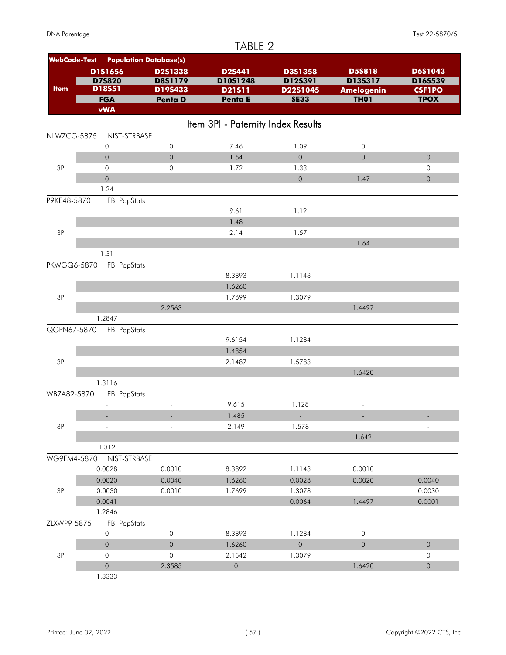|                     |                     |                               | TABLE 2                            |                     |                          |                     |
|---------------------|---------------------|-------------------------------|------------------------------------|---------------------|--------------------------|---------------------|
| <b>WebCode-Test</b> |                     | <b>Population Database(s)</b> |                                    |                     |                          |                     |
|                     | D1S1656             | D2S1338                       | D2S441                             | D3S1358             | <b>D5S818</b>            | D6S1043             |
|                     | D75820              | <b>D8S1179</b>                | D10S1248                           | D12S391             | D13S317                  | D16S539             |
| <b>Item</b>         | D18S51              | D19S433                       | D21511                             | D22S1045            | <b>Amelogenin</b>        | <b>CSF1PO</b>       |
|                     | <b>FGA</b>          | Penta D                       | Penta E                            | <b>SE33</b>         | <b>TH01</b>              | <b>TPOX</b>         |
|                     | <b>vWA</b>          |                               |                                    |                     |                          |                     |
|                     |                     |                               | Item 3PI - Paternity Index Results |                     |                          |                     |
| NLWZCG-5875         | NIST-STRBASE        |                               |                                    |                     |                          |                     |
|                     | 0                   | $\mathsf{O}$                  | 7.46                               | 1.09                | $\mathsf{O}\xspace$      |                     |
|                     | $\overline{0}$      | $\mathsf{O}$                  | 1.64                               | $\mathsf{O}$        | $\overline{0}$           | $\overline{0}$      |
| 3PI                 | $\mathsf{O}\xspace$ | $\circ$                       | 1.72                               | 1.33                |                          | 0                   |
|                     | $\mathsf O$         |                               |                                    | $\mathsf{O}\xspace$ | 1.47                     | $\mathsf{O}\xspace$ |
|                     | 1.24                |                               |                                    |                     |                          |                     |
| P9KE48-5870         | <b>FBI PopStats</b> |                               |                                    |                     |                          |                     |
|                     |                     |                               | 9.61                               | 1.12                |                          |                     |
|                     |                     |                               | 1.48                               |                     |                          |                     |
| 3PI                 |                     |                               | 2.14                               | 1.57                |                          |                     |
|                     |                     |                               |                                    |                     | 1.64                     |                     |
|                     | 1.31                |                               |                                    |                     |                          |                     |
| PKWGQ6-5870         | <b>FBI PopStats</b> |                               |                                    |                     |                          |                     |
|                     |                     |                               | 8.3893                             | 1.1143              |                          |                     |
|                     |                     |                               | 1.6260                             |                     |                          |                     |
| 3PI                 |                     |                               | 1.7699                             | 1.3079              |                          |                     |
|                     |                     | 2.2563                        |                                    |                     | 1.4497                   |                     |
|                     | 1.2847              |                               |                                    |                     |                          |                     |
| QGPN67-5870         | <b>FBI PopStats</b> |                               |                                    |                     |                          |                     |
|                     |                     |                               | 9.6154                             | 1.1284              |                          |                     |
|                     |                     |                               | 1.4854                             |                     |                          |                     |
| 3PI                 |                     |                               | 2.1487                             | 1.5783              |                          |                     |
|                     |                     |                               |                                    |                     | 1.6420                   |                     |
|                     | 1.3116              |                               |                                    |                     |                          |                     |
| WB7A82-5870         | <b>FBI PopStats</b> |                               |                                    |                     |                          |                     |
|                     |                     |                               | 9.615                              | 1.128               | $\overline{\phantom{a}}$ |                     |
|                     |                     |                               | 1.485                              |                     |                          |                     |
| 3PI                 |                     |                               | 2.149                              | 1.578               |                          |                     |
|                     |                     |                               |                                    | L.                  | 1.642                    |                     |
|                     | 1.312               |                               |                                    |                     |                          |                     |
| WG9FM4-5870         | NIST-STRBASE        |                               |                                    |                     |                          |                     |
|                     | 0.0028              | 0.0010                        | 8.3892                             | 1.1143              | 0.0010                   |                     |
|                     | 0.0020              | 0.0040                        | 1.6260                             | 0.0028              | 0.0020                   | 0.0040              |
| 3PI                 | 0.0030              | 0.0010                        | 1.7699                             | 1.3078              |                          | 0.0030              |
|                     | 0.0041              |                               |                                    | 0.0064              | 1.4497                   | 0.0001              |
|                     | 1.2846              |                               |                                    |                     |                          |                     |
| ZLXWP9-5875         | <b>FBI PopStats</b> |                               |                                    |                     |                          |                     |
|                     | $\mathsf{O}\xspace$ | $\mathsf{O}$                  | 8.3893                             | 1.1284              | $\mathsf{O}\xspace$      |                     |
|                     | $\mathsf{O}$        | $\mathsf{O}\xspace$           | 1.6260                             | $\mathsf{O}\xspace$ | $\overline{0}$           | $\mathsf{O}\xspace$ |
| 3PI                 | $\mathsf{O}$        | $\mathsf{O}$                  | 2.1542                             | 1.3079              |                          | 0                   |
|                     | $\mathsf{O}\xspace$ | 2.3585                        | $\mathsf{O}\xspace$                |                     | 1.6420                   | $\mathsf{O}\xspace$ |
|                     | 1.3333              |                               |                                    |                     |                          |                     |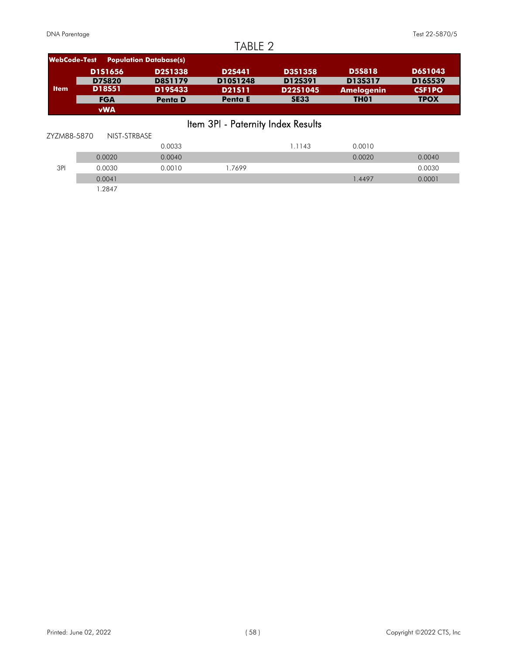| <b>WebCode-Test</b>                | <b>Population Database(s)</b> |                |                |                |                   |                |  |  |
|------------------------------------|-------------------------------|----------------|----------------|----------------|-------------------|----------------|--|--|
|                                    | <b>D1S1656</b>                | <b>D2S1338</b> | D2S441         | <b>D3S1358</b> | <b>D5S818</b>     | <b>D6S1043</b> |  |  |
|                                    | <b>D7S820</b>                 | <b>D8S1179</b> | D10S1248       | D12S391        | D13S317           | D16S539        |  |  |
| <b>Item</b>                        | <b>D18S51</b>                 | D19S433        | <b>D21511</b>  | D22S1045       | <b>Amelogenin</b> | <b>CSF1PO</b>  |  |  |
|                                    | <b>FGA</b>                    | <b>Penta D</b> | <b>Penta E</b> | <b>SE33</b>    | TH <sub>01</sub>  | <b>TPOX</b>    |  |  |
|                                    | <b>vWA</b>                    |                |                |                |                   |                |  |  |
| Item 3PI - Paternity Index Results |                               |                |                |                |                   |                |  |  |
| ZYZM88-5870                        | NIST-STRBASE                  |                |                |                |                   |                |  |  |
|                                    |                               | 0.0033         |                | 1.1143         | 0.0010            |                |  |  |
|                                    | 0.0020                        | 0.0040         |                |                | 0.0020            | 0.0040         |  |  |
| 3PI                                | 0.0030                        | 0.0010         | 1.7699         |                |                   | 0.0030         |  |  |
|                                    | 0.0041                        |                |                |                | 1.4497            | 0.0001         |  |  |
|                                    | 1.2847                        |                |                |                |                   |                |  |  |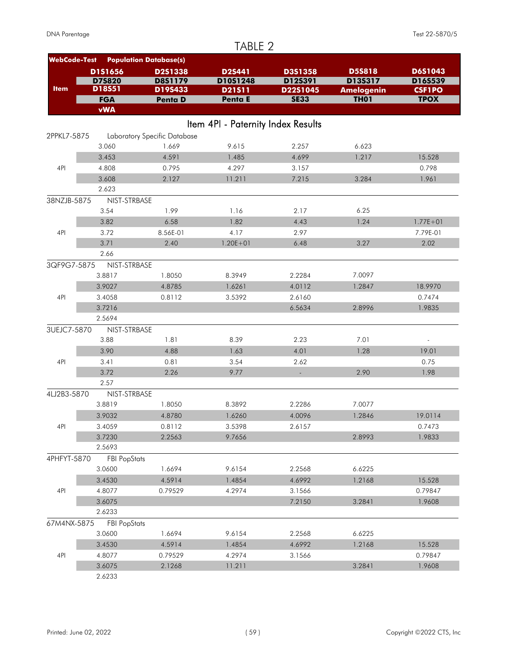|                     |                        |                               | TABLE 2                            |             |                   |                   |
|---------------------|------------------------|-------------------------------|------------------------------------|-------------|-------------------|-------------------|
| <b>WebCode-Test</b> |                        | <b>Population Database(s)</b> |                                    |             |                   |                   |
|                     | D1S1656                | <b>D2S1338</b>                | <b>D2S441</b>                      | D3S1358     | <b>D5S818</b>     | D6S1043           |
|                     | D75820                 | <b>D8S1179</b>                | D10S1248                           | D12S391     | D13S317           | D16S539           |
| <b>Item</b>         | D18S51                 | D19S433                       | D21511                             | D22S1045    | <b>Amelogenin</b> | <b>CSF1PO</b>     |
|                     | <b>FGA</b>             | Penta D                       | Penta E                            | <b>SE33</b> | <b>TH01</b>       | <b>TPOX</b>       |
|                     | <b>vWA</b>             |                               |                                    |             |                   |                   |
|                     |                        |                               | Item 4PI - Paternity Index Results |             |                   |                   |
| 2PPKL7-5875         |                        | Laboratory Specific Database  |                                    |             |                   |                   |
|                     | 3.060                  | 1.669                         | 9.615                              | 2.257       | 6.623             |                   |
|                     | 3.453                  | 4.591                         | 1.485                              | 4.699       | 1.217             | 15.528            |
| 4PI                 | 4.808                  | 0.795                         | 4.297                              | 3.157       |                   | 0.798             |
|                     | 3.608                  | 2.127                         | 11.211                             | 7.215       | 3.284             | 1.961             |
|                     | 2.623                  |                               |                                    |             |                   |                   |
| 38NZJB-5875         | NIST-STRBASE           |                               |                                    |             |                   |                   |
|                     | 3.54                   | 1.99                          | 1.16                               | 2.17        | 6.25              |                   |
|                     | 3.82                   | 6.58                          | 1.82                               | 4.43        | 1.24              | $1.77E + 01$      |
| 4PI                 | 3.72                   | 8.56E-01                      | 4.17                               | 2.97        |                   | 7.79E-01          |
|                     | 3.71                   | 2.40                          | $1.20E + 01$                       | 6.48        | 3.27              | 2.02              |
|                     | 2.66                   |                               |                                    |             |                   |                   |
| 3QF9G7-5875         | NIST-STRBASE           |                               |                                    |             |                   |                   |
|                     | 3.8817                 | 1.8050                        | 8.3949                             | 2.2284      | 7.0097            |                   |
|                     | 3.9027                 | 4.8785                        | 1.6261                             | 4.0112      | 1.2847            | 18.9970           |
| 4PI                 | 3.4058                 | 0.8112                        | 3.5392                             | 2.6160      |                   | 0.7474            |
|                     | 3.7216                 |                               |                                    | 6.5634      | 2.8996            | 1.9835            |
|                     | 2.5694                 |                               |                                    |             |                   |                   |
| 3UEJC7-5870         | NIST-STRBASE           |                               |                                    |             |                   |                   |
|                     | 3.88                   | 1.81                          | 8.39                               | 2.23        | 7.01              | $\blacksquare$    |
|                     | 3.90                   | 4.88                          | 1.63                               | 4.01        | 1.28              | 19.01             |
| 4PI                 | 3.41                   | 0.81                          | 3.54                               | 2.62        |                   | 0.75              |
|                     | 3.72                   | 2.26                          | 9.77                               |             | 2.90              | 1.98              |
|                     | 2.57                   |                               |                                    |             |                   |                   |
| 4LJ2B3-5870         | NIST-STRBASE<br>3.8819 | 1.8050                        | 8.3892                             | 2.2286      | 7.0077            |                   |
|                     |                        |                               |                                    | 4.0096      |                   |                   |
| 4PI                 | 3.9032<br>3.4059       | 4.8780<br>0.8112              | 1.6260<br>3.5398                   | 2.6157      | 1.2846            | 19.0114<br>0.7473 |
|                     | 3.7230                 | 2.2563                        | 9.7656                             |             | 2.8993            | 1.9833            |
|                     | 2.5693                 |                               |                                    |             |                   |                   |
| 4PHFYT-5870         | <b>FBI PopStats</b>    |                               |                                    |             |                   |                   |
|                     | 3.0600                 | 1.6694                        | 9.6154                             | 2.2568      | 6.6225            |                   |
|                     | 3.4530                 | 4.5914                        | 1.4854                             | 4.6992      | 1.2168            | 15.528            |
| 4PI                 | 4.8077                 | 0.79529                       | 4.2974                             | 3.1566      |                   | 0.79847           |
|                     | 3.6075                 |                               |                                    | 7.2150      | 3.2841            | 1.9608            |
|                     | 2.6233                 |                               |                                    |             |                   |                   |
| 67M4NX-5875         | <b>FBI PopStats</b>    |                               |                                    |             |                   |                   |
|                     | 3.0600                 | 1.6694                        | 9.6154                             | 2.2568      | 6.6225            |                   |
|                     | 3.4530                 | 4.5914                        | 1.4854                             | 4.6992      | 1.2168            | 15.528            |
| 4PI                 | 4.8077                 | 0.79529                       | 4.2974                             | 3.1566      |                   | 0.79847           |
|                     | 3.6075                 | 2.1268                        | 11.211                             |             | 3.2841            | 1.9608            |
|                     | 2.6233                 |                               |                                    |             |                   |                   |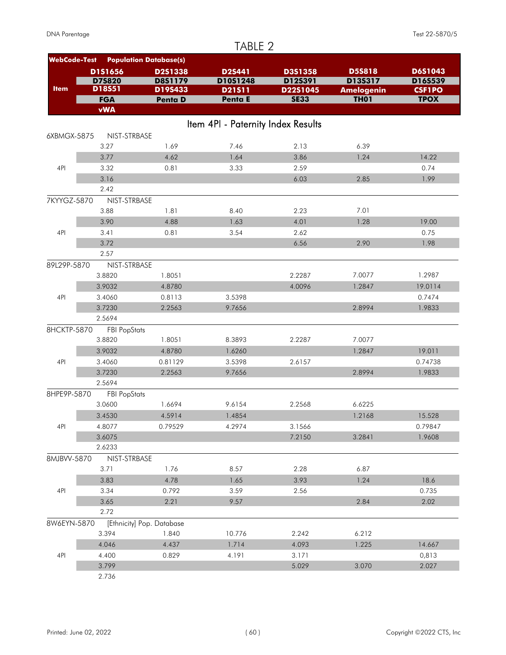|                     |                               |                               | TABLE 2                            |             |                   |               |
|---------------------|-------------------------------|-------------------------------|------------------------------------|-------------|-------------------|---------------|
| <b>WebCode-Test</b> |                               | <b>Population Database(s)</b> |                                    |             |                   |               |
|                     | D1S1656                       | D2S1338                       | <b>D2S441</b>                      | D3S1358     | <b>D5S818</b>     | D6S1043       |
|                     | D75820                        | <b>D8S1179</b>                | D10S1248                           | D12S391     | D13S317           | D16S539       |
| <b>Item</b>         | D18S51                        | D19S433                       | D21511                             | D22S1045    | <b>Amelogenin</b> | <b>CSF1PO</b> |
|                     | <b>FGA</b>                    | Penta D                       | Penta E                            | <b>SE33</b> | <b>TH01</b>       | <b>TPOX</b>   |
|                     | <b>vWA</b>                    |                               |                                    |             |                   |               |
|                     |                               |                               | Item 4PI - Paternity Index Results |             |                   |               |
| 6XBMGX-5875         | NIST-STRBASE                  |                               |                                    |             |                   |               |
|                     | 3.27                          | 1.69                          | 7.46                               | 2.13        | 6.39              |               |
|                     | 3.77                          | 4.62                          | 1.64                               | 3.86        | 1.24              | 14.22         |
| 4PI                 | 3.32                          | 0.81                          | 3.33                               | 2.59        |                   | 0.74          |
|                     | 3.16                          |                               |                                    | 6.03        | 2.85              | 1.99          |
|                     | 2.42                          |                               |                                    |             |                   |               |
| 7KYYGZ-5870         | NIST-STRBASE                  |                               |                                    |             |                   |               |
|                     | 3.88                          | 1.81                          | 8.40                               | 2.23        | 7.01              |               |
|                     | 3.90                          | 4.88                          | 1.63                               | 4.01        | 1.28              | 19.00         |
| 4PI                 | 3.41                          | 0.81                          | 3.54                               | 2.62        |                   | 0.75          |
|                     | 3.72                          |                               |                                    | 6.56        | 2.90              | 1.98          |
|                     | 2.57                          |                               |                                    |             |                   |               |
| 89L29P-5870         | NIST-STRBASE                  |                               |                                    |             |                   |               |
|                     | 3.8820                        | 1.8051                        |                                    | 2.2287      | 7.0077            | 1.2987        |
|                     | 3.9032                        | 4.8780                        |                                    | 4.0096      | 1.2847            | 19.0114       |
| 4PI                 | 3.4060                        | 0.8113                        | 3.5398                             |             |                   | 0.7474        |
|                     | 3.7230<br>2.5694              | 2.2563                        | 9.7656                             |             | 2.8994            | 1.9833        |
| 8HCKTP-5870         |                               |                               |                                    |             |                   |               |
|                     | <b>FBI PopStats</b><br>3.8820 | 1.8051                        | 8.3893                             | 2.2287      | 7.0077            |               |
|                     | 3.9032                        | 4.8780                        | 1.6260                             |             | 1.2847            | 19.011        |
| 4PI                 | 3.4060                        | 0.81129                       | 3.5398                             | 2.6157      |                   | 0.74738       |
|                     | 3.7230                        | 2.2563                        | 9.7656                             |             | 2.8994            | 1.9833        |
|                     | 2.5694                        |                               |                                    |             |                   |               |
| 8HPE9P-5870         | <b>FBI PopStats</b>           |                               |                                    |             |                   |               |
|                     | 3.0600                        | 1.6694                        | 9.6154                             | 2.2568      | 6.6225            |               |
|                     | 3.4530                        | 4.5914                        | 1.4854                             |             | 1.2168            | 15.528        |
| 4PI                 | 4.8077                        | 0.79529                       | 4.2974                             | 3.1566      |                   | 0.79847       |
|                     | 3.6075                        |                               |                                    | 7.2150      | 3.2841            | 1.9608        |
|                     | 2.6233                        |                               |                                    |             |                   |               |
| 8MJBVV-5870         | NIST-STRBASE                  |                               |                                    |             |                   |               |
|                     | 3.71                          | 1.76                          | 8.57                               | 2.28        | 6.87              |               |
|                     | 3.83                          | 4.78                          | 1.65                               | 3.93        | 1.24              | 18.6          |
| 4PI                 | 3.34                          | 0.792                         | 3.59                               | 2.56        |                   | 0.735         |
|                     | 3.65                          | 2.21                          | 9.57                               |             | 2.84              | 2.02          |
|                     | 2.72                          |                               |                                    |             |                   |               |
| 8W6EYN-5870         |                               | [Ethnicity] Pop. Database     |                                    |             |                   |               |
|                     | 3.394                         | 1.840                         | 10.776                             | 2.242       | 6.212             |               |
|                     | 4.046                         | 4.437                         | 1.714                              | 4.093       | 1.225             | 14.667        |
| 4PI                 | 4.400                         | 0.829                         | 4.191                              | 3.171       |                   | 0,813         |
|                     | 3.799                         |                               |                                    | 5.029       | 3.070             | 2.027         |
|                     | 2.736                         |                               |                                    |             |                   |               |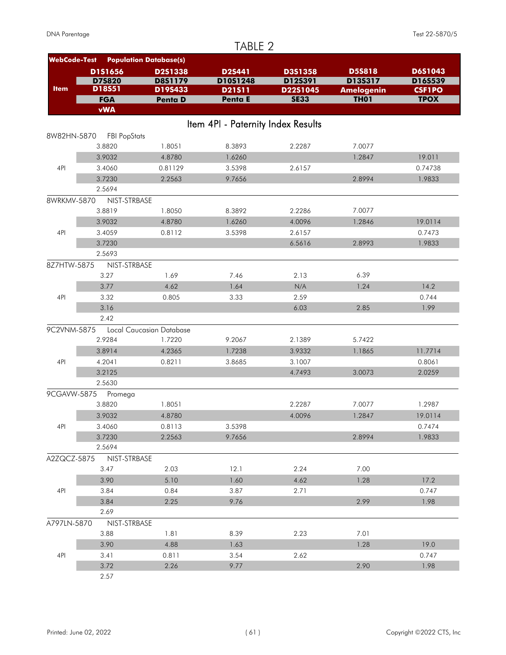#### TABLE 2 **WebCode-Test Population Database(s) Penta E D6S1043 Penta D SE33 TH01 TPOX vWA D19S433 D21S11 D22S1045 Amelogenin CSF1PO FGA D8S1179 D10S1248 D12S391 D13S317 D18S51 D16S539 D1S1656 D2S1338 D2S441 D3S1358 D5S818 D7S820 Item** Item 4PI - Paternity Index Results 8W82HN-5870 FBI PopStats 3.8820 1.8051 8.3893 2.2287 7.0077 3.9032 4.8780 1.6260 1.2847 19.011 4PI 3.4060 0.81129 3.5398 2.6157 0.74738 3.7230 2.2563 9.7656 2.8994 1.9833 2.5694 8WRKMV-5870 NIST-STRBASE 3.8819 1.8050 8.3892 2.2286 7.0077 3.9032 4.8780 1.6260 4.0096 1.2846 19.0114 4PI 3.4059 0.8112 3.5398 2.6157 0.7473 3.7230 6.5616 2.8993 1.9833 2.5693 8Z7HTW-5875 NIST-STRBASE 3.27 1.69 7.46 2.13 6.39 3.77 4.62 1.64 N/A 1.24 14.2 4PI 3.32 0.805 3.33 2.59 0.744  $3.16$  2.85 1.99 2.42 9C2VNM-5875 Local Caucasian Database 2.9284 1.7220 9.2067 2.1389 5.7422 3.8914 4.2365 1.7238 3.9332 1.1865 11.7714 4PI 4.2041 0.8211 3.8685 3.1007 0.8061 3.2125 4.7493 3.0073 2.0259 2.5630 9CGAVW-5875 Promega 3.8820 1.8051 2.2287 7.0077 1.2987 3.9032 4.8780 4.0096 1.2847 19.0114 4PI 3.4060 0.8113 3.5398 0.7474 3.7230 2.2563 9.7656 2.8994 1.9833 2.5694 A2ZQCZ-5875 NIST-STRBASE 3.47 2.03 12.1 2.24 7.00 3.90 5.10 1.60 4.62 1.28 17.2 4PI 3.84 0.84 3.87 2.71 0.747 3.84 2.25 9.76 2.99 1.98 2.69 A797LN-5870 NIST-STRBASE 3.88 1.81 8.39 2.23 7.01  $3.90$  4.88 1.63 1.63 1.28 19.0 4PI 3.41 0.811 3.54 2.62 0.747 3.72 2.26 2.26 9.77 2.98 2.90 1.98 2.57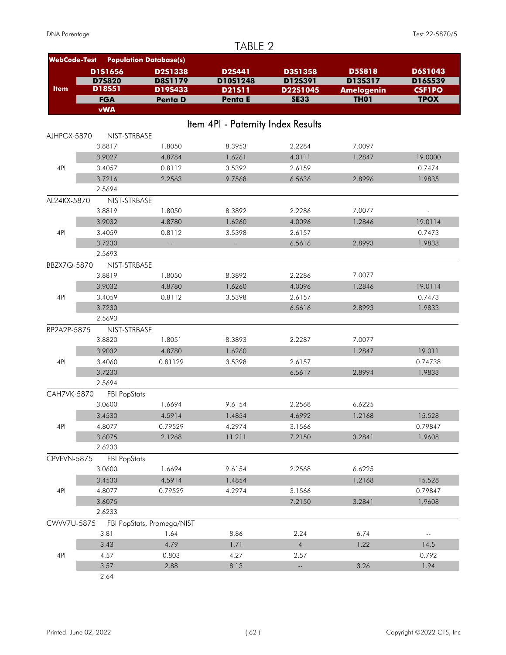|                     |                     |                               | TABLE 2                            |                  |                   |                          |
|---------------------|---------------------|-------------------------------|------------------------------------|------------------|-------------------|--------------------------|
| <b>WebCode-Test</b> |                     | <b>Population Database(s)</b> |                                    |                  |                   |                          |
|                     | D1S1656             | <b>D2S1338</b>                | <b>D2S441</b>                      | D3S1358          | <b>D5S818</b>     | D6S1043                  |
|                     | D75820              | D8S1179                       | D10S1248                           | D12S391          | D13S317           | D16S539                  |
| <b>Item</b>         | D18S51              | D19S433                       | D21511                             | D22S1045         | <b>Amelogenin</b> | <b>CSF1PO</b>            |
|                     | <b>FGA</b>          | <b>Penta D</b>                | Penta E                            | <b>SE33</b>      | <b>TH01</b>       | <b>TPOX</b>              |
|                     | <b>vWA</b>          |                               |                                    |                  |                   |                          |
|                     |                     |                               | Item 4PI - Paternity Index Results |                  |                   |                          |
| AJHPGX-5870         | NIST-STRBASE        |                               |                                    |                  |                   |                          |
|                     | 3.8817              | 1.8050                        | 8.3953                             | 2.2284           | 7.0097            |                          |
|                     | 3.9027              | 4.8784                        | 1.6261                             | 4.0111           | 1.2847            | 19.0000                  |
| 4PI                 | 3.4057              | 0.8112                        | 3.5392                             | 2.6159           |                   | 0.7474                   |
|                     | 3.7216              | 2.2563                        | 9.7568                             | 6.5636           | 2.8996            | 1.9835                   |
|                     | 2.5694              |                               |                                    |                  |                   |                          |
| AL24KX-5870         | NIST-STRBASE        |                               |                                    |                  |                   |                          |
|                     | 3.8819              | 1.8050                        | 8.3892                             | 2.2286           | 7.0077            | $\overline{\phantom{a}}$ |
|                     | 3.9032              | 4.8780                        | 1.6260                             | 4.0096           | 1.2846            | 19.0114                  |
| 4PI                 | 3.4059              | 0.8112                        | 3.5398                             | 2.6157           |                   | 0.7473                   |
|                     | 3.7230              |                               |                                    | 6.5616           | 2.8993            | 1.9833                   |
|                     | 2.5693              |                               |                                    |                  |                   |                          |
| BBZX7Q-5870         | NIST-STRBASE        |                               |                                    |                  |                   |                          |
|                     | 3.8819              | 1.8050                        | 8.3892                             | 2.2286           | 7.0077            |                          |
|                     | 3.9032              | 4.8780                        | 1.6260                             | 4.0096           | 1.2846            | 19.0114                  |
| 4PI                 | 3.4059              | 0.8112                        | 3.5398                             | 2.6157           |                   | 0.7473                   |
|                     | 3.7230              |                               |                                    | 6.5616           | 2.8993            | 1.9833                   |
|                     | 2.5693              |                               |                                    |                  |                   |                          |
| BP2A2P-5875         | NIST-STRBASE        |                               |                                    |                  |                   |                          |
|                     | 3.8820              | 1.8051                        | 8.3893                             | 2.2287           | 7.0077            |                          |
|                     | 3.9032              | 4.8780                        | 1.6260                             |                  | 1.2847            | 19.011                   |
| 4PI                 | 3.4060              | 0.81129                       | 3.5398                             | 2.6157           |                   | 0.74738                  |
|                     | 3.7230              |                               |                                    | 6.5617           | 2.8994            | 1.9833                   |
|                     | 2.5694              |                               |                                    |                  |                   |                          |
| CAH7VK-5870         | <b>FBI PopStats</b> |                               |                                    |                  |                   |                          |
|                     | 3.0600              | 1.6694                        | 9.6154                             | 2.2568           | 6.6225            |                          |
|                     | 3.4530              | 4.5914                        | 1.4854                             | 4.6992           | 1.2168            | 15.528                   |
| 4PI                 | 4.8077              | 0.79529                       | 4.2974                             | 3.1566<br>7.2150 |                   | 0.79847<br>1.9608        |
|                     | 3.6075<br>2.6233    | 2.1268                        | 11.211                             |                  | 3.2841            |                          |
| CPVEVN-5875         | <b>FBI PopStats</b> |                               |                                    |                  |                   |                          |
|                     | 3.0600              | 1.6694                        | 9.6154                             | 2.2568           | 6.6225            |                          |
|                     | 3.4530              | 4.5914                        | 1.4854                             |                  | 1.2168            | 15.528                   |
| 4PI                 | 4.8077              | 0.79529                       | 4.2974                             | 3.1566           |                   | 0.79847                  |
|                     | 3.6075              |                               |                                    | 7.2150           | 3.2841            | 1.9608                   |
|                     | 2.6233              |                               |                                    |                  |                   |                          |
| CWW7U-5875          |                     | FBI PopStats, Promega/NIST    |                                    |                  |                   |                          |
|                     | 3.81                | 1.64                          | 8.86                               | 2.24             | 6.74              | н,                       |
|                     | 3.43                | 4.79                          | 1.71                               | $\overline{4}$   | 1.22              | 14.5                     |
| 4PI                 | 4.57                | 0.803                         | 4.27                               | 2.57             |                   | 0.792                    |
|                     | 3.57                | 2.88                          | 8.13                               |                  | 3.26              | 1.94                     |
|                     | 2.64                |                               |                                    |                  |                   |                          |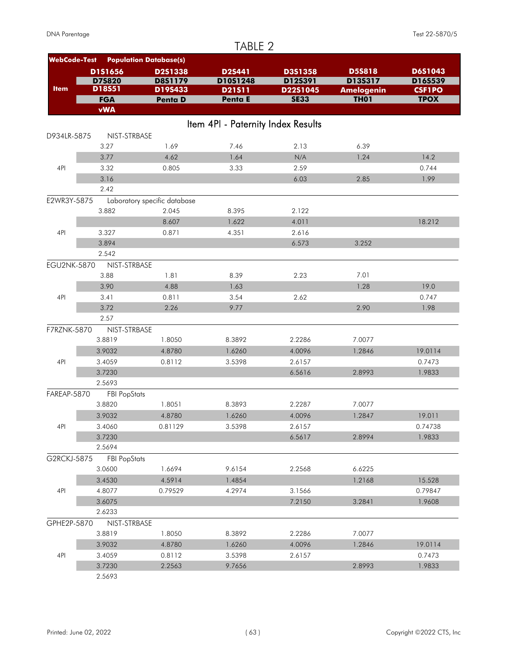|                     |                     |                               | TABLE 2                            |             |                   |               |
|---------------------|---------------------|-------------------------------|------------------------------------|-------------|-------------------|---------------|
| <b>WebCode-Test</b> |                     | <b>Population Database(s)</b> |                                    |             |                   |               |
|                     | D1S1656             | <b>D2S1338</b>                | <b>D2S441</b>                      | D3S1358     | <b>D5S818</b>     | D6S1043       |
|                     | D75820              | <b>D8S1179</b>                | D10S1248                           | D12S391     | D13S317           | D16S539       |
| <b>Item</b>         | D18S51              | D19S433                       | D21511                             | D22S1045    | <b>Amelogenin</b> | <b>CSF1PO</b> |
|                     | <b>FGA</b>          | Penta D                       | Penta E                            | <b>SE33</b> | <b>TH01</b>       | <b>TPOX</b>   |
|                     | <b>vWA</b>          |                               |                                    |             |                   |               |
|                     |                     |                               | Item 4PI - Paternity Index Results |             |                   |               |
| D934LR-5875         | NIST-STRBASE        |                               |                                    |             |                   |               |
|                     | 3.27                | 1.69                          | 7.46                               | 2.13        | 6.39              |               |
|                     | 3.77                | 4.62                          | 1.64                               | N/A         | 1.24              | 14.2          |
| 4PI                 | 3.32                | 0.805                         | 3.33                               | 2.59        |                   | 0.744         |
|                     | 3.16                |                               |                                    | 6.03        | 2.85              | 1.99          |
|                     | 2.42                |                               |                                    |             |                   |               |
| E2WR3Y-5875         |                     | Laboratory specific database  |                                    |             |                   |               |
|                     | 3.882               | 2.045                         | 8.395                              | 2.122       |                   |               |
|                     |                     | 8.607                         | 1.622                              | 4.011       |                   | 18.212        |
| 4PI                 | 3.327               | 0.871                         | 4.351                              | 2.616       |                   |               |
|                     | 3.894               |                               |                                    | 6.573       | 3.252             |               |
|                     | 2.542               |                               |                                    |             |                   |               |
| <b>EGU2NK-5870</b>  | NIST-STRBASE        |                               |                                    |             |                   |               |
|                     | 3.88                | 1.81                          | 8.39                               | 2.23        | 7.01              |               |
|                     | 3.90                | 4.88                          | 1.63                               |             | 1.28              | 19.0          |
| 4PI                 | 3.41                | 0.811                         | 3.54                               | 2.62        |                   | 0.747         |
|                     | 3.72                | 2.26                          | 9.77                               |             | 2.90              | 1.98          |
|                     | 2.57                |                               |                                    |             |                   |               |
| F7RZNK-5870         | NIST-STRBASE        |                               |                                    |             |                   |               |
|                     | 3.8819              | 1.8050                        | 8.3892                             | 2.2286      | 7.0077            |               |
|                     | 3.9032              | 4.8780                        | 1.6260                             | 4.0096      | 1.2846            | 19.0114       |
| 4PI                 | 3.4059              | 0.8112                        | 3.5398                             | 2.6157      |                   | 0.7473        |
|                     | 3.7230              |                               |                                    | 6.5616      | 2.8993            | 1.9833        |
|                     | 2.5693              |                               |                                    |             |                   |               |
| FAREAP-5870         | <b>FBI PopStats</b> |                               |                                    |             |                   |               |
|                     | 3.8820              | 1.8051                        | 8.3893                             | 2.2287      | 7.0077            |               |
|                     | 3.9032              | 4.8780                        | 1.6260                             | 4.0096      | 1.2847            | 19.011        |
| 4PI                 | 3.4060              | 0.81129                       | 3.5398                             | 2.6157      |                   | 0.74738       |
|                     | 3.7230              |                               |                                    | 6.5617      | 2.8994            | 1.9833        |
|                     | 2.5694              |                               |                                    |             |                   |               |
| G2RCKJ-5875         | <b>FBI PopStats</b> |                               |                                    |             |                   |               |
|                     | 3.0600              | 1.6694                        | 9.6154                             | 2.2568      | 6.6225            |               |
|                     | 3.4530              | 4.5914                        | 1.4854                             |             | 1.2168            | 15.528        |
| 4PI                 | 4.8077              | 0.79529                       | 4.2974                             | 3.1566      |                   | 0.79847       |
|                     | 3.6075              |                               |                                    | 7.2150      | 3.2841            | 1.9608        |
|                     | 2.6233              |                               |                                    |             |                   |               |
| GPHE2P-5870         | NIST-STRBASE        |                               |                                    |             |                   |               |
|                     | 3.8819              | 1.8050                        | 8.3892                             | 2.2286      | 7.0077            |               |
|                     | 3.9032              | 4.8780                        | 1.6260                             | 4.0096      | 1.2846            | 19.0114       |
| 4PI                 | 3.4059              | 0.8112                        | 3.5398                             | 2.6157      |                   | 0.7473        |
|                     | 3.7230<br>2.5693    | 2.2563                        | 9.7656                             |             | 2.8993            | 1.9833        |
|                     |                     |                               |                                    |             |                   |               |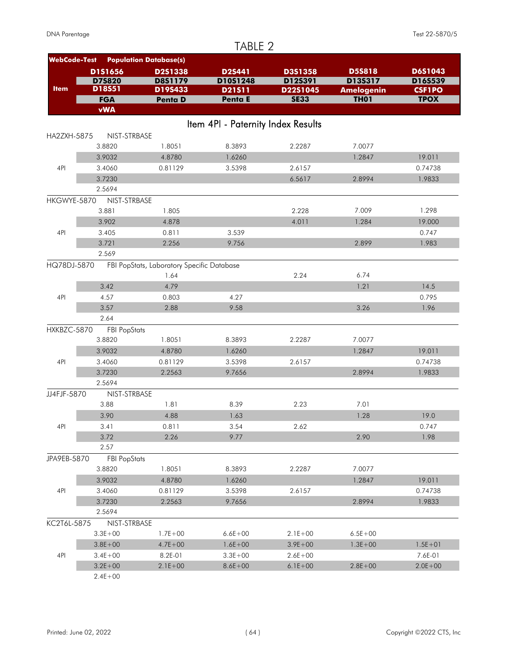| <b>WebCode-Test</b> |                     | <b>Population Database(s)</b>              |                                    |             |                   |                |
|---------------------|---------------------|--------------------------------------------|------------------------------------|-------------|-------------------|----------------|
|                     | D1S1656             | D2S1338                                    | <b>D2S441</b>                      | D3S1358     | <b>D5S818</b>     | <b>D6S1043</b> |
|                     | <b>D7S820</b>       | <b>D8S1179</b>                             | D10S1248                           | D12S391     | D13S317           | D16S539        |
| <b>Item</b>         | D18S51              | D19S433                                    | D21511                             | D22S1045    | <b>Amelogenin</b> | <b>CSF1PO</b>  |
|                     | <b>FGA</b>          | <b>Penta D</b>                             | <b>Penta E</b>                     | <b>SE33</b> | <b>TH01</b>       | <b>TPOX</b>    |
|                     | <b>vWA</b>          |                                            |                                    |             |                   |                |
|                     |                     |                                            | Item 4PI - Paternity Index Results |             |                   |                |
| HA2ZXH-5875         | NIST-STRBASE        |                                            |                                    |             |                   |                |
|                     | 3.8820              | 1.8051                                     | 8.3893                             | 2.2287      | 7.0077            |                |
|                     | 3.9032              | 4.8780                                     | 1.6260                             |             | 1.2847            | 19.011         |
| 4PI                 | 3.4060              | 0.81129                                    | 3.5398                             | 2.6157      |                   | 0.74738        |
|                     | 3.7230              |                                            |                                    | 6.5617      | 2.8994            | 1.9833         |
|                     | 2.5694              |                                            |                                    |             |                   |                |
| HKGWYE-5870         | NIST-STRBASE        |                                            |                                    |             |                   |                |
|                     | 3.881               | 1.805                                      |                                    | 2.228       | 7.009             | 1.298          |
|                     | 3.902               | 4.878                                      |                                    | 4.011       | 1.284             | 19.000         |
| 4PI                 | 3.405               | 0.811                                      | 3.539                              |             |                   | 0.747          |
|                     | 3.721               | 2.256                                      | 9.756                              |             | 2.899             | 1.983          |
|                     | 2.569               |                                            |                                    |             |                   |                |
| HQ78DJ-5870         |                     | FBI PopStats, Laboratory Specific Database |                                    |             |                   |                |
|                     |                     | 1.64                                       |                                    | 2.24        | 6.74              |                |
|                     | 3.42                | 4.79                                       |                                    |             | 1.21              | 14.5           |
| 4PI                 | 4.57                | 0.803                                      | 4.27                               |             |                   | 0.795          |
|                     | 3.57                | 2.88                                       | 9.58                               |             | 3.26              | 1.96           |
|                     | 2.64                |                                            |                                    |             |                   |                |
| HXKBZC-5870         | <b>FBI PopStats</b> |                                            |                                    |             |                   |                |
|                     | 3.8820              | 1.8051                                     | 8.3893                             | 2.2287      | 7.0077            |                |
|                     | 3.9032              | 4.8780                                     | 1.6260                             |             | 1.2847            | 19.011         |
| 4PI                 | 3.4060              | 0.81129                                    | 3.5398                             | 2.6157      |                   | 0.74738        |
|                     | 3.7230              | 2.2563                                     | 9.7656                             |             | 2.8994            | 1.9833         |
|                     | 2.5694              |                                            |                                    |             |                   |                |
| JJ4FJF-5870         | NIST-STRBASE        |                                            |                                    |             |                   |                |
|                     | 3.88                | 1.81                                       | 8.39                               | 2.23        | 7.01              |                |
|                     | 3.90                | 4.88                                       | 1.63                               |             | 1.28              | 19.0           |
| 4PI                 | 3.41                | 0.811                                      | 3.54                               | 2.62        |                   | 0.747          |
|                     | 3.72                | 2.26                                       | 9.77                               |             | 2.90              | 1.98           |
|                     | 2.57                |                                            |                                    |             |                   |                |
| JPA9EB-5870         | <b>FBI PopStats</b> |                                            |                                    |             |                   |                |
|                     | 3.8820              | 1.8051                                     | 8.3893                             | 2.2287      | 7.0077            |                |
|                     | 3.9032              | 4.8780                                     | 1.6260                             |             | 1.2847            | 19.011         |
| 4PI                 | 3.4060              | 0.81129                                    | 3.5398                             | 2.6157      |                   | 0.74738        |
|                     | 3.7230              | 2.2563                                     | 9.7656                             |             | 2.8994            | 1.9833         |
|                     | 2.5694              |                                            |                                    |             |                   |                |
| KC2T6L-5875         | NIST-STRBASE        |                                            |                                    |             |                   |                |
|                     | $3.3E + 00$         | $1.7E + 00$                                | $6.6E + 00$                        | $2.1E + 00$ | $6.5E + 00$       |                |
|                     | $3.8E + 00$         | $4.7E + 00$                                | $1.6E + 00$                        | $3.9E + 00$ | $1.3E + 00$       | $1.5E + 01$    |
| 4PI                 | $3.4E + 00$         | 8.2E-01                                    | $3.3E + 00$                        | $2.6E + 00$ |                   | 7.6E-01        |
|                     | $3.2E + 00$         | $2.1E + 00$                                | $8.6E + 00$                        | $6.1E + 00$ | $2.8E + 00$       | $2.0E + 00$    |
|                     | $2.4E + 00$         |                                            |                                    |             |                   |                |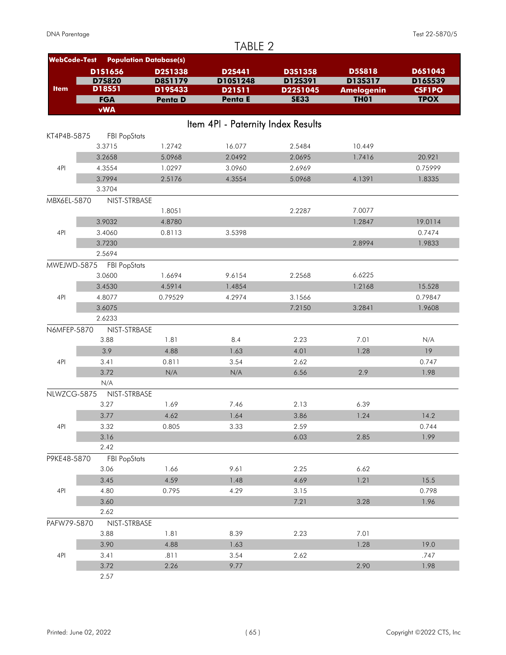#### **WebCode-Test Population Database(s) Penta E D6S1043 Penta D SE33 TH01 TPOX vWA D19S433 D21S11 D22S1045 Amelogenin CSF1PO FGA D8S1179 D10S1248 D12S391 D13S317 D18S51 D16S539 D1S1656 D2S1338 D2S441 D3S1358 D5S818 D7S820 Item** Item 4PI - Paternity Index Results KT4P4B-5875 FBI PopStats 3.3715 1.2742 16.077 2.5484 10.449 3.2658 5.0968 2.0492 2.0695 1.7416 20.921 4PI 4.3554 1.0297 3.0960 2.6969 0.75999 3.7994 2.5176 4.3554 5.0968 4.1391 1.8335 3.3704 MBX6EL-5870 NIST-STRBASE 1.8051 2.2287 7.0077 3.9032 4.8780 1.2847 19.0114 4PI 3.4060 0.8113 3.5398 0.7474 3.7230 2.8994 1.9833 2.5694 MWEJWD-5875 FBI PopStats 3.0600 1.6694 9.6154 2.2568 6.6225 3.4530 4.5914 1.4854 1.2168 15.528 4PI 4.8077 0.79529 4.2974 3.1566 0.79847 3.6075 7.2150 3.2841 1.9608 2.6233 N6MFEP-5870 NIST-STRBASE 3.88 1.81 8.4 2.23 7.01 N/A 3.9 4.88 1.63 4.01 1.28 19 4PI 3.41 0.811 3.54 2.62 0.747 3.72 N/A N/A 6.56 2.9 1.98 N/A NLWZCG-5875 NIST-STRBASE 3.27 1.69 7.46 2.13 6.39 3.77 4.62 1.64 3.86 1.24 14.2 4PI 3.32 0.805 3.33 2.59 0.744  $3.16$  2.85 1.99 2.42 P9KE48-5870 FBI PopStats 3.06 1.66 9.61 2.25 6.62 3.45 4.59 1.48 4.69 1.21 15.5 4PI 4.80 0.795 4.29 3.15 0.798 3.60 7.21 3.28 1.96 2.62 PAFW79-5870 NIST-STRBASE 3.88 1.81 8.39 2.23 7.01  $3.90$  4.88 1.63 1.63 1.28 19.0 4PI 3.41 .811 3.54 2.62 .747 3.72 2.26 2.26 9.77 2.98 2.90 1.98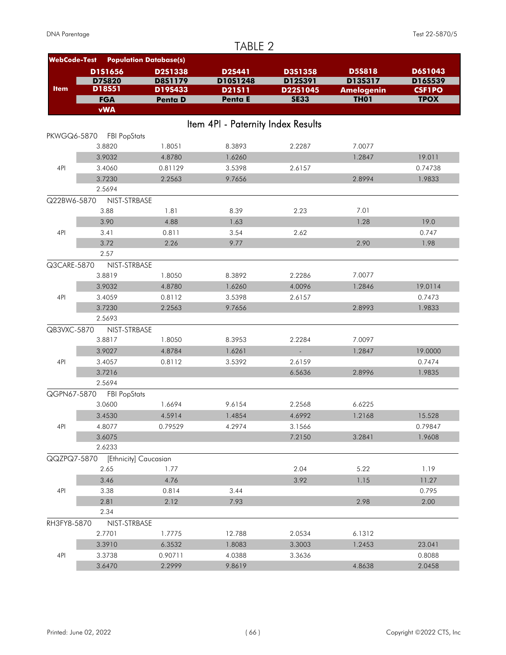|                     |                     |                               | TABLE 2                            |             |                   |               |
|---------------------|---------------------|-------------------------------|------------------------------------|-------------|-------------------|---------------|
| <b>WebCode-Test</b> |                     | <b>Population Database(s)</b> |                                    |             |                   |               |
|                     | D1S1656             | <b>D2S1338</b>                | <b>D2S441</b>                      | D3S1358     | <b>D5S818</b>     | D6S1043       |
|                     | D75820              | <b>D8S1179</b>                | D10S1248                           | D12S391     | D13S317           | D16S539       |
| <b>Item</b>         | D18S51              | D19S433                       | D21511                             | D22S1045    | <b>Amelogenin</b> | <b>CSF1PO</b> |
|                     | <b>FGA</b>          | <b>Penta D</b>                | Penta E                            | <b>SE33</b> | <b>TH01</b>       | <b>TPOX</b>   |
|                     | <b>vWA</b>          |                               |                                    |             |                   |               |
|                     |                     |                               | Item 4PI - Paternity Index Results |             |                   |               |
| PKWGQ6-5870         | <b>FBI PopStats</b> |                               |                                    |             |                   |               |
|                     | 3.8820              | 1.8051                        | 8.3893                             | 2.2287      | 7.0077            |               |
|                     | 3.9032              | 4.8780                        | 1.6260                             |             | 1.2847            | 19.011        |
| 4PI                 | 3.4060              | 0.81129                       | 3.5398                             | 2.6157      |                   | 0.74738       |
|                     | 3.7230              | 2.2563                        | 9.7656                             |             | 2.8994            | 1.9833        |
|                     | 2.5694              |                               |                                    |             |                   |               |
| Q22BW6-5870         | NIST-STRBASE        |                               |                                    |             |                   |               |
|                     | 3.88                | 1.81                          | 8.39                               | 2.23        | 7.01              |               |
|                     | 3.90                | 4.88                          | 1.63                               |             | 1.28              | 19.0          |
| 4PI                 | 3.41                | 0.811                         | 3.54                               | 2.62        |                   | 0.747         |
|                     | 3.72                | 2.26                          | 9.77                               |             | 2.90              | 1.98          |
|                     | 2.57                |                               |                                    |             |                   |               |
| Q3CARE-5870         | NIST-STRBASE        |                               |                                    |             |                   |               |
|                     | 3.8819              | 1.8050                        | 8.3892                             | 2.2286      | 7.0077            |               |
|                     | 3.9032              | 4.8780                        | 1.6260                             | 4.0096      | 1.2846            | 19.0114       |
| 4PI                 | 3.4059              | 0.8112                        | 3.5398                             | 2.6157      |                   | 0.7473        |
|                     | 3.7230              | 2.2563                        | 9.7656                             |             | 2.8993            | 1.9833        |
|                     | 2.5693              |                               |                                    |             |                   |               |
| QB3VXC-5870         | NIST-STRBASE        |                               |                                    |             |                   |               |
|                     | 3.8817              | 1.8050                        | 8.3953                             | 2.2284      | 7.0097            |               |
|                     | 3.9027              | 4.8784                        | 1.6261                             |             | 1.2847            | 19.0000       |
| 4PI                 | 3.4057              | 0.8112                        | 3.5392                             | 2.6159      |                   | 0.7474        |
|                     | 3.7216              |                               |                                    | 6.5636      | 2.8996            | 1.9835        |
|                     | 2.5694              |                               |                                    |             |                   |               |
| QGPN67-5870         | <b>FBI PopStats</b> |                               |                                    |             |                   |               |
|                     | 3.0600              | 1.6694                        | 9.6154                             | 2.2568      | 6.6225            |               |
|                     | 3.4530              | 4.5914                        | 1.4854                             | 4.6992      | 1.2168            | 15.528        |
| 4PI                 | 4.8077              | 0.79529                       | 4.2974                             | 3.1566      |                   | 0.79847       |
|                     | 3.6075              |                               |                                    | 7.2150      | 3.2841            | 1.9608        |
|                     | 2.6233              |                               |                                    |             |                   |               |
| QQZPQ7-5870         |                     | [Ethnicity] Caucasian         |                                    |             |                   |               |
|                     | 2.65                | 1.77                          |                                    | 2.04        | 5.22              | 1.19          |
|                     | 3.46                | 4.76                          |                                    | 3.92        | 1.15              | 11.27         |
| 4PI                 | 3.38                | 0.814                         | 3.44                               |             |                   | 0.795         |
|                     | 2.81                | 2.12                          | 7.93                               |             | 2.98              | 2.00          |
|                     | 2.34                |                               |                                    |             |                   |               |
| RH3FY8-5870         | NIST-STRBASE        |                               |                                    |             |                   |               |
|                     | 2.7701              | 1.7775                        | 12.788                             | 2.0534      | 6.1312            |               |
|                     | 3.3910              | 6.3532                        | 1.8083                             | 3.3003      | 1.2453            | 23.041        |
| 4PI                 | 3.3738              | 0.90711                       | 4.0388                             | 3.3636      |                   | 0.8088        |
|                     | 3.6470              | 2.2999                        | 9.8619                             |             | 4.8638            | 2.0458        |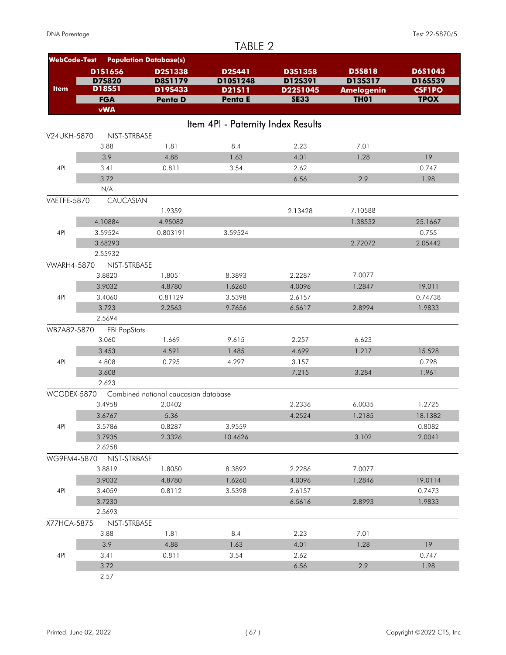|                     |                     |                                      | TABLE 2                            |             |                   |               |
|---------------------|---------------------|--------------------------------------|------------------------------------|-------------|-------------------|---------------|
| <b>WebCode-Test</b> |                     | <b>Population Database(s)</b>        |                                    |             |                   |               |
|                     | D1S1656             | <b>D2S1338</b>                       | <b>D2S441</b>                      | D3S1358     | <b>D5S818</b>     | D6S1043       |
|                     | D75820              | D8S1179                              | D10S1248                           | D12S391     | D13S317           | D16S539       |
| <b>Item</b>         | D18S51              | D19S433                              | D21511                             | D22S1045    | <b>Amelogenin</b> | <b>CSF1PO</b> |
|                     | <b>FGA</b>          | <b>Penta D</b>                       | Penta E                            | <b>SE33</b> | <b>TH01</b>       | <b>TPOX</b>   |
|                     | <b>vWA</b>          |                                      |                                    |             |                   |               |
|                     |                     |                                      | Item 4PI - Paternity Index Results |             |                   |               |
| V24UKH-5870         | NIST-STRBASE        |                                      |                                    |             |                   |               |
|                     | 3.88                | 1.81                                 | 8.4                                | 2.23        | 7.01              |               |
|                     | 3.9                 | 4.88                                 | 1.63                               | 4.01        | 1.28              | 19            |
| 4PI                 | 3.41                | 0.811                                | 3.54                               | 2.62        |                   | 0.747         |
|                     | 3.72                |                                      |                                    | 6.56        | 2.9               | 1.98          |
|                     | N/A                 |                                      |                                    |             |                   |               |
| VAETFE-5870         | CAUCASIAN           |                                      |                                    |             |                   |               |
|                     |                     | 1.9359                               |                                    | 2.13428     | 7.10588           |               |
|                     | 4.10884             | 4.95082                              |                                    |             | 1.38532           | 25.1667       |
| 4PI                 | 3.59524             | 0.803191                             | 3.59524                            |             |                   | 0.755         |
|                     | 3.68293             |                                      |                                    |             | 2.72072           | 2.05442       |
|                     | 2.55932             |                                      |                                    |             |                   |               |
| <b>VWARH4-5870</b>  | NIST-STRBASE        |                                      |                                    |             |                   |               |
|                     | 3.8820              | 1.8051                               | 8.3893                             | 2.2287      | 7.0077            |               |
|                     | 3.9032              | 4.8780                               | 1.6260                             | 4.0096      | 1.2847            | 19.011        |
| 4PI                 | 3.4060              | 0.81129                              | 3.5398                             | 2.6157      |                   | 0.74738       |
|                     | 3.723               | 2.2563                               | 9.7656                             | 6.5617      | 2.8994            | 1.9833        |
|                     | 2.5694              |                                      |                                    |             |                   |               |
| WB7A82-5870         | <b>FBI PopStats</b> |                                      |                                    |             |                   |               |
|                     | 3.060               | 1.669                                | 9.615                              | 2.257       | 6.623             |               |
|                     | 3.453               | 4.591                                | 1.485                              | 4.699       | 1.217             | 15.528        |
| 4PI                 | 4.808               | 0.795                                | 4.297                              | 3.157       |                   | 0.798         |
|                     | 3.608               |                                      |                                    | 7.215       | 3.284             | 1.961         |
|                     | 2.623               |                                      |                                    |             |                   |               |
| WCGDEX-5870         |                     | Combined national caucasian database |                                    |             |                   |               |
|                     | 3.4958              | 2.0402                               |                                    | 2.2336      | 6.0035            | 1.2725        |
|                     | 3.6767              | 5.36                                 |                                    | 4.2524      | 1.2185            | 18.1382       |
| 4PI                 | 3.5786              | 0.8287                               | 3.9559                             |             |                   | 0.8082        |
|                     | 3.7935              | 2.3326                               | 10.4626                            |             | 3.102             | 2.0041        |
|                     | 2.6258              |                                      |                                    |             |                   |               |
| WG9FM4-5870         | NIST-STRBASE        |                                      |                                    |             |                   |               |
|                     | 3.8819              | 1.8050                               | 8.3892                             | 2.2286      | 7.0077            |               |
|                     | 3.9032              | 4.8780                               | 1.6260                             | 4.0096      | 1.2846            | 19.0114       |
| 4PI                 | 3.4059              | 0.8112                               | 3.5398                             | 2.6157      |                   | 0.7473        |
|                     | 3.7230              |                                      |                                    | 6.5616      | 2.8993            | 1.9833        |
|                     | 2.5693              |                                      |                                    |             |                   |               |
| X77HCA-5875         | NIST-STRBASE        |                                      |                                    |             |                   |               |
|                     | 3.88                | 1.81                                 | 8.4                                | 2.23        | 7.01              |               |
|                     | 3.9                 | 4.88                                 | 1.63                               | 4.01        | 1.28              | 19            |
| 4PI                 | 3.41                | 0.811                                | 3.54                               | 2.62        |                   | 0.747         |
|                     | 3.72                |                                      |                                    | 6.56        | 2.9               | 1.98          |
|                     | 2.57                |                                      |                                    |             |                   |               |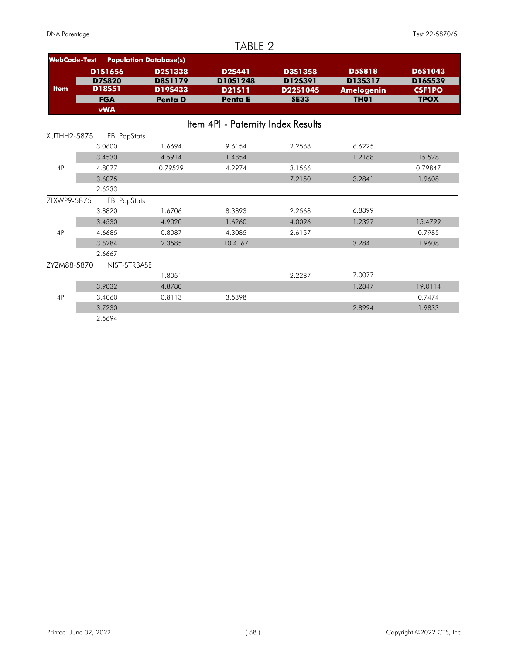## TARIF<sub>2</sub>

|                     |                     |                               | 1/70LL 4                           |                |                   |                |
|---------------------|---------------------|-------------------------------|------------------------------------|----------------|-------------------|----------------|
| <b>WebCode-Test</b> |                     | <b>Population Database(s)</b> |                                    |                |                   |                |
|                     | <b>D1S1656</b>      | <b>D2S1338</b>                | <b>D2S441</b>                      | <b>D3S1358</b> | <b>D5S818</b>     | <b>D6S1043</b> |
|                     | <b>D7S820</b>       | D8S1179                       | D10S1248                           | D12S391        | D13S317           | D16S539        |
| <b>Item</b>         | D18S51              | D19S433                       | <b>D21511</b>                      | D22S1045       | <b>Amelogenin</b> | <b>CSF1PO</b>  |
|                     | <b>FGA</b>          | <b>Penta D</b>                | <b>Penta E</b>                     | <b>SE33</b>    | <b>TH01</b>       | <b>TPOX</b>    |
|                     | <b>vWA</b>          |                               |                                    |                |                   |                |
|                     |                     |                               | Item 4PI - Paternity Index Results |                |                   |                |
| XUTHH2-5875         | <b>FBI PopStats</b> |                               |                                    |                |                   |                |
|                     | 3.0600              | 1.6694                        | 9.6154                             | 2.2568         | 6.6225            |                |
|                     | 3.4530              | 4.5914                        | 1.4854                             |                | 1.2168            | 15.528         |
| 4PI                 | 4.8077              | 0.79529                       | 4.2974                             | 3.1566         |                   | 0.79847        |
|                     | 3.6075              |                               |                                    | 7.2150         | 3.2841            | 1.9608         |
|                     | 2.6233              |                               |                                    |                |                   |                |
| ZLXWP9-5875         | <b>FBI PopStats</b> |                               |                                    |                |                   |                |
|                     | 3.8820              | 1.6706                        | 8.3893                             | 2.2568         | 6.8399            |                |
|                     | 3.4530              | 4.9020                        | 1.6260                             | 4.0096         | 1.2327            | 15.4799        |
| 4PI                 | 4.6685              | 0.8087                        | 4.3085                             | 2.6157         |                   | 0.7985         |
|                     | 3.6284              | 2.3585                        | 10.4167                            |                | 3.2841            | 1.9608         |
|                     | 2.6667              |                               |                                    |                |                   |                |
| ZYZM88-5870         | NIST-STRBASE        |                               |                                    |                |                   |                |
|                     |                     | 1.8051                        |                                    | 2.2287         | 7.0077            |                |
|                     | 3.9032              | 4.8780                        |                                    |                | 1.2847            | 19.0114        |
| 4PI                 | 3.4060              | 0.8113                        | 3.5398                             |                |                   | 0.7474         |
|                     | 3.7230              |                               |                                    |                | 2.8994            | 1.9833         |
|                     | 2.5694              |                               |                                    |                |                   |                |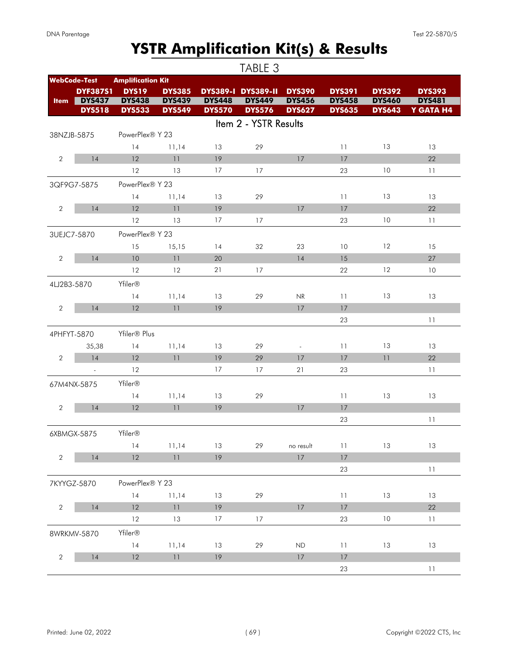# **YSTR Amplification Kit(s) & Results**

|                |                                |                                |                                |                                | TABLE 3                        |                                |                                |                                |                            |
|----------------|--------------------------------|--------------------------------|--------------------------------|--------------------------------|--------------------------------|--------------------------------|--------------------------------|--------------------------------|----------------------------|
|                | <b>WebCode-Test</b>            | <b>Amplification Kit</b>       |                                |                                |                                |                                |                                |                                |                            |
|                | <b>DYF387S1</b>                | <b>DYS19</b>                   | <b>DYS385</b>                  |                                | <b>DYS389-I DYS389-II</b>      | <b>DYS390</b>                  | <b>DYS391</b>                  | <b>DYS392</b>                  | <b>DYS393</b>              |
| <b>Item</b>    | <b>DYS437</b><br><b>DYS518</b> | <b>DYS438</b><br><b>DYS533</b> | <b>DYS439</b><br><b>DYS549</b> | <b>DYS448</b><br><b>DYS570</b> | <b>DYS449</b><br><b>DYS576</b> | <b>DYS456</b><br><b>DYS627</b> | <b>DYS458</b><br><b>DYS635</b> | <b>DYS460</b><br><b>DYS643</b> | <b>DYS481</b><br>Y GATA H4 |
|                |                                |                                |                                |                                | Item 2 - YSTR Results          |                                |                                |                                |                            |
|                | 38NZJB-5875                    | PowerPlex® Y 23                |                                |                                |                                |                                |                                |                                |                            |
|                |                                | 14                             | 11,14                          | 13                             | 29                             |                                | 11                             | 13                             | 13                         |
| $\overline{2}$ | 14                             | 12                             | 11                             | 19                             |                                | 17                             | 17                             |                                | 22                         |
|                |                                | 12                             | 13                             | 17                             | 17                             |                                | 23                             | 10                             | 11                         |
|                | 3QF9G7-5875                    | PowerPlex® Y 23                |                                |                                |                                |                                |                                |                                |                            |
|                |                                | 14                             | 11,14                          | 13                             | 29                             |                                | 11                             | 13                             | 13                         |
| $\overline{2}$ | 14                             | 12                             | 11                             | 19                             |                                | 17                             | 17                             |                                | 22                         |
|                |                                | 12                             | 13                             | 17                             | 17                             |                                | 23                             | 10                             | 11                         |
|                | 3UEJC7-5870                    | PowerPlex® Y 23                |                                |                                |                                |                                |                                |                                |                            |
|                |                                | 15                             | 15,15                          | 14                             | 32                             | 23                             | 10                             | 12                             | 15                         |
| $\overline{2}$ | 14                             | 10                             | 11                             | 20                             |                                | 14                             | 15                             |                                | 27                         |
|                |                                | 12                             | 12                             | 21                             | 17                             |                                | 22                             | 12                             | 10                         |
|                | 4LJ2B3-5870                    | Yfiler®                        |                                |                                |                                |                                |                                |                                |                            |
|                |                                | 14                             | 11,14                          | 13                             | 29                             | NR                             | 11                             | 13                             | 13                         |
| $\overline{2}$ | 14                             | 12                             | 11                             | 19                             |                                | 17                             | 17                             |                                |                            |
|                |                                |                                |                                |                                |                                |                                | 23                             |                                | 11                         |
|                | 4PHFYT-5870                    | Yfiler® Plus                   |                                |                                |                                |                                |                                |                                |                            |
|                | 35,38                          | 14                             | 11,14                          | 13                             | 29                             | $\overline{\phantom{a}}$       | 11                             | 13                             | 13                         |
| $\overline{2}$ | 14                             | 12                             | 11                             | 19                             | 29                             | 17                             | 17                             | 11                             | 22                         |
|                | $\sim$                         | 12                             |                                | 17                             | 17                             | 21                             | 23                             |                                | 11                         |
|                | 67M4NX-5875                    | Yfiler®                        |                                |                                |                                |                                |                                |                                |                            |
|                |                                | 14                             | 11,14                          | 13                             | 29                             |                                | 11                             | 13                             | 13                         |
| $\overline{2}$ | 14                             | 12                             | 11                             | 19                             |                                | 17                             | 17                             |                                |                            |
|                |                                |                                |                                |                                |                                |                                | 23                             |                                | 11                         |
|                | 6XBMGX-5875                    | Yfiler®                        |                                |                                |                                |                                |                                |                                |                            |
|                |                                | 14                             | 11,14                          | 13                             | 29                             | no result                      | 11                             | 13                             | 13                         |
| $\overline{2}$ | 14                             | 12                             | 11                             | 19                             |                                | $17$                           | 17                             |                                |                            |
|                |                                |                                |                                |                                |                                |                                | 23                             |                                | 11                         |
|                | 7KYYGZ-5870                    | PowerPlex® Y 23                |                                |                                |                                |                                |                                |                                |                            |
|                |                                | 14                             | 11,14                          | 13                             | 29                             |                                | 11                             | 13                             | 13                         |
| $\overline{2}$ | 14                             | 12                             | 11                             | 19                             |                                | 17                             | 17                             |                                | 22                         |
|                |                                | 12                             | 13                             | 17                             | 17                             |                                | 23                             | 10                             | 11                         |
|                | 8WRKMV-5870                    | Yfiler®                        |                                |                                |                                |                                |                                |                                |                            |
|                |                                | 14                             | 11,14                          | 13                             | 29                             | <b>ND</b>                      | $11$                           | 13                             | 13                         |
| $\sqrt{2}$     | 14                             | 12                             | 11                             | 19                             |                                | 17                             | 17                             |                                |                            |
|                |                                |                                |                                |                                |                                |                                | 23                             |                                | 11                         |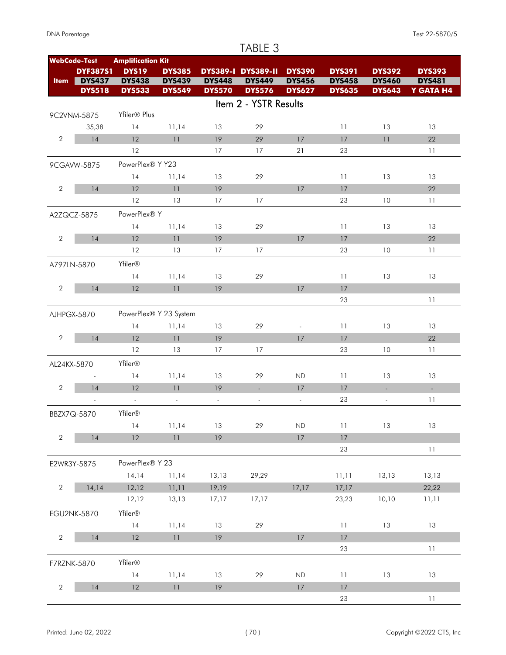|                | <b>WebCode-Test</b> | <b>Amplification Kit</b> |                            |               |                             |                          |               |                          |                |
|----------------|---------------------|--------------------------|----------------------------|---------------|-----------------------------|--------------------------|---------------|--------------------------|----------------|
|                | <b>DYF387S1</b>     | <b>DYS19</b>             | <b>DYS385</b>              |               | <b>DYS389-I DYS389-II</b>   | <b>DYS390</b>            | <b>DYS391</b> | <b>DYS392</b>            | <b>DYS393</b>  |
| <b>Item</b>    | <b>DYS437</b>       | <b>DYS438</b>            | <b>DYS439</b>              | <b>DYS448</b> | <b>DYS449</b>               | <b>DYS456</b>            | <b>DYS458</b> | <b>DYS460</b>            | <b>DYS481</b>  |
|                | <b>DYS518</b>       | <b>DYS533</b>            | <b>DYS549</b>              | <b>DYS570</b> | <b>DYS576</b>               | <b>DYS627</b>            | <b>DYS635</b> | <b>DYS643</b>            | Y GATA H4      |
|                |                     |                          |                            |               | Item 2 - YSTR Results       |                          |               |                          |                |
|                | 9C2VNM-5875         | Yfiler® Plus             |                            |               |                             |                          |               |                          |                |
|                | 35,38               | 14                       | 11,14                      | 13            | 29                          |                          | 11            | 13                       | 13             |
| $\overline{2}$ | 14                  | 12                       | 11                         | 19            | 29                          | 17                       | 17            | 11                       | 22             |
|                |                     | 12                       |                            | 17            | 17                          | 21                       | 23            |                          | 11             |
|                | 9CGAVW-5875         | PowerPlex® Y Y23         |                            |               |                             |                          |               |                          |                |
|                |                     | 14                       | 11,14                      | 13            | 29                          |                          | 11            | 13                       | 13             |
| $\overline{2}$ | 14                  | 12                       | 11                         | 19            |                             | 17                       | 17            |                          | 22             |
|                |                     | 12                       | 13                         | 17            | 17                          |                          | 23            | 10                       | 11             |
|                | A2ZQCZ-5875         | PowerPlex® Y             |                            |               |                             |                          |               |                          |                |
|                |                     | 14                       | 11,14                      | 13            | 29                          |                          | 11            | 13                       | 13             |
| $\overline{2}$ | 14                  | 12                       | 11                         | 19            |                             | 17                       | 17            |                          | 22             |
|                |                     | 12                       | 13                         | 17            | 17                          |                          | 23            | 10                       | 11             |
|                | A797LN-5870         | Yfiler®                  |                            |               |                             |                          |               |                          |                |
|                |                     | 14                       | 11,14                      | 13            | 29                          |                          | 11            | 13                       | 13             |
| $\overline{2}$ | 14                  | 12                       | 11                         | 19            |                             | 17                       | 17            |                          |                |
|                |                     |                          |                            |               |                             |                          | 23            |                          | 11             |
|                | AJHPGX-5870         |                          | PowerPlex® Y 23 System     |               |                             |                          |               |                          |                |
|                |                     | 14                       | 11,14                      | 13            | 29                          | $\overline{\phantom{a}}$ | 11            | 13                       | 13             |
| $\overline{2}$ | 14                  | 12                       | 11                         | 19            |                             | 17                       | 17            |                          | 22             |
|                |                     | 12                       | 13                         | 17            | 17                          |                          | 23            | 10                       | 11             |
| AL24KX-5870    |                     | Yfiler®                  |                            |               |                             |                          |               |                          |                |
|                |                     | 14                       | 11,14                      | 13            | 29                          | <b>ND</b>                | 11            | 13                       | 13             |
| $\overline{2}$ | 14                  | 12                       | 11                         | 19            | $\mathcal{L}_{\mathcal{A}}$ | 17                       | 17            | ÷.                       | $\mathbb{Z}^+$ |
|                |                     | $\sim$                   | $\sim$                     | $\Box$        | $\overline{\phantom{a}}$    | $\overline{\phantom{a}}$ | 23            | $\overline{\phantom{a}}$ | 11             |
|                | BBZX7Q-5870         | Yfiler®                  |                            |               |                             |                          |               |                          |                |
|                |                     | $\sqrt{14}$              | 11,14                      | 13            | 29                          | ${\sf ND}$               | $11\,$        | 13                       | $13$           |
| $\overline{2}$ | 14                  | 12                       | 11                         | 19            |                             | $17\,$                   | $17\,$        |                          |                |
|                |                     |                          |                            |               |                             |                          | 23            |                          | 11             |
|                | E2WR3Y-5875         | PowerPlex® Y 23          |                            |               |                             |                          |               |                          |                |
|                |                     | 14,14                    | 11,14                      | 13,13         | 29,29                       |                          | 11,11         | 13,13                    | 13,13          |
| $\overline{2}$ | 14,14               | 12,12                    | 11,11                      | 19,19         |                             | 17,17                    | 17,17         |                          | 22,22          |
|                |                     | 12,12                    | 13,13                      | 17,17         | 17,17                       |                          | 23,23         | 10,10                    | 11,11          |
|                | EGU2NK-5870         | Yfiler®                  |                            |               |                             |                          |               |                          |                |
|                |                     | 14                       | 11,14                      | 13            | 29                          |                          | 11            | 13                       | 13             |
| $\overline{2}$ | 14                  | 12                       | $\ensuremath{\mathsf{11}}$ | 19            |                             | $17$                     | $17\,$        |                          |                |
|                |                     |                          |                            |               |                             |                          | 23            |                          | $11\,$         |
|                |                     |                          |                            |               |                             |                          |               |                          |                |
| F7RZNK-5870    |                     | Yfiler®                  |                            |               |                             |                          |               |                          |                |
|                |                     | 14                       | 11,14                      | 13            | 29                          | ND                       | 11            | 13                       | 13             |
| $\sqrt{2}$     | 14                  | 12                       | 11                         | 19            |                             | $17\,$                   | $17\,$        |                          |                |
|                |                     |                          |                            |               |                             |                          | 23            |                          | $11\,$         |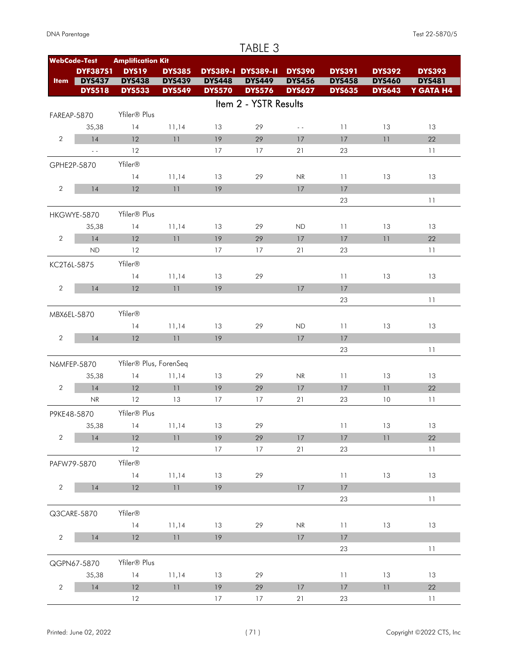|                | <b>Amplification Kit</b><br><b>WebCode-Test</b> |                          |                                                                |               |                           |               |               |               |               |
|----------------|-------------------------------------------------|--------------------------|----------------------------------------------------------------|---------------|---------------------------|---------------|---------------|---------------|---------------|
|                | <b>DYF387S1</b>                                 | <b>DYS19</b>             | <b>DYS385</b>                                                  |               | <b>DYS389-I DYS389-II</b> | <b>DYS390</b> | <b>DYS391</b> | <b>DYS392</b> | <b>DYS393</b> |
| <b>Item</b>    | <b>DYS437</b>                                   | <b>DYS438</b>            | <b>DYS439</b>                                                  | <b>DYS448</b> | <b>DYS449</b>             | <b>DYS456</b> | <b>DYS458</b> | <b>DYS460</b> | <b>DYS481</b> |
|                | <b>DYS518</b>                                   | <b>DYS533</b>            | <b>DYS549</b>                                                  | <b>DYS570</b> | <b>DYS576</b>             | <b>DYS627</b> | <b>DYS635</b> | <b>DYS643</b> | Y GATA H4     |
|                |                                                 |                          |                                                                |               | Item 2 - YSTR Results     |               |               |               |               |
| FAREAP-5870    |                                                 | Yfiler® Plus             |                                                                |               |                           |               |               |               |               |
|                | 35,38                                           | 14                       | 11,14                                                          | 13            | 29                        | $\sim$ $\sim$ | 11            | 13            | 13            |
| $\overline{2}$ | 14                                              | 12                       | 11                                                             | 19            | 29                        | 17            | 17            | 11            | 22            |
|                | $\omega_{\rm c}$                                | 12                       |                                                                | 17            | 17                        | 21            | 23            |               | 11            |
|                | GPHE2P-5870                                     | Yfiler®                  |                                                                |               |                           |               |               |               |               |
|                |                                                 | 14                       |                                                                | 13            |                           | NR            | 11            | 13            | 13            |
|                |                                                 |                          | 11,14                                                          |               | 29                        |               |               |               |               |
| $\mathbf{2}$   | 14                                              | 12                       | 11                                                             | 19            |                           | 17            | 17            |               |               |
|                |                                                 |                          |                                                                |               |                           |               | 23            |               | 11            |
|                | HKGWYE-5870                                     | Yfiler® Plus             |                                                                |               |                           |               |               |               |               |
|                | 35,38                                           | 14                       | 11,14                                                          | 13            | 29                        | <b>ND</b>     | 11            | 13            | 13            |
| $\sqrt{2}$     | 14                                              | 12                       | 11                                                             | 19            | 29                        | 17            | 17            | 11            | 22            |
|                | <b>ND</b>                                       | 12                       |                                                                | 17            | 17                        | 21            | 23            |               | 11            |
| KC2T6L-5875    |                                                 | Yfiler®                  |                                                                |               |                           |               |               |               |               |
|                |                                                 | 14                       | 11,14                                                          | 13            | 29                        |               | 11            | 13            | 13            |
| $\mathbf{2}$   | 14                                              | 12                       | 11                                                             | 19            |                           | 17            | 17            |               |               |
|                |                                                 |                          |                                                                |               |                           |               | 23            |               | 11            |
| MBX6EL-5870    |                                                 | Yfiler®                  |                                                                |               |                           |               |               |               |               |
|                |                                                 | 14                       | 11,14                                                          | 13            | 29                        | <b>ND</b>     | 11            | 13            | 13            |
| $\mathbf{2}$   | 14                                              | 12                       | 11                                                             | 19            |                           | 17            | 17            |               |               |
|                |                                                 |                          |                                                                |               |                           |               | 23            |               | 11            |
|                |                                                 |                          |                                                                |               |                           |               |               |               |               |
|                | N6MFEP-5870                                     | Yfiler® Plus, ForenSeq   |                                                                |               |                           |               |               |               |               |
|                | 35,38                                           | 14                       | 11,14                                                          | 13            | 29                        | NR            | 11            | 13            | 13            |
| $\overline{2}$ | 14                                              | 12                       | 11                                                             | 19            | 29                        | 17            | 17            | 11            | 22            |
|                | NR                                              | 12                       | 13                                                             | 17            | 17                        | 21            | 23            | 10            | 11            |
| P9KE48-5870    |                                                 | Yfiler <sup>®</sup> Plus |                                                                |               |                           |               |               |               |               |
|                | 35,38                                           | $14$ 11,14               |                                                                | 13            | 29                        |               | 11            | 13            | 13            |
| $\overline{2}$ | 14                                              | 12                       | 11                                                             | 19            | 29                        | $17$          | $17\,$        | 11            | 22            |
|                |                                                 | 12                       |                                                                | 17            | 17                        | 21            | 23            |               | 11            |
|                | PAFW79-5870                                     | Yfiler®                  |                                                                |               |                           |               |               |               |               |
|                |                                                 | 14                       | 11,14                                                          | 13            | 29                        |               | 11            | 13            | 13            |
| $\overline{2}$ | $14$                                            | 12                       | $\left  \ \right $                                             | 19            |                           | $17$          | $17$          |               |               |
|                |                                                 |                          |                                                                |               |                           |               | 23            |               | 11            |
|                |                                                 | Yfiler®                  |                                                                |               |                           |               |               |               |               |
|                | Q3CARE-5870                                     |                          |                                                                |               |                           |               |               |               |               |
|                |                                                 | 14                       | 11,14                                                          | 13            | 29                        | NR            | 11            | 13            | 13            |
| $\overline{2}$ | $14$                                            | 12                       | $11\,$                                                         | 19            |                           | $17\,$        | $17$          |               |               |
|                |                                                 |                          |                                                                |               |                           |               | 23            |               | 11            |
|                | QGPN67-5870                                     | Yfiler® Plus             |                                                                |               |                           |               |               |               |               |
|                | 35,38                                           | 14                       | 11,14                                                          | 13            | 29                        |               | 11            | 13            | 13            |
| $\overline{2}$ | $14$                                            | 12                       | $\ensuremath{\mathsf{1}}\xspace\ensuremath{\mathsf{1}}\xspace$ | 19            | $29\,$                    | $17\,$        | $17\,$        | $11$          | $22\,$        |
|                |                                                 | 12                       |                                                                | 17            | 17                        | 21            | 23            |               | 11            |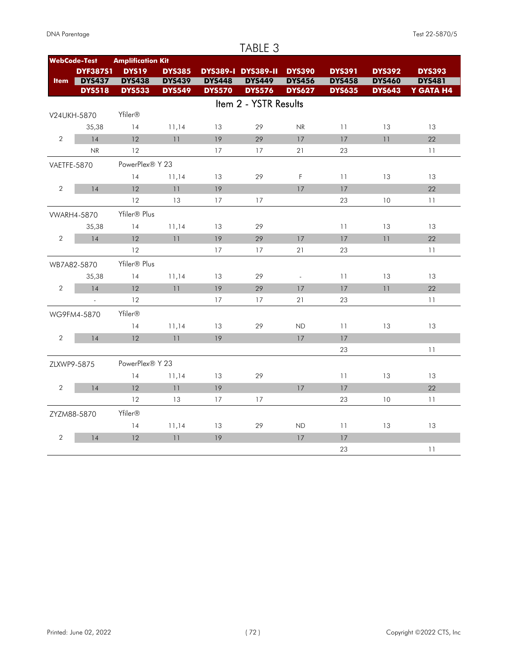|  | <b>DNA Parentage</b> |
|--|----------------------|
|--|----------------------|

### **WebCode-Test Amplification Kit Item** DYS437 **DYS19 DYS391 DYS385 DYS389-I DYS389-II DYS390 DYS392 DYS393 DYS437 DYS438 DYS439 DYS448 DYS456 DYS458 DYS481 DYS449 DYS460 DYS533 DYS549 DYS570 DYS576 DYS635 DYS643 Y GATA H4 DYF387S1 DYS518 DYS533 DYS549 DYS570** Item 2 - YSTR Results V24UKH-5870 Yfiler® 35,38 14 11,14 13 29 NR 11 13 13 2 14 12 11 19 29 17 17 11 22 NR 12 17 17 21 23 11 VAETFE-5870 PowerPlex® Y 23 14 11,14 13 29 F 11 13 13 2 14 12 11 19 17 17 22 12 13 17 17 23 10 11 VWARH4-5870 Yfiler® Plus 35,38 14 11,14 13 29 11 13 13 2 14 12 11 19 29 17 17 11 22 12 17 17 21 23 11 WB7A82-5870 Yfiler® Plus 35,38 14 11,14 13 29 - 11 13 13 2 14 12 11 19 29 17 17 11 22 - 12 17 17 21 23 11 WG9FM4-5870 Yfiler® 14 11,14 13 29 ND 11 13 13 2 14 12 11 19 17 17 23 11 ZLXWP9-5875 PowerPlex® Y 23 14 11,14 13 29 11 13 13 2 14 12 11 19 17 17 22 12 13 17 17 23 10 11 ZYZM88-5870 Yfiler® 14 11,14 13 29 ND 11 13 13 2 14 12 11 19 17 17 23 11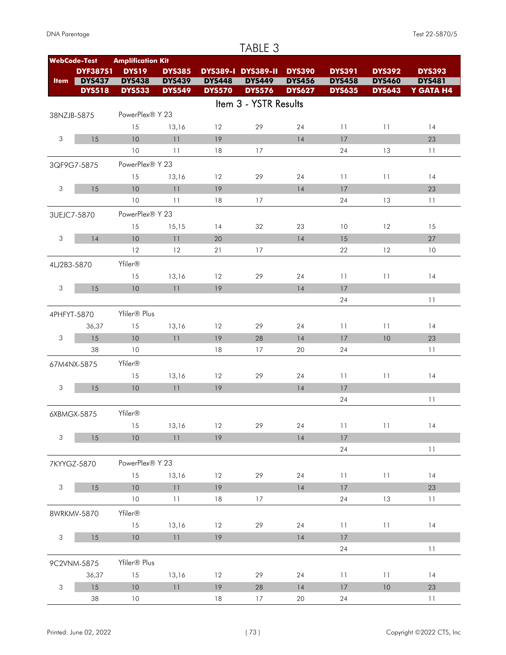#### **WebCode-Test Amplification Kit Item** DYS437 **DYS19 DYS391 DYS385 DYS389-I DYS389-II DYS390 DYS392 DYS393 DYS437 DYS438 DYS439 DYS448 DYS456 DYS458 DYS481 DYS449 DYS460 DYS533 DYS549 DYS570 DYS576 DYS635 DYS643 Y GATA H4 DYF387S1 DYS518 DYS533 DYS549 DYS570 DYS576** Item 3 - YSTR Results 38NZJB-5875 PowerPlex® Y 23 15 13,16 12 29 24 11 11 14 3 15 10 11 19 14 17 23 10 11 18 17 24 13 11 3QF9G7-5875 PowerPlex® Y 23 15 13,16 12 29 24 11 11 14 3 15 10 11 19 14 17 23 10 11 18 17 24 13 11 3UEJC7-5870 PowerPlex® Y 23 15 15,15 14 32 23 10 12 15 3 14 10 11 20 14 15 27 12 12 21 17 22 12 10 4LJ2B3-5870 Yfiler® 15 13,16 12 29 24 11 11 14 3 15 10 11 19 14 17 24 11 4PHFYT-5870 Yfiler® Plus 36,37 15 13,16 12 29 24 11 11 14 3 15 10 11 19 28 14 17 10 23 38 10 18 17 20 24 11 67M4NX-5875 Yfiler® 15 13,16 12 29 24 11 11 14 3 15 10 11 19 14 17 24 11 6XBMGX-5875 Yfiler® 15 13,16 12 29 24 11 11 14 3 15 10 11 19 14 17 24 11 7KYYGZ-5870 PowerPlex® Y 23 15 13,16 12 29 24 11 11 14 3 15 10 11 19 14 17 23 10 11 18 17 24 13 11 8WRKMV-5870 Yfiler® 15 13,16 12 29 24 11 11 14 3 15 10 11 19 14 17 24 11 9C2VNM-5875 Yfiler® Plus 36,37 15 13,16 12 29 24 11 11 14 3 15 10 11 19 28 14 17 10 23 38 10 18 17 20 24 11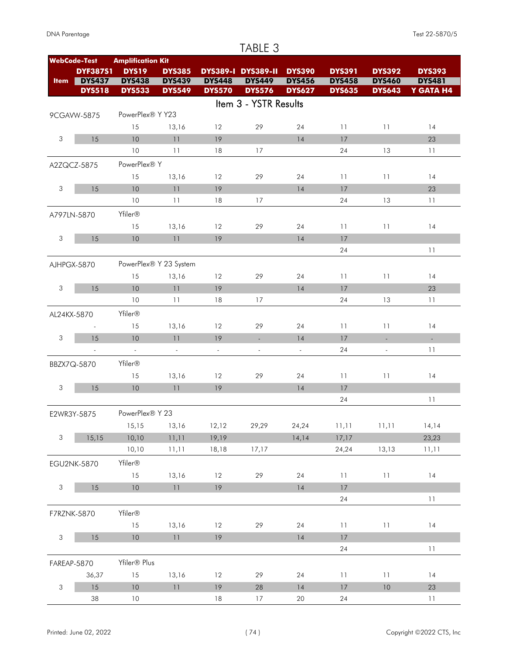#### **WebCode-Test Amplification Kit Item** DYS437 **DYS19 DYS391 DYS385 DYS389-I DYS389-II DYS390 DYS392 DYS393 DYS437 DYS438 DYS439 DYS448 DYS456 DYS458 DYS481 DYS533 DYS549 DYS570 DYS576 DYS635 DYS643 Y GATA H4 DYF387S1 DYS449 DYS460 DYS518 DYS533 DYS549 DYS570 DYS576** Item 3 - YSTR Results 9CGAVW-5875 PowerPlex® Y Y23 15 13,16 12 29 24 11 11 14 3 15 10 11 19 14 17 23 10 11 18 17 24 13 11 A2ZQCZ-5875 PowerPlex® Y 15 13,16 12 29 24 11 11 14 3 15 10 11 19 14 17 23 10 11 18 17 24 13 11 A797LN-5870 Yfiler® 15 13,16 12 29 24 11 11 14 3 15 10 11 19 14 17 24 11 AJHPGX-5870 PowerPlex® Y 23 System 15 13,16 12 29 24 11 11 14 3 15 10 11 19 14 17 23 10 11 18 17 24 13 11 AL24KX-5870 Yfiler® - 15 13,16 12 29 24 11 11 14 3 15 10 11 19 - - 14 17 - - - - - - - 24 - 11 BBZX7Q-5870 Yfiler® 15 13,16 12 29 24 11 11 14 3 15 10 11 19 14 17 24 11 E2WR3Y-5875 PowerPlex® Y 23 15,15 13,16 12,12 29,29 24,24 11,11 11,11 14,14 3 15,15 10,10 11,11 19,19 14,14 17,17 23,23 10,10 11,11 17,17 18,18 24,24 11,11 13,13 EGU2NK-5870 Yfiler® 15 13,16 12 29 24 11 11 14 3 15 10 11 19 14 17 24 11 F7RZNK-5870 Yfiler® 15 13,16 12 29 24 11 11 14 3 15 10 11 19 14 17 24 11 FAREAP-5870 Yfiler® Plus 36,37 15 13,16 12 29 24 11 11 14 3 15 10 11 19 28 14 17 10 23 38 10 18 17 20 24 11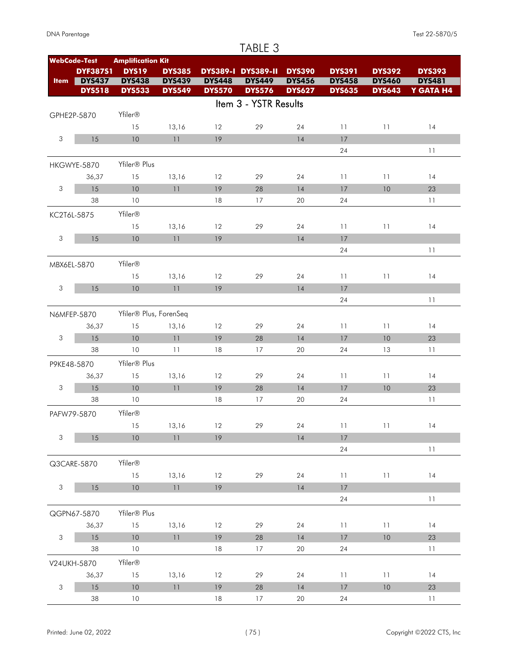#### **WebCode-Test Amplification Kit Item** DYS437 **DYS19 DYS391 DYS385 DYS389-I DYS389-II DYS390 DYS392 DYS393 DYS437 DYS438 DYS439 DYS448 DYS456 DYS458 DYS481 DYS449 DYS460 DYS533 DYS549 DYS570 DYS576 DYS635 DYS643 Y GATA H4 DYF387S1 DYS518 DYS533 DYS549 DYS570 DYS576** Item 3 - YSTR Results GPHE2P-5870 Yfiler® 15 13,16 12 29 24 11 11 14 3 15 10 11 19 14 17 24 11 HKGWYE-5870 Yfiler® Plus 36,37 15 13,16 12 29 24 11 11 14 3 15 10 11 19 28 14 17 10 23 38 10 18 17 20 24 11 KC2T6L-5875 Yfiler® 15 13,16 12 29 24 11 11 14 3 15 10 11 19 14 17 24 11 MBX6EL-5870 Yfiler® 15 13,16 12 29 24 11 11 14 3 15 10 11 19 14 17 24 11 N6MFEP-5870 Yfiler® Plus, ForenSeq 36,37 15 13,16 12 29 24 11 11 14 3 15 10 11 19 28 14 17 10 23 38 10 11 18 17 20 24 13 11 P9KE48-5870 Yfiler® Plus 36,37 15 13,16 12 29 24 11 11 14 3 15 10 11 19 28 14 17 10 23 38 10 18 17 20 24 11 PAFW79-5870 Yfiler® 15 13,16 12 29 24 11 11 14 3 15 10 11 19 14 17 24 11 Q3CARE-5870 Yfiler® 15 13,16 12 29 24 11 11 14 3 15 10 11 19 14 17 24 11 QGPN67-5870 Yfiler® Plus 36,37 15 13,16 12 29 24 11 11 14 3 15 10 11 19 28 14 17 10 23 38 10 18 17 20 24 11 V24UKH-5870 Yfiler® 36,37 15 13,16 12 29 24 11 11 14 3 15 10 11 19 28 14 17 10 23 38 10 18 17 20 24 11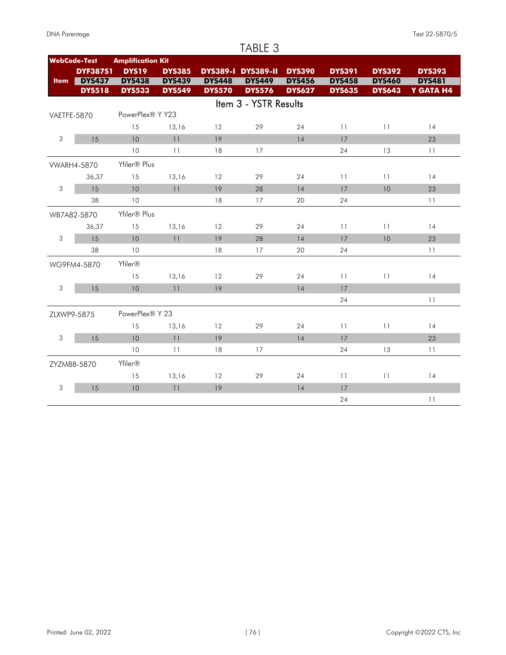| DNA Parentage |
|---------------|
|               |

|                | <b>WebCode-Test</b> | <b>Amplification Kit</b> |               |                   |                           |               |               |               |               |
|----------------|---------------------|--------------------------|---------------|-------------------|---------------------------|---------------|---------------|---------------|---------------|
|                | <b>DYF387S1</b>     | <b>DYS19</b>             | <b>DYS385</b> |                   | <b>DYS389-I DYS389-II</b> | <b>DYS390</b> | <b>DYS391</b> | <b>DYS392</b> | <b>DYS393</b> |
| <b>Item</b>    | <b>DYS437</b>       | <b>DYS438</b>            | <b>DYS439</b> | <b>DYS448</b>     | <b>DYS449</b>             | <b>DYS456</b> | <b>DYS458</b> | <b>DYS460</b> | <b>DYS481</b> |
|                | <b>DYS518</b>       | <b>DYS533</b>            | <b>DYS549</b> | <b>DYS570</b>     | <b>DYS576</b>             | <b>DYS627</b> | <b>DYS635</b> | <b>DYS643</b> | Y GATA H4     |
|                |                     |                          |               |                   | Item 3 - YSTR Results     |               |               |               |               |
| VAETFE-5870    |                     | PowerPlex® Y Y23         |               |                   |                           |               |               |               |               |
|                |                     | 15                       | 13,16         | 12                | 29                        | 24            | 11            | 11            | 14            |
| 3              | 15                  | 10                       | 11            | 19                |                           | 14            | 17            |               | 23            |
|                |                     | 10                       | 11            | 18                | 17                        |               | 24            | 13            | 11            |
|                | <b>WARH4-5870</b>   | Yfiler <sup>®</sup> Plus |               |                   |                           |               |               |               |               |
|                | 36,37               | 15                       | 13,16         | 12                | 29                        | 24            | 11            | 11            | 14            |
| $\sqrt{3}$     | 15                  | 10                       | 11            | 19                | 28                        | 14            | 17            | 10            | 23            |
|                | 38                  | 10                       |               | 18                | 17                        | 20            | 24            |               | 11            |
|                | WB7A82-5870         | Yfiler® Plus             |               |                   |                           |               |               |               |               |
|                | 36,37               | 15                       | 13,16         | 12                | 29                        | 24            | 11            | 11            | 14            |
| 3              | 15                  | 10                       | 11            | 19                | 28                        | 14            | 17            | 10            | 23            |
|                | 38                  | 10                       |               | 18                | 17                        | 20            | 24            |               | 11            |
|                | WG9FM4-5870         | Yfiler <sup>®</sup>      |               |                   |                           |               |               |               |               |
|                |                     | 15                       | 13,16         | 12                | 29                        | 24            | 11            | 11            | 14            |
| $\mathfrak{S}$ | 15                  | 10                       | 11            | 19                |                           | 14            | 17            |               |               |
|                |                     |                          |               |                   |                           |               | 24            |               | 11            |
| ZLXWP9-5875    |                     | PowerPlex® Y 23          |               |                   |                           |               |               |               |               |
|                |                     | 15                       | 13,16         | $12 \overline{ }$ | 29                        | 24            | 11            | 11            | 14            |
| $\mathsf 3$    | 15                  | 10                       | 11            | 19                |                           | 14            | 17            |               | 23            |
|                |                     | 10                       | 11            | 18                | 17                        |               | 24            | 13            | 11            |
|                | ZYZM88-5870         | Yfiler®                  |               |                   |                           |               |               |               |               |
|                |                     | 15                       | 13,16         | 12                | 29                        | 24            | 11            | 11            | 14            |
| 3              | 15                  | 10                       | 11            | 19                |                           | 14            | 17            |               |               |
|                |                     |                          |               |                   |                           |               | 24            |               | 11            |
|                |                     |                          |               |                   |                           |               |               |               |               |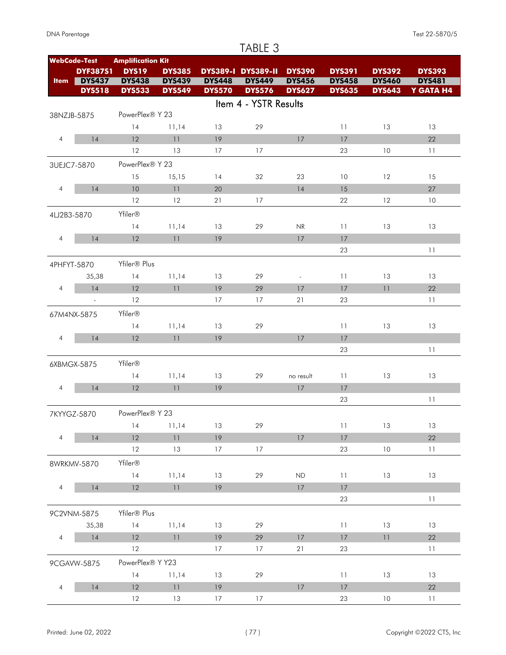|                |                     |                          |               |               | TABLE 3                   |               |               |               |               |
|----------------|---------------------|--------------------------|---------------|---------------|---------------------------|---------------|---------------|---------------|---------------|
|                | <b>WebCode-Test</b> | <b>Amplification Kit</b> |               |               |                           |               |               |               |               |
|                | <b>DYF387S1</b>     | <b>DYS19</b>             | <b>DYS385</b> |               | <b>DYS389-I DYS389-II</b> | <b>DYS390</b> | <b>DYS391</b> | <b>DYS392</b> | <b>DYS393</b> |
| <b>Item</b>    | <b>DYS437</b>       | <b>DYS438</b>            | <b>DYS439</b> | <b>DYS448</b> | <b>DYS449</b>             | <b>DYS456</b> | <b>DYS458</b> | <b>DYS460</b> | <b>DYS481</b> |
|                | <b>DYS518</b>       | <b>DYS533</b>            | <b>DYS549</b> | <b>DYS570</b> | <b>DYS576</b>             | <b>DYS627</b> | <b>DYS635</b> | <b>DYS643</b> | Y GATA H4     |
|                |                     |                          |               |               | Item 4 - YSTR Results     |               |               |               |               |
|                | 38NZJB-5875         | PowerPlex® Y 23          |               |               |                           |               |               |               |               |
|                |                     | 14                       | 11,14         | 13            | 29                        |               | 11            | 13            | 13            |
| 4              | 14                  | 12                       | 11            | 19            |                           | 17            | 17            |               | 22            |
|                |                     | 12                       | 13            | 17            | 17                        |               | 23            | 10            | 11            |
|                | 3UEJC7-5870         | PowerPlex® Y 23          |               |               |                           |               |               |               |               |
|                |                     | 15                       | 15,15         | 14            | 32                        | 23            | 10            | 12            | 15            |
| 4              | 14                  | 10                       | 11            | 20            |                           | 14            | 15            |               | 27            |
|                |                     | 12                       | 12            | 21            | 17                        |               | 22            | 12            | 10            |
| 4LJ2B3-5870    |                     | Yfiler®                  |               |               |                           |               |               |               |               |
|                |                     | 14                       | 11,14         | 13            | 29                        | NR            | 11            | 13            | 13            |
| 4              | 14                  | 12                       | 11            | 19            |                           | 17            | 17            |               |               |
|                |                     |                          |               |               |                           |               | 23            |               | 11            |
|                |                     | Yfiler® Plus             |               |               |                           |               |               |               |               |
|                | 4PHFYT-5870         |                          |               |               |                           |               |               |               |               |
|                | 35,38               | 14                       | 11,14         | 13            | 29                        | $\sim$        | 11            | 13            | 13            |
| $\overline{4}$ | 14                  | 12                       | 11            | 19            | 29                        | 17            | 17            | 11            | 22            |
|                | $\blacksquare$      | 12                       |               | 17            | 17                        | 21            | 23            |               | 11            |
|                | 67M4NX-5875         | Yfiler®                  |               |               |                           |               |               |               |               |
|                |                     | 14                       | 11,14         | 13            | 29                        |               | 11            | 13            | 13            |
| $\overline{4}$ | 14                  | 12                       | 11            | 19            |                           | 17            | 17            |               |               |
|                |                     |                          |               |               |                           |               | 23            |               | 11            |
|                | 6XBMGX-5875         | Yfiler®                  |               |               |                           |               |               |               |               |
|                |                     | 14                       | 11,14         | 13            | 29                        | no result     | 11            | 13            | 13            |
| $\overline{4}$ | 14                  | 12                       | 11            | 19            |                           | 17            | 17            |               |               |
|                |                     |                          |               |               |                           |               | 23            |               | 11            |
|                | 7KYYGZ-5870         | PowerPlex® Y 23          |               |               |                           |               |               |               |               |
|                |                     | 14                       | 11,14         | 13            | 29                        |               | 11            | 13            | 13            |
| $\overline{4}$ | 14                  | 12                       | 11            | 19            |                           | $17$          | 17            |               | 22            |
|                |                     | $12 \,$                  | 13            | 17            | 17                        |               | 23            | 10            | 11            |
|                | 8WRKMV-5870         | Yfiler®                  |               |               |                           |               |               |               |               |
|                |                     | 14                       | 11,14         | 13            | 29                        | ND            | 11            | 13            | 13            |
| $\overline{4}$ | 14                  | 12                       | 11            | 19            |                           | 17            | 17            |               |               |
|                |                     |                          |               |               |                           |               | 23            |               | 11            |
|                |                     |                          |               |               |                           |               |               |               |               |
|                | 9C2VNM-5875         | Yfiler® Plus             |               |               |                           |               |               |               |               |
|                | 35,38               | 14                       | 11,14         | 13            | 29                        |               | 11            | 13            | 13            |
| $\overline{4}$ | 14                  | 12                       | 11            | 19            | 29                        | $17\,$        | 17            | 11            | 22            |
|                |                     | 12                       |               | 17            | 17                        | 21            | 23            |               | 11            |
|                | 9CGAVW-5875         | PowerPlex® Y Y23         |               |               |                           |               |               |               |               |
|                |                     | 14                       | 11,14         | 13            | 29                        |               | 11            | 13            | 13            |
| $\overline{4}$ | $14$                | 12                       | 11            | 19            |                           | $17$          | 17            |               | 22            |
|                |                     | 12                       | 13            | 17            | 17                        |               | 23            | 10            | 11            |

#### Printed: June 02, 2022 CTS, Inc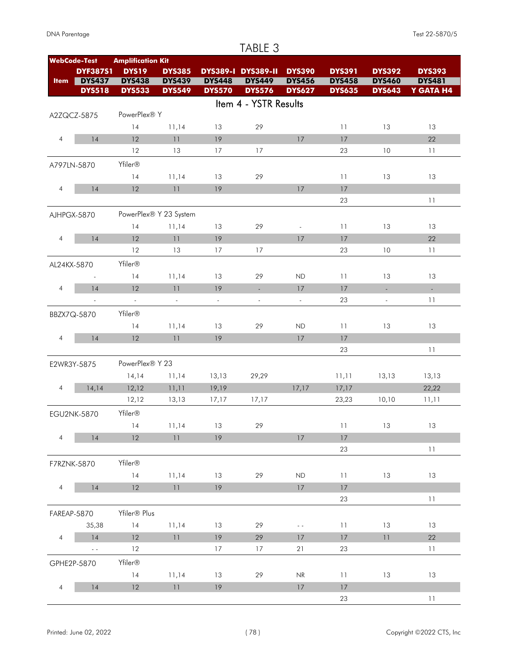|                |                          |                          |                        |                | TABLE 3                   |                                   |               |                          |               |
|----------------|--------------------------|--------------------------|------------------------|----------------|---------------------------|-----------------------------------|---------------|--------------------------|---------------|
|                | <b>WebCode-Test</b>      | <b>Amplification Kit</b> |                        |                |                           |                                   |               |                          |               |
|                | <b>DYF387S1</b>          | <b>DYS19</b>             | <b>DYS385</b>          |                | <b>DYS389-I DYS389-II</b> | <b>DYS390</b>                     | <b>DYS391</b> | <b>DYS392</b>            | <b>DYS393</b> |
| <b>Item</b>    | <b>DYS437</b>            | <b>DYS438</b>            | <b>DYS439</b>          | <b>DYS448</b>  | <b>DYS449</b>             | <b>DYS456</b>                     | <b>DYS458</b> | <b>DYS460</b>            | <b>DYS481</b> |
|                | <b>DYS518</b>            | <b>DYS533</b>            | <b>DYS549</b>          | <b>DYS570</b>  | <b>DYS576</b>             | <b>DYS627</b>                     | <b>DYS635</b> | <b>DYS643</b>            | Y GATA H4     |
|                |                          |                          |                        |                | Item 4 - YSTR Results     |                                   |               |                          |               |
|                | A2ZQCZ-5875              | PowerPlex® Y             |                        |                |                           |                                   |               |                          |               |
|                |                          | 14                       | 11,14                  | 13             | 29                        |                                   | 11            | 13                       | 13            |
| 4              | 14                       | 12                       | 11                     | 19             |                           | 17                                | 17            |                          | 22            |
|                |                          | 12                       | 13                     | 17             | 17                        |                                   | 23            | 10                       | 11            |
|                | A797LN-5870              | Yfiler®                  |                        |                |                           |                                   |               |                          |               |
|                |                          | 14                       | 11,14                  | 13             | 29                        |                                   | 11            | 13                       | 13            |
| 4              | 14                       | 12                       | 11                     | 19             |                           | 17                                | 17            |                          |               |
|                |                          |                          |                        |                |                           |                                   | 23            |                          | 11            |
|                | AJHPGX-5870              |                          | PowerPlex® Y 23 System |                |                           |                                   |               |                          |               |
|                |                          | 14                       | 11,14                  | 13             | 29                        | $\overline{\phantom{a}}$          | 11            | 13                       | 13            |
| $\overline{4}$ | 14                       | 12                       | 11                     | 19             |                           | 17                                | 17            |                          | 22            |
|                |                          | 12                       | 13                     | 17             | 17                        |                                   | 23            | 10                       | 11            |
| AL24KX-5870    |                          | Yfiler®                  |                        |                |                           |                                   |               |                          |               |
|                | $\overline{\phantom{a}}$ | 14                       | 11,14                  | 13             | 29                        | ND                                | 11            | 13                       | 13            |
| $\overline{4}$ | 14                       | 12                       | 11                     | 19             | $\mathcal{L}$             | 17                                | 17            | $\mathbb{Z}^+$           | L.            |
|                | $\overline{\phantom{a}}$ | $\mathbb{Z}^2$           | $\Box$                 | $\bar{\gamma}$ | $\overline{\phantom{a}}$  | $\omega$                          | 23            | $\overline{\phantom{a}}$ | 11            |
|                |                          |                          |                        |                |                           |                                   |               |                          |               |
|                | BBZX7Q-5870              | Yfiler®                  |                        |                |                           |                                   |               |                          |               |
|                |                          | 14                       | 11,14                  | 13             | 29                        | <b>ND</b>                         | 11            | 13                       | 13            |
| $\overline{4}$ | 14                       | 12                       | 11                     | 19             |                           | 17                                | 17            |                          |               |
|                |                          |                          |                        |                |                           |                                   | 23            |                          | 11            |
|                | E2WR3Y-5875              | PowerPlex® Y 23          |                        |                |                           |                                   |               |                          |               |
|                |                          | 14,14                    | 11,14                  | 13,13          | 29,29                     |                                   | 11,11         | 13,13                    | 13,13         |
| $\overline{4}$ | 14,14                    | 12,12                    | 11,11                  | 19,19          |                           | 17,17                             | 17,17         |                          | 22,22         |
|                |                          | 12,12                    | 13,13                  | 17,17          | 17,17                     |                                   | 23,23         | 10,10                    | 11,11         |
|                | EGU2NK-5870              | Yfiler®                  |                        |                |                           |                                   |               |                          |               |
|                |                          | 14                       | 11,14                  | 13             | 29                        |                                   | 11            | 13                       | 13            |
| $\overline{4}$ | 14                       | 12                       | 11                     | 19             |                           | 17                                | 17            |                          |               |
|                |                          |                          |                        |                |                           |                                   | 23            |                          | 11            |
|                | F7RZNK-5870              | Yfiler®                  |                        |                |                           |                                   |               |                          |               |
|                |                          | 14                       | 11,14                  | 13             | 29                        | ND                                | 11            | 13                       | 13            |
| $\overline{4}$ | 14                       | 12                       | 11                     | 19             |                           | 17                                | 17            |                          |               |
|                |                          |                          |                        |                |                           |                                   | 23            |                          | 11            |
|                | <b>FAREAP-5870</b>       | Yfiler® Plus             |                        |                |                           |                                   |               |                          |               |
|                | 35,38                    | 14                       | 11,14                  | 13             | 29                        | $\omega_{\rm c}$                  | 11            | 13                       | 13            |
| $\overline{4}$ | 14                       | 12                       | 11                     | 19             | 29                        | 17                                | 17            | 11                       | 22            |
|                | $\omega_{\rm c}$         | 12                       |                        | 17             | 17                        | 21                                | 23            |                          | 11            |
|                | GPHE2P-5870              | Yfiler®                  |                        |                |                           |                                   |               |                          |               |
|                |                          | 14                       | 11,14                  | 13             | 29                        | $\ensuremath{\mathsf{NR}}\xspace$ | 11            | 13                       | 13            |
| $\overline{4}$ | 14                       | 12                       | 11                     | 19             |                           | 17                                | 17            |                          |               |
|                |                          |                          |                        |                |                           |                                   | 23            |                          | 11            |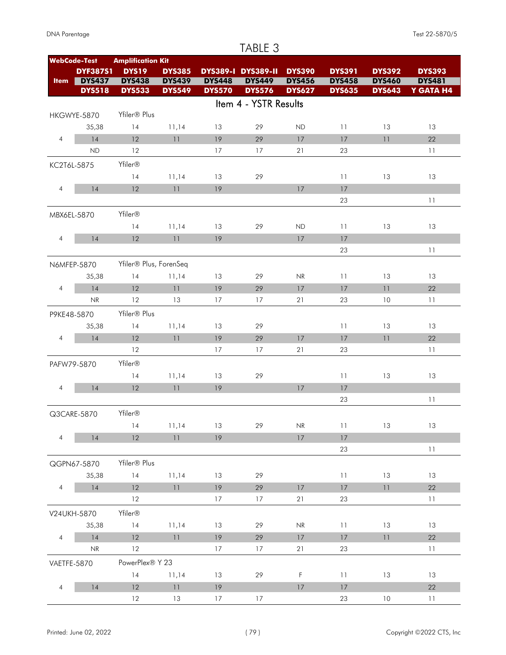|                |                                   |                          |               |               | TABLE 3                   |                                   |               |               |               |
|----------------|-----------------------------------|--------------------------|---------------|---------------|---------------------------|-----------------------------------|---------------|---------------|---------------|
|                | <b>WebCode-Test</b>               | <b>Amplification Kit</b> |               |               |                           |                                   |               |               |               |
|                | <b>DYF387S1</b>                   | <b>DYS19</b>             | <b>DYS385</b> |               | <b>DYS389-I DYS389-II</b> | <b>DYS390</b>                     | <b>DYS391</b> | <b>DYS392</b> | <b>DYS393</b> |
| <b>Item</b>    | <b>DYS437</b>                     | <b>DYS438</b>            | <b>DYS439</b> | <b>DYS448</b> | <b>DYS449</b>             | <b>DYS456</b>                     | <b>DYS458</b> | <b>DYS460</b> | <b>DYS481</b> |
|                | <b>DYS518</b>                     | <b>DYS533</b>            | <b>DYS549</b> | <b>DYS570</b> | <b>DYS576</b>             | <b>DYS627</b>                     | <b>DYS635</b> | <b>DYS643</b> | Y GATA H4     |
|                |                                   |                          |               |               | Item 4 - YSTR Results     |                                   |               |               |               |
|                | HKGWYE-5870                       | Yfiler <sup>®</sup> Plus |               |               |                           |                                   |               |               |               |
|                | 35,38                             | 14                       | 11,14         | 13            | 29                        | ND                                | 11            | 13            | 13            |
| $\overline{4}$ | 14                                | 12                       | 11            | 19            | 29                        | 17                                | 17            | 11            | 22            |
|                | <b>ND</b>                         | 12                       |               | 17            | 17                        | 21                                | 23            |               | 11            |
| KC2T6L-5875    |                                   | Yfiler®                  |               |               |                           |                                   |               |               |               |
|                |                                   | 14                       | 11,14         | 13            | 29                        |                                   | 11            | 13            | 13            |
| $\overline{4}$ | 14                                | 12                       | 11            | 19            |                           | 17                                | 17            |               |               |
|                |                                   |                          |               |               |                           |                                   | 23            |               | 11            |
| MBX6EL-5870    |                                   | Yfiler®                  |               |               |                           |                                   |               |               |               |
|                |                                   | 14                       | 11,14         | 13            | 29                        | ND                                | 11            | 13            | 13            |
| $\overline{4}$ | 14                                | 12                       | 11            | 19            |                           | 17                                | 17            |               |               |
|                |                                   |                          |               |               |                           |                                   | 23            |               | 11            |
|                | N6MFEP-5870                       | Yfiler® Plus, ForenSeq   |               |               |                           |                                   |               |               |               |
|                | 35,38                             | 14                       | 11,14         | 13            | 29                        | NR                                | 11            | 13            | 13            |
| $\overline{4}$ | 14                                | 12                       | 11            | 19            | 29                        | 17                                | 17            | 11            | 22            |
|                | $\ensuremath{\mathsf{NR}}\xspace$ | 12                       | 13            | 17            | 17                        | 21                                | 23            | 10            | 11            |
|                |                                   |                          |               |               |                           |                                   |               |               |               |
| P9KE48-5870    |                                   | Yfiler® Plus             |               |               |                           |                                   |               |               |               |
|                | 35,38                             | 14                       | 11,14         | 13            | 29                        |                                   | 11            | 13            | 13            |
| $\overline{4}$ | 14                                | 12                       | 11            | 19            | 29                        | 17                                | 17            | 11            | 22            |
|                |                                   | 12                       |               | 17            | 17                        | 21                                | 23            |               | 11            |
|                | PAFW79-5870                       | Yfiler®                  |               |               |                           |                                   |               |               |               |
|                |                                   | 14                       | 11,14         | 13            | 29                        |                                   | 11            | 13            | 13            |
| $\overline{4}$ | 14                                | 12                       | 11            | 19            |                           | 17                                | 17            |               |               |
|                |                                   |                          |               |               |                           |                                   | 23            |               | 11            |
|                | Q3CARE-5870                       | Yfiler®                  |               |               |                           |                                   |               |               |               |
|                |                                   | 14                       | 11,14         | 13            | 29                        | $\ensuremath{\mathsf{NR}}\xspace$ | 11            | 13            | 13            |
| $\overline{4}$ | 14                                | 12                       | 11            | 19            |                           | 17                                | 17            |               |               |
|                |                                   |                          |               |               |                           |                                   | 23            |               | 11            |
|                | QGPN67-5870                       | Yfiler® Plus             |               |               |                           |                                   |               |               |               |
|                | 35,38                             | 14                       | 11,14         | 13            | 29                        |                                   | 11            | 13            | 13            |
| $\overline{4}$ | 14                                | 12                       | 11            | 19            | 29                        | 17                                | 17            | 11            | 22            |
|                |                                   | 12                       |               | 17            | 17                        | 21                                | 23            |               | 11            |
|                | V24UKH-5870                       | Yfiler®                  |               |               |                           |                                   |               |               |               |
|                | 35,38                             | 14                       | 11,14         | 13            | 29                        | $\ensuremath{\mathsf{NR}}\xspace$ | 11            | 13            | 13            |
| $\overline{4}$ | 14                                | 12                       | 11            | 19            | 29                        | 17                                | 17            | 11            | 22            |
|                | NR                                | 12                       |               | 17            | 17                        | 21                                | 23            |               | 11            |
| VAETFE-5870    |                                   | PowerPlex® Y 23          |               |               |                           |                                   |               |               |               |
|                |                                   | 14                       | 11,14         | 13            | 29                        | $\mathsf F$                       | 11            | 13            | 13            |
| $\overline{4}$ | 14                                | 12                       | 11            | 19            |                           | 17                                | 17            |               | 22            |
|                |                                   | 12                       | 13            | 17            | 17                        |                                   | 23            | 10            | 11            |
|                |                                   |                          |               |               |                           |                                   |               |               |               |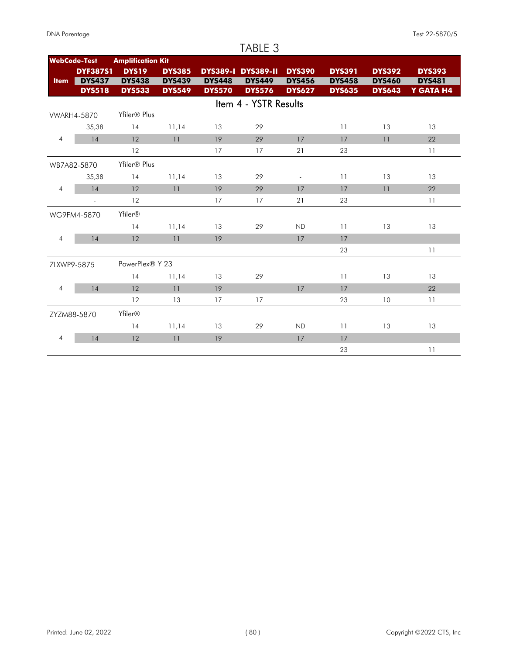#### TABLE 3 **WebCode-Test Amplification Kit Item** DYS437 **DYS19 DYS391 DYS385 DYS389-I DYS389-II DYS390 DYS392 DYS393 DYS437 DYS438 DYS439 DYS448 DYS456 DYS458 DYS481 DYS533 DYS549 DYS570 DYS576 DYS635 DYS643 Y GATA H4 DYF387S1 DYS449 DYS460** DYS518 DYS533 DYS549 DYS570 DYS576 Item 4 - YSTR Results VWARH4-5870 Yfiler® Plus 35,38 14 11,14 13 29 11 13 13 4 14 12 11 19 29 17 17 11 22 12 17 17 21 23 11 WB7A82-5870 Yfiler® Plus 35,38 14 11,14 13 29 - 11 13 13 4 14 12 11 19 29 17 17 11 22 - 12 17 17 21 23 11 WG9FM4-5870 Yfiler® 14 11,14 13 29 ND 11 13 13 4 14 12 11 19 17 17 23 11 ZLXWP9-5875 PowerPlex® Y 23 14 11,14 13 29 11 13 13 4 14 12 11 19 17 17 22 12 13 17 17 23 10 11 ZYZM88-5870 Yfiler® 14 11,14 13 29 ND 11 13 13 4 14 12 11 19 17 17 23 11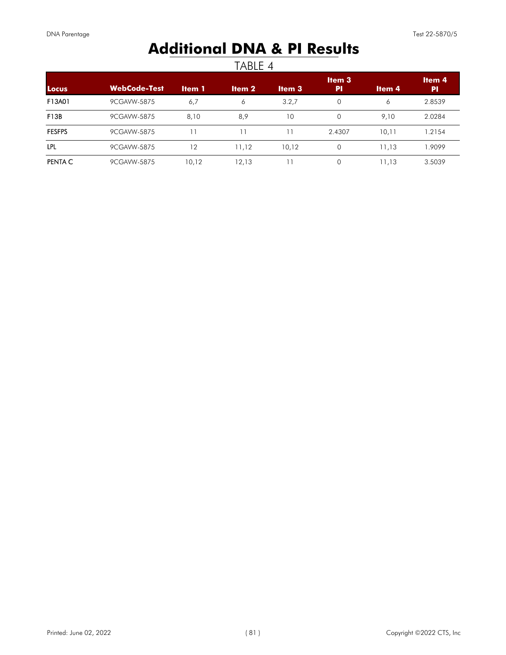# **Additional DNA & PI Results**

| <b>Locus</b>  | <b>WebCode-Test</b> | <b>Item 1</b> | <b>Item 2</b> | <b>Item 3</b> | Item <sub>3</sub><br>PI | Item <sub>4</sub> | Item <sub>4</sub><br><b>PI</b> |
|---------------|---------------------|---------------|---------------|---------------|-------------------------|-------------------|--------------------------------|
| F13A01        | 9CGAVW-5875         | 6,7           | 6             | 3.2,7         | $\mathbf 0$             | 6                 | 2.8539                         |
| F13B          | 9CGAVW-5875         | 8,10          | 8,9           | 10            | $\circ$                 | 9,10              | 2.0284                         |
| <b>FESFPS</b> | 9CGAVW-5875         |               |               |               | 2.4307                  | 10,11             | 1.2154                         |
| LPL           | 9CGAVW-5875         | 12            | 11,12         | 10,12         | $\Omega$                | 11,13             | 1.9099                         |
| PENTA C       | 9CGAVW-5875         | 10,12         | 12,13         |               | 0                       | 11,13             | 3.5039                         |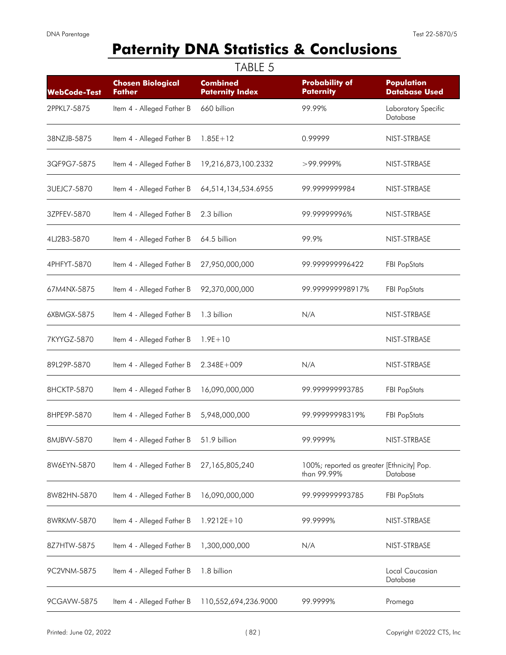# **Paternity DNA Statistics & Conclusions**

| <b>WebCode-Test</b> | <b>Chosen Biological</b><br><b>Father</b> | <b>Combined</b><br><b>Paternity Index</b> | <b>Probability of</b><br><b>Paternity</b>                 | <b>Population</b><br><b>Database Used</b> |
|---------------------|-------------------------------------------|-------------------------------------------|-----------------------------------------------------------|-------------------------------------------|
| 2PPKL7-5875         | Item 4 - Alleged Father B                 | 660 billion                               | 99.99%                                                    | Laboratory Specific<br>Database           |
| 38NZJB-5875         | Item 4 - Alleged Father B                 | $1.85E + 12$                              | 0.99999                                                   | NIST-STRBASE                              |
| 3QF9G7-5875         | Item 4 - Alleged Father B                 | 19,216,873,100.2332                       | $>99.9999\%$                                              | NIST-STRBASE                              |
| 3UEJC7-5870         | Item 4 - Alleged Father B                 | 64,514,134,534.6955                       | 99.9999999984                                             | NIST-STRBASE                              |
| 3ZPFEV-5870         | Item 4 - Alleged Father B                 | 2.3 billion                               | 99.99999996%                                              | NIST-STRBASE                              |
| 4LJ2B3-5870         | Item 4 - Alleged Father B                 | 64.5 billion                              | 99.9%                                                     | NIST-STRBASE                              |
| 4PHFYT-5870         | Item 4 - Alleged Father B                 | 27,950,000,000                            | 99.99999996422                                            | <b>FBI PopStats</b>                       |
| 67M4NX-5875         | Item 4 - Alleged Father B                 | 92,370,000,000                            | 99.99999998917%                                           | <b>FBI PopStats</b>                       |
| 6XBMGX-5875         | Item 4 - Alleged Father B                 | 1.3 billion                               | N/A                                                       | NIST-STRBASE                              |
| 7KYYGZ-5870         | Item 4 - Alleged Father B                 | $1.9E + 10$                               |                                                           | NIST-STRBASE                              |
| 89L29P-5870         | Item 4 - Alleged Father B                 | $2.348E + 009$                            | N/A                                                       | NIST-STRBASE                              |
| 8HCKTP-5870         | Item 4 - Alleged Father B                 | 16,090,000,000                            | 99.99999993785                                            | <b>FBI PopStats</b>                       |
| 8HPE9P-5870         | Item 4 - Alleged Father B                 | 5,948,000,000                             | 99.99999998319%                                           | <b>FBI PopStats</b>                       |
| 8MJBVV-5870         | Item 4 - Alleged Father B                 | 51.9 billion                              | 99.9999%                                                  | NIST-STRBASE                              |
| 8W6EYN-5870         | Item 4 - Alleged Father B                 | 27,165,805,240                            | 100%; reported as greater [Ethnicity] Pop.<br>than 99.99% | Database                                  |
| 8W82HN-5870         | Item 4 - Alleged Father B                 | 16,090,000,000                            | 99.99999993785                                            | <b>FBI PopStats</b>                       |
| 8WRKMV-5870         | Item 4 - Alleged Father B                 | $1.9212E + 10$                            | 99.9999%                                                  | NIST-STRBASE                              |
| 8Z7HTW-5875         | Item 4 - Alleged Father B                 | 1,300,000,000                             | N/A                                                       | NIST-STRBASE                              |
| 9C2VNM-5875         | Item 4 - Alleged Father B                 | 1.8 billion                               |                                                           | Local Caucasian<br>Database               |
| 9CGAVW-5875         | Item 4 - Alleged Father B                 | 110,552,694,236.9000                      | 99.9999%                                                  | Promega                                   |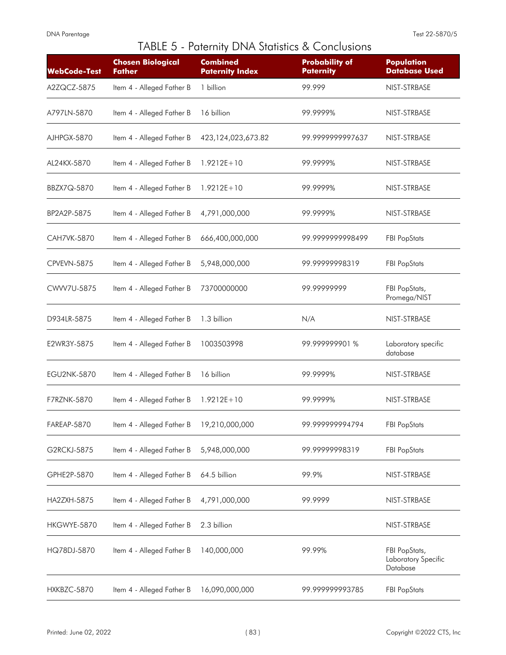|                     |                                           | TABLE 5 - Paternity DNA Statistics & Conclusions |                                           |                                                  |
|---------------------|-------------------------------------------|--------------------------------------------------|-------------------------------------------|--------------------------------------------------|
| <b>WebCode-Test</b> | <b>Chosen Biological</b><br><b>Father</b> | <b>Combined</b><br><b>Paternity Index</b>        | <b>Probability of</b><br><b>Paternity</b> | <b>Population</b><br><b>Database Used</b>        |
| A2ZQCZ-5875         | Item 4 - Alleged Father B                 | 1 billion                                        | 99.999                                    | NIST-STRBASE                                     |
| A797LN-5870         | Item 4 - Alleged Father B                 | 16 billion                                       | 99.9999%                                  | NIST-STRBASE                                     |
| AJHPGX-5870         | Item 4 - Alleged Father B                 | 423,124,023,673.82                               | 99.999999997637                           | NIST-STRBASE                                     |
| AL24KX-5870         | Item 4 - Alleged Father B                 | $1.9212E + 10$                                   | 99.9999%                                  | NIST-STRBASE                                     |
| BBZX7Q-5870         | Item 4 - Alleged Father B                 | $1.9212E + 10$                                   | 99.9999%                                  | NIST-STRBASE                                     |
| BP2A2P-5875         | Item 4 - Alleged Father B                 | 4,791,000,000                                    | 99.9999%                                  | NIST-STRBASE                                     |
| CAH7VK-5870         | Item 4 - Alleged Father B                 | 666,400,000,000                                  | 99.999999998499                           | <b>FBI PopStats</b>                              |
| CPVEVN-5875         | Item 4 - Alleged Father B                 | 5,948,000,000                                    | 99.99999998319                            | <b>FBI PopStats</b>                              |
| CWW7U-5875          | Item 4 - Alleged Father B                 | 73700000000                                      | 99.99999999                               | FBI PopStats,<br>Promega/NIST                    |
| D934LR-5875         | Item 4 - Alleged Father B                 | 1.3 billion                                      | N/A                                       | NIST-STRBASE                                     |
| E2WR3Y-5875         | Item 4 - Alleged Father B                 | 1003503998                                       | 99.999999901 %                            | Laboratory specific<br>database                  |
| <b>EGU2NK-5870</b>  | Item 4 - Alleged Father B                 | 16 billion                                       | 99.9999%                                  | NIST-STRBASE                                     |
| <b>F7RZNK-5870</b>  | Item 4 - Alleged Father B                 | $1.9212E + 10$                                   | 99.9999%                                  | NIST-STRBASE                                     |
| FAREAP-5870         | Item 4 - Alleged Father B                 | 19,210,000,000                                   | 99.99999994794                            | <b>FBI PopStats</b>                              |
| G2RCKJ-5875         | Item 4 - Alleged Father B                 | 5,948,000,000                                    | 99.9999998319                             | <b>FBI PopStats</b>                              |
| GPHE2P-5870         | Item 4 - Alleged Father B                 | 64.5 billion                                     | 99.9%                                     | NIST-STRBASE                                     |
| <b>HA2ZXH-5875</b>  | Item 4 - Alleged Father B                 | 4,791,000,000                                    | 99.9999                                   | NIST-STRBASE                                     |
| HKGWYE-5870         | Item 4 - Alleged Father B                 | 2.3 billion                                      |                                           | NIST-STRBASE                                     |
| HQ78DJ-5870         | Item 4 - Alleged Father B                 | 140,000,000                                      | 99.99%                                    | FBI PopStats,<br>Laboratory Specific<br>Database |
| HXKBZC-5870         | Item 4 - Alleged Father B                 | 16,090,000,000                                   | 99.99999993785                            | <b>FBI PopStats</b>                              |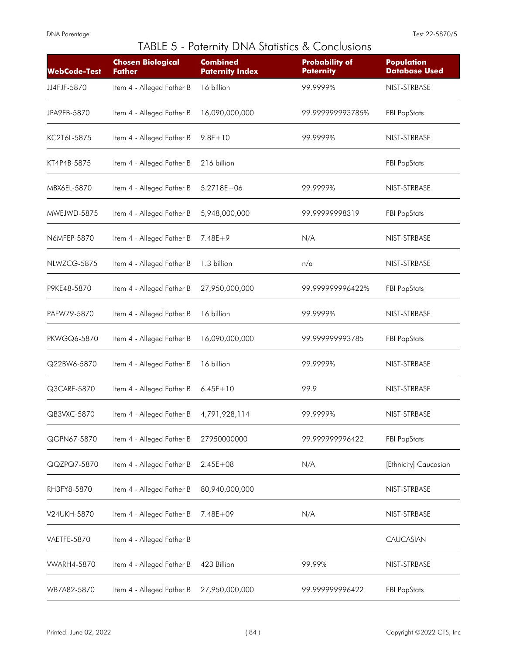|                     |                                           |                                           | TABLE 5 - Paternity DNA Statistics & Conclusions |                                           |
|---------------------|-------------------------------------------|-------------------------------------------|--------------------------------------------------|-------------------------------------------|
| <b>WebCode-Test</b> | <b>Chosen Biological</b><br><b>Father</b> | <b>Combined</b><br><b>Paternity Index</b> | <b>Probability of</b><br><b>Paternity</b>        | <b>Population</b><br><b>Database Used</b> |
| JJ4FJF-5870         | Item 4 - Alleged Father B                 | 16 billion                                | 99.9999%                                         | NIST-STRBASE                              |
| JPA9EB-5870         | Item 4 - Alleged Father B                 | 16,090,000,000                            | 99.99999993785%                                  | <b>FBI PopStats</b>                       |
| KC2T6L-5875         | Item 4 - Alleged Father B                 | $9.8E + 10$                               | 99.9999%                                         | NIST-STRBASE                              |
| KT4P4B-5875         | Item 4 - Alleged Father B                 | 216 billion                               |                                                  | <b>FBI PopStats</b>                       |
| MBX6EL-5870         | Item 4 - Alleged Father B                 | $5.2718E + 06$                            | 99.9999%                                         | NIST-STRBASE                              |
| MWEJWD-5875         | Item 4 - Alleged Father B                 | 5,948,000,000                             | 99.99999998319                                   | <b>FBI PopStats</b>                       |
| N6MFEP-5870         | Item 4 - Alleged Father B                 | $7.48E + 9$                               | N/A                                              | NIST-STRBASE                              |
| NLWZCG-5875         | Item 4 - Alleged Father B                 | 1.3 billion                               | n/a                                              | NIST-STRBASE                              |
| P9KE48-5870         | Item 4 - Alleged Father B                 | 27,950,000,000                            | 99.999999996422%                                 | <b>FBI PopStats</b>                       |
| PAFW79-5870         | Item 4 - Alleged Father B                 | 16 billion                                | 99.9999%                                         | NIST-STRBASE                              |
| <b>PKWGQ6-5870</b>  | Item 4 - Alleged Father B                 | 16,090,000,000                            | 99.99999993785                                   | <b>FBI PopStats</b>                       |
| Q22BW6-5870         | Item 4 - Alleged Father B                 | 16 billion                                | 99.9999%                                         | NIST-STRBASE                              |
| Q3CARE-5870         | Item 4 - Alleged Father B                 | $6.45E + 10$                              | 99.9                                             | NIST-STRBASE                              |
| QB3VXC-5870         | Item 4 - Alleged Father B                 | 4,791,928,114                             | 99.9999%                                         | NIST-STRBASE                              |
| QGPN67-5870         | Item 4 - Alleged Father B                 | 27950000000                               | 99.999999996422                                  | <b>FBI PopStats</b>                       |
| QQZPQ7-5870         | Item 4 - Alleged Father B                 | $2.45E + 08$                              | N/A                                              | [Ethnicity] Caucasian                     |
| RH3FY8-5870         | Item 4 - Alleged Father B                 | 80,940,000,000                            |                                                  | NIST-STRBASE                              |
| V24UKH-5870         | Item 4 - Alleged Father B                 | $7.48E + 09$                              | N/A                                              | NIST-STRBASE                              |
| VAETFE-5870         | Item 4 - Alleged Father B                 |                                           |                                                  | CAUCASIAN                                 |
| <b>WARH4-5870</b>   | Item 4 - Alleged Father B                 | 423 Billion                               | 99.99%                                           | NIST-STRBASE                              |
| WB7A82-5870         | Item 4 - Alleged Father B                 | 27,950,000,000                            | 99.999999996422                                  | <b>FBI PopStats</b>                       |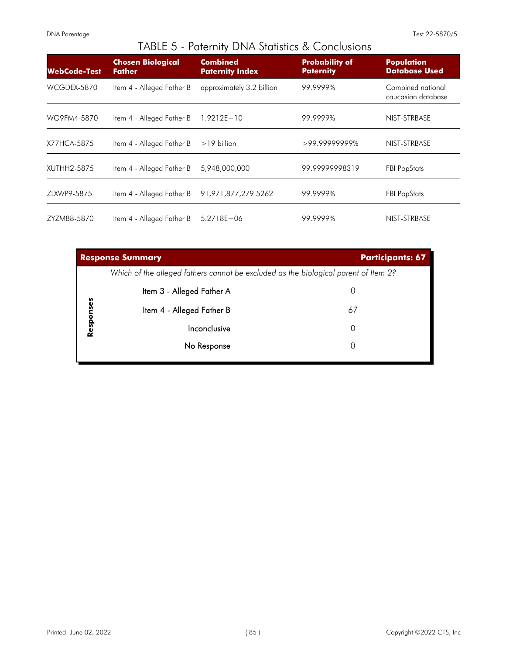|                     | $\alpha$ . The contribution of $\alpha$ is the contribution of $\alpha$ |                                           |                                           |                                           |  |  |  |  |
|---------------------|-------------------------------------------------------------------------|-------------------------------------------|-------------------------------------------|-------------------------------------------|--|--|--|--|
| <b>WebCode-Test</b> | <b>Chosen Biological</b><br><b>Father</b>                               | <b>Combined</b><br><b>Paternity Index</b> | <b>Probability of</b><br><b>Paternity</b> | <b>Population</b><br><b>Database Used</b> |  |  |  |  |
| WCGDEX-5870         | Item 4 - Alleged Father B                                               | approximately 3.2 billion                 | 99.9999%                                  | Combined national<br>caucasian database   |  |  |  |  |
| WG9FM4-5870         | Item 4 - Alleged Father B                                               | $1.9212E + 10$                            | 99.9999%                                  | NIST-STRBASE                              |  |  |  |  |
| X77HCA-5875         | Item 4 - Alleged Father B                                               | $>19$ billion                             | $>99.99999999\%$                          | NIST-STRBASE                              |  |  |  |  |
| XUTHH2-5875         | Item 4 - Alleged Father B                                               | 5,948,000,000                             | 99.99999998319                            | <b>FBI PopStats</b>                       |  |  |  |  |
| ZLXWP9-5875         | Item 4 - Alleged Father B                                               | 91,971,877,279.5262                       | 99.9999%                                  | <b>FBI PopStats</b>                       |  |  |  |  |
| ZYZM88-5870         | Item 4 - Alleged Father B                                               | $5.2718E + 06$                            | 99.9999%                                  | NIST-STRBASE                              |  |  |  |  |

|           | <b>Response Summary</b>                                                             | <b>Participants: 67</b> |
|-----------|-------------------------------------------------------------------------------------|-------------------------|
|           | Which of the alleged fathers cannot be excluded as the biological parent of Item 2? |                         |
|           | Item 3 - Alleged Father A                                                           |                         |
| Responses | Item 4 - Alleged Father B                                                           | 67                      |
|           | Inconclusive                                                                        | 0                       |
|           | No Response                                                                         |                         |
|           |                                                                                     |                         |

## TABLE 5 - Paternity DNA Statistics & Conclusions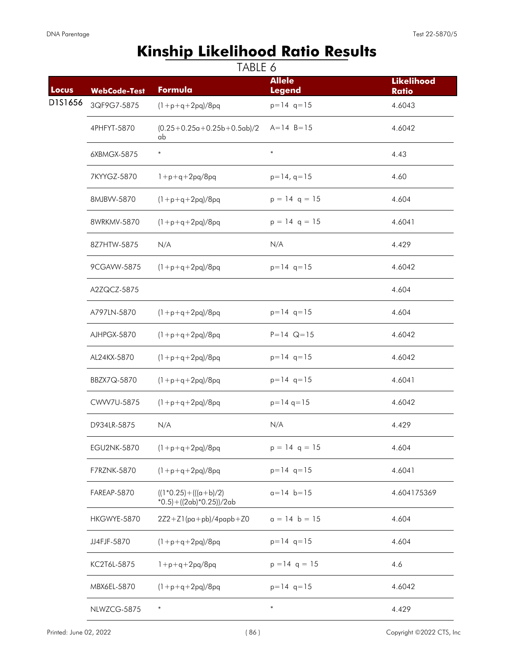## **Kinship Likelihood Ratio Results**

| Locus   | <b>WebCode-Test</b> | Formula                                                   | <b>Allele</b><br><b>Legend</b> | <b>Likelihood</b><br><b>Ratio</b> |
|---------|---------------------|-----------------------------------------------------------|--------------------------------|-----------------------------------|
| D1S1656 | 3QF9G7-5875         | $(1+p+q+2pq)/8pq$                                         | $p=14$ q=15                    | 4.6043                            |
|         | 4PHFYT-5870         | $(0.25+0.25a+0.25b+0.5ab)/2$<br>ab                        | $A = 14$ $B = 15$              | 4.6042                            |
|         | 6XBMGX-5875         | $\ast$                                                    | $\ast$                         | 4.43                              |
|         | 7KYYGZ-5870         | $1+p+q+2pq/8pq$                                           | $p=14, q=15$                   | 4.60                              |
|         | 8MJBVV-5870         | $(1 + p + q + 2pq)/8pq$                                   | $p = 14$ q = 15                | 4.604                             |
|         | 8WRKMV-5870         | $(1 + p + q + 2pq)/8pq$                                   | $p = 14$ q = 15                | 4.6041                            |
|         | 8Z7HTW-5875         | N/A                                                       | N/A                            | 4.429                             |
|         | 9CGAVW-5875         | $(1+p+q+2pq)/8pq$                                         | $p=14$ q=15                    | 4.6042                            |
|         | A2ZQCZ-5875         |                                                           |                                | 4.604                             |
|         | A797LN-5870         | $(1 + p + q + 2pq)/8pq$                                   | $p=14$ q=15                    | 4.604                             |
|         | AJHPGX-5870         | $(1 + p + q + 2pq)/8pq$                                   | $P = 14$ Q = 15                | 4.6042                            |
|         | AL24KX-5870         | $(1 + p + q + 2pq)/8pq$                                   | $p=14$ q=15                    | 4.6042                            |
|         | BBZX7Q-5870         | $(1 + p + q + 2pq)/8pq$                                   | $p=14$ q=15                    | 4.6041                            |
|         | CWW7U-5875          | $(1 + p + q + 2pq)/8pq$                                   | $p=14$ q=15                    | 4.6042                            |
|         | D934LR-5875         | N/A                                                       | N/A                            | 4.429                             |
|         | <b>EGU2NK-5870</b>  | $(1 + p + q + 2pq)/8pq$                                   | $p = 14$ q = 15                | 4.604                             |
|         | F7RZNK-5870         | $(1+p+q+2pq)/8pq$                                         | $p=14$ q=15                    | 4.6041                            |
|         | FAREAP-5870         | $((1*0.25)+(((a+b)/2))$<br>$*0.5$ + ((2ab) $*0.25$ ))/2ab | $a = 14$ $b = 15$              | 4.604175369                       |
|         | HKGWYE-5870         | $2Z2 + Z1$ (pa+pb)/4papb+Z0                               | $a = 14$ b = 15                | 4.604                             |
|         | JJ4FJF-5870         | $(1 + p + q + 2pq)/8pq$                                   | $p=14$ q=15                    | 4.604                             |
|         | KC2T6L-5875         | $1+p+q+2pq/8pq$                                           | $p = 14$ q = 15                | 4.6                               |
|         | MBX6EL-5870         | $(1 + p + q + 2pq)/8pq$                                   | $p=14$ q=15                    | 4.6042                            |
|         | NLWZCG-5875         | $\ast$                                                    | $\ast$                         | 4.429                             |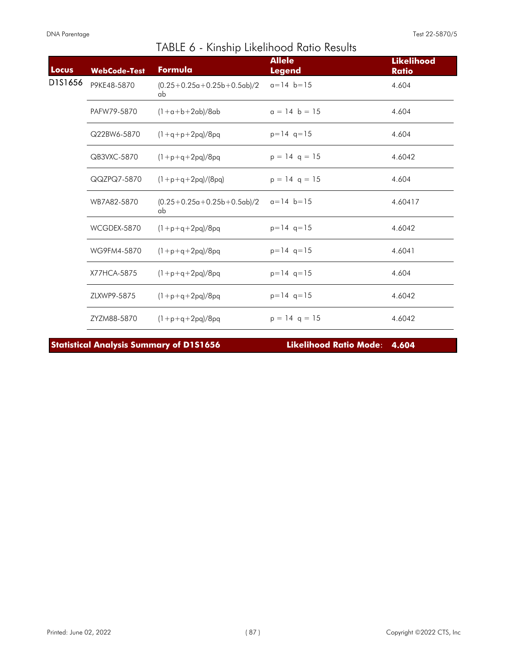| Locus   | <b>WebCode-Test</b> | Formula                            | <b>Allele</b><br><b>Legend</b> | <b>Likelihood</b><br><b>Ratio</b> |
|---------|---------------------|------------------------------------|--------------------------------|-----------------------------------|
| D1S1656 | P9KE48-5870         | $(0.25+0.25a+0.25b+0.5ab)/2$<br>ab | $a=14$ b=15                    | 4.604                             |
|         | PAFW79-5870         | $(1+a+b+2ab)/8ab$                  | $a = 14$ b = 15                | 4.604                             |
|         | Q22BW6-5870         | $(1+q+p+2pq)/8pq$                  | $p=14$ q=15                    | 4.604                             |
|         | QB3VXC-5870         | $(1+p+q+2pq)/8pq$                  | $p = 14$ q = 15                | 4.6042                            |
|         | QQZPQ7-5870         | $(1+p+q+2pq)/(8pq)$                | $p = 14$ q = 15                | 4.604                             |
|         | WB7A82-5870         | $(0.25+0.25a+0.25b+0.5ab)/2$<br>ab | $a=14$ b=15                    | 4.60417                           |
|         | WCGDEX-5870         | $(1+p+q+2pq)/8pq$                  | $p=14$ q=15                    | 4.6042                            |
|         | WG9FM4-5870         | $(1+p+q+2pq)/8pq$                  | $p=14$ q=15                    | 4.6041                            |
|         | X77HCA-5875         | $(1+p+q+2pq)/8pq$                  | $p=14$ q=15                    | 4.604                             |
|         | ZLXWP9-5875         | $(1+p+q+2pq)/8pq$                  | $p=14$ q=15                    | 4.6042                            |
|         | ZYZM88-5870         | $(1+p+q+2pq)/8pq$                  | $p = 14$ q = 15                | 4.6042                            |

**Statistical Analysis Summary of D1S1656 Likelihood Ratio Mode**: **4.604**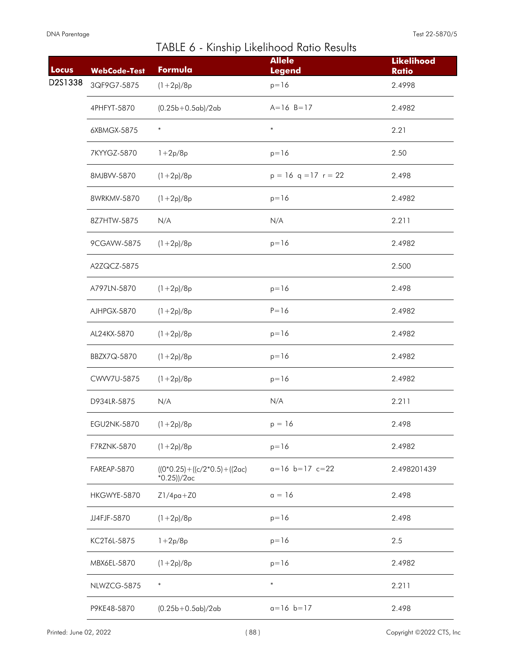| Locus   | <b>WebCode-Test</b> | Formula                                                   | <b>Allele</b><br><b>Legend</b> | <b>Likelihood</b><br><b>Ratio</b> |
|---------|---------------------|-----------------------------------------------------------|--------------------------------|-----------------------------------|
| D2S1338 | 3QF9G7-5875         | $(1+2p)/8p$                                               | $p = 16$                       | 2.4998                            |
|         | 4PHFYT-5870         | $(0.25b + 0.5ab)/2ab$                                     | $A = 16$ $B = 17$              | 2.4982                            |
|         | 6XBMGX-5875         | $\ast$                                                    | $\ast$                         | 2.21                              |
|         | 7KYYGZ-5870         | $1 + 2p/8p$                                               | $p = 16$                       | 2.50                              |
|         | 8MJBVV-5870         | $(1+2p)/8p$                                               | $p = 16$ q = 17 r = 22         | 2.498                             |
|         | 8WRKMV-5870         | $(1+2p)/8p$                                               | $p = 16$                       | 2.4982                            |
|         | 8Z7HTW-5875         | N/A                                                       | N/A                            | 2.211                             |
|         | 9CGAVW-5875         | $(1+2p)/8p$                                               | $p = 16$                       | 2.4982                            |
|         | A2ZQCZ-5875         |                                                           |                                | 2.500                             |
|         | A797LN-5870         | $(1+2p)/8p$                                               | $p = 16$                       | 2.498                             |
|         | AJHPGX-5870         | $(1+2p)/8p$                                               | $P = 16$                       | 2.4982                            |
|         | AL24KX-5870         | $(1+2p)/8p$                                               | $p = 16$                       | 2.4982                            |
|         | BBZX7Q-5870         | $(1+2p)/8p$                                               | $p = 16$                       | 2.4982                            |
|         | CWW7U-5875          | $(1+2p)/8p$                                               | $p = 16$                       | 2.4982                            |
|         | D934LR-5875         | N/A                                                       | N/A                            | 2.211                             |
|         | EGU2NK-5870         | $(1+2p)/8p$                                               | $p = 16$                       | 2.498                             |
|         | F7RZNK-5870         | $(1+2p)/8p$                                               | $p = 16$                       | 2.4982                            |
|         | FAREAP-5870         | $((0*0.25) + ((c/2*0.5) + ((2\alpha c)$<br>$*0.25$ ))/2ac | $a=16$ $b=17$ $c=22$           | 2.498201439                       |
|         | HKGWYE-5870         | $Z1/4pq+Z0$                                               | $a = 16$                       | 2.498                             |
|         | JJ4FJF-5870         | $(1+2p)/8p$                                               | $p = 16$                       | 2.498                             |
|         | KC2T6L-5875         | $1 + 2p/8p$                                               | $p = 16$                       | 2.5                               |
|         | MBX6EL-5870         | $(1+2p)/8p$                                               | $p = 16$                       | 2.4982                            |
|         | NLWZCG-5875         | $\ast$                                                    | $\ast$                         | 2.211                             |
|         | P9KE48-5870         | $(0.25b+0.5ab)/2ab$                                       | $a=16$ $b=17$                  | 2.498                             |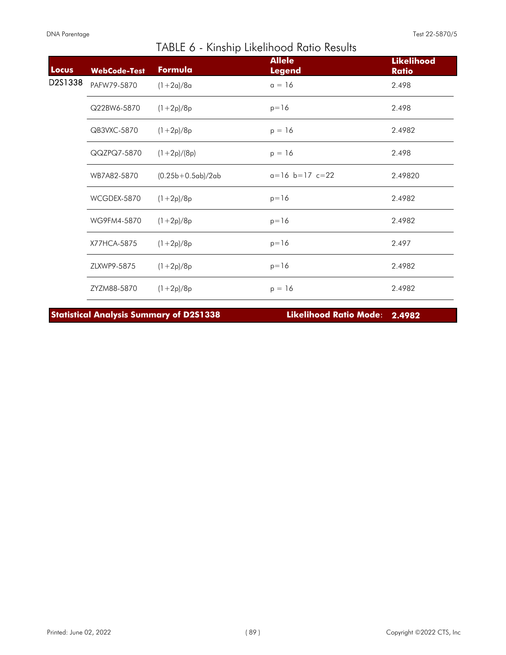| Locus   | <b>WebCode-Test</b> | Formula             | <b>Allele</b><br><b>Legend</b> | <b>Likelihood</b><br><b>Ratio</b> |
|---------|---------------------|---------------------|--------------------------------|-----------------------------------|
| D2S1338 | PAFW79-5870         | $(1+2a)/8a$         | $a = 16$                       | 2.498                             |
|         | Q22BW6-5870         | $(1+2p)/8p$         | $p = 16$                       | 2.498                             |
|         | QB3VXC-5870         | $(1+2p)/8p$         | $p = 16$                       | 2.4982                            |
|         | QQZPQ7-5870         | $(1+2p)/(8p)$       | $p = 16$                       | 2.498                             |
|         | WB7A82-5870         | $(0.25b+0.5ab)/2ab$ | $a=16$ b=17 c=22               | 2.49820                           |
|         | WCGDEX-5870         | $(1+2p)/8p$         | $p = 16$                       | 2.4982                            |
|         | WG9FM4-5870         | $(1+2p)/8p$         | $p = 16$                       | 2.4982                            |
|         | X77HCA-5875         | $(1+2p)/8p$         | $p = 16$                       | 2.497                             |
|         | ZLXWP9-5875         | $(1+2p)/8p$         | $p = 16$                       | 2.4982                            |
|         | ZYZM88-5870         | $(1+2p)/8p$         | $p = 16$                       | 2.4982                            |

**Statistical Analysis Summary of D2S1338 Likelihood Ratio Mode**: **2.4982**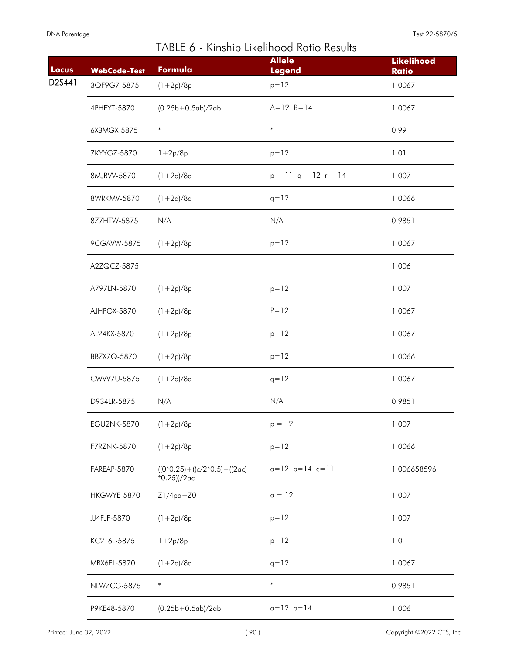| <b>Locus</b> | <b>WebCode-Test</b> | Formula                                                   | <b>Allele</b><br><b>Legend</b> | <b>Likelihood</b><br><b>Ratio</b> |
|--------------|---------------------|-----------------------------------------------------------|--------------------------------|-----------------------------------|
| D2S441       | 3QF9G7-5875         | $(1+2p)/8p$                                               | $p = 12$                       | 1.0067                            |
|              | 4PHFYT-5870         | $(0.25b+0.5ab)/2ab$                                       | $A = 12 B = 14$                | 1.0067                            |
|              | 6XBMGX-5875         | $\ast$                                                    | $\ast$                         | 0.99                              |
|              | 7KYYGZ-5870         | $1 + 2p/8p$                                               | $p = 12$                       | 1.01                              |
|              | 8MJBVV-5870         | $(1+2q)/8q$                                               | $p = 11$ q = 12 r = 14         | 1.007                             |
|              | 8WRKMV-5870         | $(1+2q)/8q$                                               | $q = 12$                       | 1.0066                            |
|              | 8Z7HTW-5875         | N/A                                                       | N/A                            | 0.9851                            |
|              | 9CGAVW-5875         | $(1+2p)/8p$                                               | $p = 12$                       | 1.0067                            |
|              | A2ZQCZ-5875         |                                                           |                                | 1.006                             |
|              | A797LN-5870         | $(1+2p)/8p$                                               | $p = 12$                       | 1.007                             |
|              | AJHPGX-5870         | $(1+2p)/8p$                                               | $P = 12$                       | 1.0067                            |
|              | AL24KX-5870         | $(1+2p)/8p$                                               | $p = 12$                       | 1.0067                            |
|              | BBZX7Q-5870         | $(1+2p)/8p$                                               | $p = 12$                       | 1.0066                            |
|              | CWW7U-5875          | $(1+2q)/8q$                                               | $q = 12$                       | 1.0067                            |
|              | D934LR-5875         | N/A                                                       | N/A                            | 0.9851                            |
|              | <b>EGU2NK-5870</b>  | $(1+2p)/8p$                                               | $p = 12$                       | 1.007                             |
|              | F7RZNK-5870         | $(1+2p)/8p$                                               | $p = 12$                       | 1.0066                            |
|              | FAREAP-5870         | $((0*0.25) + ((c/2*0.5) + ((2\alpha c)$<br>$*0.25$ ))/2ac | $a=12$ $b=14$ $c=11$           | 1.006658596                       |
|              | HKGWYE-5870         | $Z1/4pq+Z0$                                               | $a = 12$                       | 1.007                             |
|              | JJ4FJF-5870         | $(1+2p)/8p$                                               | $p = 12$                       | 1.007                             |
|              | KC2T6L-5875         | $1 + 2p/8p$                                               | $p = 12$                       | 1.0                               |
|              | MBX6EL-5870         | $(1+2q)/8q$                                               | $q = 12$                       | 1.0067                            |
|              | NLWZCG-5875         | $\ast$                                                    | $\ast$                         | 0.9851                            |
|              | P9KE48-5870         | $(0.25b + 0.5ab)/2ab$                                     | $a = 12$ $b = 14$              | 1.006                             |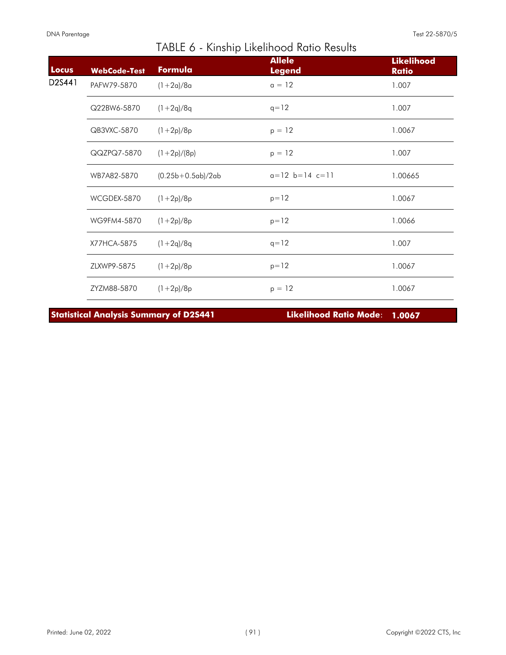| Locus  | <b>WebCode-Test</b> | Formula             | <b>Allele</b><br><b>Legend</b> | <b>Likelihood</b><br><b>Ratio</b> |
|--------|---------------------|---------------------|--------------------------------|-----------------------------------|
| D2S441 | PAFW79-5870         | $(1+2a)/8a$         | $a = 12$                       | 1.007                             |
|        | Q22BW6-5870         | $(1+2q)/8q$         | $q = 12$                       | 1.007                             |
|        | QB3VXC-5870         | $(1+2p)/8p$         | $p = 12$                       | 1.0067                            |
|        | QQZPQ7-5870         | $(1+2p)/(8p)$       | $p = 12$                       | 1.007                             |
|        | WB7A82-5870         | $(0.25b+0.5ab)/2ab$ | $a=12$ $b=14$ $c=11$           | 1.00665                           |
|        | WCGDEX-5870         | $(1+2p)/8p$         | $p = 12$                       | 1.0067                            |
|        | WG9FM4-5870         | $(1+2p)/8p$         | $p = 12$                       | 1.0066                            |
|        | X77HCA-5875         | $(1+2q)/8q$         | $q = 12$                       | 1.007                             |
|        | ZLXWP9-5875         | $(1+2p)/8p$         | $p = 12$                       | 1.0067                            |
|        | ZYZM88-5870         | $(1+2p)/8p$         | $p = 12$                       | 1.0067                            |

**Statistical Analysis Summary of D2S441 Likelihood Ratio Mode**: **1.0067**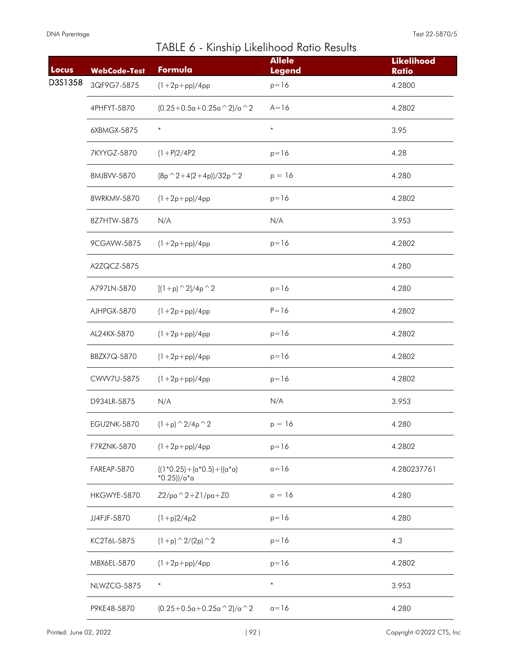| Locus   | <b>WebCode-Test</b> | Formula                                   | <b>Allele</b><br><b>Legend</b> | <b>Likelihood</b><br><b>Ratio</b> |
|---------|---------------------|-------------------------------------------|--------------------------------|-----------------------------------|
| D3S1358 | 3QF9G7-5875         | $(1 + 2p + pp)/4pp$                       | $p = 16$                       | 4.2800                            |
|         | 4PHFYT-5870         | $(0.25+0.5a+0.25a^2)/a^2$                 | $A = 16$                       | 4.2802                            |
|         | 6XBMGX-5875         | $\ast$                                    | $\ast$                         | 3.95                              |
|         | 7KYYGZ-5870         | $(1+P)2/4P2$                              | $p = 16$                       | 4.28                              |
|         | 8MJBVV-5870         | $(8p^2+4(2+4p))/32p^2$                    | $p = 16$                       | 4.280                             |
|         | 8WRKMV-5870         | $(1 + 2p + pp)/4pp$                       | $p = 16$                       | 4.2802                            |
|         | 8Z7HTW-5875         | N/A                                       | N/A                            | 3.953                             |
|         | 9CGAVW-5875         | $(1 + 2p + pp)/4pp$                       | $p = 16$                       | 4.2802                            |
|         | A2ZQCZ-5875         |                                           |                                | 4.280                             |
|         | A797LN-5870         | $[(1+p)$ $2]/4p$ $2$                      | $p = 16$                       | 4.280                             |
|         | AJHPGX-5870         | $(1 + 2p + pp)/4pp$                       | $P = 16$                       | 4.2802                            |
|         | AL24KX-5870         | $(1 + 2p + pp)/4pp$                       | $p = 16$                       | 4.2802                            |
|         | BBZX7Q-5870         | $(1 + 2p + pp)/4pp$                       | $p = 16$                       | 4.2802                            |
|         | CWW7U-5875          | $(1 + 2p + pp)/4pp$                       | $p = 16$                       | 4.2802                            |
|         | D934LR-5875         | N/A                                       | N/A                            | 3.953                             |
|         | EGU2NK-5870         | $(1+p)$ $^{\wedge}$ 2/4p $^{\wedge}$ 2    | $p = 16$                       | 4.280                             |
|         | F7RZNK-5870         | $(1 + 2p + pp)/4pp$                       | $p = 16$                       | 4.2802                            |
|         | FAREAP-5870         | $((1*0.25)+(a*0.5)+((a*0)$<br>*0.25))/a*a | $a=16$                         | 4.280237761                       |
|         | HKGWYE-5870         | $Z2/pa^2 + Z1/pa + Z0$                    | $a = 16$                       | 4.280                             |
|         | JJ4FJF-5870         | $(1+p)2/4p2$                              | $p=16$                         | 4.280                             |
|         | KC2T6L-5875         | $(1+p)$ $\hat{2}/(2p)$ $\hat{2}$          | $p = 16$                       | 4.3                               |
|         | MBX6EL-5870         | $(1 + 2p + pp)/4pp$                       | $p = 16$                       | 4.2802                            |
|         | NLWZCG-5875         | $\ast$                                    | $\ast$                         | 3.953                             |
|         | P9KE48-5870         | $(0.25+0.5a+0.25a^2)/a^2$                 | $a=16$                         | 4.280                             |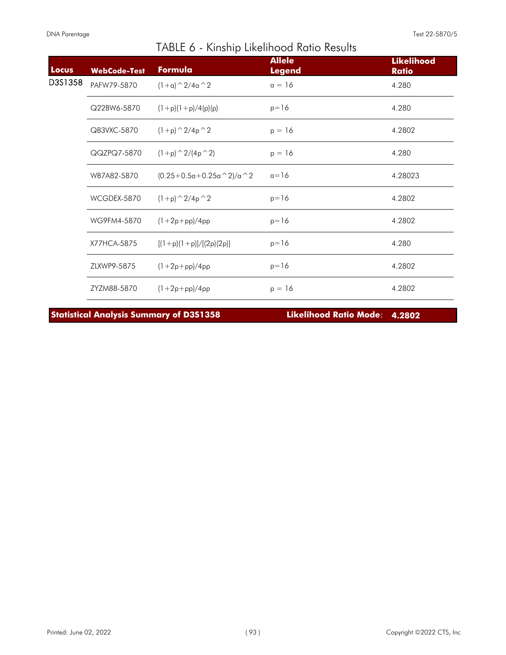| Locus   | <b>WebCode-Test</b> | Formula                        | <b>Allele</b><br><b>Legend</b> | <b>Likelihood</b><br><b>Ratio</b> |
|---------|---------------------|--------------------------------|--------------------------------|-----------------------------------|
| D3S1358 | PAFW79-5870         | $(1+a)$ $\hat{2}/4a$ $\hat{2}$ | $a = 16$                       | 4.280                             |
|         | Q22BW6-5870         | $(1+p)(1+p)/4(p)(p)$           | $p = 16$                       | 4.280                             |
|         | QB3VXC-5870         | $(1+p)$ $\hat{2}/4p$ $\hat{2}$ | $p = 16$                       | 4.2802                            |
|         | QQZPQ7-5870         | $(1+p)$ $\hat{2}/(4p \hat{2})$ | $p = 16$                       | 4.280                             |
|         | WB7A82-5870         | $(0.25+0.5a+0.25a^2)/a^2$      | $a=16$                         | 4.28023                           |
|         | WCGDEX-5870         | $(1+p)$ $\hat{2}/4p$ $\hat{2}$ | $p = 16$                       | 4.2802                            |
|         | WG9FM4-5870         | $(1+2p+pp)/4pp$                | $p = 16$                       | 4.2802                            |
|         | X77HCA-5875         | $[(1+p)(1+p)]/[(2p)(2p)]$      | $p = 16$                       | 4.280                             |
|         | ZLXWP9-5875         | $(1+2p+pp)/4pp$                | $p = 16$                       | 4.2802                            |
|         | ZYZM88-5870         | $(1 + 2p + pp)/4pp$            | $p = 16$                       | 4.2802                            |

**Statistical Analysis Summary of D3S1358 Likelihood Ratio Mode**: **4.2802**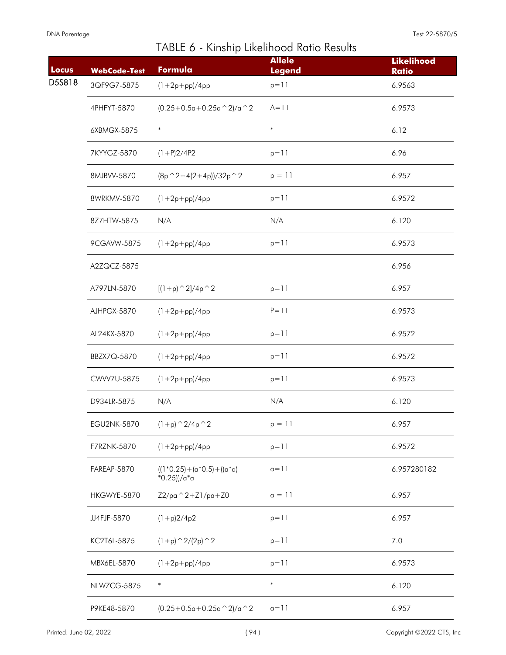| Locus  | <b>WebCode-Test</b> | Formula                                          | <b>Allele</b><br><b>Legend</b> | <b>Likelihood</b><br><b>Ratio</b> |
|--------|---------------------|--------------------------------------------------|--------------------------------|-----------------------------------|
| D5S818 | 3QF9G7-5875         | $(1 + 2p + pp)/4pp$                              | $p = 11$                       | 6.9563                            |
|        | 4PHFYT-5870         | $(0.25+0.5a+0.25a^2)/a^2$                        | $A = 11$                       | 6.9573                            |
|        | 6XBMGX-5875         | $\ast$                                           | $\ast$                         | 6.12                              |
|        | 7KYYGZ-5870         | $(1+P)2/4P2$                                     | $p = 11$                       | 6.96                              |
|        | 8MJBVV-5870         | $(8p^2+4(2+4p))/32p^2$                           | $p = 11$                       | 6.957                             |
|        | 8WRKMV-5870         | $(1 + 2p + pp)/4pp$                              | $p = 11$                       | 6.9572                            |
|        | 8Z7HTW-5875         | N/A                                              | N/A                            | 6.120                             |
|        | 9CGAVW-5875         | $(1 + 2p + pp)/4pp$                              | $p = 11$                       | 6.9573                            |
|        | A2ZQCZ-5875         |                                                  |                                | 6.956                             |
|        | A797LN-5870         | $[(1+p)^{2}/4p^2]$                               | $p = 11$                       | 6.957                             |
|        | AJHPGX-5870         | $(1 + 2p + pp)/4pp$                              | $P = 11$                       | 6.9573                            |
|        | AL24KX-5870         | $(1 + 2p + pp)/4pp$                              | $p = 11$                       | 6.9572                            |
|        | BBZX7Q-5870         | $(1 + 2p + pp)/4pp$                              | $p = 11$                       | 6.9572                            |
|        | CWW7U-5875          | $(1 + 2p + pp)/4pp$                              | $p = 11$                       | 6.9573                            |
|        | D934LR-5875         | N/A                                              | N/A                            | 6.120                             |
|        | <b>EGU2NK-5870</b>  | $(1+p)$ $^{\wedge}$ 2/4p $^{\wedge}$ 2           | $p = 11$                       | 6.957                             |
|        | F7RZNK-5870         | $(1 + 2p + pp)/4pp$                              | $p = 11$                       | 6.9572                            |
|        | FAREAP-5870         | $((1*0.25)+(a*0.5)+((a*0)$<br>$*0.25$ ))/a $*$ a | $a=11$                         | 6.957280182                       |
|        | HKGWYE-5870         | $Z2$ /pa $^2$ 2+Z1/pa+Z0                         | $a = 11$                       | 6.957                             |
|        | JJ4FJF-5870         | $(1+p)2/4p2$                                     | $p = 11$                       | 6.957                             |
|        | KC2T6L-5875         | $(1+p)$ $\hat{2}/(2p)$ $\hat{2}$                 | $p = 11$                       | 7.0                               |
|        | MBX6EL-5870         | $(1 + 2p + pp)/4pp$                              | $p = 11$                       | 6.9573                            |
|        | NLWZCG-5875         | $\ast$                                           | $\ast$                         | 6.120                             |
|        | P9KE48-5870         | $(0.25+0.5a+0.25a \wedge 2)/a \wedge 2$          | $a=11$                         | 6.957                             |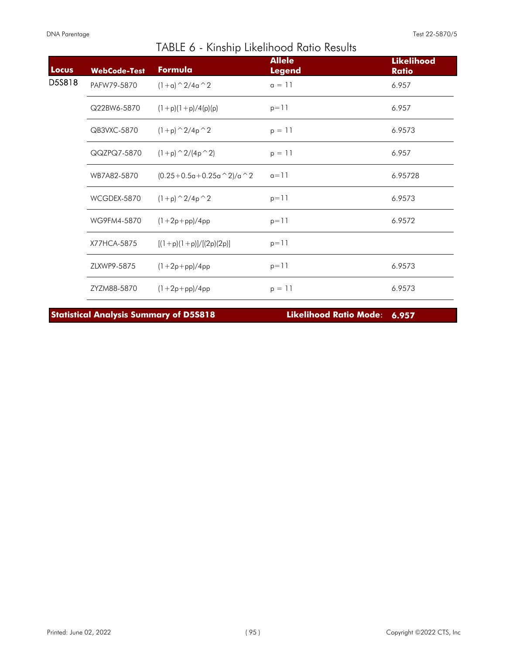| Locus  | <b>WebCode-Test</b> | Formula                        | <b>Allele</b><br><b>Legend</b> | <b>Likelihood</b><br><b>Ratio</b> |
|--------|---------------------|--------------------------------|--------------------------------|-----------------------------------|
| D5S818 | PAFW79-5870         | $(1+a)$ $\hat{2}/4a$ $\hat{2}$ | $a = 11$                       | 6.957                             |
|        | Q22BW6-5870         | $(1+p)(1+p)/4(p)(p)$           | $p = 11$                       | 6.957                             |
|        | QB3VXC-5870         | $(1+p)$ $\hat{2}/4p$ $\hat{2}$ | $p = 11$                       | 6.9573                            |
|        | QQZPQ7-5870         | $(1+p)$ $\hat{2}/(4p \hat{2})$ | $p = 11$                       | 6.957                             |
|        | WB7A82-5870         | $(0.25+0.5a+0.25a^2)/a^2$      | $a=11$                         | 6.95728                           |
|        | WCGDEX-5870         | $(1+p)$ $\hat{2}/4p$ $\hat{2}$ | $p = 11$                       | 6.9573                            |
|        | WG9FM4-5870         | $(1+2p+pp)/4pp$                | $p = 11$                       | 6.9572                            |
|        | X77HCA-5875         | $[(1+p)(1+p)]/[(2p)(2p)]$      | $p = 11$                       |                                   |
|        | ZLXWP9-5875         | $(1+2p+pp)/4pp$                | $p = 11$                       | 6.9573                            |
|        | ZYZM88-5870         | $(1 + 2p + pp)/4pp$            | $p = 11$                       | 6.9573                            |

**Statistical Analysis Summary of D5S818 Likelihood Ratio Mode**: **6.957**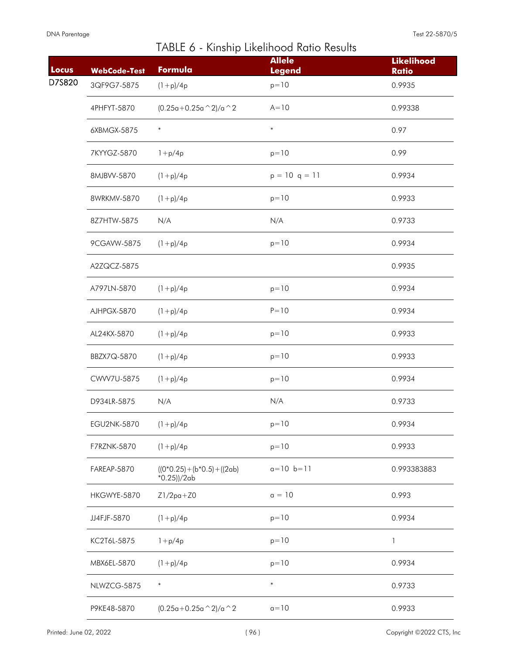| Locus  | <b>WebCode-Test</b> | Formula                                       | <b>Allele</b><br><b>Legend</b> | <b>Likelihood</b><br><b>Ratio</b> |
|--------|---------------------|-----------------------------------------------|--------------------------------|-----------------------------------|
| D7S820 | 3QF9G7-5875         | $(1+p)/4p$                                    | $p = 10$                       | 0.9935                            |
|        | 4PHFYT-5870         | $(0.25a+0.25a^2)/a^2$                         | $A=10$                         | 0.99338                           |
|        | 6XBMGX-5875         | $\ast$                                        | $\ast$                         | 0.97                              |
|        | 7KYYGZ-5870         | $1 + p/4p$                                    | $p = 10$                       | 0.99                              |
|        | 8MJBVV-5870         | $(1+p)/4p$                                    | $p = 10$ q = 11                | 0.9934                            |
|        | 8WRKMV-5870         | $(1+p)/4p$                                    | $p = 10$                       | 0.9933                            |
|        | 8Z7HTW-5875         | N/A                                           | N/A                            | 0.9733                            |
|        | 9CGAVW-5875         | $(1+p)/4p$                                    | $p = 10$                       | 0.9934                            |
|        | A2ZQCZ-5875         |                                               |                                | 0.9935                            |
|        | A797LN-5870         | $(1+p)/4p$                                    | $p = 10$                       | 0.9934                            |
|        | AJHPGX-5870         | $(1+p)/4p$                                    | $P = 10$                       | 0.9934                            |
|        | AL24KX-5870         | $(1+p)/4p$                                    | $p = 10$                       | 0.9933                            |
|        | BBZX7Q-5870         | $(1+p)/4p$                                    | $p = 10$                       | 0.9933                            |
|        | CWW7U-5875          | $(1+p)/4p$                                    | $p = 10$                       | 0.9934                            |
|        | D934LR-5875         | N/A                                           | N/A                            | 0.9733                            |
|        | <b>EGU2NK-5870</b>  | $(1+p)/4p$                                    | $p = 10$                       | 0.9934                            |
|        | F7RZNK-5870         | $(1+p)/4p$                                    | $p=10$                         | 0.9933                            |
|        | FAREAP-5870         | $((0*0.25)+(b*0.5)+((2ab))$<br>$*0.25$ ))/2ab | $a=10$ $b=11$                  | 0.993383883                       |
|        | HKGWYE-5870         | $Z1/2pa+Z0$                                   | $a = 10$                       | 0.993                             |
|        | JJ4FJF-5870         | $(1+p)/4p$                                    | $p = 10$                       | 0.9934                            |
|        | KC2T6L-5875         | $1 + p/4p$                                    | $p = 10$                       | 1                                 |
|        | MBX6EL-5870         | $(1+p)/4p$                                    | $p = 10$                       | 0.9934                            |
|        | NLWZCG-5875         | $\ast$                                        | $\ast$                         | 0.9733                            |
|        | P9KE48-5870         | $(0.25a+0.25a^2)/a^2$                         | $a=10$                         | 0.9933                            |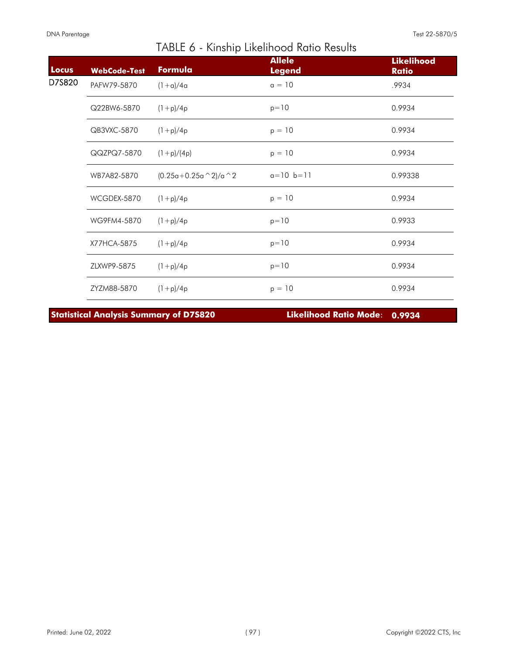| Locus  | <b>WebCode-Test</b> | Formula               | <b>Allele</b><br><b>Legend</b> | <b>Likelihood</b><br><b>Ratio</b> |
|--------|---------------------|-----------------------|--------------------------------|-----------------------------------|
| D7S820 | PAFW79-5870         | $(1+a)/4a$            | $a = 10$                       | .9934                             |
|        | Q22BW6-5870         | $(1+p)/4p$            | $p = 10$                       | 0.9934                            |
|        | QB3VXC-5870         | $(1+p)/4p$            | $p = 10$                       | 0.9934                            |
|        | QQZPQ7-5870         | $(1+p)/(4p)$          | $p = 10$                       | 0.9934                            |
|        | WB7A82-5870         | $(0.25a+0.25a^2)/a^2$ | $a=10$ $b=11$                  | 0.99338                           |
|        | WCGDEX-5870         | $(1+p)/4p$            | $p = 10$                       | 0.9934                            |
|        | WG9FM4-5870         | $(1+p)/4p$            | $p = 10$                       | 0.9933                            |
|        | X77HCA-5875         | $(1+p)/4p$            | $p = 10$                       | 0.9934                            |
|        | ZLXWP9-5875         | $(1+p)/4p$            | $p = 10$                       | 0.9934                            |
|        | ZYZM88-5870         | $(1+p)/4p$            | $p = 10$                       | 0.9934                            |

**Statistical Analysis Summary of D7S820 Likelihood Ratio Mode**: **0.9934**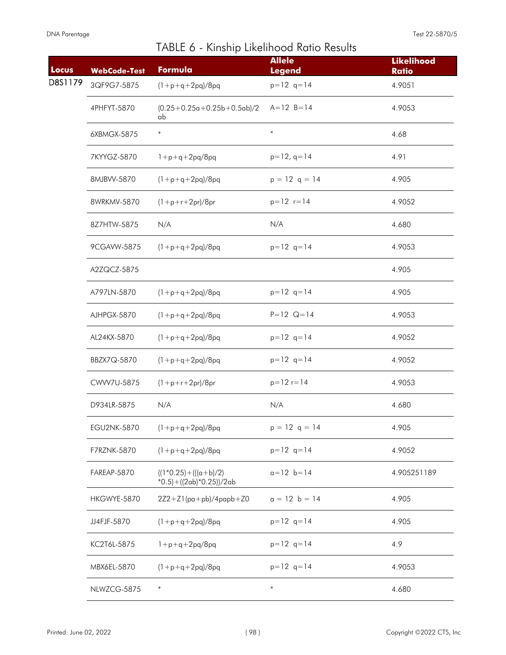|  |  | TABLE 6 - Kinship Likelihood Ratio Results |  |  |
|--|--|--------------------------------------------|--|--|
|--|--|--------------------------------------------|--|--|

| Locus   | <b>WebCode-Test</b> | Formula                                                     | <b>Allele</b><br><b>Legend</b> | <b>Likelihood</b><br><b>Ratio</b> |
|---------|---------------------|-------------------------------------------------------------|--------------------------------|-----------------------------------|
| D8S1179 | 3QF9G7-5875         | $(1 + p + q + 2pq)/8pq$                                     | $p=12$ q=14                    | 4.9051                            |
|         | 4PHFYT-5870         | $(0.25+0.25a+0.25b+0.5ab)/2$<br>ab                          | $A = 12 B = 14$                | 4.9053                            |
|         | 6XBMGX-5875         | $\ast$                                                      | $\ast$                         | 4.68                              |
|         | 7KYYGZ-5870         | $1+p+q+2pq/8pq$                                             | $p=12$ , q=14                  | 4.91                              |
|         | 8MJBVV-5870         | $(1 + p + q + 2pq)/8pq$                                     | $p = 12$ q = 14                | 4.905                             |
|         | 8WRKMV-5870         | $(1+p+r+2pr)/8pr$                                           | $p=12$ $r=14$                  | 4.9052                            |
|         | 8Z7HTW-5875         | N/A                                                         | N/A                            | 4.680                             |
|         | 9CGAVW-5875         | $(1+p+q+2pq)/8pq$                                           | $p=12$ q=14                    | 4.9053                            |
|         | A2ZQCZ-5875         |                                                             |                                | 4.905                             |
|         | A797LN-5870         | $(1+p+q+2pq)/8pq$                                           | $p=12$ q=14                    | 4.905                             |
|         | AJHPGX-5870         | $(1+p+q+2pq)/8pq$                                           | $P = 12$ Q = 14                | 4.9053                            |
|         | AL24KX-5870         | $(1 + p + q + 2pq)/8pq$                                     | $p=12$ q=14                    | 4.9052                            |
|         | BBZX7Q-5870         | $(1+p+q+2pq)/8pq$                                           | $p=12$ q=14                    | 4.9052                            |
|         | CWW7U-5875          | $(1 + p + r + 2pr)/8pr$                                     | $p = 12r = 14$                 | 4.9053                            |
|         | D934LR-5875         | N/A                                                         | N/A                            | 4.680                             |
|         | <b>EGU2NK-5870</b>  | $(1 + p + q + 2pq)/8pq$                                     | $p = 12$ q = 14                | 4.905                             |
|         | F7RZNK-5870         | $(1+p+q+2pq)/8pq$                                           | $p=12$ q=14                    | 4.9052                            |
|         | FAREAP-5870         | $((1*0.25)+(((a+b)/2))$<br>$*0.5$ ) + ((2ab) $*0.25$ ))/2ab | $a=12$ $b=14$                  | 4.905251189                       |
|         | HKGWYE-5870         | $2Z2+Z1(pa+pb)/4papb+Z0$                                    | $a = 12$ b = 14                | 4.905                             |
|         | JJ4FJF-5870         | $(1+p+q+2pq)/8pq$                                           | $p=12$ q=14                    | 4.905                             |
|         | KC2T6L-5875         | $1+p+q+2pq/8pq$                                             | $p=12$ q=14                    | 4.9                               |
|         | MBX6EL-5870         | $(1 + p + q + 2pq)/8pq$                                     | $p=12$ q=14                    | 4.9053                            |
|         | NLWZCG-5875         | $\ast$                                                      | $\ast$                         | 4.680                             |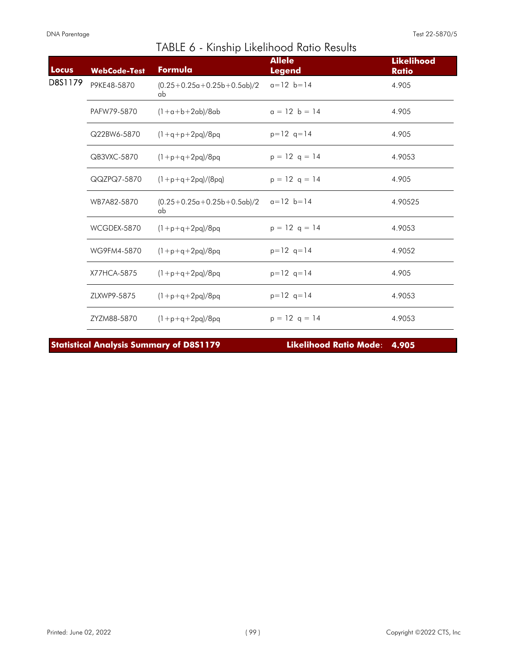| Locus   | <b>WebCode-Test</b> | Formula                            | <b>Allele</b><br><b>Legend</b> | <b>Likelihood</b><br><b>Ratio</b> |
|---------|---------------------|------------------------------------|--------------------------------|-----------------------------------|
| D8S1179 | P9KE48-5870         | $(0.25+0.25a+0.25b+0.5ab)/2$<br>ab | $a=12$ $b=14$                  | 4.905                             |
|         | PAFW79-5870         | $(1+a+b+2ab)/8ab$                  | $a = 12$ b = 14                | 4.905                             |
|         | Q22BW6-5870         | $(1+q+p+2pq)/8pq$                  | $p=12$ q=14                    | 4.905                             |
|         | QB3VXC-5870         | $(1+p+q+2pq)/8pq$                  | $p = 12$ q = 14                | 4.9053                            |
|         | QQZPQ7-5870         | $(1+p+q+2pq)/(8pq)$                | $p = 12$ q = 14                | 4.905                             |
|         | WB7A82-5870         | $(0.25+0.25a+0.25b+0.5ab)/2$<br>ab | $a=12$ $b=14$                  | 4.90525                           |
|         | WCGDEX-5870         | $(1+p+q+2pq)/8pq$                  | $p = 12$ q = 14                | 4.9053                            |
|         | WG9FM4-5870         | $(1+p+q+2pq)/8pq$                  | $p=12$ q=14                    | 4.9052                            |
|         | X77HCA-5875         | $(1 + p + q + 2pq)/8pq$            | $p=12$ q=14                    | 4.905                             |
|         | ZLXWP9-5875         | $(1+p+q+2pq)/8pq$                  | $p=12$ q=14                    | 4.9053                            |
|         | ZYZM88-5870         | $(1+p+q+2pq)/8pq$                  | $p = 12$ q = 14                | 4.9053                            |

**Statistical Analysis Summary of D8S1179 Likelihood Ratio Mode**: **4.905**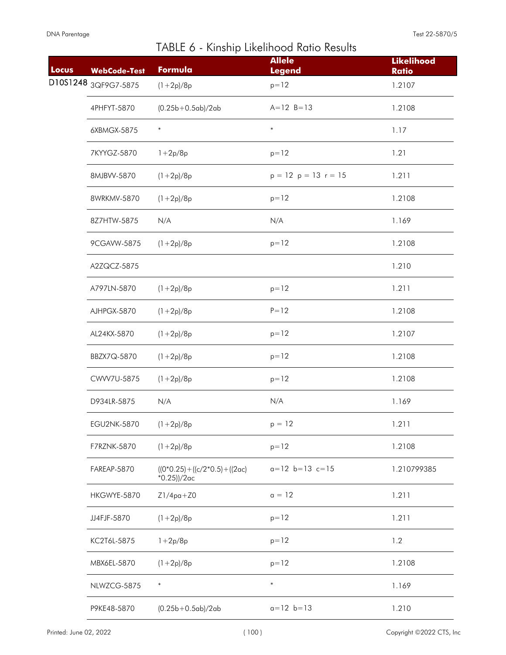| Locus | <b>WebCode-Test</b> | Formula                                                   | <b>Allele</b><br><b>Legend</b> | <b>Likelihood</b><br><b>Ratio</b> |
|-------|---------------------|-----------------------------------------------------------|--------------------------------|-----------------------------------|
|       |                     | $(1+2p)/8p$                                               | $p = 12$                       | 1.2107                            |
|       | 4PHFYT-5870         | $(0.25b+0.5ab)/2ab$                                       | $A = 12 B = 13$                | 1.2108                            |
|       | 6XBMGX-5875         | $\ast$                                                    | $\ast$                         | 1.17                              |
|       | 7KYYGZ-5870         | $1 + 2p/8p$                                               | $p = 12$                       | 1.21                              |
|       | 8MJBVV-5870         | $(1+2p)/8p$                                               | $p = 12$ $p = 13$ $r = 15$     | 1.211                             |
|       | 8WRKMV-5870         | $(1+2p)/8p$                                               | $p = 12$                       | 1.2108                            |
|       | 8Z7HTW-5875         | N/A                                                       | N/A                            | 1.169                             |
|       | 9CGAVW-5875         | $(1+2p)/8p$                                               | $p = 12$                       | 1.2108                            |
|       | A2ZQCZ-5875         |                                                           |                                | 1.210                             |
|       | A797LN-5870         | $(1+2p)/8p$                                               | $p = 12$                       | 1.211                             |
|       | AJHPGX-5870         | $(1+2p)/8p$                                               | $P = 12$                       | 1.2108                            |
|       | AL24KX-5870         | $(1+2p)/8p$                                               | $p = 12$                       | 1.2107                            |
|       | BBZX7Q-5870         | $(1+2p)/8p$                                               | $p = 12$                       | 1.2108                            |
|       | CWW7U-5875          | $(1+2p)/8p$                                               | $p = 12$                       | 1.2108                            |
|       | D934LR-5875         | N/A                                                       | N/A                            | 1.169                             |
|       | EGU2NK-5870         | $(1+2p)/8p$                                               | $p = 12$                       | 1.211                             |
|       | F7RZNK-5870         | $(1+2p)/8p$                                               | $p = 12$                       | 1.2108                            |
|       | FAREAP-5870         | $((0*0.25) + ((c/2*0.5) + ((2\alpha c)$<br>$*0.25$ ))/2ac | $a=12$ $b=13$ $c=15$           | 1.210799385                       |
|       | HKGWYE-5870         | $Z1/4pq+Z0$                                               | $a = 12$                       | 1.211                             |
|       | JJ4FJF-5870         | $(1+2p)/8p$                                               | $p = 12$                       | 1.211                             |
|       | KC2T6L-5875         | $1 + 2p/8p$                                               | $p = 12$                       | 1.2                               |
|       | MBX6EL-5870         | $(1+2p)/8p$                                               | $p = 12$                       | 1.2108                            |
|       | NLWZCG-5875         | $\ast$                                                    | $\ast$                         | 1.169                             |
|       | P9KE48-5870         | $(0.25b+0.5ab)/2ab$                                       | $a=12$ $b=13$                  | 1.210                             |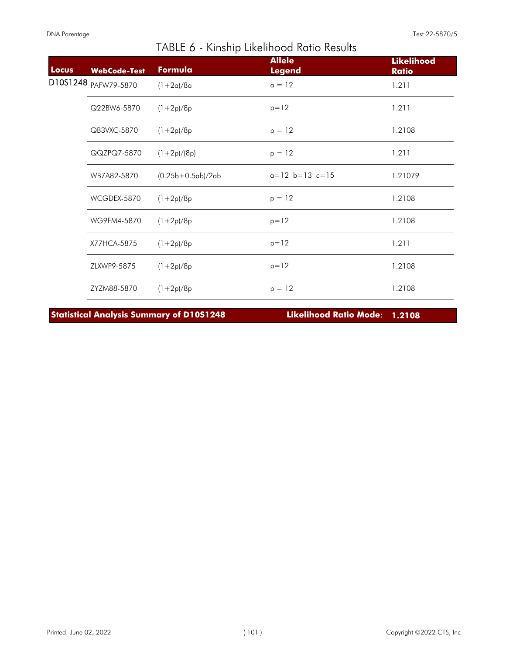| Locus | <b>WebCode-Test</b> | Formula             | <b>Allele</b><br><b>Legend</b> | <b>Likelihood</b><br><b>Ratio</b> |
|-------|---------------------|---------------------|--------------------------------|-----------------------------------|
|       |                     | $(1+2a)/8a$         | $a = 12$                       | 1.211                             |
|       | Q22BW6-5870         | $(1+2p)/8p$         | $p = 12$                       | 1.211                             |
|       | QB3VXC-5870         | $(1+2p)/8p$         | $p = 12$                       | 1.2108                            |
|       | QQZPQ7-5870         | $(1+2p)/(8p)$       | $p = 12$                       | 1.211                             |
|       | WB7A82-5870         | $(0.25b+0.5ab)/2ab$ | $a=12$ $b=13$ $c=15$           | 1.21079                           |
|       | WCGDEX-5870         | $(1+2p)/8p$         | $p = 12$                       | 1.2108                            |
|       | WG9FM4-5870         | $(1+2p)/8p$         | $p = 12$                       | 1.2108                            |
|       | X77HCA-5875         | $(1+2p)/8p$         | $p = 12$                       | 1.211                             |
|       | ZLXWP9-5875         | $(1+2p)/8p$         | $p = 12$                       | 1.2108                            |
|       | ZYZM88-5870         | $(1+2p)/8p$         | $p = 12$                       | 1.2108                            |

**Statistical Analysis Summary of D10S1248 Likelihood Ratio Mode**: **1.2108**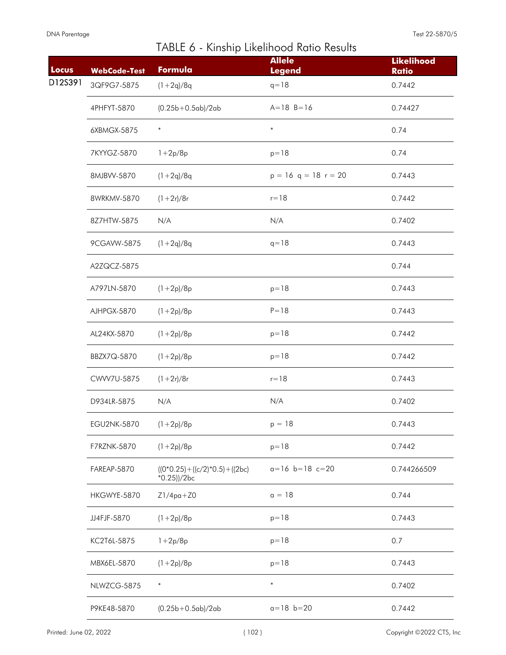| Locus   | <b>WebCode-Test</b> | Formula                                               | <b>Allele</b><br><b>Legend</b> | <b>Likelihood</b><br><b>Ratio</b> |
|---------|---------------------|-------------------------------------------------------|--------------------------------|-----------------------------------|
| D12S391 | 3QF9G7-5875         | $(1+2q)/8q$                                           | $q = 18$                       | 0.7442                            |
|         | 4PHFYT-5870         | $(0.25b+0.5ab)/2ab$                                   | $A = 18$ $B = 16$              | 0.74427                           |
|         | 6XBMGX-5875         | $\ast$                                                | $\ast$                         | 0.74                              |
|         | 7KYYGZ-5870         | $1 + 2p/8p$                                           | $p = 18$                       | 0.74                              |
|         | 8MJBVV-5870         | $(1+2q)/8q$                                           | $p = 16$ q = 18 r = 20         | 0.7443                            |
|         | 8WRKMV-5870         | $(1+2r)/8r$                                           | $r=18$                         | 0.7442                            |
|         | 8Z7HTW-5875         | N/A                                                   | N/A                            | 0.7402                            |
|         | 9CGAVW-5875         | $(1+2q)/8q$                                           | $q = 18$                       | 0.7443                            |
|         | A2ZQCZ-5875         |                                                       |                                | 0.744                             |
|         | A797LN-5870         | $(1+2p)/8p$                                           | $p = 18$                       | 0.7443                            |
|         | AJHPGX-5870         | $(1+2p)/8p$                                           | $P = 18$                       | 0.7443                            |
|         | AL24KX-5870         | $(1+2p)/8p$                                           | $p = 18$                       | 0.7442                            |
|         | BBZX7Q-5870         | $(1+2p)/8p$                                           | $p = 18$                       | 0.7442                            |
|         | CWW7U-5875          | $(1+2r)/8r$                                           | $r = 18$                       | 0.7443                            |
|         | D934LR-5875         | N/A                                                   | N/A                            | 0.7402                            |
|         | <b>EGU2NK-5870</b>  | $(1+2p)/8p$                                           | $p = 18$                       | 0.7443                            |
|         | F7RZNK-5870         | $(1+2p)/8p$                                           | $p = 18$                       | 0.7442                            |
|         | FAREAP-5870         | $((0*0.25) + ((c/2)*0.5) + ((2bc))$<br>$*0.25$ ))/2bc | $a=16$ $b=18$ $c=20$           | 0.744266509                       |
|         | HKGWYE-5870         | $Z1/4pq+Z0$                                           | $a = 18$                       | 0.744                             |
|         | JJ4FJF-5870         | $(1+2p)/8p$                                           | $p = 18$                       | 0.7443                            |
|         | KC2T6L-5875         | $1 + 2p/8p$                                           | $p = 18$                       | 0.7                               |
|         | MBX6EL-5870         | $(1+2p)/8p$                                           | $p = 18$                       | 0.7443                            |
|         | NLWZCG-5875         | $\ast$                                                | $\ast$                         | 0.7402                            |
|         | P9KE48-5870         | $(0.25b+0.5ab)/2ab$                                   | $a = 18$ $b = 20$              | 0.7442                            |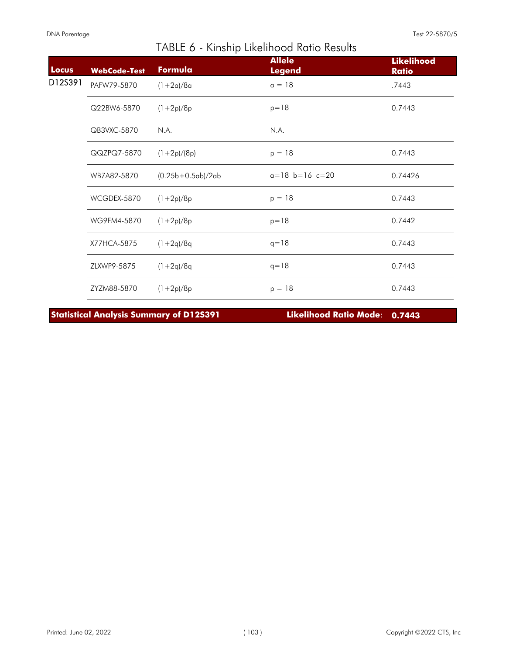| Locus   | <b>WebCode-Test</b> | Formula             | <b>Allele</b><br><b>Legend</b> | <b>Likelihood</b><br><b>Ratio</b> |
|---------|---------------------|---------------------|--------------------------------|-----------------------------------|
| D12S391 | PAFW79-5870         | $(1+2a)/8a$         | $a = 18$                       | .7443                             |
|         | Q22BW6-5870         | $(1+2p)/8p$         | $p = 18$                       | 0.7443                            |
|         | QB3VXC-5870         | N.A.                | N.A.                           |                                   |
|         | QQZPQ7-5870         | $(1+2p)/(8p)$       | $p = 18$                       | 0.7443                            |
|         | WB7A82-5870         | $(0.25b+0.5ab)/2ab$ | $a=18$ $b=16$ $c=20$           | 0.74426                           |
|         | WCGDEX-5870         | $(1+2p)/8p$         | $p = 18$                       | 0.7443                            |
|         | WG9FM4-5870         | $(1+2p)/8p$         | $p = 18$                       | 0.7442                            |
|         | X77HCA-5875         | $(1+2q)/8q$         | $q = 18$                       | 0.7443                            |
|         | ZLXWP9-5875         | $(1+2q)/8q$         | $q = 18$                       | 0.7443                            |
|         | ZYZM88-5870         | $(1+2p)/8p$         | $p = 18$                       | 0.7443                            |

**Statistical Analysis Summary of D12S391 Likelihood Ratio Mode**: **0.7443**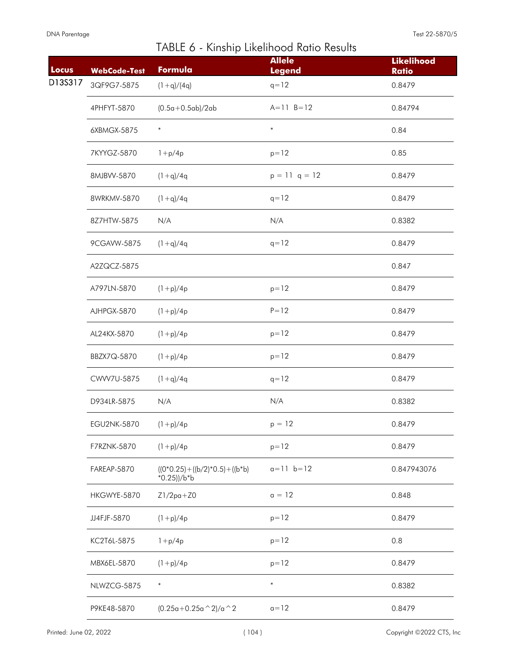L

| Locus   | <b>WebCode-Test</b> | Formula                                                   | <b>Allele</b><br><b>Legend</b> | <b>Likelihood</b><br><b>Ratio</b> |
|---------|---------------------|-----------------------------------------------------------|--------------------------------|-----------------------------------|
| D13S317 | 3QF9G7-5875         | $(1+q)/(4q)$                                              | $q = 12$                       | 0.8479                            |
|         | 4PHFYT-5870         | $(0.5a+0.5ab)/2ab$                                        | $A = 11 B = 12$                | 0.84794                           |
|         | 6XBMGX-5875         | $\ast$                                                    | $\ast$                         | 0.84                              |
|         | 7KYYGZ-5870         | $1 + p/4p$                                                | $p = 12$                       | 0.85                              |
|         | 8MJBVV-5870         | $(1+q)/4q$                                                | $p = 11$ q = 12                | 0.8479                            |
|         | 8WRKMV-5870         | $(1+q)/4q$                                                | $q = 12$                       | 0.8479                            |
|         | 8Z7HTW-5875         | N/A                                                       | N/A                            | 0.8382                            |
|         | 9CGAVW-5875         | $(1+q)/4q$                                                | $q = 12$                       | 0.8479                            |
|         | A2ZQCZ-5875         |                                                           |                                | 0.847                             |
|         | A797LN-5870         | $(1+p)/4p$                                                | $p = 12$                       | 0.8479                            |
|         | AJHPGX-5870         | $(1+p)/4p$                                                | $P = 12$                       | 0.8479                            |
|         | AL24KX-5870         | $(1+p)/4p$                                                | $p = 12$                       | 0.8479                            |
|         | BBZX7Q-5870         | $(1+p)/4p$                                                | $p = 12$                       | 0.8479                            |
|         | CWW7U-5875          | $(1+q)/4q$                                                | $q = 12$                       | 0.8479                            |
|         | D934LR-5875         | N/A                                                       | N/A                            | 0.8382                            |
|         | EGU2NK-5870         | $(1+p)/4p$                                                | $p = 12$                       | 0.8479                            |
|         | F7RZNK-5870         | $(1+p)/4p$                                                | $p = 12$                       | 0.8479                            |
|         | FAREAP-5870         | $((0*0.25) + ((b/2)*0.5) + ((b*b))$<br>$*0.25$ ))/b $*$ b | $a=11$ $b=12$                  | 0.847943076                       |
|         | HKGWYE-5870         | $Z1/2pa+Z0$                                               | $a = 12$                       | 0.848                             |
|         | JJ4FJF-5870         | $(1+p)/4p$                                                | $p = 12$                       | 0.8479                            |
|         | KC2T6L-5875         | $1 + p/4p$                                                | $p = 12$                       | 0.8                               |
|         | MBX6EL-5870         | $(1+p)/4p$                                                | $p = 12$                       | 0.8479                            |
|         | NLWZCG-5875         | $\ast$                                                    | $\ast$                         | 0.8382                            |
|         | P9KE48-5870         | $(0.25a+0.25a \cdot 2)/a \cdot 2$                         | $a=12$                         | 0.8479                            |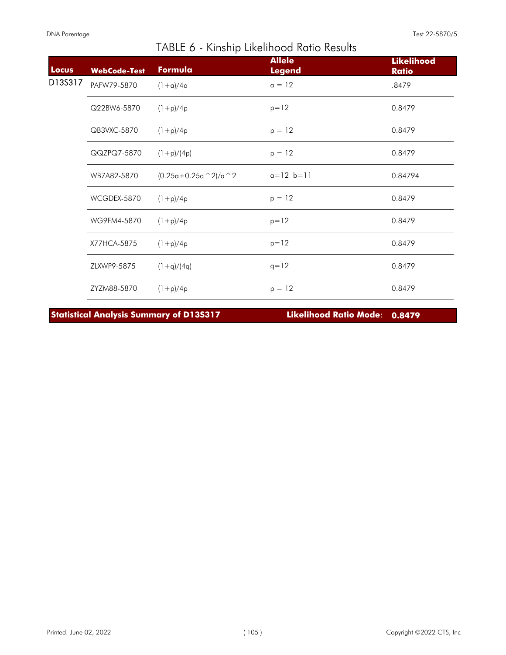| Locus   | <b>WebCode-Test</b> | Formula                  | <b>Allele</b><br><b>Legend</b> | <b>Likelihood</b><br><b>Ratio</b> |
|---------|---------------------|--------------------------|--------------------------------|-----------------------------------|
| D13S317 | PAFW79-5870         | $(1+a)/4a$               | $a = 12$                       | .8479                             |
|         | Q22BW6-5870         | $(1+p)/4p$               | $p = 12$                       | 0.8479                            |
|         | QB3VXC-5870         | $(1+p)/4p$               | $p = 12$                       | 0.8479                            |
|         | QQZPQ7-5870         | $(1+p)/(4p)$             | $p = 12$                       | 0.8479                            |
|         | WB7A82-5870         | $(0.25a+0.25a \n^2)/a^2$ | $a=12$ $b=11$                  | 0.84794                           |
|         | WCGDEX-5870         | $(1+p)/4p$               | $p = 12$                       | 0.8479                            |
|         | WG9FM4-5870         | $(1+p)/4p$               | $p = 12$                       | 0.8479                            |
|         | X77HCA-5875         | $(1+p)/4p$               | $p = 12$                       | 0.8479                            |
|         | ZLXWP9-5875         | $(1+q)/(4q)$             | $q = 12$                       | 0.8479                            |
|         | ZYZM88-5870         | $(1+p)/4p$               | $p = 12$                       | 0.8479                            |

**Statistical Analysis Summary of D13S317 Likelihood Ratio Mode**: **0.8479**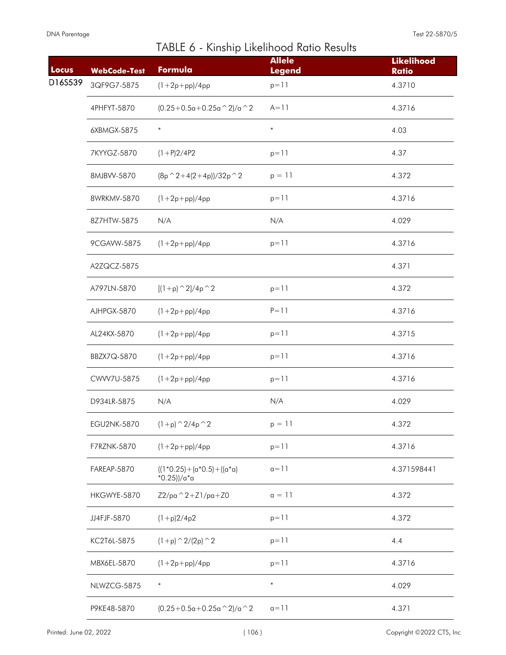| Locus   | <b>WebCode-Test</b> | Formula                                   | <b>Allele</b><br><b>Legend</b> | <b>Likelihood</b><br><b>Ratio</b> |
|---------|---------------------|-------------------------------------------|--------------------------------|-----------------------------------|
| D16S539 | 3QF9G7-5875         | $(1 + 2p + pp)/4pp$                       | $p = 11$                       | 4.3710                            |
|         | 4PHFYT-5870         | $(0.25+0.5a+0.25a^2)/a^2$                 | $A = 11$                       | 4.3716                            |
|         | 6XBMGX-5875         | $\ast$                                    | $\ast$                         | 4.03                              |
|         | 7KYYGZ-5870         | $(1+P)2/4P2$                              | $p = 11$                       | 4.37                              |
|         | 8MJBVV-5870         | $(8p^2+4(2+4p))/32p^2$                    | $p = 11$                       | 4.372                             |
|         | 8WRKMV-5870         | $(1 + 2p + pp)/4pp$                       | $p = 11$                       | 4.3716                            |
|         | 8Z7HTW-5875         | N/A                                       | N/A                            | 4.029                             |
|         | 9CGAVW-5875         | $(1 + 2p + pp)/4pp$                       | $p = 11$                       | 4.3716                            |
|         | A2ZQCZ-5875         |                                           |                                | 4.371                             |
|         | A797LN-5870         | $[(1+p)$ $2]/4p$ $2$                      | $p = 11$                       | 4.372                             |
|         | AJHPGX-5870         | $(1 + 2p + pp)/4pp$                       | $P = 11$                       | 4.3716                            |
|         | AL24KX-5870         | $(1 + 2p + pp)/4pp$                       | $p = 11$                       | 4.3715                            |
|         | BBZX7Q-5870         | $(1 + 2p + pp)/4pp$                       | $p = 11$                       | 4.3716                            |
|         | CWW7U-5875          | $(1 + 2p + pp)/4pp$                       | $p = 11$                       | 4.3716                            |
|         | D934LR-5875         | N/A                                       | N/A                            | 4.029                             |
|         | EGU2NK-5870         | $(1+p)$ $^{\wedge}$ 2/4p $^{\wedge}$ 2    | $p = 11$                       | 4.372                             |
|         | F7RZNK-5870         | $(1 + 2p + pp)/4pp$                       | $p = 11$                       | 4.3716                            |
|         | FAREAP-5870         | $((1*0.25)+(a*0.5)+((a*0)$<br>*0.25))/a*a | $a=11$                         | 4.371598441                       |
|         | HKGWYE-5870         | $Z2/pa^2 + Z1/pa + Z0$                    | $a = 11$                       | 4.372                             |
|         | JJ4FJF-5870         | $(1+p)2/4p2$                              | $p = 11$                       | 4.372                             |
|         | KC2T6L-5875         | $(1+p)$ $\hat{2}/(2p)$ $\hat{2}$          | $p = 11$                       | 4.4                               |
|         | MBX6EL-5870         | $(1 + 2p + pp)/4pp$                       | $p = 11$                       | 4.3716                            |
|         | NLWZCG-5875         | $\ast$                                    | $\ast$                         | 4.029                             |
|         | P9KE48-5870         | $(0.25+0.5a+0.25a^2)/a^2$                 | $a=11$                         | 4.371                             |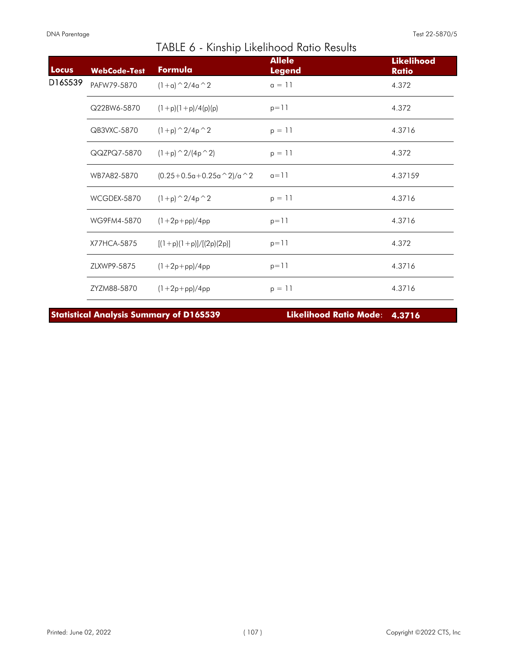I

| Locus   | <b>WebCode-Test</b> | Formula                        | <b>Allele</b><br><b>Legend</b> | <b>Likelihood</b><br><b>Ratio</b> |
|---------|---------------------|--------------------------------|--------------------------------|-----------------------------------|
| D16S539 | PAFW79-5870         | $(1+a)$ $\hat{2}/4a$ $\hat{2}$ | $a = 11$                       | 4.372                             |
|         | Q22BW6-5870         | $(1+p)(1+p)/4(p)(p)$           | $p = 11$                       | 4.372                             |
|         | QB3VXC-5870         | $(1+p)$ $\hat{2}/4p$ $\hat{2}$ | $p = 11$                       | 4.3716                            |
|         | QQZPQ7-5870         | $(1+p)$ $\hat{2}/(4p \hat{2})$ | $p = 11$                       | 4.372                             |
|         | WB7A82-5870         | $(0.25+0.5a+0.25a^2)/a^2$      | $a=11$                         | 4.37159                           |
|         | WCGDEX-5870         | $(1+p)$ $\hat{2}/4p$ $\hat{2}$ | $p = 11$                       | 4.3716                            |
|         | WG9FM4-5870         | $(1+2p+pp)/4pp$                | $p = 11$                       | 4.3716                            |
|         | X77HCA-5875         | $[(1+p)(1+p)]/[(2p)(2p)]$      | $p = 11$                       | 4.372                             |
|         | ZLXWP9-5875         | $(1+2p+pp)/4pp$                | $p = 11$                       | 4.3716                            |
|         | ZYZM88-5870         | $(1 + 2p + pp)/4pp$            | $p = 11$                       | 4.3716                            |

TABLE 6 - Kinship Likelihood Ratio Results

**Statistical Analysis Summary of D16S539 Likelihood Ratio Mode**: **4.3716**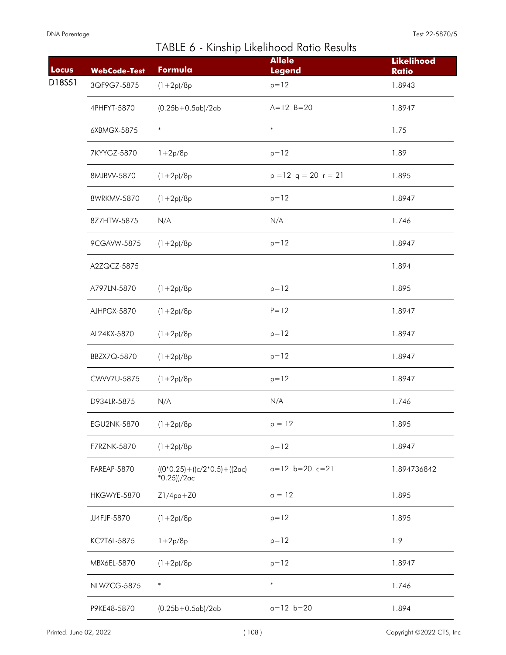| Locus  | <b>WebCode-Test</b> | Formula                                                   | <b>Allele</b><br><b>Legend</b> | <b>Likelihood</b><br><b>Ratio</b> |
|--------|---------------------|-----------------------------------------------------------|--------------------------------|-----------------------------------|
| D18S51 | 3QF9G7-5875         | $(1+2p)/8p$                                               | $p = 12$                       | 1.8943                            |
|        | 4PHFYT-5870         | $(0.25b+0.5ab)/2ab$                                       | $A=12$ $B=20$                  | 1.8947                            |
|        | 6XBMGX-5875         | $\ast$                                                    | $\ast$                         | 1.75                              |
|        | 7KYYGZ-5870         | $1 + 2p/8p$                                               | $p = 12$                       | 1.89                              |
|        | 8MJBVV-5870         | $(1+2p)/8p$                                               | $p = 12$ q = 20 r = 21         | 1.895                             |
|        | 8WRKMV-5870         | $(1+2p)/8p$                                               | $p = 12$                       | 1.8947                            |
|        | 8Z7HTW-5875         | N/A                                                       | N/A                            | 1.746                             |
|        | 9CGAVW-5875         | $(1+2p)/8p$                                               | $p = 12$                       | 1.8947                            |
|        | A2ZQCZ-5875         |                                                           |                                | 1.894                             |
|        | A797LN-5870         | $(1+2p)/8p$                                               | $p = 12$                       | 1.895                             |
|        | AJHPGX-5870         | $(1+2p)/8p$                                               | $P = 12$                       | 1.8947                            |
|        | AL24KX-5870         | $(1+2p)/8p$                                               | $p = 12$                       | 1.8947                            |
|        | BBZX7Q-5870         | $(1+2p)/8p$                                               | $p = 12$                       | 1.8947                            |
|        | CWW7U-5875          | $(1+2p)/8p$                                               | $p = 12$                       | 1.8947                            |
|        | D934LR-5875         | N/A                                                       | N/A                            | 1.746                             |
|        | <b>EGU2NK-5870</b>  | $(1+2p)/8p$                                               | $p = 12$                       | 1.895                             |
|        | F7RZNK-5870         | $(1+2p)/8p$                                               | $p = 12$                       | 1.8947                            |
|        | FAREAP-5870         | $((0*0.25) + ((c/2*0.5) + ((2\alpha c)$<br>$*0.25$ ))/2ac | $a=12$ $b=20$ $c=21$           | 1.894736842                       |
|        | HKGWYE-5870         | $Z1/4pq+Z0$                                               | $a = 12$                       | 1.895                             |
|        | JJ4FJF-5870         | $(1+2p)/8p$                                               | $p = 12$                       | 1.895                             |
|        | KC2T6L-5875         | $1 + 2p/8p$                                               | $p = 12$                       | 1.9                               |
|        | MBX6EL-5870         | $(1+2p)/8p$                                               | $p = 12$                       | 1.8947                            |
|        | NLWZCG-5875         | $\ast$                                                    | $\ast$                         | 1.746                             |
|        | P9KE48-5870         | $(0.25b+0.5ab)/2ab$                                       | $a=12$ $b=20$                  | 1.894                             |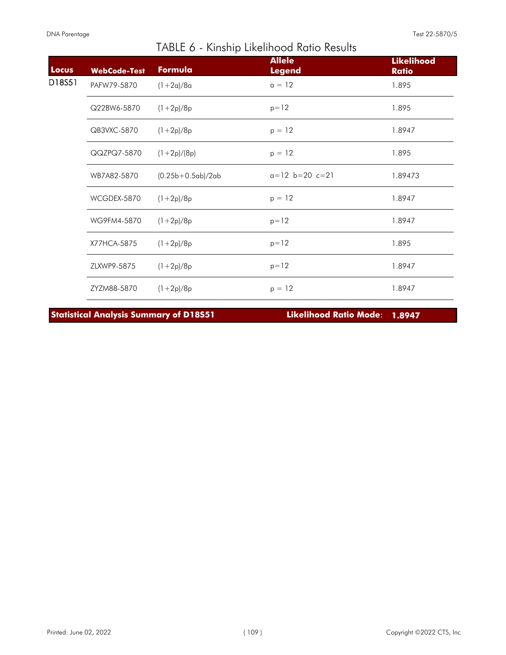| Locus  | <b>WebCode-Test</b> | Formula             | <b>Allele</b><br><b>Legend</b> | <b>Likelihood</b><br><b>Ratio</b> |
|--------|---------------------|---------------------|--------------------------------|-----------------------------------|
| D18S51 | PAFW79-5870         | $(1+2a)/8a$         | $a = 12$                       | 1.895                             |
|        | Q22BW6-5870         | $(1+2p)/8p$         | $p = 12$                       | 1.895                             |
|        | QB3VXC-5870         | $(1+2p)/8p$         | $p = 12$                       | 1.8947                            |
|        | QQZPQ7-5870         | $(1+2p)/(8p)$       | $p = 12$                       | 1.895                             |
|        | WB7A82-5870         | $(0.25b+0.5ab)/2ab$ | $a=12$ $b=20$ $c=21$           | 1.89473                           |
|        | WCGDEX-5870         | $(1+2p)/8p$         | $p = 12$                       | 1.8947                            |
|        | WG9FM4-5870         | $(1+2p)/8p$         | $p = 12$                       | 1.8947                            |
|        | X77HCA-5875         | $(1+2p)/8p$         | $p = 12$                       | 1.895                             |
|        | ZLXWP9-5875         | $(1+2p)/8p$         | $p = 12$                       | 1.8947                            |
|        | ZYZM88-5870         | $(1+2p)/8p$         | $p = 12$                       | 1.8947                            |

**Statistical Analysis Summary of D18S51 Likelihood Ratio Mode**: **1.8947**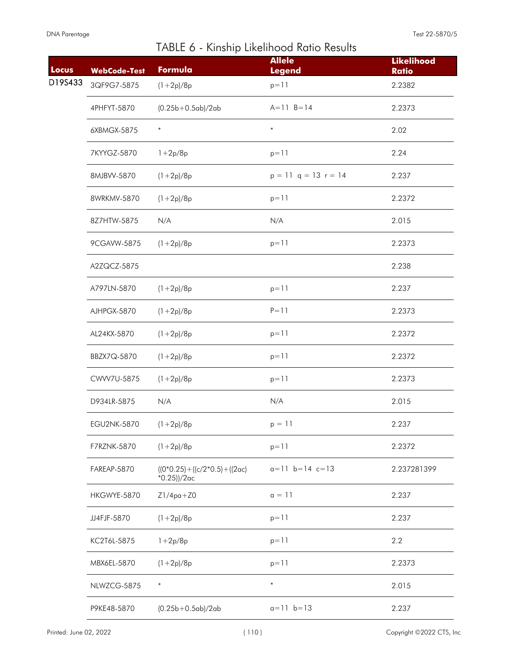| Locus   | <b>WebCode-Test</b> | Formula                                                   | <b>Allele</b><br><b>Legend</b> | <b>Likelihood</b><br><b>Ratio</b> |
|---------|---------------------|-----------------------------------------------------------|--------------------------------|-----------------------------------|
| D19S433 | 3QF9G7-5875         | $(1+2p)/8p$                                               | $p = 11$                       | 2.2382                            |
|         | 4PHFYT-5870         | $(0.25b+0.5ab)/2ab$                                       | $A = 11 B = 14$                | 2.2373                            |
|         | 6XBMGX-5875         | $\ast$                                                    | $\ast$                         | 2.02                              |
|         | 7KYYGZ-5870         | $1 + 2p/8p$                                               | $p = 11$                       | 2.24                              |
|         | 8MJBVV-5870         | $(1+2p)/8p$                                               | $p = 11$ q = 13 r = 14         | 2.237                             |
|         | 8WRKMV-5870         | $(1+2p)/8p$                                               | $p = 11$                       | 2.2372                            |
|         | 8Z7HTW-5875         | N/A                                                       | N/A                            | 2.015                             |
|         | 9CGAVW-5875         | $(1+2p)/8p$                                               | $p = 11$                       | 2.2373                            |
|         | A2ZQCZ-5875         |                                                           |                                | 2.238                             |
|         | A797LN-5870         | $(1+2p)/8p$                                               | $p = 11$                       | 2.237                             |
|         | AJHPGX-5870         | $(1+2p)/8p$                                               | $P = 11$                       | 2.2373                            |
|         | AL24KX-5870         | $(1+2p)/8p$                                               | $p = 11$                       | 2.2372                            |
|         | BBZX7Q-5870         | $(1+2p)/8p$                                               | $p = 11$                       | 2.2372                            |
|         | CWW7U-5875          | $(1+2p)/8p$                                               | $p = 11$                       | 2.2373                            |
|         | D934LR-5875         | N/A                                                       | N/A                            | 2.015                             |
|         | EGU2NK-5870         | $(1+2p)/8p$                                               | $p = 11$                       | 2.237                             |
|         | F7RZNK-5870         | $(1+2p)/8p$                                               | $p = 11$                       | 2.2372                            |
|         | FAREAP-5870         | $((0*0.25) + ((c/2*0.5) + ((2\alpha c)$<br>$*0.25$ ))/2ac | $a=11$ $b=14$ $c=13$           | 2.237281399                       |
|         | HKGWYE-5870         | $Z1/4pq+Z0$                                               | $a = 11$                       | 2.237                             |
|         | JJ4FJF-5870         | $(1+2p)/8p$                                               | $p = 11$                       | 2.237                             |
|         | KC2T6L-5875         | $1 + 2p/8p$                                               | $p = 11$                       | 2.2                               |
|         | MBX6EL-5870         | $(1+2p)/8p$                                               | $p = 11$                       | 2.2373                            |
|         | NLWZCG-5875         | $\ast$                                                    | $\ast$                         | 2.015                             |
|         | P9KE48-5870         | $(0.25b+0.5ab)/2ab$                                       | $a=11$ $b=13$                  | 2.237                             |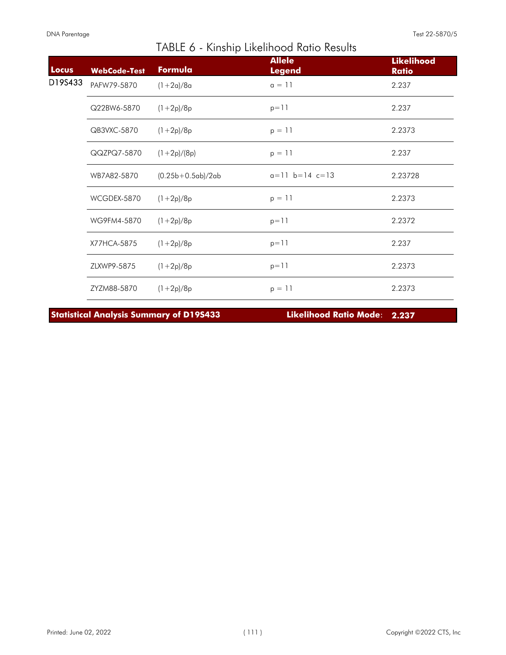| Locus   | <b>WebCode-Test</b> | Formula             | <b>Allele</b><br><b>Legend</b> | <b>Likelihood</b><br><b>Ratio</b> |
|---------|---------------------|---------------------|--------------------------------|-----------------------------------|
| D19S433 | PAFW79-5870         | $(1+2a)/8a$         | $a = 11$                       | 2.237                             |
|         | Q22BW6-5870         | $(1+2p)/8p$         | $p = 11$                       | 2.237                             |
|         | QB3VXC-5870         | $(1+2p)/8p$         | $p = 11$                       | 2.2373                            |
|         | QQZPQ7-5870         | $(1+2p)/(8p)$       | $p = 11$                       | 2.237                             |
|         | WB7A82-5870         | $(0.25b+0.5ab)/2ab$ | $a=11$ $b=14$ $c=13$           | 2.23728                           |
|         | WCGDEX-5870         | $(1+2p)/8p$         | $p = 11$                       | 2.2373                            |
|         | WG9FM4-5870         | $(1+2p)/8p$         | $p = 11$                       | 2.2372                            |
|         | X77HCA-5875         | $(1+2p)/8p$         | $p = 11$                       | 2.237                             |
|         | ZLXWP9-5875         | $(1+2p)/8p$         | $p = 11$                       | 2.2373                            |
|         | ZYZM88-5870         | $(1+2p)/8p$         | $p = 11$                       | 2.2373                            |

**Statistical Analysis Summary of D19S433 Likelihood Ratio Mode**: **2.237**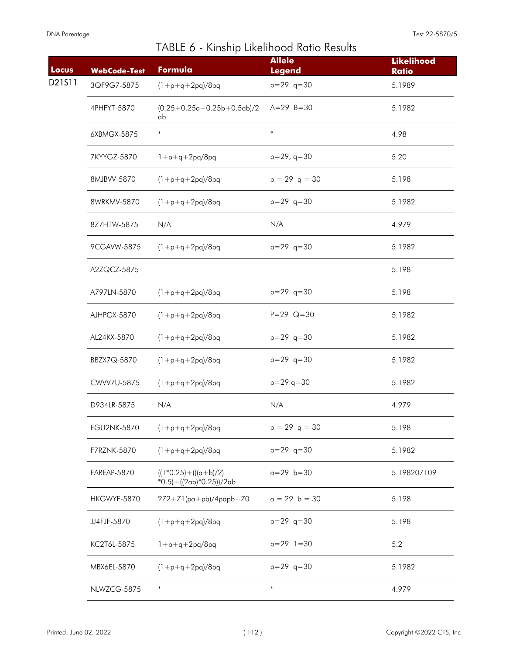|  |  | TABLE 6 - Kinship Likelihood Ratio Results |  |  |
|--|--|--------------------------------------------|--|--|
|--|--|--------------------------------------------|--|--|

| Locus  | <b>WebCode-Test</b> | Formula                                                     | <b>Allele</b><br><b>Legend</b> | <b>Likelihood</b><br><b>Ratio</b> |
|--------|---------------------|-------------------------------------------------------------|--------------------------------|-----------------------------------|
| D21S11 | 3QF9G7-5875         | $(1+p+q+2pq)/8pq$                                           | $p=29$ q=30                    | 5.1989                            |
|        | 4PHFYT-5870         | $(0.25+0.25a+0.25b+0.5ab)/2$<br>ab                          | $A=29$ B=30                    | 5.1982                            |
|        | 6XBMGX-5875         | $\ast$                                                      | $\ast$                         | 4.98                              |
|        | 7KYYGZ-5870         | $1+p+q+2pq/8pq$                                             | $p=29, q=30$                   | 5.20                              |
|        | 8MJBVV-5870         | $(1 + p + q + 2pq)/8pq$                                     | $p = 29$ q = 30                | 5.198                             |
|        | 8WRKMV-5870         | $(1+p+q+2pq)/8pq$                                           | $p=29$ q=30                    | 5.1982                            |
|        | 8Z7HTW-5875         | N/A                                                         | N/A                            | 4.979                             |
|        | 9CGAVW-5875         | $(1+p+q+2pq)/8pq$                                           | $p=29$ q=30                    | 5.1982                            |
|        | A2ZQCZ-5875         |                                                             |                                | 5.198                             |
|        | A797LN-5870         | $(1 + p + q + 2pq)/8pq$                                     | $p=29$ q=30                    | 5.198                             |
|        | AJHPGX-5870         | $(1 + p + q + 2pq)/8pq$                                     | $P = 29$ Q=30                  | 5.1982                            |
|        | AL24KX-5870         | $(1 + p + q + 2pq)/8pq$                                     | $p=29$ q=30                    | 5.1982                            |
|        | BBZX7Q-5870         | $(1 + p + q + 2pq)/8pq$                                     | $p=29$ q=30                    | 5.1982                            |
|        | CWW7U-5875          | $(1 + p + q + 2pq)/8pq$                                     | $p = 29$ q=30                  | 5.1982                            |
|        | D934LR-5875         | N/A                                                         | N/A                            | 4.979                             |
|        | EGU2NK-5870         | $(1 + p + q + 2pq)/8pq$                                     | $p = 29$ q = 30                | 5.198                             |
|        | F7RZNK-5870         | $(1+p+q+2pq)/8pq$                                           | $p=29$ q=30                    | 5.1982                            |
|        | FAREAP-5870         | $((1*0.25)+(((a+b)/2))$<br>$*0.5$ ) + ((2ab) $*0.25$ ))/2ab | $a = 29$ $b = 30$              | 5.198207109                       |
|        | HKGWYE-5870         | $2Z2+Z1$ (pa+pb)/4papb+Z0                                   | $a = 29$ b = 30                | 5.198                             |
|        | JJ4FJF-5870         | $(1+p+q+2pq)/8pq$                                           | $p=29$ q=30                    | 5.198                             |
|        | KC2T6L-5875         | $1+p+q+2pq/8pq$                                             | $p=29$ 1=30                    | 5.2                               |
|        | MBX6EL-5870         | $(1 + p + q + 2pq)/8pq$                                     | $p=29$ q=30                    | 5.1982                            |
|        | NLWZCG-5875         | $\ast$                                                      | $\ast$                         | 4.979                             |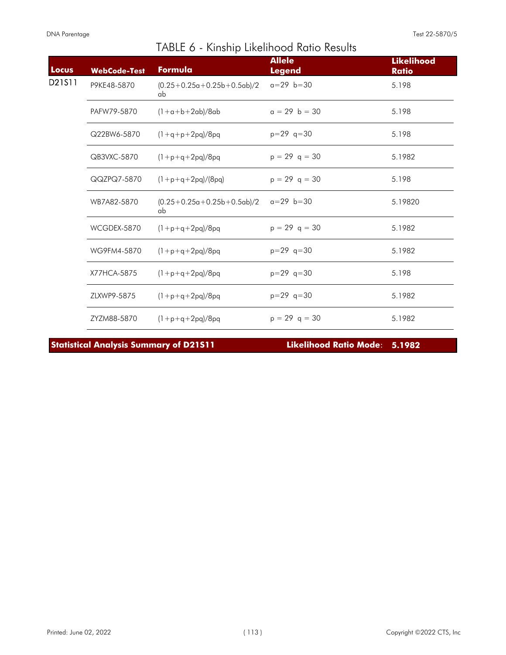I

| Locus  | <b>WebCode-Test</b> | Formula                            | <b>Allele</b><br><b>Legend</b> | <b>Likelihood</b><br><b>Ratio</b> |
|--------|---------------------|------------------------------------|--------------------------------|-----------------------------------|
| D21S11 | P9KE48-5870         | $(0.25+0.25a+0.25b+0.5ab)/2$<br>ab | $a=29$ $b=30$                  | 5.198                             |
|        | PAFW79-5870         | $(1+a+b+2ab)/8ab$                  | $a = 29$ b = 30                | 5.198                             |
|        | Q22BW6-5870         | $(1+q+p+2pq)/8pq$                  | $p=29$ q=30                    | 5.198                             |
|        | QB3VXC-5870         | $(1+p+q+2pq)/8pq$                  | $p = 29$ q = 30                | 5.1982                            |
|        | QQZPQ7-5870         | $(1+p+q+2pq)/(8pq)$                | $p = 29$ q = 30                | 5.198                             |
|        | WB7A82-5870         | $(0.25+0.25a+0.25b+0.5ab)/2$<br>ab | $a=29$ $b=30$                  | 5.19820                           |
|        | WCGDEX-5870         | $(1+p+q+2pq)/8pq$                  | $p = 29$ q = 30                | 5.1982                            |
|        | WG9FM4-5870         | $(1+p+q+2pq)/8pq$                  | $p=29$ q=30                    | 5.1982                            |
|        | X77HCA-5875         | $(1+p+q+2pq)/8pq$                  | $p=29$ q=30                    | 5.198                             |
|        | ZLXWP9-5875         | $(1+p+q+2pq)/8pq$                  | $p=29$ q=30                    | 5.1982                            |
|        | ZYZM88-5870         | $(1+p+q+2pq)/8pq$                  | $p = 29$ q = 30                | 5.1982                            |

TABLE 6 - Kinship Likelihood Ratio Results

**Statistical Analysis Summary of D21S11 Likelihood Ratio Mode**: **5.1982**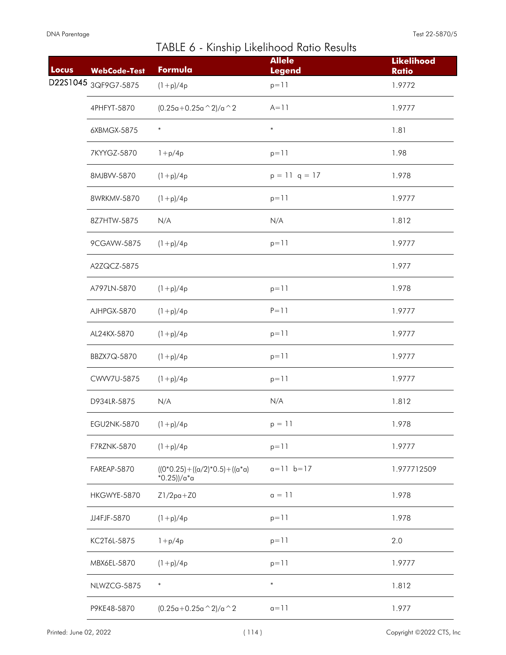| Locus | <b>WebCode-Test</b> | .<br>Formula                                           | <b>Allele</b><br><b>Legend</b> | <b>Likelihood</b><br><b>Ratio</b> |
|-------|---------------------|--------------------------------------------------------|--------------------------------|-----------------------------------|
|       |                     | $(1+p)/4p$                                             | $p = 11$                       | 1.9772                            |
|       | 4PHFYT-5870         | $(0.25a+0.25a \wedge 2)/a \wedge 2$                    | $A = 11$                       | 1.9777                            |
|       | 6XBMGX-5875         | $\ast$                                                 | $\ast$                         | 1.81                              |
|       | 7KYYGZ-5870         | $1 + p/4p$                                             | $p = 11$                       | 1.98                              |
|       | 8MJBVV-5870         | $(1+p)/4p$                                             | $p = 11$ q = 17                | 1.978                             |
|       | 8WRKMV-5870         | $(1+p)/4p$                                             | $p = 11$                       | 1.9777                            |
|       | 8Z7HTW-5875         | N/A                                                    | N/A                            | 1.812                             |
|       | 9CGAVW-5875         | $(1+p)/4p$                                             | $p = 11$                       | 1.9777                            |
|       | A2ZQCZ-5875         |                                                        |                                | 1.977                             |
|       | A797LN-5870         | $(1+p)/4p$                                             | $p = 11$                       | 1.978                             |
|       | AJHPGX-5870         | $(1+p)/4p$                                             | $P = 11$                       | 1.9777                            |
|       | AL24KX-5870         | $(1+p)/4p$                                             | $p = 11$                       | 1.9777                            |
|       | BBZX7Q-5870         | $(1+p)/4p$                                             | $p = 11$                       | 1.9777                            |
|       | CWW7U-5875          | $(1+p)/4p$                                             | $p = 11$                       | 1.9777                            |
|       | D934LR-5875         | N/A                                                    | N/A                            | 1.812                             |
|       | <b>EGU2NK-5870</b>  | $(1+p)/4p$                                             | $p = 11$                       | 1.978                             |
|       | F7RZNK-5870         | $(1+p)/4p$                                             | $p = 11$                       | 1.9777                            |
|       | FAREAP-5870         | $((0*0.25)+( (a/2)*0.5)+( (a*a)$<br>$*0.25$ ))/a $*$ a | $a=11$ $b=17$                  | 1.977712509                       |
|       | HKGWYE-5870         | $Z1/2pa+Z0$                                            | $a = 11$                       | 1.978                             |
|       | JJ4FJF-5870         | $(1+p)/4p$                                             | $p = 11$                       | 1.978                             |
|       | KC2T6L-5875         | $1 + p/4p$                                             | $p = 11$                       | 2.0                               |
|       | MBX6EL-5870         | $(1+p)/4p$                                             | $p = 11$                       | 1.9777                            |
|       | NLWZCG-5875         | $\ast$                                                 | $\ast$                         | 1.812                             |
|       | P9KE48-5870         | $(0.25a+0.25a \cdot 2)/a \cdot 2$                      | $a=11$                         | 1.977                             |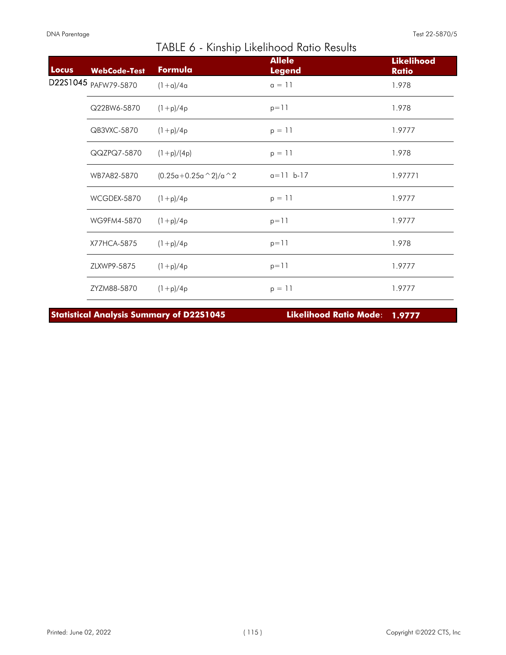| <b>Locus</b> | <b>WebCode-Test</b> | Formula                  | <b>Allele</b><br><b>Legend</b> | <b>Likelihood</b><br><b>Ratio</b> |
|--------------|---------------------|--------------------------|--------------------------------|-----------------------------------|
| D22S1045     | PAFW79-5870         | $(1 + a)/4a$             | $a = 11$                       | 1.978                             |
|              | Q22BW6-5870         | $(1+p)/4p$               | $p = 11$                       | 1.978                             |
|              | QB3VXC-5870         | $(1+p)/4p$               | $p = 11$                       | 1.9777                            |
|              | QQZPQ7-5870         | $(1+p)/(4p)$             | $p = 11$                       | 1.978                             |
|              | WB7A82-5870         | $(0.25a+0.25a \n^2)/a^2$ | $a = 11 b - 17$                | 1.97771                           |
|              | WCGDEX-5870         | $(1+p)/4p$               | $p = 11$                       | 1.9777                            |
|              | WG9FM4-5870         | $(1+p)/4p$               | $p = 11$                       | 1.9777                            |
|              | X77HCA-5875         | $(1+p)/4p$               | $p = 11$                       | 1.978                             |
|              | ZLXWP9-5875         | $(1+p)/4p$               | $p = 11$                       | 1.9777                            |
|              | ZYZM88-5870         | $(1+p)/4p$               | $p = 11$                       | 1.9777                            |

**Statistical Analysis Summary of D22S1045 Likelihood Ratio Mode**: **1.9777**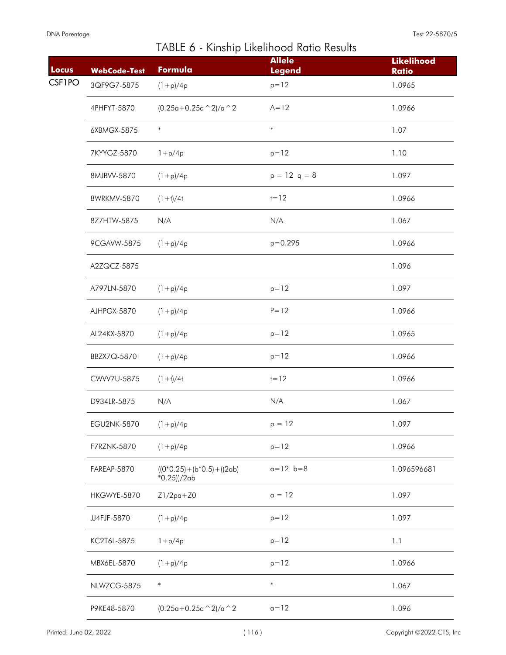I

| Locus         | <b>WebCode-Test</b> | .<br>Formula                                | <b>Allele</b><br><b>Legend</b> | <b>Likelihood</b><br><b>Ratio</b> |
|---------------|---------------------|---------------------------------------------|--------------------------------|-----------------------------------|
| <b>CSF1PO</b> | 3QF9G7-5875         | $(1+p)/4p$                                  | $p = 12$                       | 1.0965                            |
|               | 4PHFYT-5870         | $(0.25a+0.25a \wedge 2)/a \wedge 2$         | $A=12$                         | 1.0966                            |
|               | 6XBMGX-5875         | $\ast$                                      | $\ast$                         | 1.07                              |
|               | 7KYYGZ-5870         | $1 + p/4p$                                  | $p = 12$                       | 1.10                              |
|               | 8MJBVV-5870         | $(1+p)/4p$                                  | $p = 12$ q = 8                 | 1.097                             |
|               | 8WRKMV-5870         | $(1 + t)/4t$                                | $1 = 12$                       | 1.0966                            |
|               | 8Z7HTW-5875         | N/A                                         | N/A                            | 1.067                             |
|               | 9CGAVW-5875         | $(1+p)/4p$                                  | $p = 0.295$                    | 1.0966                            |
|               | A2ZQCZ-5875         |                                             |                                | 1.096                             |
|               | A797LN-5870         | $(1+p)/4p$                                  | $p = 12$                       | 1.097                             |
|               | AJHPGX-5870         | $(1+p)/4p$                                  | $P = 12$                       | 1.0966                            |
|               | AL24KX-5870         | $(1+p)/4p$                                  | $p = 12$                       | 1.0965                            |
|               | BBZX7Q-5870         | $(1+p)/4p$                                  | $p = 12$                       | 1.0966                            |
|               | CWW7U-5875          | $(1 + t)/4t$                                | $t = 12$                       | 1.0966                            |
|               | D934LR-5875         | N/A                                         | N/A                            | 1.067                             |
|               | <b>EGU2NK-5870</b>  | $(1+p)/4p$                                  | $p = 12$                       | 1.097                             |
|               | F7RZNK-5870         | $(1+p)/4p$                                  | $p = 12$                       | 1.0966                            |
|               | FAREAP-5870         | $((0*0.25)+(b*0.5)+(2ab)$<br>$*0.25$ ))/2ab | $a = 12$ $b = 8$               | 1.096596681                       |
|               | HKGWYE-5870         | $Z1/2pa+Z0$                                 | $a = 12$                       | 1.097                             |
|               | JJ4FJF-5870         | $(1+p)/4p$                                  | $p = 12$                       | 1.097                             |
|               | KC2T6L-5875         | $1 + p/4p$                                  | $p = 12$                       | 1.1                               |
|               | MBX6EL-5870         | $(1+p)/4p$                                  | $p = 12$                       | 1.0966                            |
|               | NLWZCG-5875         | $\ast$                                      | $\ast$                         | 1.067                             |
|               | P9KE48-5870         | $(0.25a+0.25a \cdot 2)/a \cdot 2$           | $a=12$                         | 1.096                             |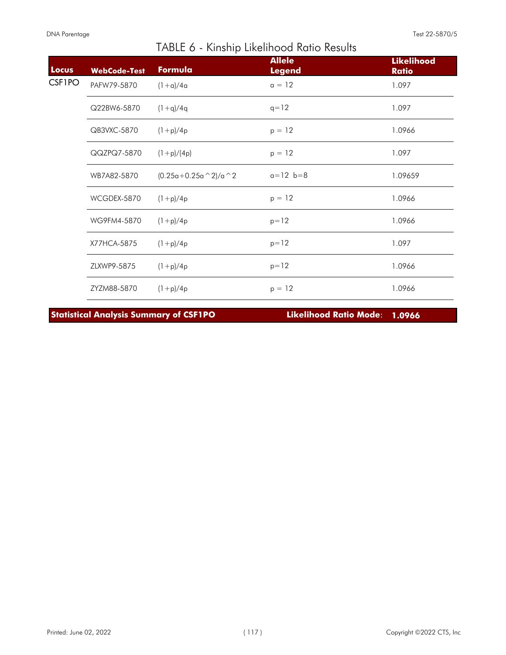| Locus         | <b>WebCode-Test</b> | Formula                  | <b>Allele</b><br><b>Legend</b> | <b>Likelihood</b><br><b>Ratio</b> |
|---------------|---------------------|--------------------------|--------------------------------|-----------------------------------|
| <b>CSF1PO</b> | PAFW79-5870         | $(1+a)/4a$               | $a = 12$                       | 1.097                             |
|               | Q22BW6-5870         | $(1+q)/4q$               | $q = 12$                       | 1.097                             |
|               | QB3VXC-5870         | $(1+p)/4p$               | $p = 12$                       | 1.0966                            |
|               | QQZPQ7-5870         | $(1+p)/(4p)$             | $p = 12$                       | 1.097                             |
|               | WB7A82-5870         | $(0.25a+0.25a \n^2)/a 2$ | $a = 12$ $b = 8$               | 1.09659                           |
|               | WCGDEX-5870         | $(1+p)/4p$               | $p = 12$                       | 1.0966                            |
|               | WG9FM4-5870         | $(1+p)/4p$               | $p = 12$                       | 1.0966                            |
|               | X77HCA-5875         | $(1+p)/4p$               | $p = 12$                       | 1.097                             |
|               | ZLXWP9-5875         | $(1+p)/4p$               | $p = 12$                       | 1.0966                            |
|               | ZYZM88-5870         | $(1+p)/4p$               | $p = 12$                       | 1.0966                            |

**Statistical Analysis Summary of CSF1PO Likelihood Ratio Mode**: **1.0966**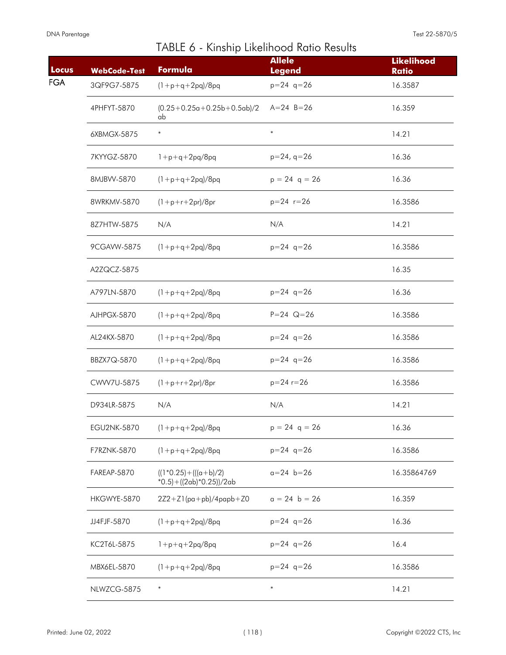|  |  | TABLE 6 - Kinship Likelihood Ratio Results |  |  |
|--|--|--------------------------------------------|--|--|
|--|--|--------------------------------------------|--|--|

| Locus      | <b>WebCode-Test</b> | Formula                                                     | <b>Allele</b><br><b>Legend</b> | <b>Likelihood</b><br><b>Ratio</b> |
|------------|---------------------|-------------------------------------------------------------|--------------------------------|-----------------------------------|
| <b>FGA</b> | 3QF9G7-5875         | $(1+p+q+2pq)/8pq$                                           | $p=24$ q=26                    | 16.3587                           |
|            | 4PHFYT-5870         | $(0.25+0.25a+0.25b+0.5ab)/2$<br>ab                          | $A = 24$ $B = 26$              | 16.359                            |
|            | 6XBMGX-5875         | $\ast$                                                      | $\ast$                         | 14.21                             |
|            | 7KYYGZ-5870         | $1+p+q+2pq/8pq$                                             | $p=24, q=26$                   | 16.36                             |
|            | 8MJBVV-5870         | $(1 + p + q + 2pq)/8pq$                                     | $p = 24$ q = 26                | 16.36                             |
|            | 8WRKMV-5870         | $(1+p+r+2pr)/8pr$                                           | $p = 24$ $r = 26$              | 16.3586                           |
|            | 8Z7HTW-5875         | N/A                                                         | N/A                            | 14.21                             |
|            | 9CGAVW-5875         | $(1+p+q+2pq)/8pq$                                           | $p=24$ q=26                    | 16.3586                           |
|            | A2ZQCZ-5875         |                                                             |                                | 16.35                             |
|            | A797LN-5870         | $(1 + p + q + 2pq)/8pq$                                     | $p=24$ q=26                    | 16.36                             |
|            | AJHPGX-5870         | $(1+p+q+2pq)/8pq$                                           | $P = 24$ Q=26                  | 16.3586                           |
|            | AL24KX-5870         | $(1 + p + q + 2pq)/8pq$                                     | $p=24$ q=26                    | 16.3586                           |
|            | BBZX7Q-5870         | $(1 + p + q + 2pq)/8pq$                                     | $p=24$ q=26                    | 16.3586                           |
|            | CWW7U-5875          | $(1+p+r+2pr)/8pr$                                           | $p = 24r = 26$                 | 16.3586                           |
|            | D934LR-5875         | N/A                                                         | N/A                            | 14.21                             |
|            | EGU2NK-5870         | $(1 + p + q + 2pq)/8pq$                                     | $p = 24$ q = 26                | 16.36                             |
|            | F7RZNK-5870         | $(1+p+q+2pq)/8pq$                                           | $p=24$ q=26                    | 16.3586                           |
|            | FAREAP-5870         | $((1*0.25)+(((a+b)/2))$<br>$*0.5$ ) + ((2ab) $*0.25$ ))/2ab | $a = 24$ $b = 26$              | 16.35864769                       |
|            | HKGWYE-5870         | $2Z2+Z1$ (pa+pb)/4papb+Z0                                   | $a = 24$ b = 26                | 16.359                            |
|            | JJ4FJF-5870         | $(1 + p + q + 2pq)/8pq$                                     | $p=24$ q=26                    | 16.36                             |
|            | KC2T6L-5875         | $1+p+q+2pq/8pq$                                             | $p=24$ q=26                    | 16.4                              |
|            | MBX6EL-5870         | $(1 + p + q + 2pq)/8pq$                                     | $p=24$ q=26                    | 16.3586                           |
|            | NLWZCG-5875         | $\ast$                                                      | $\ast$                         | 14.21                             |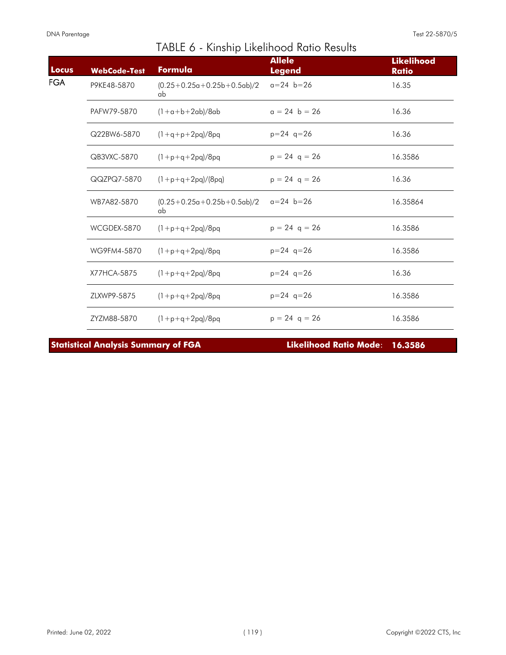| Locus | <b>WebCode-Test</b> | Formula                            | <b>Allele</b><br><b>Legend</b> | <b>Likelihood</b><br><b>Ratio</b> |
|-------|---------------------|------------------------------------|--------------------------------|-----------------------------------|
| FGA   | P9KE48-5870         | $(0.25+0.25a+0.25b+0.5ab)/2$<br>ab | $a = 24$ $b = 26$              | 16.35                             |
|       | PAFW79-5870         | $(1+a+b+2ab)/8ab$                  | $a = 24$ b = 26                | 16.36                             |
|       | Q22BW6-5870         | $(1+q+p+2pq)/8pq$                  | $p=24$ q=26                    | 16.36                             |
|       | QB3VXC-5870         | $(1+p+q+2pq)/8pq$                  | $p = 24$ q = 26                | 16.3586                           |
|       | QQZPQ7-5870         | $(1+p+q+2pq)/(8pq)$                | $p = 24$ q = 26                | 16.36                             |
|       | WB7A82-5870         | $(0.25+0.25a+0.25b+0.5ab)/2$<br>ab | $a=24$ b=26                    | 16.35864                          |
|       | WCGDEX-5870         | $(1+p+q+2pq)/8pq$                  | $p = 24$ q = 26                | 16.3586                           |
|       | WG9FM4-5870         | $(1 + p + q + 2pq)/8pq$            | $p=24$ q=26                    | 16.3586                           |
|       | X77HCA-5875         | $(1+p+q+2pq)/8pq$                  | $p=24$ q=26                    | 16.36                             |
|       | ZLXWP9-5875         | $(1+p+q+2pq)/8pq$                  | $p=24$ q=26                    | 16.3586                           |
|       | ZYZM88-5870         | $(1+p+q+2pq)/8pq$                  | $p = 24$ q = 26                | 16.3586                           |

**Statistical Analysis Summary of FGA Likelihood Ratio Mode**: **16.3586**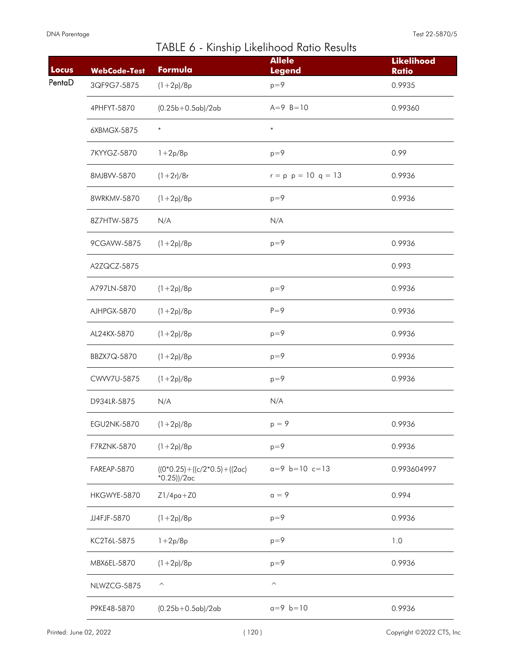| Locus  | <b>WebCode-Test</b> | Formula                                                   | <b>Allele</b><br><b>Legend</b> | <b>Likelihood</b><br><b>Ratio</b> |
|--------|---------------------|-----------------------------------------------------------|--------------------------------|-----------------------------------|
| PentaD | 3QF9G7-5875         | $(1+2p)/8p$                                               | $p=9$                          | 0.9935                            |
|        | 4PHFYT-5870         | $(0.25b + 0.5ab)/2ab$                                     | $A=9$ $B=10$                   | 0.99360                           |
|        | 6XBMGX-5875         | $\ast$                                                    | $\ast$                         |                                   |
|        | 7KYYGZ-5870         | $1 + 2p/8p$                                               | $p=9$                          | 0.99                              |
|        | 8MJBVV-5870         | $(1+2r)/8r$                                               | $r = p$ $p = 10$ q = 13        | 0.9936                            |
|        | 8WRKMV-5870         | $(1+2p)/8p$                                               | $p=9$                          | 0.9936                            |
|        | 8Z7HTW-5875         | N/A                                                       | N/A                            |                                   |
|        | 9CGAVW-5875         | $(1+2p)/8p$                                               | $p=9$                          | 0.9936                            |
|        | A2ZQCZ-5875         |                                                           |                                | 0.993                             |
|        | A797LN-5870         | $(1+2p)/8p$                                               | $p=9$                          | 0.9936                            |
|        | AJHPGX-5870         | $(1+2p)/8p$                                               | $P = 9$                        | 0.9936                            |
|        | AL24KX-5870         | $(1+2p)/8p$                                               | $p=9$                          | 0.9936                            |
|        | BBZX7Q-5870         | $(1+2p)/8p$                                               | $p=9$                          | 0.9936                            |
|        | CWW7U-5875          | $(1+2p)/8p$                                               | $p=9$                          | 0.9936                            |
|        | D934LR-5875         | N/A                                                       | N/A                            |                                   |
|        | EGU2NK-5870         | $(1+2p)/8p$                                               | $p = 9$                        | 0.9936                            |
|        | F7RZNK-5870         | $(1+2p)/8p$                                               | $p=9$                          | 0.9936                            |
|        | FAREAP-5870         | $((0*0.25) + ((c/2*0.5) + ((2\alpha c)$<br>$*0.25$ ))/2ac | $a=9$ $b=10$ $c=13$            | 0.993604997                       |
|        | HKGWYE-5870         | $Z1/4pq+Z0$                                               | $a = 9$                        | 0.994                             |
|        | JJ4FJF-5870         | $(1+2p)/8p$                                               | $p=9$                          | 0.9936                            |
|        | KC2T6L-5875         | $1 + 2p/8p$                                               | $p=9$                          | 1.0                               |
|        | MBX6EL-5870         | $(1+2p)/8p$                                               | $p=9$                          | 0.9936                            |
|        | NLWZCG-5875         | $\widehat{\phantom{a}}$                                   | $\widehat{\phantom{a}}$        |                                   |
|        | P9KE48-5870         | $(0.25b+0.5ab)/2ab$                                       | $a=9$ $b=10$                   | 0.9936                            |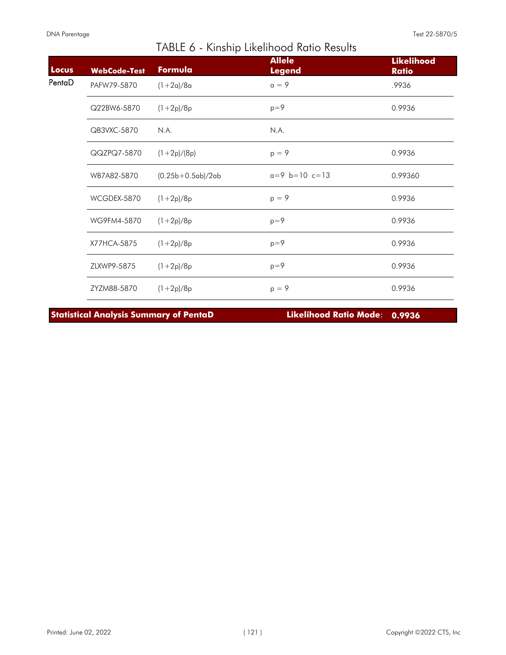| Locus  | <b>WebCode-Test</b> | Formula             | <b>Allele</b><br><b>Legend</b> | <b>Likelihood</b><br><b>Ratio</b> |
|--------|---------------------|---------------------|--------------------------------|-----------------------------------|
| PentaD | PAFW79-5870         | $(1+2a)/8a$         | $a = 9$                        | .9936                             |
|        | Q22BW6-5870         | $(1+2p)/8p$         | $p=9$                          | 0.9936                            |
|        | QB3VXC-5870         | N.A.                | N.A.                           |                                   |
|        | QQZPQ7-5870         | $(1+2p)/(8p)$       | $p = 9$                        | 0.9936                            |
|        | WB7A82-5870         | $(0.25b+0.5ab)/2ab$ | $a=9$ b=10 c=13                | 0.99360                           |
|        | WCGDEX-5870         | $(1+2p)/8p$         | $p = 9$                        | 0.9936                            |
|        | WG9FM4-5870         | $(1+2p)/8p$         | $p=9$                          | 0.9936                            |
|        | X77HCA-5875         | $(1+2p)/8p$         | $p=9$                          | 0.9936                            |
|        | ZLXWP9-5875         | $(1+2p)/8p$         | $p=9$                          | 0.9936                            |
|        | ZYZM88-5870         | $(1+2p)/8p$         | $p = 9$                        | 0.9936                            |

**Statistical Analysis Summary of PentaD Likelihood Ratio Mode**: **0.9936**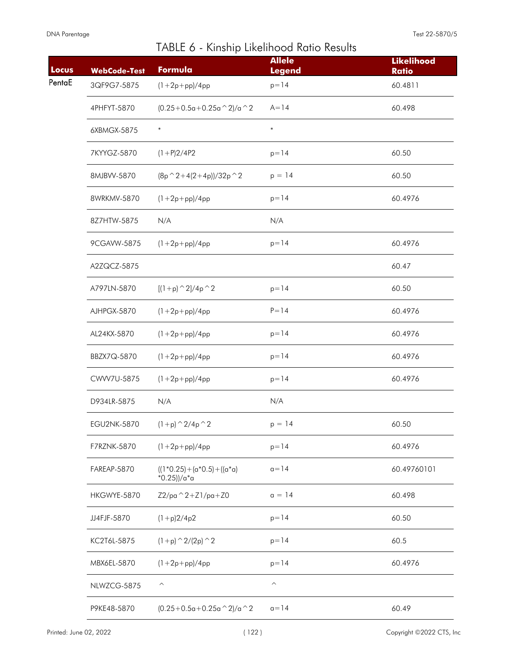| Locus  | <b>WebCode-Test</b> | Formula                                          | <b>Allele</b><br><b>Legend</b> | <b>Likelihood</b><br><b>Ratio</b> |
|--------|---------------------|--------------------------------------------------|--------------------------------|-----------------------------------|
| PentaE | 3QF9G7-5875         | $(1 + 2p + pp)/4pp$                              | $p = 14$                       | 60.4811                           |
|        | 4PHFYT-5870         | $(0.25+0.5a+0.25a^2)/a^2$                        | $A = 14$                       | 60.498                            |
|        | 6XBMGX-5875         | $\ast$                                           | $\ast$                         |                                   |
|        | 7KYYGZ-5870         | $(1+P)2/4P2$                                     | $p = 14$                       | 60.50                             |
|        | 8MJBVV-5870         | $(8p^2+4(2+4p))/32p^2$                           | $p = 14$                       | 60.50                             |
|        | 8WRKMV-5870         | $(1 + 2p + pp)/4pp$                              | $p = 14$                       | 60.4976                           |
|        | 8Z7HTW-5875         | N/A                                              | N/A                            |                                   |
|        | 9CGAVW-5875         | $(1 + 2p + pp)/4pp$                              | $p = 14$                       | 60.4976                           |
|        | A2ZQCZ-5875         |                                                  |                                | 60.47                             |
|        | A797LN-5870         | $[(1+p)^{2}/4p^2]$                               | $p = 14$                       | 60.50                             |
|        | AJHPGX-5870         | $(1 + 2p + pp)/4pp$                              | $P = 14$                       | 60.4976                           |
|        | AL24KX-5870         | $(1 + 2p + pp)/4pp$                              | $p = 14$                       | 60.4976                           |
|        | BBZX7Q-5870         | $(1 + 2p + pp)/4pp$                              | $p = 14$                       | 60.4976                           |
|        | CWW7U-5875          | $(1 + 2p + pp)/4pp$                              | $p = 14$                       | 60.4976                           |
|        | D934LR-5875         | N/A                                              | N/A                            |                                   |
|        | EGU2NK-5870         | $(1+p)$ $\hat{2}/4p$ $\hat{2}$                   | $p = 14$                       | 60.50                             |
|        | F7RZNK-5870         | $(1 + 2p + pp)/4pp$                              | $p = 14$                       | 60.4976                           |
|        | FAREAP-5870         | $((1*0.25)+(a*0.5)+((a*0)$<br>$*0.25$ ))/a $*$ a | $a = 14$                       | 60.49760101                       |
|        | HKGWYE-5870         | $Z2$ /pa $^2 + Z1$ /pa $+Z0$                     | $a = 14$                       | 60.498                            |
|        | JJ4FJF-5870         | $(1+p)2/4p2$                                     | $p = 14$                       | 60.50                             |
|        | KC2T6L-5875         | $(1+p)$ $\hat{2}/(2p)$ $\hat{2}$                 | $p = 14$                       | 60.5                              |
|        | MBX6EL-5870         | $(1 + 2p + pp)/4pp$                              | $p = 14$                       | 60.4976                           |
|        | NLWZCG-5875         | $\widehat{\phantom{a}}$                          | $\widehat{\phantom{1}}$        |                                   |
|        | P9KE48-5870         | $(0.25+0.5a+0.25a^2)/a^2$                        | $a = 14$                       | 60.49                             |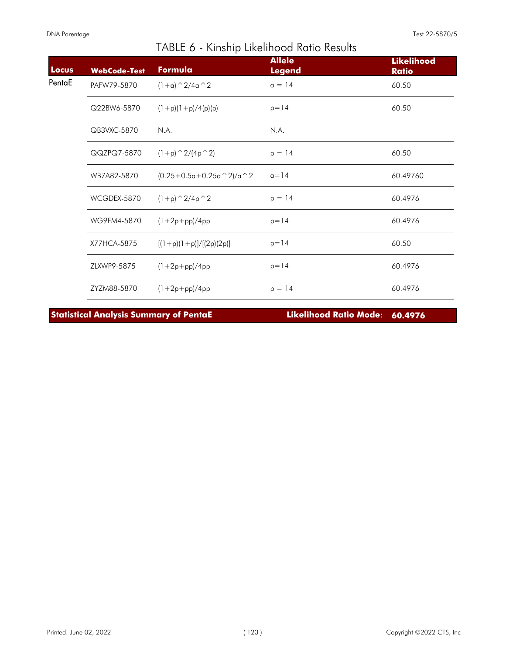| Locus  | <b>WebCode-Test</b> | Formula                        | <b>Allele</b><br><b>Legend</b> | <b>Likelihood</b><br><b>Ratio</b> |
|--------|---------------------|--------------------------------|--------------------------------|-----------------------------------|
| PentaE | PAFW79-5870         | $(1+a)$ $\hat{2}/4a$ $\hat{2}$ | $a = 14$                       | 60.50                             |
|        | Q22BW6-5870         | $(1+p)(1+p)/4(p)(p)$           | $p = 14$                       | 60.50                             |
|        | QB3VXC-5870         | N.A.                           | N.A.                           |                                   |
|        | QQZPQ7-5870         | $(1+p)$ $\hat{2}/(4p \hat{2})$ | $p = 14$                       | 60.50                             |
|        | WB7A82-5870         | $(0.25+0.5a+0.25a^2)/a^2$      | $a = 14$                       | 60.49760                          |
|        | WCGDEX-5870         | $(1+p)$ $\hat{2}/4p$ $\hat{2}$ | $p = 14$                       | 60.4976                           |
|        | WG9FM4-5870         | $(1+2p+pp)/4pp$                | $p = 14$                       | 60.4976                           |
|        | X77HCA-5875         | $[(1+p)(1+p)]/[(2p)(2p)]$      | $p = 14$                       | 60.50                             |
|        | ZLXWP9-5875         | $(1+2p+pp)/4pp$                | $p = 14$                       | 60.4976                           |
|        | ZYZM88-5870         | $(1 + 2p + pp)/4pp$            | $p = 14$                       | 60.4976                           |

**Statistical Analysis Summary of PentaE Likelihood Ratio Mode**: **60.4976**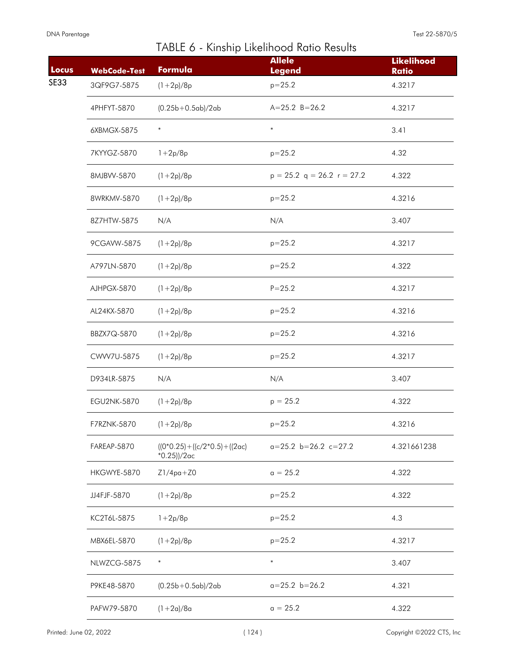| Locus       | <b>WebCode-Test</b> | Formula                                                   | <b>Allele</b><br><b>Legend</b> | <b>Likelihood</b><br><b>Ratio</b> |
|-------------|---------------------|-----------------------------------------------------------|--------------------------------|-----------------------------------|
| <b>SE33</b> | 3QF9G7-5875         | $(1+2p)/8p$                                               | $p = 25.2$                     | 4.3217                            |
|             | 4PHFYT-5870         | $(0.25b+0.5ab)/2ab$                                       | $A=25.2 B=26.2$                | 4.3217                            |
|             | 6XBMGX-5875         | $\ast$                                                    | $\ast$                         | 3.41                              |
|             | 7KYYGZ-5870         | $1+2p/8p$                                                 | $p = 25.2$                     | 4.32                              |
|             | 8MJBVV-5870         | $(1+2p)/8p$                                               | $p = 25.2$ q = 26.2 r = 27.2   | 4.322                             |
|             | 8WRKMV-5870         | $(1+2p)/8p$                                               | $p = 25.2$                     | 4.3216                            |
|             | 8Z7HTW-5875         | N/A                                                       | N/A                            | 3.407                             |
|             | 9CGAVW-5875         | $(1+2p)/8p$                                               | $p = 25.2$                     | 4.3217                            |
|             | A797LN-5870         | $(1+2p)/8p$                                               | $p = 25.2$                     | 4.322                             |
|             | AJHPGX-5870         | $(1+2p)/8p$                                               | $P = 25.2$                     | 4.3217                            |
|             | AL24KX-5870         | $(1+2p)/8p$                                               | $p = 25.2$                     | 4.3216                            |
|             | BBZX7Q-5870         | $(1+2p)/8p$                                               | $p = 25.2$                     | 4.3216                            |
|             | CWW7U-5875          | $(1+2p)/8p$                                               | $p = 25.2$                     | 4.3217                            |
|             | D934LR-5875         | N/A                                                       | N/A                            | 3.407                             |
|             | <b>EGU2NK-5870</b>  | $(1+2p)/8p$                                               | $p = 25.2$                     | 4.322                             |
|             | F7RZNK-5870         | $(1+2p)/8p$                                               | $p = 25.2$                     | 4.3216                            |
|             | FAREAP-5870         | $((0*0.25) + ((c/2*0.5) + ((2\alpha c)$<br>$*0.25$ ))/2ac | $a=25.2$ b=26.2 c=27.2         | 4.321661238                       |
|             | HKGWYE-5870         | $Z1/4pq+Z0$                                               | $a = 25.2$                     | 4.322                             |
|             | JJ4FJF-5870         | $(1+2p)/8p$                                               | $p = 25.2$                     | 4.322                             |
|             | KC2T6L-5875         | $1 + 2p/8p$                                               | $p = 25.2$                     | 4.3                               |
|             | MBX6EL-5870         | $(1+2p)/8p$                                               | $p = 25.2$                     | 4.3217                            |
|             | NLWZCG-5875         | $\ast$                                                    | $\ast$                         | 3.407                             |
|             | P9KE48-5870         | $(0.25b+0.5ab)/2ab$                                       | $a = 25.2$ $b = 26.2$          | 4.321                             |
|             | PAFW79-5870         | $(1+2a)/8a$                                               | $a = 25.2$                     | 4.322                             |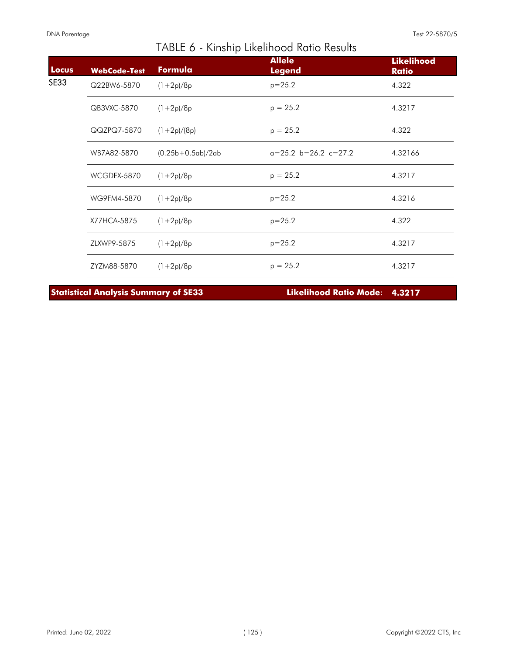| Locus | <b>WebCode-Test</b> | Formula             | <b>Allele</b><br><b>Legend</b> | <b>Likelihood</b><br><b>Ratio</b> |
|-------|---------------------|---------------------|--------------------------------|-----------------------------------|
| SE33  | Q22BW6-5870         | $(1+2p)/8p$         | $p = 25.2$                     | 4.322                             |
|       | QB3VXC-5870         | $(1+2p)/8p$         | $p = 25.2$                     | 4.3217                            |
|       | QQZPQ7-5870         | $(1+2p)/(8p)$       | $p = 25.2$                     | 4.322                             |
|       | WB7A82-5870         | $(0.25b+0.5ab)/2ab$ | $a=25.2$ b=26.2 c=27.2         | 4.32166                           |
|       | WCGDEX-5870         | $(1+2p)/8p$         | $p = 25.2$                     | 4.3217                            |
|       | WG9FM4-5870         | $(1+2p)/8p$         | $p = 25.2$                     | 4.3216                            |
|       | X77HCA-5875         | $(1+2p)/8p$         | $p = 25.2$                     | 4.322                             |
|       | ZLXWP9-5875         | $(1+2p)/8p$         | $p = 25.2$                     | 4.3217                            |
|       | ZYZM88-5870         | $(1+2p)/8p$         | $p = 25.2$                     | 4.3217                            |

**Statistical Analysis Summary of SE33 Likelihood Ratio Mode**: **4.3217**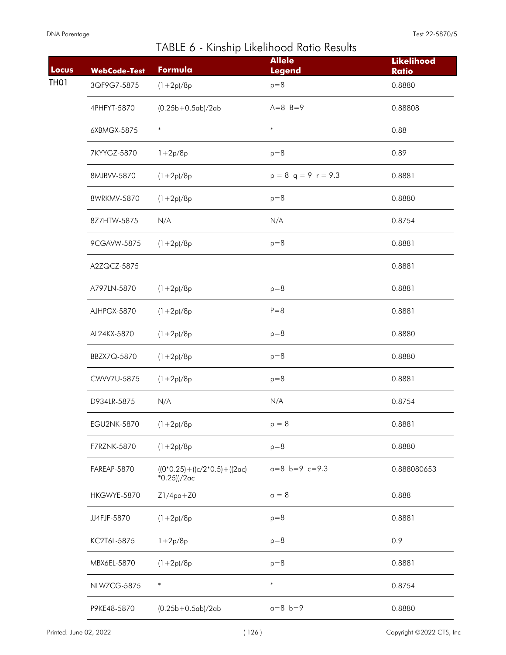| Locus | <b>WebCode-Test</b> | Formula                                              | <b>Allele</b><br><b>Legend</b> | <b>Likelihood</b><br><b>Ratio</b> |
|-------|---------------------|------------------------------------------------------|--------------------------------|-----------------------------------|
| TH01  | 3QF9G7-5875         | $(1+2p)/8p$                                          | $p=8$                          | 0.8880                            |
|       | 4PHFYT-5870         | $(0.25b+0.5ab)/2ab$                                  | $A=8$ B=9                      | 0.88808                           |
|       | 6XBMGX-5875         | $\ast$                                               | $\ast$                         | 0.88                              |
|       | 7KYYGZ-5870         | $1 + 2p/8p$                                          | $p=8$                          | 0.89                              |
|       | 8MJBVV-5870         | $(1+2p)/8p$                                          | $p = 8$ q = 9 r = 9.3          | 0.8881                            |
|       | 8WRKMV-5870         | $(1+2p)/8p$                                          | $p=8$                          | 0.8880                            |
|       | 8Z7HTW-5875         | N/A                                                  | N/A                            | 0.8754                            |
|       | 9CGAVW-5875         | $(1+2p)/8p$                                          | $p=8$                          | 0.8881                            |
|       | A2ZQCZ-5875         |                                                      |                                | 0.8881                            |
|       | A797LN-5870         | $(1+2p)/8p$                                          | $p=8$                          | 0.8881                            |
|       | AJHPGX-5870         | $(1+2p)/8p$                                          | $P = 8$                        | 0.8881                            |
|       | AL24KX-5870         | $(1+2p)/8p$                                          | $p=8$                          | 0.8880                            |
|       | BBZX7Q-5870         | $(1+2p)/8p$                                          | $p=8$                          | 0.8880                            |
|       | CWW7U-5875          | $(1+2p)/8p$                                          | $p=8$                          | 0.8881                            |
|       | D934LR-5875         | N/A                                                  | N/A                            | 0.8754                            |
|       | EGU2NK-5870         | $(1+2p)/8p$                                          | $p = 8$                        | 0.8881                            |
|       | F7RZNK-5870         | $(1+2p)/8p$                                          | $p=8$                          | 0.8880                            |
|       | FAREAP-5870         | $((0*0.25) + ((c/2*0.5) + ((2ac))$<br>$*0.25$ ))/2ac | $a=8$ b=9 c=9.3                | 0.888080653                       |
|       | HKGWYE-5870         | $Z1/4pq+Z0$                                          | $a = 8$                        | 0.888                             |
|       | JJ4FJF-5870         | $(1+2p)/8p$                                          | $p=8$                          | 0.8881                            |
|       | KC2T6L-5875         | $1 + 2p/8p$                                          | $p=8$                          | 0.9                               |
|       | MBX6EL-5870         | $(1+2p)/8p$                                          | $p=8$                          | 0.8881                            |
|       | NLWZCG-5875         | $\ast$                                               | $\ast$                         | 0.8754                            |
|       | P9KE48-5870         | $(0.25b+0.5ab)/2ab$                                  | $a = 8$ $b = 9$                | 0.8880                            |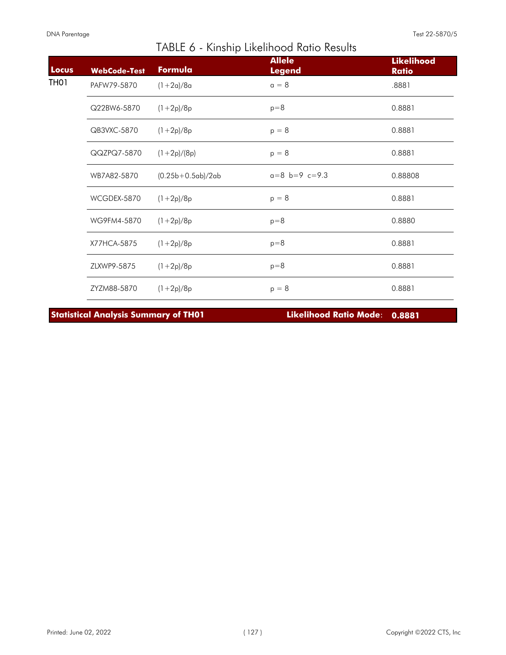| <b>Locus</b> | <b>WebCode-Test</b> | Formula             | <b>Allele</b><br><b>Legend</b> | <b>Likelihood</b><br><b>Ratio</b> |
|--------------|---------------------|---------------------|--------------------------------|-----------------------------------|
| TH01         | PAFW79-5870         | $(1+2a)/8a$         | $a = 8$                        | .8881                             |
|              | Q22BW6-5870         | $(1+2p)/8p$         | $p=8$                          | 0.8881                            |
|              | QB3VXC-5870         | $(1+2p)/8p$         | $p = 8$                        | 0.8881                            |
|              | QQZPQ7-5870         | $(1+2p)/(8p)$       | $p = 8$                        | 0.8881                            |
|              | WB7A82-5870         | $(0.25b+0.5ab)/2ab$ | $a=8$ b=9 c=9.3                | 0.88808                           |
|              | WCGDEX-5870         | $(1+2p)/8p$         | $p = 8$                        | 0.8881                            |
|              | WG9FM4-5870         | $(1+2p)/8p$         | $p=8$                          | 0.8880                            |
|              | X77HCA-5875         | $(1+2p)/8p$         | $p=8$                          | 0.8881                            |
|              | ZLXWP9-5875         | $(1+2p)/8p$         | $p=8$                          | 0.8881                            |
|              | ZYZM88-5870         | $(1+2p)/8p$         | $p = 8$                        | 0.8881                            |

**Statistical Analysis Summary of TH01 Likelihood Ratio Mode**: **0.8881**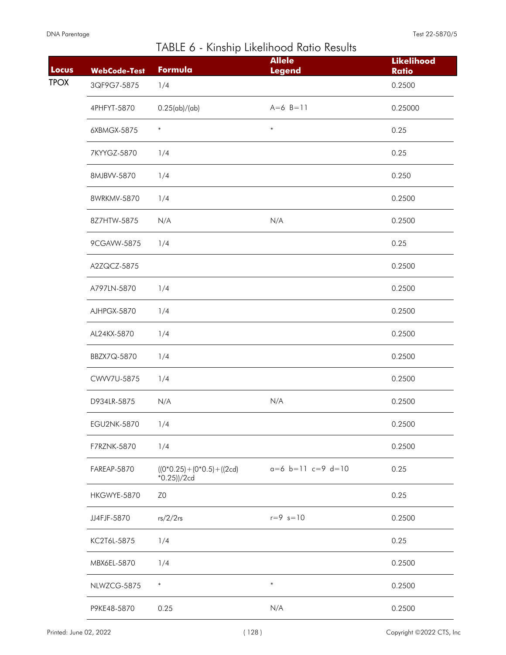| Locus       | <b>WebCode-Test</b> | Formula                                     | <b>Allele</b><br><b>Legend</b> | <b>Likelihood</b><br><b>Ratio</b> |
|-------------|---------------------|---------------------------------------------|--------------------------------|-----------------------------------|
| <b>TPOX</b> | 3QF9G7-5875         | 1/4                                         |                                | 0.2500                            |
|             |                     |                                             |                                |                                   |
|             | 4PHFYT-5870         | 0.25(ab)/(ab)                               | $A=6$ B=11                     | 0.25000                           |
|             | 6XBMGX-5875         | $\ast$                                      | $\ast$                         | 0.25                              |
|             | 7KYYGZ-5870         | 1/4                                         |                                | 0.25                              |
|             | 8MJBVV-5870         | 1/4                                         |                                | 0.250                             |
|             | 8WRKMV-5870         | 1/4                                         |                                | 0.2500                            |
|             | 8Z7HTW-5875         | N/A                                         | N/A                            | 0.2500                            |
|             | 9CGAVW-5875         | 1/4                                         |                                | 0.25                              |
|             | A2ZQCZ-5875         |                                             |                                | 0.2500                            |
|             | A797LN-5870         | 1/4                                         |                                | 0.2500                            |
|             | AJHPGX-5870         | 1/4                                         |                                | 0.2500                            |
|             | AL24KX-5870         | 1/4                                         |                                | 0.2500                            |
|             | BBZX7Q-5870         | 1/4                                         |                                | 0.2500                            |
|             | CWW7U-5875          | 1/4                                         |                                | 0.2500                            |
|             | D934LR-5875         | N/A                                         | N/A                            | 0.2500                            |
|             | EGU2NK-5870         | 1/4                                         |                                | 0.2500                            |
|             | F7RZNK-5870         | 1/4                                         |                                | 0.2500                            |
|             | FAREAP-5870         | $((0*0.25)+(0*0.5)+(2cd)$<br>$*0.25$ ))/2cd | $a=6$ b=11 c=9 d=10            | 0.25                              |
|             | HKGWYE-5870         | Z <sub>0</sub>                              |                                | 0.25                              |
|             | JJ4FJF-5870         | rs/2/2rs                                    | $r = 9$ $s = 10$               | 0.2500                            |
|             | KC2T6L-5875         | 1/4                                         |                                | 0.25                              |
|             | MBX6EL-5870         | 1/4                                         |                                | 0.2500                            |
|             | NLWZCG-5875         | $\ast$                                      | $\ast$                         | 0.2500                            |
|             | P9KE48-5870         | 0.25                                        | N/A                            | 0.2500                            |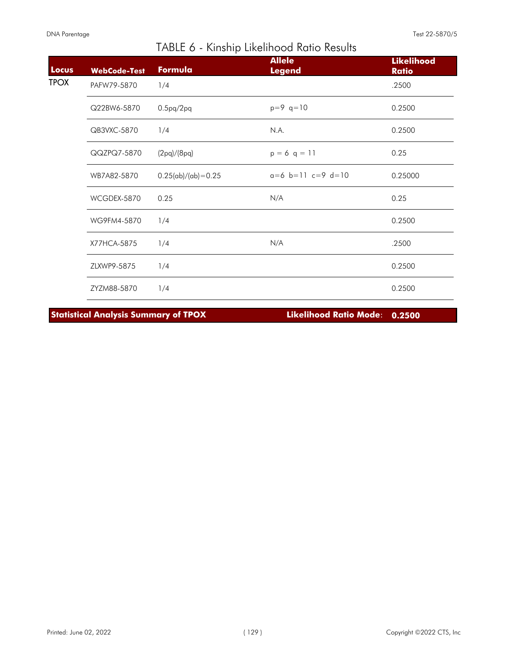I

| Locus       | <b>WebCode-Test</b> | Formula                | <b>Allele</b><br><b>Legend</b> | <b>Likelihood</b><br><b>Ratio</b> |
|-------------|---------------------|------------------------|--------------------------------|-----------------------------------|
| <b>TPOX</b> | PAFW79-5870         | 1/4                    |                                | .2500                             |
|             | Q22BW6-5870         | $0.5$ pq/ $2$ pq       | $p=9$ q=10                     | 0.2500                            |
|             | QB3VXC-5870         | 1/4                    | N.A.                           | 0.2500                            |
|             | QQZPQ7-5870         | (2pq)/(8pq)            | $p = 6 q = 11$                 | 0.25                              |
|             | WB7A82-5870         | $0.25(ab)/(ab) = 0.25$ | $a=6$ b=11 c=9 d=10            | 0.25000                           |
|             | WCGDEX-5870         | 0.25                   | N/A                            | 0.25                              |
|             | WG9FM4-5870         | 1/4                    |                                | 0.2500                            |
|             | X77HCA-5875         | 1/4                    | N/A                            | .2500                             |
|             | ZLXWP9-5875         | 1/4                    |                                | 0.2500                            |
|             | ZYZM88-5870         | 1/4                    |                                | 0.2500                            |

TABLE 6 - Kinship Likelihood Ratio Results

**Statistical Analysis Summary of TPOX Likelihood Ratio Mode**: **0.2500**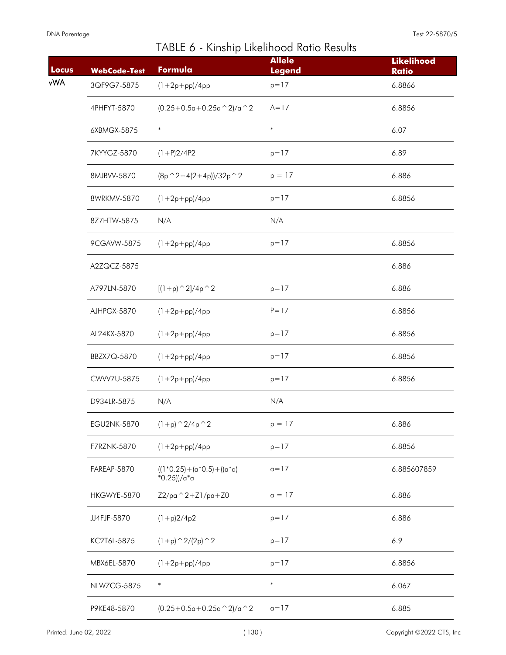| Locus      | <b>WebCode-Test</b> | .<br>Formula                                     | <b>Allele</b><br><b>Legend</b> | <b>Likelihood</b><br><b>Ratio</b> |
|------------|---------------------|--------------------------------------------------|--------------------------------|-----------------------------------|
| <b>vWA</b> | 3QF9G7-5875         | $(1 + 2p + pp)/4pp$                              | $p=17$                         | 6.8866                            |
|            | 4PHFYT-5870         | $(0.25+0.5a+0.25a^2)/a^2$                        | $A = 17$                       | 6.8856                            |
|            | 6XBMGX-5875         | $\ast$                                           | $\ast$                         | 6.07                              |
|            | 7KYYGZ-5870         | $(1+P)2/4P2$                                     | $p = 17$                       | 6.89                              |
|            | 8MJBVV-5870         | $(8p^2+4(2+4p))/32p^2$                           | $p = 17$                       | 6.886                             |
|            | 8WRKMV-5870         | $(1 + 2p + pp)/4pp$                              | $p = 17$                       | 6.8856                            |
|            | 8Z7HTW-5875         | N/A                                              | N/A                            |                                   |
|            | 9CGAVW-5875         | $(1 + 2p + pp)/4pp$                              | $p = 17$                       | 6.8856                            |
|            | A2ZQCZ-5875         |                                                  |                                | 6.886                             |
|            | A797LN-5870         | $[(1+p)^{2}/4p^2]$                               | $p = 17$                       | 6.886                             |
|            | AJHPGX-5870         | $(1 + 2p + pp)/4pp$                              | $P = 17$                       | 6.8856                            |
|            | AL24KX-5870         | $(1 + 2p + pp)/4pp$                              | $p = 17$                       | 6.8856                            |
|            | BBZX7Q-5870         | $(1 + 2p + pp)/4pp$                              | $p = 17$                       | 6.8856                            |
|            | CWW7U-5875          | $(1 + 2p + pp)/4pp$                              | $p = 17$                       | 6.8856                            |
|            | D934LR-5875         | N/A                                              | N/A                            |                                   |
|            | <b>EGU2NK-5870</b>  | $(1+p)$ $\hat{2}/4p$ $\hat{2}$                   | $p = 17$                       | 6.886                             |
|            | F7RZNK-5870         | $(1 + 2p + pp)/4pp$                              | $p = 17$                       | 6.8856                            |
|            | FAREAP-5870         | $((1*0.25)+(a*0.5)+((a*0)$<br>$*0.25$ ))/a $*$ a | $a = 17$                       | 6.885607859                       |
|            | HKGWYE-5870         | $Z2/pa^2 + Z1/pa + Z0$                           | $a = 17$                       | 6.886                             |
|            | JJ4FJF-5870         | $(1+p)2/4p2$                                     | $p = 17$                       | 6.886                             |
|            | KC2T6L-5875         | $(1+p)$ $\hat{2}/(2p)$ $\hat{2}$                 | $p = 17$                       | 6.9                               |
|            | MBX6EL-5870         | $(1 + 2p + pp)/4pp$                              | $p = 17$                       | 6.8856                            |
|            | NLWZCG-5875         | $\ast$                                           | $\ast$                         | 6.067                             |
|            | P9KE48-5870         | $(0.25+0.5a+0.25a \wedge 2)/a \wedge 2$          | $a = 17$                       | 6.885                             |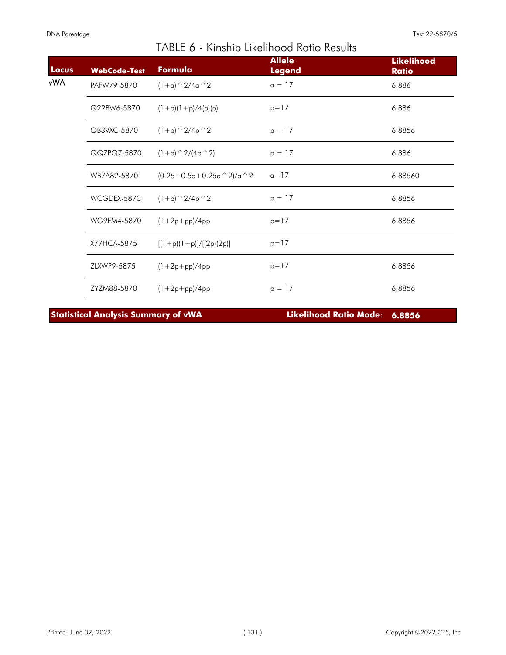I

| Locus | <b>WebCode-Test</b> | Formula                        | <b>Allele</b><br><b>Legend</b> | <b>Likelihood</b><br><b>Ratio</b> |
|-------|---------------------|--------------------------------|--------------------------------|-----------------------------------|
| vWA.  | PAFW79-5870         | $(1+a)$ $\hat{2}/4a$ $\hat{2}$ | $a = 17$                       | 6.886                             |
|       | Q22BW6-5870         | $(1+p)(1+p)/4(p)(p)$           | $p = 17$                       | 6.886                             |
|       | QB3VXC-5870         | $(1+p)$ $\hat{2}/4p$ $\hat{2}$ | $p = 17$                       | 6.8856                            |
|       | QQZPQ7-5870         | $(1+p)$ $\hat{2}/(4p \hat{2})$ | $p = 17$                       | 6.886                             |
|       | WB7A82-5870         | $(0.25+0.5a+0.25a^2)/a^2$      | $a = 17$                       | 6.88560                           |
|       | WCGDEX-5870         | $(1+p)$ $\hat{2}/4p$ $\hat{2}$ | $p = 17$                       | 6.8856                            |
|       | WG9FM4-5870         | $(1+2p+pp)/4pp$                | $p = 17$                       | 6.8856                            |
|       | X77HCA-5875         | $[(1+p)(1+p)]/[(2p)(2p)]$      | $p = 17$                       |                                   |
|       | ZLXWP9-5875         | $(1+2p+pp)/4pp$                | $p = 17$                       | 6.8856                            |
|       | ZYZM88-5870         | $(1 + 2p + pp)/4pp$            | $p = 17$                       | 6.8856                            |

TABLE 6 - Kinship Likelihood Ratio Results

**Statistical Analysis Summary of vWA Likelihood Ratio Mode**: **6.8856**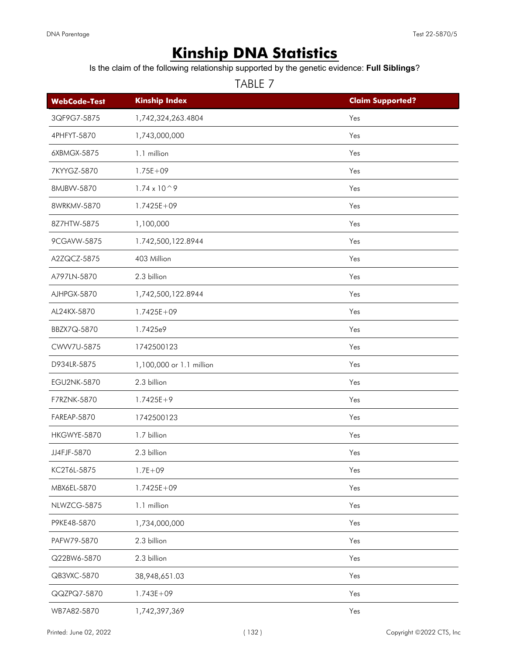# **Kinship DNA Statistics**

Is the claim of the following relationship supported by the genetic evidence: **Full Siblings**?

| <b>WebCode-Test</b> | <b>Kinship Index</b>      | <b>Claim Supported?</b> |
|---------------------|---------------------------|-------------------------|
| 3QF9G7-5875         | 1,742,324,263.4804        | Yes                     |
| 4PHFYT-5870         | 1,743,000,000             | Yes                     |
| 6XBMGX-5875         | 1.1 million               | Yes                     |
| 7KYYGZ-5870         | $1.75E + 09$              | Yes                     |
| 8MJBVV-5870         | $1.74 \times 10^{\circ}9$ | Yes                     |
| 8WRKMV-5870         | $1.7425E + 09$            | Yes                     |
| 8Z7HTW-5875         | 1,100,000                 | Yes                     |
| 9CGAVW-5875         | 1.742,500,122.8944        | Yes                     |
| A2ZQCZ-5875         | 403 Million               | Yes                     |
| A797LN-5870         | 2.3 billion               | Yes                     |
| AJHPGX-5870         | 1,742,500,122.8944        | Yes                     |
| AL24KX-5870         | $1.7425E + 09$            | Yes                     |
| BBZX7Q-5870         | 1.7425e9                  | Yes                     |
| CWW7U-5875          | 1742500123                | Yes                     |
| D934LR-5875         | 1,100,000 or 1.1 million  | Yes                     |
| <b>EGU2NK-5870</b>  | 2.3 billion               | Yes                     |
| F7RZNK-5870         | $1.7425E+9$               | Yes                     |
| FAREAP-5870         | 1742500123                | Yes                     |
| HKGWYE-5870         | 1.7 billion               | Yes                     |
| JJ4FJF-5870         | 2.3 billion               | Yes                     |
| KC2T6L-5875         | $1.7E + 09$               | Yes                     |
| MBX6EL-5870         | $1.7425E + 09$            | Yes                     |
| NLWZCG-5875         | 1.1 million               | Yes                     |
| P9KE48-5870         | 1,734,000,000             | Yes                     |
| PAFW79-5870         | 2.3 billion               | Yes                     |
| Q22BW6-5870         | 2.3 billion               | Yes                     |
| QB3VXC-5870         | 38,948,651.03             | Yes                     |
| QQZPQ7-5870         | $1.743E + 09$             | Yes                     |
| WB7A82-5870         | 1,742,397,369             | Yes                     |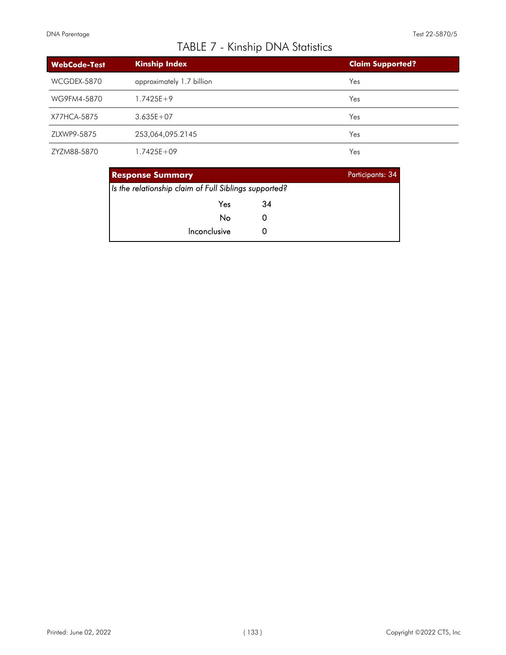# TABLE 7 - Kinship DNA Statistics

| <b>WebCode-Test</b> | <b>Kinship Index</b>      | <b>Claim Supported?</b> |
|---------------------|---------------------------|-------------------------|
| WCGDEX-5870         | approximately 1.7 billion | Yes                     |
| WG9FM4-5870         | $1.7425E+9$               | Yes                     |
| X77HCA-5875         | $3.635E + 07$             | Yes                     |
| ZLXWP9-5875         | 253,064,095.2145          | Yes                     |
| ZYZM88-5870         | 1.7425E+09                | Yes                     |

| <b>Response Summary</b>                               |    | Participants: 34 |
|-------------------------------------------------------|----|------------------|
| Is the relationship claim of Full Siblings supported? |    |                  |
| Yes                                                   | 34 |                  |
| No                                                    |    |                  |
| Inconclusive                                          |    |                  |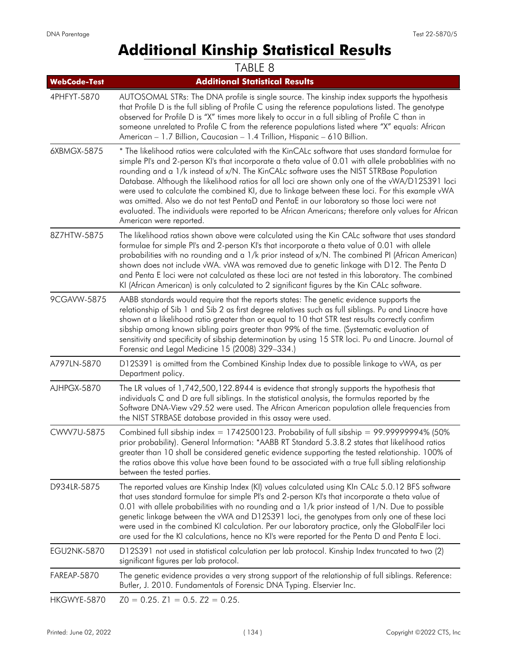# **Additional Kinship Statistical Results**

|                     | TABLE 8                                                                                                                                                                                                                                                                                                                                                                                                                                                                                                                                                                                                                                                                                                                                        |
|---------------------|------------------------------------------------------------------------------------------------------------------------------------------------------------------------------------------------------------------------------------------------------------------------------------------------------------------------------------------------------------------------------------------------------------------------------------------------------------------------------------------------------------------------------------------------------------------------------------------------------------------------------------------------------------------------------------------------------------------------------------------------|
| <b>WebCode-Test</b> | <b>Additional Statistical Results</b>                                                                                                                                                                                                                                                                                                                                                                                                                                                                                                                                                                                                                                                                                                          |
| 4PHFYT-5870         | AUTOSOMAL STRs: The DNA profile is single source. The kinship index supports the hypothesis<br>that Profile D is the full sibling of Profile C using the reference populations listed. The genotype<br>observed for Profile D is "X" times more likely to occur in a full sibling of Profile C than in<br>someone unrelated to Profile C from the reference populations listed where "X" equals: African<br>American - 1.7 Billion, Caucasian - 1.4 Trillion, Hispanic - 610 Billion.                                                                                                                                                                                                                                                          |
| 6XBMGX-5875         | * The likelihood ratios were calculated with the KinCALc software that uses standard formulae for<br>simple Pl's and 2-person KI's that incorporate a theta value of 0.01 with allele probablities with no<br>rounding and a 1/k instead of x/N. The KinCALc software uses the NIST STRBase Population<br>Database. Although the likelihood ratios for all loci are shown only one of the vWA/D12S391 loci<br>were used to calculate the combined KI, due to linkage between these loci. For this example vWA<br>was omitted. Also we do not test PentaD and PentaE in our laboratory so those loci were not<br>evaluated. The individuals were reported to be African Americans; therefore only values for African<br>American were reported. |
| 8Z7HTW-5875         | The likelihood ratios shown above were calculated using the Kin CALc software that uses standard<br>formulae for simple PI's and 2-person KI's that incorporate a theta value of 0.01 with allele<br>probabilities with no rounding and a 1/k prior instead of x/N. The combined PI (African American)<br>shown does not include vWA. vWA was removed due to genetic linkage with D12. The Penta D<br>and Penta E loci were not calculated as these loci are not tested in this laboratory. The combined<br>KI (African American) is only calculated to 2 significant figures by the Kin CALc software.                                                                                                                                        |
| 9CGAVW-5875         | AABB standards would require that the reports states: The genetic evidence supports the<br>relationship of Sib 1 and Sib 2 as first degree relatives such as full siblings. Pu and Linacre have<br>shown at a likelihood ratio greater than or equal to 10 that STR test results correctly confirm<br>sibship among known sibling pairs greater than 99% of the time. (Systematic evaluation of<br>sensitivity and specificity of sibship determination by using 15 STR loci. Pu and Linacre. Journal of<br>Forensic and Legal Medicine 15 (2008) 329-334.)                                                                                                                                                                                    |
| A797LN-5870         | D12S391 is omitted from the Combined Kinship Index due to possible linkage to vWA, as per<br>Department policy.                                                                                                                                                                                                                                                                                                                                                                                                                                                                                                                                                                                                                                |
| AJHPGX-5870         | The LR values of 1,742,500,122.8944 is evidence that strongly supports the hypothesis that<br>individuals C and D are full siblings. In the statistical analysis, the formulas reported by the<br>Software DNA-View v29.52 were used. The African American population allele frequencies from<br>the NIST STRBASE database provided in this assay were used.                                                                                                                                                                                                                                                                                                                                                                                   |
| CWW7U-5875          | Combined full sibship index = $1742500123$ . Probability of full sibship = 99.99999994% (50%)<br>prior probability). General Information: *AABB RT Standard 5.3.8.2 states that likelihood ratios<br>greater than 10 shall be considered genetic evidence supporting the tested relationship. 100% of<br>the ratios above this value have been found to be associated with a true full sibling relationship<br>between the tested parties.                                                                                                                                                                                                                                                                                                     |
| D934LR-5875         | The reported values are Kinship Index (KI) values calculated using KIn CALc 5.0.12 BFS software<br>that uses standard formulae for simple PI's and 2-person KI's that incorporate a theta value of<br>0.01 with allele probabilities with no rounding and a 1/k prior instead of 1/N. Due to possible<br>genetic linkage between the vWA and D12S391 loci, the genotypes from only one of these loci<br>were used in the combined KI calculation. Per our laboratory practice, only the GlobalFiler loci<br>are used for the KI calculations, hence no KI's were reported for the Penta D and Penta E loci.                                                                                                                                    |
| <b>EGU2NK-5870</b>  | D12S391 not used in statistical calculation per lab protocol. Kinship Index truncated to two (2)<br>significant figures per lab protocol.                                                                                                                                                                                                                                                                                                                                                                                                                                                                                                                                                                                                      |
| FAREAP-5870         | The genetic evidence provides a very strong support of the relationship of full siblings. Reference:<br>Butler, J. 2010. Fundamentals of Forensic DNA Typing. Elservier Inc.                                                                                                                                                                                                                                                                                                                                                                                                                                                                                                                                                                   |
| HKGWYE-5870         | $Z0 = 0.25$ . $Z1 = 0.5$ . $Z2 = 0.25$ .                                                                                                                                                                                                                                                                                                                                                                                                                                                                                                                                                                                                                                                                                                       |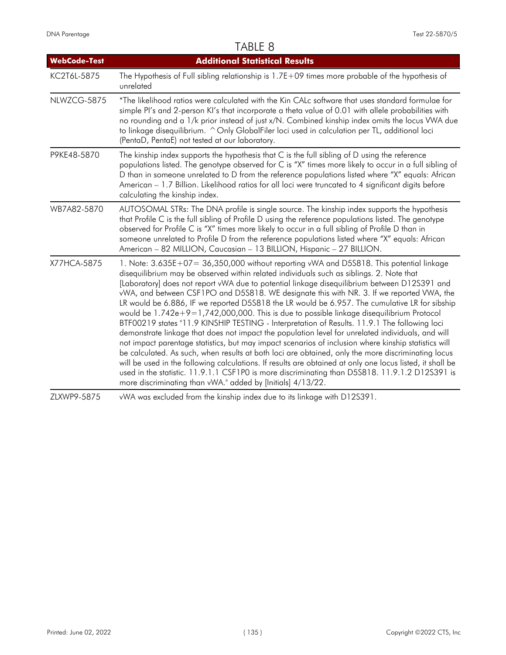### TABLE 8

| <b>WebCode-Test</b> | <b>Additional Statistical Results</b>                                                                                                                                                                                                                                                                                                                                                                                                                                                                                                                                                                                                                                                                                                                                                                                                                                                                                                                                                                                                                                                                                                                                                                                                                                             |
|---------------------|-----------------------------------------------------------------------------------------------------------------------------------------------------------------------------------------------------------------------------------------------------------------------------------------------------------------------------------------------------------------------------------------------------------------------------------------------------------------------------------------------------------------------------------------------------------------------------------------------------------------------------------------------------------------------------------------------------------------------------------------------------------------------------------------------------------------------------------------------------------------------------------------------------------------------------------------------------------------------------------------------------------------------------------------------------------------------------------------------------------------------------------------------------------------------------------------------------------------------------------------------------------------------------------|
| KC2T6L-5875         | The Hypothesis of Full sibling relationship is $1.7E+09$ times more probable of the hypothesis of<br>unrelated                                                                                                                                                                                                                                                                                                                                                                                                                                                                                                                                                                                                                                                                                                                                                                                                                                                                                                                                                                                                                                                                                                                                                                    |
| NLWZCG-5875         | *The likelihood ratios were calculated with the Kin CALc software that uses standard formulae for<br>simple PI's and 2-person KI's that incorporate a theta value of 0.01 with allele probabilities with<br>no rounding and a 1/k prior instead of just x/N. Combined kinship index omits the locus VWA due<br>to linkage disequilibrium. ^ Only GlobalFiler loci used in calculation per TL, additional loci<br>(PentaD, PentaE) not tested at our laboratory.                                                                                                                                                                                                                                                                                                                                                                                                                                                                                                                                                                                                                                                                                                                                                                                                                   |
| P9KE48-5870         | The kinship index supports the hypothesis that C is the full sibling of D using the reference<br>populations listed. The genotype observed for C is "X" times more likely to occur in a full sibling of<br>D than in someone unrelated to D from the reference populations listed where "X" equals: African<br>American – 1.7 Billion. Likelihood ratios for all loci were truncated to 4 significant digits before<br>calculating the kinship index.                                                                                                                                                                                                                                                                                                                                                                                                                                                                                                                                                                                                                                                                                                                                                                                                                             |
| WB7A82-5870         | AUTOSOMAL STRs: The DNA profile is single source. The kinship index supports the hypothesis<br>that Profile C is the full sibling of Profile D using the reference populations listed. The genotype<br>observed for Profile C is "X" times more likely to occur in a full sibling of Profile D than in<br>someone unrelated to Profile D from the reference populations listed where "X" equals: African<br>American - 82 MILLION, Caucasian - 13 BILLION, Hispanic - 27 BILLION.                                                                                                                                                                                                                                                                                                                                                                                                                                                                                                                                                                                                                                                                                                                                                                                                 |
| X77HCA-5875         | 1. Note: 3.635E+07= 36,350,000 without reporting vWA and D5S818. This potential linkage<br>disequilibrium may be observed within related individuals such as siblings. 2. Note that<br>[Laboratory] does not report vWA due to potential linkage disequilibrium between D12S391 and<br>vWA, and between CSF1PO and D5S818. WE designate this with NR. 3. If we reported VWA, the<br>LR would be 6.886, IF we reported D5S818 the LR would be 6.957. The cumulative LR for sibship<br>would be $1.742e+9=1.742.000.000$ . This is due to possible linkage disequilibrium Protocol<br>BTF00219 states "11.9 KINSHIP TESTING - Interpretation of Results. 11.9.1 The following loci<br>demonstrate linkage that does not impact the population level for unrelated individuals, and will<br>not impact parentage statistics, but may impact scenarios of inclusion where kinship statistics will<br>be calculated. As such, when results at both loci are obtained, only the more discriminating locus<br>will be used in the following calculations. If results are obtained at only one locus listed, it shall be<br>used in the statistic. 11.9.1.1 CSF1P0 is more discriminating than D5S818. 11.9.1.2 D12S391 is<br>more discriminating than vWA." added by [Initials] 4/13/22. |
| 71 XWP9_5875        | yWA was excluded from the kinship index due to its linkage with D12S391                                                                                                                                                                                                                                                                                                                                                                                                                                                                                                                                                                                                                                                                                                                                                                                                                                                                                                                                                                                                                                                                                                                                                                                                           |

ZLXWP9-5875 vWA was excluded from the kinship index due to its linkage with D12S391.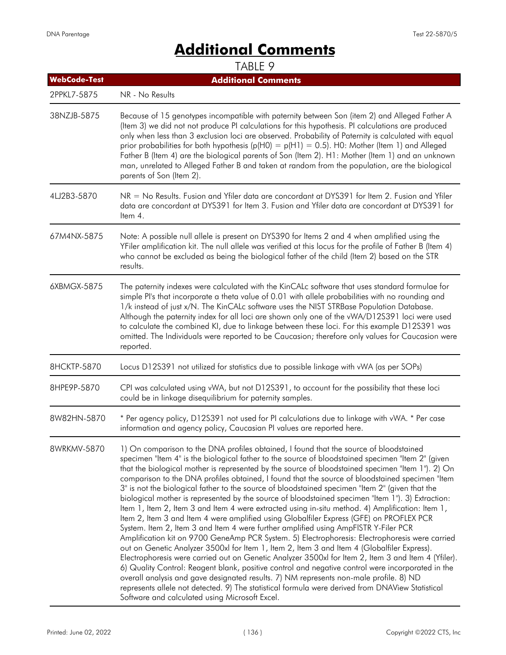# **Additional Comments**

| <b>WebCode-Test</b> | <b>Additional Comments</b>                                                                                                                                                                                                                                                                                                                                                                                                                                                                                                                                                                                                                                                                                                                                                                                                                                                                                                                                                                                                                                                                                                                                                                                                                                                                                                                                                                                                                                                                                                                                     |
|---------------------|----------------------------------------------------------------------------------------------------------------------------------------------------------------------------------------------------------------------------------------------------------------------------------------------------------------------------------------------------------------------------------------------------------------------------------------------------------------------------------------------------------------------------------------------------------------------------------------------------------------------------------------------------------------------------------------------------------------------------------------------------------------------------------------------------------------------------------------------------------------------------------------------------------------------------------------------------------------------------------------------------------------------------------------------------------------------------------------------------------------------------------------------------------------------------------------------------------------------------------------------------------------------------------------------------------------------------------------------------------------------------------------------------------------------------------------------------------------------------------------------------------------------------------------------------------------|
| 2PPKL7-5875         | NR - No Results                                                                                                                                                                                                                                                                                                                                                                                                                                                                                                                                                                                                                                                                                                                                                                                                                                                                                                                                                                                                                                                                                                                                                                                                                                                                                                                                                                                                                                                                                                                                                |
| 38NZJB-5875         | Because of 15 genotypes incompatible with paternity between Son (item 2) and Alleged Father A<br>(Item 3) we did not not produce PI calculations for this hypothesis. PI calculations are produced<br>only when less than 3 exclusion loci are observed. Probability of Paternity is calculated with equal<br>prior probabilities for both hypothesis ( $p(H0) = p(H1) = 0.5$ ). HO: Mother (Item 1) and Alleged<br>Father B (Item 4) are the biological parents of Son (Item 2). H1: Mother (Item 1) and an unknown<br>man, unrelated to Alleged Father B and taken at random from the population, are the biological<br>parents of Son (Item 2).                                                                                                                                                                                                                                                                                                                                                                                                                                                                                                                                                                                                                                                                                                                                                                                                                                                                                                             |
| 4LJ2B3-5870         | NR = No Results. Fusion and Yfiler data are concordant at DYS391 for Item 2. Fusion and Yfiler<br>data are concordant at DYS391 for Item 3. Fusion and Yfiler data are concordant at DYS391 for<br>Item 4.                                                                                                                                                                                                                                                                                                                                                                                                                                                                                                                                                                                                                                                                                                                                                                                                                                                                                                                                                                                                                                                                                                                                                                                                                                                                                                                                                     |
| 67M4NX-5875         | Note: A possible null allele is present on DYS390 for Items 2 and 4 when amplified using the<br>YFiler amplification kit. The null allele was verified at this locus for the profile of Father B (Item 4)<br>who cannot be excluded as being the biological father of the child (Item 2) based on the STR<br>results.                                                                                                                                                                                                                                                                                                                                                                                                                                                                                                                                                                                                                                                                                                                                                                                                                                                                                                                                                                                                                                                                                                                                                                                                                                          |
| 6XBMGX-5875         | The paternity indexes were calculated with the KinCALc software that uses standard formulae for<br>simple PI's that incorporate a theta value of 0.01 with allele probabilities with no rounding and<br>1/k instead of just x/N. The KinCALc software uses the NIST STRBase Population Database.<br>Although the paternity index for all loci are shown only one of the vWA/D12S391 loci were used<br>to calculate the combined KI, due to linkage between these loci. For this example D12S391 was<br>omitted. The Individuals were reported to be Caucasion; therefore only values for Caucasion were<br>reported.                                                                                                                                                                                                                                                                                                                                                                                                                                                                                                                                                                                                                                                                                                                                                                                                                                                                                                                                           |
| 8HCKTP-5870         | Locus D12S391 not utilized for statistics due to possible linkage with vWA (as per SOPs)                                                                                                                                                                                                                                                                                                                                                                                                                                                                                                                                                                                                                                                                                                                                                                                                                                                                                                                                                                                                                                                                                                                                                                                                                                                                                                                                                                                                                                                                       |
| 8HPE9P-5870         | CPI was calculated using vWA, but not D12S391, to account for the possibility that these loci<br>could be in linkage disequilibrium for paternity samples.                                                                                                                                                                                                                                                                                                                                                                                                                                                                                                                                                                                                                                                                                                                                                                                                                                                                                                                                                                                                                                                                                                                                                                                                                                                                                                                                                                                                     |
| 8W82HN-5870         | * Per agency policy, D12S391 not used for PI calculations due to linkage with vWA. * Per case<br>information and agency policy, Caucasian PI values are reported here.                                                                                                                                                                                                                                                                                                                                                                                                                                                                                                                                                                                                                                                                                                                                                                                                                                                                                                                                                                                                                                                                                                                                                                                                                                                                                                                                                                                         |
| 8WRKMV-5870         | 1) On comparison to the DNA profiles obtained, I found that the source of bloodstained<br>specimen "Item 4" is the biological father to the source of bloodstained specimen "Item 2" (given<br>that the biological mother is represented by the source of bloodstained specimen "Item 1"). 2) On<br>comparison to the DNA profiles obtained, I found that the source of bloodstained specimen "Item<br>3" is not the biological father to the source of bloodstained specimen "Item 2" (given that the<br>biological mother is represented by the source of bloodstained specimen "Item 1"). 3) Extraction:<br>Item 1, Item 2, Item 3 and Item 4 were extracted using in-situ method. 4) Amplification: Item 1,<br>Item 2, Item 3 and Item 4 were amplified using Globalfiler Express (GFE) on PROFLEX PCR<br>System. Item 2, Item 3 and Item 4 were further amplified using AmpFISTR Y-Filer PCR<br>Amplification kit on 9700 GeneAmp PCR System. 5) Electrophoresis: Electrophoresis were carried<br>out on Genetic Analyzer 3500xl for Item 1, Item 2, Item 3 and Item 4 (Globalfiler Express).<br>Electrophoresis were carried out on Genetic Analyzer 3500xl for Item 2, Item 3 and Item 4 (Yfiler).<br>6) Quality Control: Reagent blank, positive control and negative control were incorporated in the<br>overall analysis and gave designated results. 7) NM represents non-male profile. 8) ND<br>represents allele not detected. 9) The statistical formula were derived from DNAView Statistical<br>Software and calculated using Microsoft Excel. |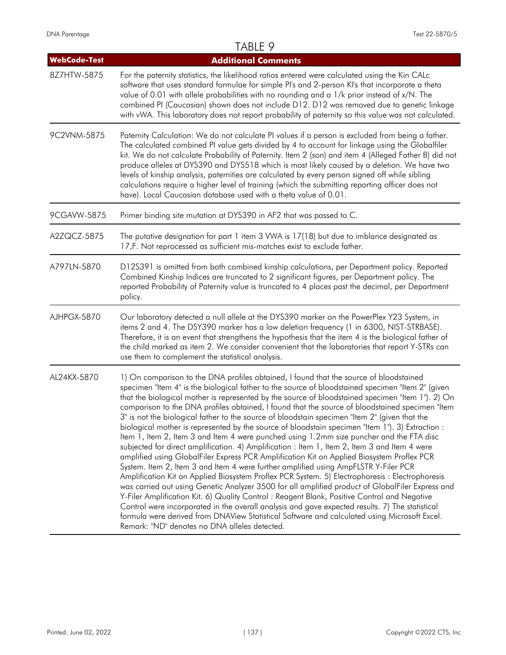|                     | TABLE 9                                                                                                                                                                                                                                                                                                                                                                                                                                                                                                                                                                                                                                                                                                                                                                                                                                                                                                                                                                                                                                                                                                                                                                                                                                                                                                                                                                                                                                                                                                                                               |
|---------------------|-------------------------------------------------------------------------------------------------------------------------------------------------------------------------------------------------------------------------------------------------------------------------------------------------------------------------------------------------------------------------------------------------------------------------------------------------------------------------------------------------------------------------------------------------------------------------------------------------------------------------------------------------------------------------------------------------------------------------------------------------------------------------------------------------------------------------------------------------------------------------------------------------------------------------------------------------------------------------------------------------------------------------------------------------------------------------------------------------------------------------------------------------------------------------------------------------------------------------------------------------------------------------------------------------------------------------------------------------------------------------------------------------------------------------------------------------------------------------------------------------------------------------------------------------------|
| <b>WebCode-Test</b> | <b>Additional Comments</b>                                                                                                                                                                                                                                                                                                                                                                                                                                                                                                                                                                                                                                                                                                                                                                                                                                                                                                                                                                                                                                                                                                                                                                                                                                                                                                                                                                                                                                                                                                                            |
| 8Z7HTW-5875         | For the paternity statistics, the likelihood ratios entered were calculated using the Kin CALc<br>software that uses standard formulae for simple PI's and 2-person KI's that incorporate a theta<br>value of 0.01 with allele probabilities with no rounding and a 1/k prior instead of x/N. The<br>combined PI (Caucasian) shown does not include D12. D12 was removed due to genetic linkage<br>with vWA. This laboratory does not report probability of paternity so this value was not calculated.                                                                                                                                                                                                                                                                                                                                                                                                                                                                                                                                                                                                                                                                                                                                                                                                                                                                                                                                                                                                                                               |
| 9C2VNM-5875         | Paternity Calculation: We do not calculate PI values if a person is excluded from being a father.<br>The calculated combined PI value gets divided by 4 to account for linkage using the Globalfiler<br>kit. We do not calculate Probability of Paternity. Item 2 (son) and item 4 (Alleged Father B) did not<br>produce alleles at DYS390 and DYS518 which is most likely caused by a deletion. We have two<br>levels of kinship analysis, paternities are calculated by every person signed off while sibling<br>calculations require a higher level of training (which the submitting reporting officer does not<br>have). Local Caucasian database used with a theta value of 0.01.                                                                                                                                                                                                                                                                                                                                                                                                                                                                                                                                                                                                                                                                                                                                                                                                                                                               |
| 9CGAVW-5875         | Primer binding site mutation at DYS390 in AF2 that was passed to C.                                                                                                                                                                                                                                                                                                                                                                                                                                                                                                                                                                                                                                                                                                                                                                                                                                                                                                                                                                                                                                                                                                                                                                                                                                                                                                                                                                                                                                                                                   |
| A2ZQCZ-5875         | The putative designation for part 1 item 3 VWA is 17(18) but due to imblance designated as<br>17,F. Not reprocessed as sufficient mis-matches exist to exclude father.                                                                                                                                                                                                                                                                                                                                                                                                                                                                                                                                                                                                                                                                                                                                                                                                                                                                                                                                                                                                                                                                                                                                                                                                                                                                                                                                                                                |
| A797LN-5870         | D12S391 is omitted from both combined kinship calculations, per Department policy. Reported<br>Combined Kinship Indices are truncated to 2 significant figures, per Department policy. The<br>reported Probability of Paternity value is truncated to 4 places past the decimal, per Department<br>policy.                                                                                                                                                                                                                                                                                                                                                                                                                                                                                                                                                                                                                                                                                                                                                                                                                                                                                                                                                                                                                                                                                                                                                                                                                                            |
| AJHPGX-5870         | Our laboratory detected a null allele at the DYS390 marker on the PowerPlex Y23 System, in<br>items 2 and 4. The DSY390 marker has a low deletion frequency (1 in 6300, NIST-STRBASE).<br>Therefore, it is an event that strengthens the hypothesis that the item 4 is the biological father of<br>the child marked as item 2. We consider convenient that the laboratories that report Y-STRs can<br>use them to complement the statistical analysis.                                                                                                                                                                                                                                                                                                                                                                                                                                                                                                                                                                                                                                                                                                                                                                                                                                                                                                                                                                                                                                                                                                |
| AL24KX-5870         | 1) On comparison to the DNA profiles obtained, I found that the source of bloodstained<br>specimen "Item 4" is the biological father to the source of bloodstained specimen "Item 2" (given<br>that the biological mother is represented by the source of bloodstained specimen "Item 1"). 2) On<br>comparison to the DNA profiles obtained, I found that the source of bloodstained specimen "Item"<br>3" is not the biological father to the source of bloodstain specimen "Item 2" (given that the<br>biological mother is represented by the source of bloodstain specimen "Item 1"). 3) Extraction :<br>Item 1, Item 2, Item 3 and Item 4 were punched using 1.2mm size puncher and the FTA disc<br>subjected for direct amplification. 4) Amplification : Item 1, Item 2, Item 3 and Item 4 were<br>amplified using GlobalFiler Express PCR Amplification Kit on Applied Biosystem Proflex PCR<br>System. Item 2, Item 3 and Item 4 were further amplified using AmpFLSTR Y-Filer PCR<br>Amplification Kit on Applied Biosystem Proflex PCR System. 5) Electrophoresis : Electrophoresis<br>was carried out using Genetic Analyzer 3500 for all amplified product of GlobalFiler Express and<br>Y-Filer Amplification Kit. 6) Quality Control: Reagent Blank, Positive Control and Negative<br>Control were incorporated in the overall analysis and gave expected results. 7) The statistical<br>formula were derived from DNAView Statistical Software and calculated using Microsoft Excel.<br>Remark: "ND" denotes no DNA alleles detected. |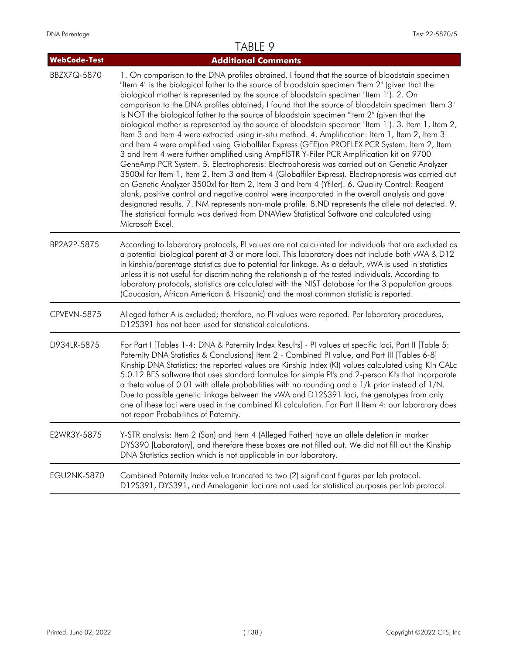| WebCode-Test       | <b>Additional Comments</b>                                                                                                                                                                                                                                                                                                                                                                                                                                                                                                                                                                                                                                                                                                                                                                                                                                                                                                                                                                                                                                                                                                                                                                                                                                                                                                                                                                                                                                                                                                             |
|--------------------|----------------------------------------------------------------------------------------------------------------------------------------------------------------------------------------------------------------------------------------------------------------------------------------------------------------------------------------------------------------------------------------------------------------------------------------------------------------------------------------------------------------------------------------------------------------------------------------------------------------------------------------------------------------------------------------------------------------------------------------------------------------------------------------------------------------------------------------------------------------------------------------------------------------------------------------------------------------------------------------------------------------------------------------------------------------------------------------------------------------------------------------------------------------------------------------------------------------------------------------------------------------------------------------------------------------------------------------------------------------------------------------------------------------------------------------------------------------------------------------------------------------------------------------|
| BBZX7Q-5870        | 1. On comparison to the DNA profiles obtained, I found that the source of bloodstain specimen<br>"Item 4" is the biological father to the source of bloodstain specimen "Item 2" (given that the<br>biological mother is represented by the source of bloodstain specimen "Item 1"). 2. On<br>comparison to the DNA profiles obtained, I found that the source of bloodstain specimen "Item 3"<br>is NOT the biological father to the source of bloodstain specimen "Item 2" (given that the<br>biological mother is represented by the source of bloodstain specimen "Item 1"). 3. Item 1, Item 2,<br>Item 3 and Item 4 were extracted using in-situ method. 4. Amplification: Item 1, Item 2, Item 3<br>and Item 4 were amplified using Globalfiler Express (GFE) on PROFLEX PCR System. Item 2, Item<br>3 and Item 4 were further amplified using AmpFISTR Y-Filer PCR Amplification kit on 9700<br>GeneAmp PCR System. 5. Electrophoresis: Electrophoresis was carried out on Genetic Analyzer<br>3500xl for Item 1, Item 2, Item 3 and Item 4 (Globalfiler Express). Electrophoresis was carried out<br>on Genetic Analyzer 3500xl for Item 2, Item 3 and Item 4 (Yfiler). 6. Quality Control: Reagent<br>blank, positive control and negative control were incorporated in the overall analysis and gave<br>designated results. 7. NM represents non-male profile. 8.ND represents the allele not detected. 9.<br>The statistical formula was derived from DNAView Statistical Software and calculated using<br>Microsoft Excel. |
| BP2A2P-5875        | According to laboratory protocols, PI values are not calculated for individuals that are excluded as<br>a potential biological parent at 3 or more loci. This laboratory does not include both vWA & D12<br>in kinship/parentage statistics due to potential for linkage. As a default, vWA is used in statistics<br>unless it is not useful for discriminating the relationship of the tested individuals. According to<br>laboratory protocols, statistics are calculated with the NIST database for the 3 population groups<br>(Caucasian, African American & Hispanic) and the most common statistic is reported.                                                                                                                                                                                                                                                                                                                                                                                                                                                                                                                                                                                                                                                                                                                                                                                                                                                                                                                  |
| CPVEVN-5875        | Alleged father A is excluded; therefore, no PI values were reported. Per laboratory procedures,<br>D12S391 has not been used for statistical calculations.                                                                                                                                                                                                                                                                                                                                                                                                                                                                                                                                                                                                                                                                                                                                                                                                                                                                                                                                                                                                                                                                                                                                                                                                                                                                                                                                                                             |
| D934LR-5875        | For Part I [Tables 1-4: DNA & Paternity Index Results] - PI values at specific loci, Part II [Table 5:<br>Paternity DNA Statistics & Conclusions] Item 2 - Combined PI value, and Part III [Tables 6-8]<br>Kinship DNA Statistics: the reported values are Kinship Index (KI) values calculated using KIn CALc<br>5.0.12 BFS software that uses standard formulae for simple PI's and 2-person KI's that incorporate<br>a theta value of 0.01 with allele probabilities with no rounding and a 1/k prior instead of 1/N.<br>Due to possible genetic linkage between the vWA and D12S391 loci, the genotypes from only<br>one of these loci were used in the combined KI calculation. For Part II Item 4: our laboratory does<br>not report Probabilities of Paternity.                                                                                                                                                                                                                                                                                                                                                                                                                                                                                                                                                                                                                                                                                                                                                                 |
| E2WR3Y-5875        | Y-STR analysis: Item 2 (Son) and Item 4 (Alleged Father) have an allele deletion in marker<br>DYS390 [Laboratory], and therefore these boxes are not filled out. We did not fill out the Kinship<br>DNA Statistics section which is not applicable in our laboratory.                                                                                                                                                                                                                                                                                                                                                                                                                                                                                                                                                                                                                                                                                                                                                                                                                                                                                                                                                                                                                                                                                                                                                                                                                                                                  |
| <b>EGU2NK-5870</b> | Combined Paternity Index value truncated to two (2) significant figures per lab protocol.<br>D12S391, DYS391, and Amelogenin loci are not used for statistical purposes per lab protocol.                                                                                                                                                                                                                                                                                                                                                                                                                                                                                                                                                                                                                                                                                                                                                                                                                                                                                                                                                                                                                                                                                                                                                                                                                                                                                                                                              |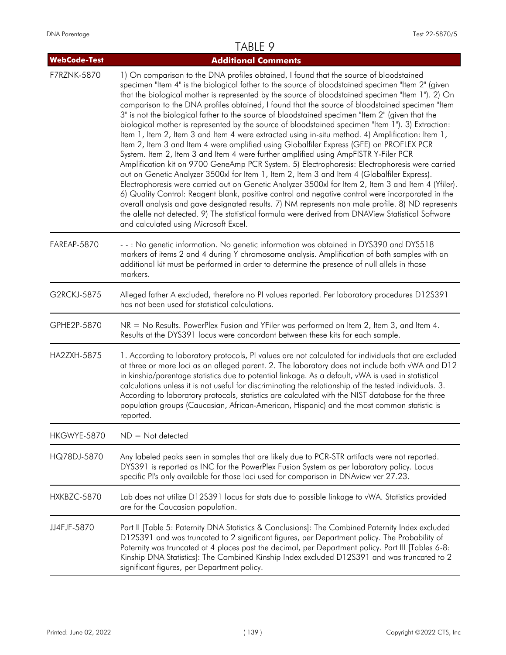| <b>WebCode-Test</b> | <b>Additional Comments</b>                                                                                                                                                                                                                                                                                                                                                                                                                                                                                                                                                                                                                                                                                                                                                                                                                                                                                                                                                                                                                                                                                                                                                                                                                                                                                                                                                                                                                                                                                                                                         |
|---------------------|--------------------------------------------------------------------------------------------------------------------------------------------------------------------------------------------------------------------------------------------------------------------------------------------------------------------------------------------------------------------------------------------------------------------------------------------------------------------------------------------------------------------------------------------------------------------------------------------------------------------------------------------------------------------------------------------------------------------------------------------------------------------------------------------------------------------------------------------------------------------------------------------------------------------------------------------------------------------------------------------------------------------------------------------------------------------------------------------------------------------------------------------------------------------------------------------------------------------------------------------------------------------------------------------------------------------------------------------------------------------------------------------------------------------------------------------------------------------------------------------------------------------------------------------------------------------|
| F7RZNK-5870         | 1) On comparison to the DNA profiles obtained, I found that the source of bloodstained<br>specimen "Item 4" is the biological father to the source of bloodstained specimen "Item 2" (given<br>that the biological mother is represented by the source of bloodstained specimen "Item 1"). 2) On<br>comparison to the DNA profiles obtained, I found that the source of bloodstained specimen "Item<br>3" is not the biological father to the source of bloodstained specimen "Item 2" (given that the<br>biological mother is represented by the source of bloodstained specimen "Item 1"). 3) Extraction:<br>Item 1, Item 2, Item 3 and Item 4 were extracted using in-situ method. 4) Amplification: Item 1,<br>Item 2, Item 3 and Item 4 were amplified using Globalfiler Express (GFE) on PROFLEX PCR<br>System. Item 2, Item 3 and Item 4 were further amplified using AmpFISTR Y-Filer PCR<br>Amplification kit on 9700 GeneAmp PCR System. 5) Electrophoresis: Electrophoresis were carried<br>out on Genetic Analyzer 3500xl for Item 1, Item 2, Item 3 and Item 4 (Globalfiler Express).<br>Electrophoresis were carried out on Genetic Analyzer 3500xl for Item 2, Item 3 and Item 4 (Yfiler).<br>6) Quality Control: Reagent blank, positive control and negative control were incorporated in the<br>overall analysis and gave designated results. 7) NM represents non male profile. 8) ND represents<br>the alelle not detected. 9) The statistical formula were derived from DNAView Statistical Software<br>and calculated using Microsoft Excel. |
| FAREAP-5870         | - -: No genetic information. No genetic information was obtained in DYS390 and DYS518<br>markers of items 2 and 4 during Y chromosome analysis. Amplification of both samples with an<br>additional kit must be performed in order to determine the presence of null allels in those<br>markers.                                                                                                                                                                                                                                                                                                                                                                                                                                                                                                                                                                                                                                                                                                                                                                                                                                                                                                                                                                                                                                                                                                                                                                                                                                                                   |
| G2RCKJ-5875         | Alleged father A excluded, therefore no PI values reported. Per laboratory procedures D12S391<br>has not been used for statistical calculations.                                                                                                                                                                                                                                                                                                                                                                                                                                                                                                                                                                                                                                                                                                                                                                                                                                                                                                                                                                                                                                                                                                                                                                                                                                                                                                                                                                                                                   |
| GPHE2P-5870         | NR = No Results. PowerPlex Fusion and YFiler was performed on Item 2, Item 3, and Item 4.<br>Results at the DYS391 locus were concordant between these kits for each sample.                                                                                                                                                                                                                                                                                                                                                                                                                                                                                                                                                                                                                                                                                                                                                                                                                                                                                                                                                                                                                                                                                                                                                                                                                                                                                                                                                                                       |
| HA2ZXH-5875         | 1. According to laboratory protocols, PI values are not calculated for individuals that are excluded<br>at three or more loci as an alleged parent. 2. The laboratory does not include both vWA and D12<br>in kinship/parentage statistics due to potential linkage. As a default, vWA is used in statistical<br>calculations unless it is not useful for discriminating the relationship of the tested individuals. 3.<br>According to laboratory protocols, statistics are calculated with the NIST database for the three<br>population groups (Caucasian, African-American, Hispanic) and the most common statistic is<br>reported.                                                                                                                                                                                                                                                                                                                                                                                                                                                                                                                                                                                                                                                                                                                                                                                                                                                                                                                            |
| HKGWYE-5870         | $ND = Not detected$                                                                                                                                                                                                                                                                                                                                                                                                                                                                                                                                                                                                                                                                                                                                                                                                                                                                                                                                                                                                                                                                                                                                                                                                                                                                                                                                                                                                                                                                                                                                                |
| HQ78DJ-5870         | Any labeled peaks seen in samples that are likely due to PCR-STR artifacts were not reported.<br>DYS391 is reported as INC for the PowerPlex Fusion System as per laboratory policy. Locus<br>specific PI's only available for those loci used for comparison in DNAview ver 27.23.                                                                                                                                                                                                                                                                                                                                                                                                                                                                                                                                                                                                                                                                                                                                                                                                                                                                                                                                                                                                                                                                                                                                                                                                                                                                                |
| HXKBZC-5870         | Lab does not utilize D12S391 locus for stats due to possible linkage to vWA. Statistics provided<br>are for the Caucasian population.                                                                                                                                                                                                                                                                                                                                                                                                                                                                                                                                                                                                                                                                                                                                                                                                                                                                                                                                                                                                                                                                                                                                                                                                                                                                                                                                                                                                                              |
| JJ4FJF-5870         | Part II [Table 5: Paternity DNA Statistics & Conclusions]: The Combined Paternity Index excluded<br>D12S391 and was truncated to 2 significant figures, per Department policy. The Probability of<br>Paternity was truncated at 4 places past the decimal, per Department policy. Part III [Tables 6-8:<br>Kinship DNA Statistics]: The Combined Kinship Index excluded D12S391 and was truncated to 2<br>significant figures, per Department policy.                                                                                                                                                                                                                                                                                                                                                                                                                                                                                                                                                                                                                                                                                                                                                                                                                                                                                                                                                                                                                                                                                                              |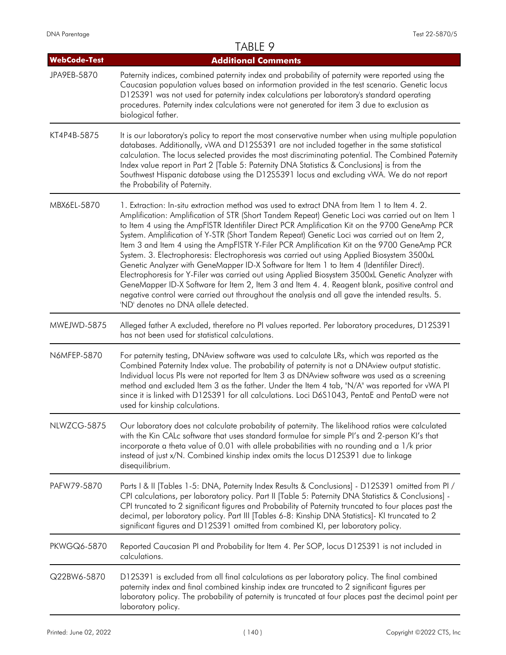### TABLE 9 **WebCode-Test Additional Comments** Paternity indices, combined paternity index and probability of paternity were reported using the Caucasian population values based on information provided in the test scenario. Genetic locus D12S391 was not used for paternity index calculations per laboratory's standard operating procedures. Paternity index calculations were not generated for item 3 due to exclusion as biological father. JPA9EB-5870 It is our laboratory's policy to report the most conservative number when using multiple population databases. Additionally, vWA and D12S5391 are not included together in the same statistical calculation. The locus selected provides the most discriminating potential. The Combined Paternity Index value report in Part 2 [Table 5: Paternity DNA Statistics & Conclusions] is from the Southwest Hispanic database using the D12S5391 locus and excluding vWA. We do not report the Probability of Paternity. KT4P4B-5875 1. Extraction: In-situ extraction method was used to extract DNA from Item 1 to Item 4. 2. Amplification: Amplification of STR (Short Tandem Repeat) Genetic Loci was carried out on Item 1 to Item 4 using the AmpFlSTR Identifiler Direct PCR Amplification Kit on the 9700 GeneAmp PCR System. Amplification of Y-STR (Short Tandem Repeat) Genetic Loci was carried out on Item 2, Item 3 and Item 4 using the AmpFlSTR Y-Filer PCR Amplification Kit on the 9700 GeneAmp PCR System. 3. Electrophoresis: Electrophoresis was carried out using Applied Biosystem 3500xL Genetic Analyzer with GeneMapper ID-X Software for Item 1 to Item 4 (Identifiler Direct). Electrophoresis for Y-Filer was carried out using Applied Biosystem 3500xL Genetic Analyzer with GeneMapper ID-X Software for Item 2, Item 3 and Item 4. 4. Reagent blank, positive control and negative control were carried out throughout the analysis and all gave the intended results. 5. 'ND' denotes no DNA allele detected. MBX6EL-5870 Alleged father A excluded, therefore no PI values reported. Per laboratory procedures, D12S391 has not been used for statistical calculations. MWEJWD-5875 For paternity testing, DNAview software was used to calculate LRs, which was reported as the Combined Paternity Index value. The probability of paternity is not a DNAview output statistic. Individual locus PIs were not reported for Item 3 as DNAview software was used as a screening method and excluded Item 3 as the father. Under the Item 4 tab, "N/A" was reported for vWA PI since it is linked with D12S391 for all calculations. Loci D6S1043, PentaE and PentaD were not used for kinship calculations. N6MFEP-5870 Our laboratory does not calculate probability of paternity. The likelihood ratios were calculated with the Kin CALc software that uses standard formulae for simple PI's and 2-person KI's that incorporate a theta value of 0.01 with allele probabilities with no rounding and a 1/k prior instead of just x/N. Combined kinship index omits the locus D12S391 due to linkage disequilibrium. NLWZCG-5875 Parts | & || [Tables 1-5: DNA, Paternity Index Results & Conclusions] - D12S391 omitted from PI / CPI calculations, per laboratory policy. Part II [Table 5: Paternity DNA Statistics & Conclusions] - CPI truncated to 2 significant figures and Probability of Paternity truncated to four places past the decimal, per laboratory policy. Part III [Tables 6-8: Kinship DNA Statistics]- KI truncated to 2 significant figures and D12S391 omitted from combined KI, per laboratory policy. PAFW79-5870 Reported Caucasian PI and Probability for Item 4. Per SOP, locus D12S391 is not included in calculations. PKWGQ6-5870 D12S391 is excluded from all final calculations as per laboratory policy. The final combined paternity index and final combined kinship index are truncated to 2 significant figures per laboratory policy. The probability of paternity is truncated at four places past the decimal point per laboratory policy. Q22BW6-5870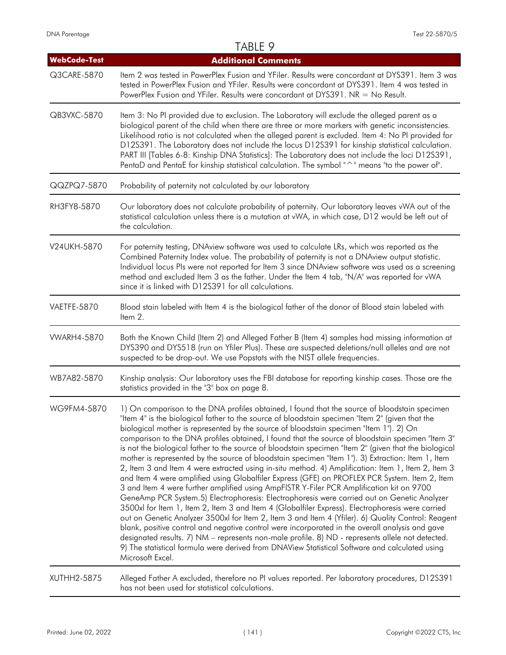|                     | TABLE 9                                                                                                                                                                                                                                                                                                                                                                                                                                                                                                                                                                                                                                                                                                                                                                                                                                                                                                                                                                                                                                                                                                                                                                                                                                                                                                                                                                                                                                                                                                                                               |
|---------------------|-------------------------------------------------------------------------------------------------------------------------------------------------------------------------------------------------------------------------------------------------------------------------------------------------------------------------------------------------------------------------------------------------------------------------------------------------------------------------------------------------------------------------------------------------------------------------------------------------------------------------------------------------------------------------------------------------------------------------------------------------------------------------------------------------------------------------------------------------------------------------------------------------------------------------------------------------------------------------------------------------------------------------------------------------------------------------------------------------------------------------------------------------------------------------------------------------------------------------------------------------------------------------------------------------------------------------------------------------------------------------------------------------------------------------------------------------------------------------------------------------------------------------------------------------------|
| <b>WebCode-Test</b> | <b>Additional Comments</b>                                                                                                                                                                                                                                                                                                                                                                                                                                                                                                                                                                                                                                                                                                                                                                                                                                                                                                                                                                                                                                                                                                                                                                                                                                                                                                                                                                                                                                                                                                                            |
| Q3CARE-5870         | Item 2 was tested in PowerPlex Fusion and YFiler. Results were concordant at DYS391. Item 3 was<br>tested in PowerPlex Fusion and YFiler. Results were concordant at DYS391. Item 4 was tested in<br>PowerPlex Fusion and YFiler. Results were concordant at DYS391. NR = No Result.                                                                                                                                                                                                                                                                                                                                                                                                                                                                                                                                                                                                                                                                                                                                                                                                                                                                                                                                                                                                                                                                                                                                                                                                                                                                  |
| QB3VXC-5870         | Item 3: No PI provided due to exclusion. The Laboratory will exclude the alleged parent as a<br>biological parent of the child when there are three or more markers with genetic inconsistencies.<br>Likelihood ratio is not calculated when the alleged parent is excluded. Item 4: No PI provided for<br>D12S391. The Laboratory does not include the locus D12S391 for kinship statistical calculation.<br>PART III [Tables 6-8: Kinship DNA Statistics]: The Laboratory does not include the loci D12S391,<br>PentaD and PentaE for kinship statistical calculation. The symbol "^" means "to the power of".                                                                                                                                                                                                                                                                                                                                                                                                                                                                                                                                                                                                                                                                                                                                                                                                                                                                                                                                      |
| QQZPQ7-5870         | Probability of paternity not calculated by our laboratory                                                                                                                                                                                                                                                                                                                                                                                                                                                                                                                                                                                                                                                                                                                                                                                                                                                                                                                                                                                                                                                                                                                                                                                                                                                                                                                                                                                                                                                                                             |
| RH3FY8-5870         | Our laboratory does not calculate probability of paternity. Our laboratory leaves vWA out of the<br>statistical calculation unless there is a mutation at vWA, in which case, D12 would be left out of<br>the calculation.                                                                                                                                                                                                                                                                                                                                                                                                                                                                                                                                                                                                                                                                                                                                                                                                                                                                                                                                                                                                                                                                                                                                                                                                                                                                                                                            |
| V24UKH-5870         | For paternity testing, DNAview software was used to calculate LRs, which was reported as the<br>Combined Paternity Index value. The probability of paternity is not a DNAview output statistic.<br>Individual locus Pls were not reported for Item 3 since DNAview software was used as a screening<br>method and excluded Item 3 as the father. Under the Item 4 tab, "N/A" was reported for vWA<br>since it is linked with D12S391 for all calculations.                                                                                                                                                                                                                                                                                                                                                                                                                                                                                                                                                                                                                                                                                                                                                                                                                                                                                                                                                                                                                                                                                            |
| VAETFE-5870         | Blood stain labeled with Item 4 is the biological father of the donor of Blood stain labeled with<br>Item 2.                                                                                                                                                                                                                                                                                                                                                                                                                                                                                                                                                                                                                                                                                                                                                                                                                                                                                                                                                                                                                                                                                                                                                                                                                                                                                                                                                                                                                                          |
| <b>VWARH4-5870</b>  | Both the Known Child (Item 2) and Alleged Father B (Item 4) samples had missing information at<br>DYS390 and DYS518 (run on Yfiler Plus). These are suspected deletions/null alleles and are not<br>suspected to be drop-out. We use Popstats with the NIST allele frequencies.                                                                                                                                                                                                                                                                                                                                                                                                                                                                                                                                                                                                                                                                                                                                                                                                                                                                                                                                                                                                                                                                                                                                                                                                                                                                       |
| WB7A82-5870         | Kinship analysis: Our laboratory uses the FBI database for reporting kinship cases. Those are the<br>statistics provided in the "3" box on page 8.                                                                                                                                                                                                                                                                                                                                                                                                                                                                                                                                                                                                                                                                                                                                                                                                                                                                                                                                                                                                                                                                                                                                                                                                                                                                                                                                                                                                    |
| WG9FM4-5870         | 1) On comparison to the DNA profiles obtained, I found that the source of bloodstain specimen<br>"Item 4" is the biological father to the source of bloodstain specimen "Item 2" (given that the<br>biological mother is represented by the source of bloodstain specimen "Item 1"). 2) On<br>comparison to the DNA profiles obtained, I found that the source of bloodstain specimen "Item 3"<br>is not the biological father to the source of bloodstain specimen "Item 2" (given that the biological<br>mother is represented by the source of bloodstain specimen "Item 1"). 3) Extraction: Item 1, Item<br>2, Item 3 and Item 4 were extracted using in-situ method. 4) Amplification: Item 1, Item 2, Item 3<br>and Item 4 were amplified using Globalfiler Express (GFE) on PROFLEX PCR System. Item 2, Item<br>3 and Item 4 were further amplified using AmpFISTR Y-Filer PCR Amplification kit on 9700<br>GeneAmp PCR System.5) Electrophoresis: Electrophoresis were carried out on Genetic Analyzer<br>3500xl for Item 1, Item 2, Item 3 and Item 4 (Globalfiler Express). Electrophoresis were carried<br>out on Genetic Analyzer 3500xl for Item 2, Item 3 and Item 4 (Yfiler). 6) Quality Control: Reagent<br>blank, positive control and negative control were incorporated in the overall analysis and gave<br>designated results. 7) NM - represents non-male profile. 8) ND - represents allele not detected.<br>9) The statistical formula were derived from DNAView Statistical Software and calculated using<br>Microsoft Excel. |
| XUTHH2-5875         | Alleged Father A excluded, therefore no PI values reported. Per laboratory procedures, D12S391<br>has not been used for statistical calculations.                                                                                                                                                                                                                                                                                                                                                                                                                                                                                                                                                                                                                                                                                                                                                                                                                                                                                                                                                                                                                                                                                                                                                                                                                                                                                                                                                                                                     |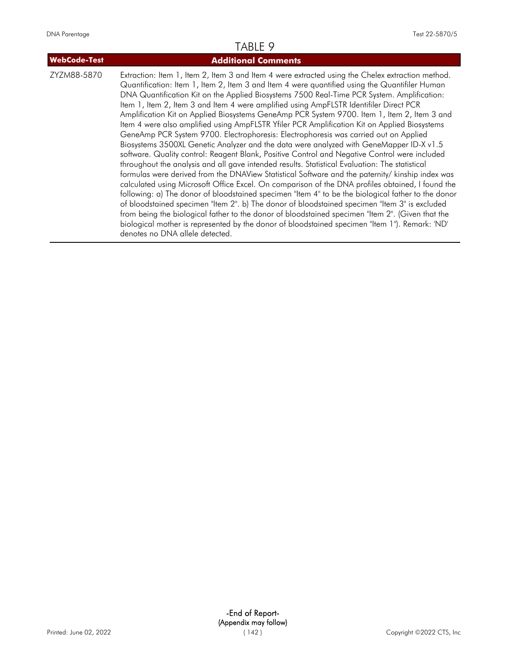| <b>WebCode-Test</b> | <b>Additional Comments</b>                                                                                                                                                                                                                                                                                                                                                                                                                                                                                                                                                                                                                                                                                                                                                                                                                                                                                                                                                                                                                                                                                                                                                                                                                                                                                                                                                                                                                                                                                                                                                                                                             |
|---------------------|----------------------------------------------------------------------------------------------------------------------------------------------------------------------------------------------------------------------------------------------------------------------------------------------------------------------------------------------------------------------------------------------------------------------------------------------------------------------------------------------------------------------------------------------------------------------------------------------------------------------------------------------------------------------------------------------------------------------------------------------------------------------------------------------------------------------------------------------------------------------------------------------------------------------------------------------------------------------------------------------------------------------------------------------------------------------------------------------------------------------------------------------------------------------------------------------------------------------------------------------------------------------------------------------------------------------------------------------------------------------------------------------------------------------------------------------------------------------------------------------------------------------------------------------------------------------------------------------------------------------------------------|
| ZYZM88-5870         | Extraction: Item 1, Item 2, Item 3 and Item 4 were extracted using the Chelex extraction method.<br>Quantification: Item 1, Item 2, Item 3 and Item 4 were quantified using the Quantifiler Human<br>DNA Quantification Kit on the Applied Biosystems 7500 Real-Time PCR System. Amplification:<br>Item 1, Item 2, Item 3 and Item 4 were amplified using AmpFLSTR Identifiler Direct PCR<br>Amplification Kit on Applied Biosystems GeneAmp PCR System 9700. Item 1, Item 2, Item 3 and<br>Item 4 were also amplified using AmpFLSTR Yfiler PCR Amplification Kit on Applied Biosystems<br>GeneAmp PCR System 9700. Electrophoresis: Electrophoresis was carried out on Applied<br>Biosystems 3500XL Genetic Analyzer and the data were analyzed with GeneMapper ID-X v1.5<br>software. Quality control: Reagent Blank, Positive Control and Negative Control were included<br>throughout the analysis and all gave intended results. Statistical Evaluation: The statistical<br>formulas were derived from the DNAView Statistical Software and the paternity/ kinship index was<br>calculated using Microsoft Office Excel. On comparison of the DNA profiles obtained, I found the<br>following: a) The donor of bloodstained specimen "Item 4" to be the biological father to the donor<br>of bloodstained specimen "Item 2". b) The donor of bloodstained specimen "Item 3" is excluded<br>from being the biological father to the donor of bloodstained specimen "Item 2". (Given that the<br>biological mother is represented by the donor of bloodstained specimen "Item 1"). Remark: 'ND'<br>denotes no DNA allele detected. |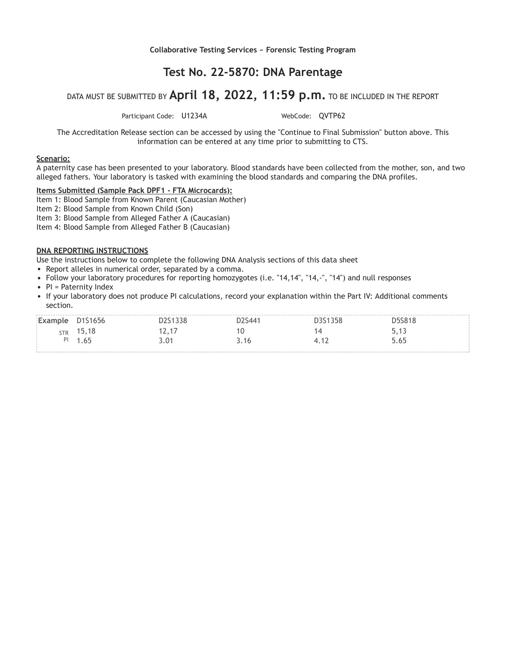**Collaborative Testing Services ~ Forensic Testing Program**

### **Test No. 22-5870: DNA Parentage**

### DATA MUST BE SUBMITTED BY **April 18, 2022, 11:59 p.m.** TO BE INCLUDED IN THE REPORT

Participant Code: U1234A WebCode: OVTP62

The Accreditation Release section can be accessed by using the "Continue to Final Submission" button above. This information can be entered at any time prior to submitting to CTS.

#### **Scenario:**

A paternity case has been presented to your laboratory. Blood standards have been collected from the mother, son, and two alleged fathers. Your laboratory is tasked with examining the blood standards and comparing the DNA profiles.

#### **Items Submitted (Sample Pack DPF1 - FTA Microcards):**

Item 1: Blood Sample from Known Parent (Caucasian Mother)

Item 2: Blood Sample from Known Child (Son)

Item 3: Blood Sample from Alleged Father A (Caucasian)

Item 4: Blood Sample from Alleged Father B (Caucasian)

#### **DNA REPORTING INSTRUCTIONS**

Use the instructions below to complete the following DNA Analysis sections of this data sheet

- Report alleles in numerical order, separated by a comma.
- Follow your laboratory procedures for reporting homozygotes (i.e. "14,14", "14,-", "14") and null responses
- $\bullet$  PI = Paternity Index
- If your laboratory does not produce PI calculations, record your explanation within the Part IV: Additional comments section.

| Example D1S1656 |       | 2S1338 | D2S441 | D3S1358 | <b>D5S818</b> |
|-----------------|-------|--------|--------|---------|---------------|
| <b>STR</b>      | 15,18 | 12,17  |        |         | 5,13          |
|                 | 1.65  | 3.01   | 3.16   |         | 5.65          |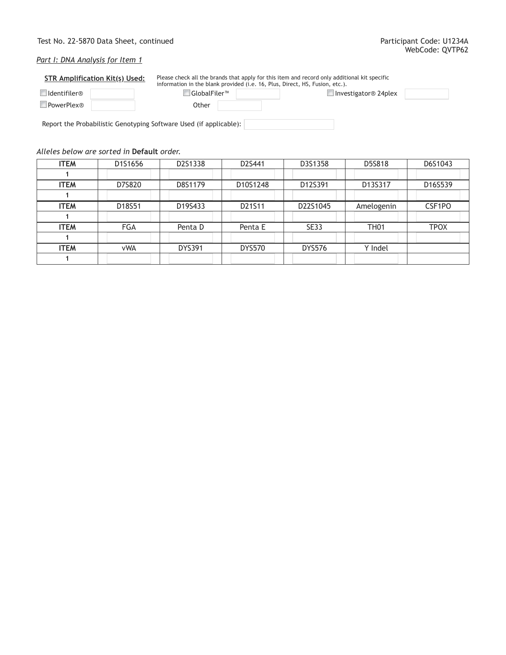### Test No. 22-5870 Data Sheet, continued **Participant Code: U1234A**

### *Part I: DNA Analysis for Item 1*

| <b>STR Amplification Kit(s) Used:</b> |  | Please check all the brands that apply for this item and record only additional kit specific<br>information in the blank provided (i.e. 16, Plus, Direct, HS, Fusion, etc.). |  |                        |  |  |
|---------------------------------------|--|------------------------------------------------------------------------------------------------------------------------------------------------------------------------------|--|------------------------|--|--|
| Identifiler®                          |  | $\Box$ GlobalFiler $\mathbbmss{M}$                                                                                                                                           |  | □ Investigator® 24plex |  |  |
| <b>PowerPlex®</b>                     |  | Other                                                                                                                                                                        |  |                        |  |  |

Report the Probabilistic Genotyping Software Used (if applicable):

### *Alleles below are sorted in* **Default** *order.*

| <b>ITEM</b> | D1S1656    | D2S1338       | D2S441        | D3S1358       | D5S818           | D6S1043     |
|-------------|------------|---------------|---------------|---------------|------------------|-------------|
|             |            |               |               |               |                  |             |
| <b>ITEM</b> | D7S820     | D8S1179       | D10S1248      | D12S391       | D13S317          | D16S539     |
|             |            |               |               |               |                  |             |
| <b>ITEM</b> | D18S51     | D19S433       | D21S11        | D22S1045      | Amelogenin       | CSF1PO      |
|             |            |               |               |               |                  |             |
| <b>ITEM</b> | <b>FGA</b> | Penta D       | Penta E       | <b>SE33</b>   | TH <sub>01</sub> | <b>TPOX</b> |
|             |            |               |               |               |                  |             |
| <b>ITEM</b> | <b>vWA</b> | <b>DYS391</b> | <b>DYS570</b> | <b>DYS576</b> | Y Indel          |             |
|             |            |               |               |               |                  |             |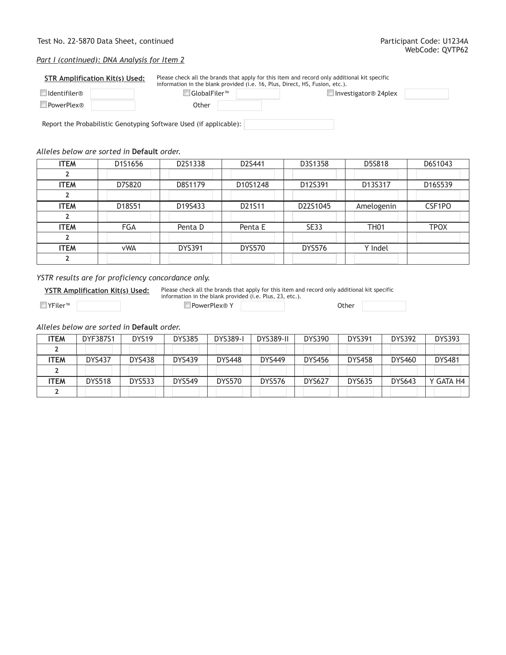## Test No. 22-5870 Data Sheet, continued **Participant Code: U1234A**

# *Part I (continued): DNA Analysis for Item 2*

| <b>STR Amplification Kit(s) Used:</b> |  | Please check all the brands that apply for this item and record only additional kit specific<br>information in the blank provided (i.e. 16, Plus, Direct, HS, Fusion, etc.). |  |                             |  |  |
|---------------------------------------|--|------------------------------------------------------------------------------------------------------------------------------------------------------------------------------|--|-----------------------------|--|--|
| Identifiler®                          |  | ∣GlobalFiler™                                                                                                                                                                |  | $\Box$ Investigator® 24plex |  |  |
| PowerPlex®                            |  | Other                                                                                                                                                                        |  |                             |  |  |
|                                       |  |                                                                                                                                                                              |  |                             |  |  |

Report the Probabilistic Genotyping Software Used (if applicable):

# *Alleles below are sorted in* **Default** *order.*

| <b>ITEM</b> | D1S1656    | D2S1338       | D2S441        | D3S1358       | D5S818      | D6S1043     |
|-------------|------------|---------------|---------------|---------------|-------------|-------------|
|             |            |               |               |               |             |             |
| <b>ITEM</b> | D7S820     | D8S1179       | D10S1248      | D12S391       | D13S317     | D16S539     |
|             |            |               |               |               |             |             |
| <b>ITEM</b> | D18S51     | D19S433       | D21S11        | D22S1045      | Amelogenin  | CSF1PO      |
|             |            |               |               |               |             |             |
| <b>ITEM</b> | <b>FGA</b> | Penta D       | Penta E       | <b>SE33</b>   | <b>TH01</b> | <b>TPOX</b> |
|             |            |               |               |               |             |             |
| <b>ITEM</b> | <b>vWA</b> | <b>DYS391</b> | <b>DYS570</b> | <b>DYS576</b> | Y Indel     |             |
|             |            |               |               |               |             |             |

# *YSTR results are for proficiency concordance only.*

**YSTR Amplification Kit(s) Used:** Please check all the brands that apply for this item and record only additional kit specific information in the blank provided (i.e. Plus, 23, etc.).

YFiler™ PowerPlex® Y Other

*Alleles below are sorted in* **Default** *order.*

| <b>ITEM</b> | DYF387S1      | DYS <sub>19</sub> | <b>DYS385</b> | <b>DYS389-I</b> | <b>DYS389-II</b> | <b>DYS390</b> | <b>DYS391</b> | <b>DYS392</b> | <b>DYS393</b> |
|-------------|---------------|-------------------|---------------|-----------------|------------------|---------------|---------------|---------------|---------------|
|             |               |                   |               |                 |                  |               |               |               |               |
| <b>ITEM</b> | <b>DYS437</b> | <b>DYS438</b>     | <b>DYS439</b> | <b>DYS448</b>   | <b>DYS449</b>    | <b>DYS456</b> | <b>DYS458</b> | <b>DYS460</b> | <b>DYS481</b> |
|             |               |                   |               |                 |                  |               |               |               |               |
| <b>ITEM</b> | <b>DYS518</b> | <b>DYS533</b>     | <b>DYS549</b> | <b>DYS570</b>   | <b>DYS576</b>    | <b>DYS627</b> | <b>DYS635</b> | <b>DYS643</b> | Y GATA H4     |
|             |               |                   |               |                 |                  |               |               |               |               |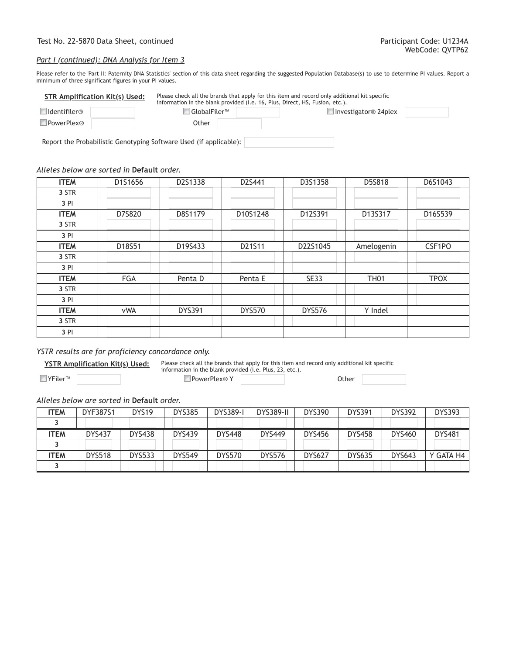#### *Part I (continued): DNA Analysis for Item 3*

Please refer to the 'Part II: Paternity DNA Statistics' section of this data sheet regarding the suggested Population Database(s) to use to determine PI values. Report a minimum of three significant figures in your PI values.

| <b>STR Amplification Kit(s) Used:</b> |  |                                                             | Please check all the brands that apply for this item and record only additional kit specific<br>information in the blank provided (i.e. 16, Plus, Direct, HS, Fusion, etc.). |                             |  |  |  |
|---------------------------------------|--|-------------------------------------------------------------|------------------------------------------------------------------------------------------------------------------------------------------------------------------------------|-----------------------------|--|--|--|
| Identifiler®                          |  | $\ $ GlobalFiler $^{\scriptscriptstyle\rm I\hspace{-1pt}M}$ |                                                                                                                                                                              | $\Box$ Investigator® 24plex |  |  |  |
| <b>PowerPlex®</b>                     |  | Other                                                       |                                                                                                                                                                              |                             |  |  |  |

Report the Probabilistic Genotyping Software Used (if applicable):

#### *Alleles below are sorted in* **Default** *order.*

| <b>ITEM</b> | D1S1656    | D2S1338       | D2S441        | D3S1358       | D5S818      | D6S1043     |
|-------------|------------|---------------|---------------|---------------|-------------|-------------|
| 3 STR       |            |               |               |               |             |             |
| 3 PI        |            |               |               |               |             |             |
| <b>ITEM</b> | D7S820     | D8S1179       | D10S1248      | D12S391       | D13S317     | D16S539     |
| 3 STR       |            |               |               |               |             |             |
| 3 PI        |            |               |               |               |             |             |
| <b>ITEM</b> | D18S51     | D19S433       | D21S11        | D22S1045      | Amelogenin  | CSF1PO      |
| 3 STR       |            |               |               |               |             |             |
| 3 PI        |            |               |               |               |             |             |
| <b>ITEM</b> | FGA        | Penta D       | Penta E       | <b>SE33</b>   | <b>TH01</b> | <b>TPOX</b> |
| 3 STR       |            |               |               |               |             |             |
| 3 PI        |            |               |               |               |             |             |
| <b>ITEM</b> | <b>vWA</b> | <b>DYS391</b> | <b>DYS570</b> | <b>DYS576</b> | Y Indel     |             |
| 3 STR       |            |               |               |               |             |             |
| 3 PI        |            |               |               |               |             |             |

## *YSTR results are for proficiency concordance only.*

**YSTR Amplification Kit(s) Used:** Please check all the brands that apply for this item and record only additional kit specific information in the blank provided (i.e. Plus, 23, etc.).

YFiler™ PowerPlex® Y Other

## *Alleles below are sorted in* **Default** *order.*

| <b>ITEM</b> | <b>DYF387S1</b> | DYS <sub>19</sub> | <b>DYS385</b> | <b>DYS389-I</b> | <b>DYS389-II</b> | <b>DYS390</b> | <b>DYS391</b> | <b>DYS392</b> | <b>DYS393</b> |
|-------------|-----------------|-------------------|---------------|-----------------|------------------|---------------|---------------|---------------|---------------|
|             |                 |                   |               |                 |                  |               |               |               |               |
| ITEM        | <b>DYS437</b>   | <b>DYS438</b>     | <b>DYS439</b> | <b>DYS448</b>   | <b>DYS449</b>    | <b>DYS456</b> | <b>DYS458</b> | <b>DYS460</b> | <b>DYS481</b> |
|             |                 |                   |               |                 |                  |               |               |               |               |
| <b>ITEM</b> | <b>DYS518</b>   | <b>DYS533</b>     | <b>DYS549</b> | <b>DYS570</b>   | <b>DYS576</b>    | <b>DYS627</b> | <b>DYS635</b> | <b>DYS643</b> | Y GATA H4     |
|             |                 |                   |               |                 |                  |               |               |               |               |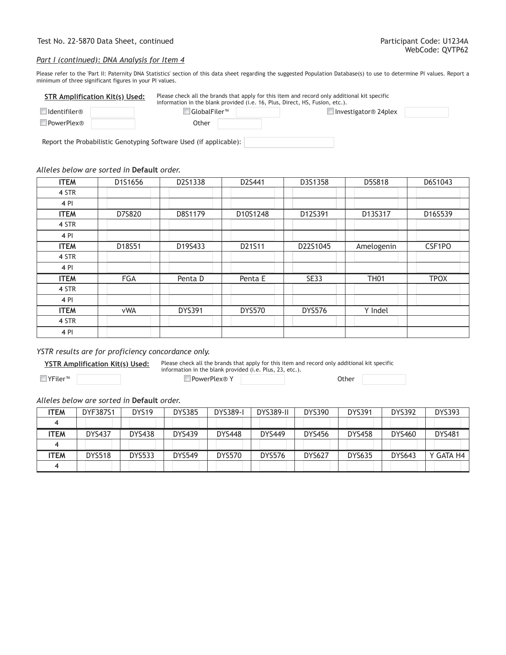#### *Part I (continued): DNA Analysis for Item 4*

Please refer to the 'Part II: Paternity DNA Statistics' section of this data sheet regarding the suggested Population Database(s) to use to determine PI values. Report a minimum of three significant figures in your PI values.

| <b>STR Amplification Kit(s) Used:</b> |  |                  | Please check all the brands that apply for this item and record only additional kit specific<br>information in the blank provided (i.e. 16, Plus, Direct, HS, Fusion, etc.). |                             |  |  |
|---------------------------------------|--|------------------|------------------------------------------------------------------------------------------------------------------------------------------------------------------------------|-----------------------------|--|--|
| Identifiler®                          |  | $ $ GlobalFiler™ |                                                                                                                                                                              | $\Box$ Investigator® 24plex |  |  |
| PowerPlex®                            |  | Other            |                                                                                                                                                                              |                             |  |  |

Report the Probabilistic Genotyping Software Used (if applicable):

#### *Alleles below are sorted in* **Default** *order.*

| <b>ITEM</b> | D1S1656    | D2S1338       | D2S441        | D3S1358       | D5S818      | D6S1043     |
|-------------|------------|---------------|---------------|---------------|-------------|-------------|
| 4 STR       |            |               |               |               |             |             |
| 4 PI        |            |               |               |               |             |             |
| <b>ITEM</b> | D7S820     | D8S1179       | D10S1248      | D12S391       | D13S317     | D16S539     |
| 4 STR       |            |               |               |               |             |             |
| 4 PI        |            |               |               |               |             |             |
| <b>ITEM</b> | D18S51     | D19S433       | D21S11        | D22S1045      | Amelogenin  | CSF1PO      |
| 4 STR       |            |               |               |               |             |             |
| 4 PI        |            |               |               |               |             |             |
| <b>ITEM</b> | FGA        | Penta D       | Penta E       | <b>SE33</b>   | <b>TH01</b> | <b>TPOX</b> |
| 4 STR       |            |               |               |               |             |             |
| 4 PI        |            |               |               |               |             |             |
| <b>ITEM</b> | <b>vWA</b> | <b>DYS391</b> | <b>DYS570</b> | <b>DYS576</b> | Y Indel     |             |
| 4 STR       |            |               |               |               |             |             |
| 4 PI        |            |               |               |               |             |             |

## *YSTR results are for proficiency concordance only.*

**YSTR Amplification Kit(s) Used:** Please check all the brands that apply for this item and record only additional kit specific information in the blank provided (i.e. Plus, 23, etc.).

YFiler™ PowerPlex® Y Other

## *Alleles below are sorted in* **Default** *order.*

| <b>ITEM</b> | <b>DYF387S1</b> | DYS <sub>19</sub> | <b>DYS385</b> | <b>DYS389-I</b> | <b>DYS389-II</b> | <b>DYS390</b> | <b>DYS391</b> | <b>DYS392</b> | <b>DYS393</b> |
|-------------|-----------------|-------------------|---------------|-----------------|------------------|---------------|---------------|---------------|---------------|
|             |                 |                   |               |                 |                  |               |               |               |               |
| <b>ITEM</b> | <b>DYS437</b>   | <b>DYS438</b>     | <b>DYS439</b> | <b>DYS448</b>   | <b>DYS449</b>    | <b>DYS456</b> | <b>DYS458</b> | <b>DYS460</b> | <b>DYS481</b> |
|             |                 |                   |               |                 |                  |               |               |               |               |
| <b>ITEM</b> | <b>DYS518</b>   | <b>DYS533</b>     | <b>DYS549</b> | <b>DYS570</b>   | <b>DYS576</b>    | <b>DYS627</b> | <b>DYS635</b> | <b>DYS643</b> | Y GATA H4     |
|             |                 |                   |               |                 |                  |               |               |               |               |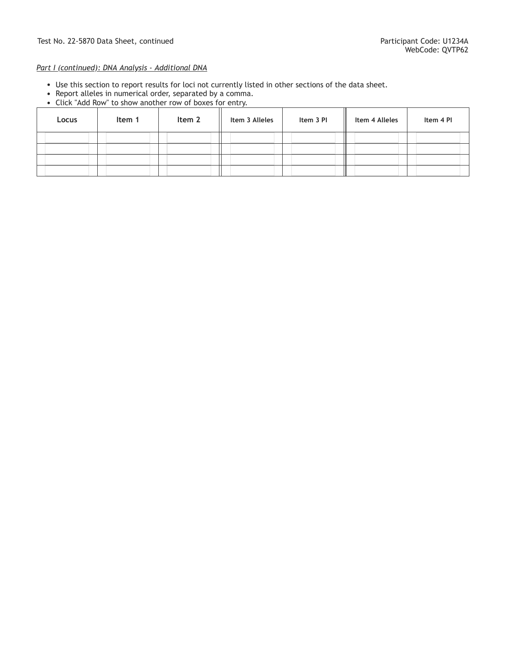# *Part I (continued): DNA Analysis - Additional DNA*

- Use this section to report results for loci not currently listed in other sections of the data sheet.
- Report alleles in numerical order, separated by a comma.
- Click "Add Row" to show another row of boxes for entry.

| Locus | Item 1 | Item 2 | Item 3 Alleles | Item 3 PI | Item 4 Alleles | Item 4 PI |
|-------|--------|--------|----------------|-----------|----------------|-----------|
|       |        |        |                |           |                |           |
|       |        |        |                |           |                |           |
|       |        |        |                |           |                |           |
|       |        |        |                |           |                |           |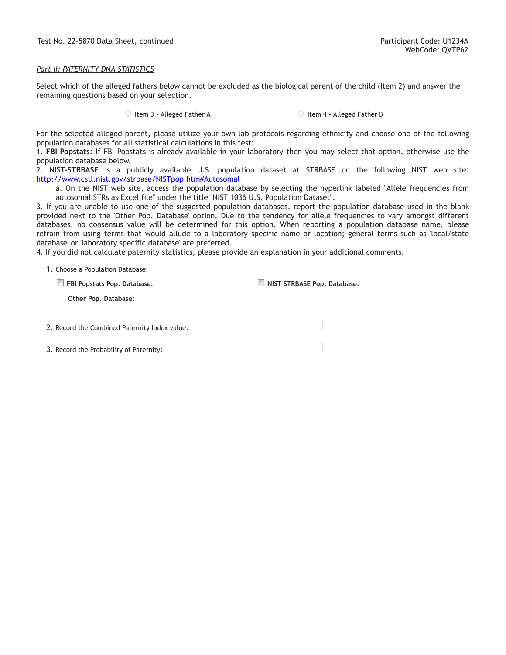Test No. 22-5870 Data Sheet, continued Participant Code: U1234A

### *Part II: PATERNITY DNA STATISTICS*

Select which of the alleged fathers below cannot be excluded as the biological parent of the child (Item 2) and answer the remaining questions based on your selection.

○ Item 3 - Alleged Father A Item 4 - Alleged Father B

For the selected alleged parent, please utilize your own lab protocols regarding ethnicity and choose one of the following population databases for all statistical calculations in this test:

1. **FBI Popstats**: If FBI Popstats is already available in your laboratory then you may select that option, otherwise use the population database below.

2. **NIST-STRBASE** is a publicly available U.S. population dataset at STRBASE on the following NIST web site: <http://www.cstl.nist.gov/strbase/NISTpop.htm#Autosomal>

a. On the NIST web site, access the population database by selecting the hyperlink labeled "Allele frequencies from autosomal STRs as Excel file" under the title "NIST 1036 U.S. Population Dataset".

3. If you are unable to use one of the suggested population databases, report the population database used in the blank provided next to the 'Other Pop. Database' option. Due to the tendency for allele frequencies to vary amongst different databases, no consensus value will be determined for this option. When reporting a population database name, please refrain from using terms that would allude to a laboratory specific name or location; general terms such as 'local/state database' or 'laboratory specific database' are preferred.

4. If you did not calculate paternity statistics, please provide an explanation in your additional comments.

|  |  |  | 1. Choose a Population Database: |  |
|--|--|--|----------------------------------|--|
|--|--|--|----------------------------------|--|

| FBI Popstats Pop. Database:                   | NIST STRBASE Pop. Database: |
|-----------------------------------------------|-----------------------------|
| Other Pop. Database:                          |                             |
|                                               |                             |
| 2. Record the Combined Paternity Index value: |                             |
|                                               |                             |
| 3. Record the Probability of Paternity:       |                             |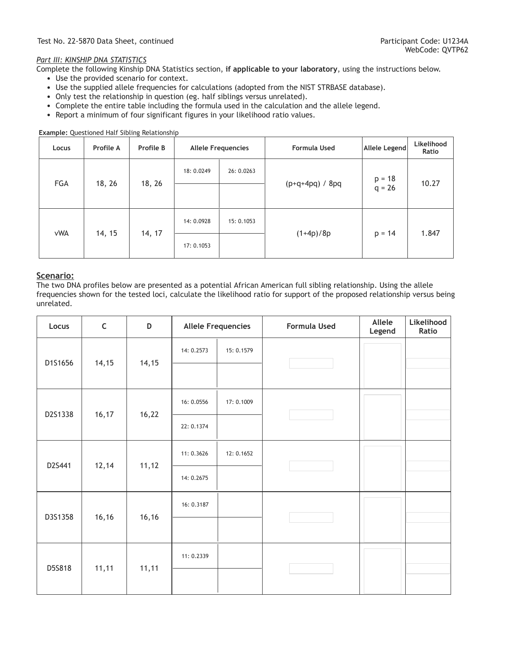# *Part III: KINSHIP DNA STATISTICS*

Complete the following Kinship DNA Statistics section, **if applicable to your laboratory**, using the instructions below.

- Use the provided scenario for context.
- Use the supplied allele frequencies for calculations (adopted from the NIST STRBASE database).
- Only test the relationship in question (eg. half siblings versus unrelated).
- Complete the entire table including the formula used in the calculation and the allele legend.
- Report a minimum of four significant figures in your likelihood ratio values.

**Example:** Questioned Half Sibling Relationship

| Locus      | Profile A | Profile B | <b>Allele Frequencies</b> |            | <b>Formula Used</b> | <b>Allele Legend</b> | Likelihood<br>Ratio |
|------------|-----------|-----------|---------------------------|------------|---------------------|----------------------|---------------------|
| FGA        | 18, 26    | 18, 26    | 18: 0.0249                | 26: 0.0263 | $(p+q+4pq) / 8pq$   | $p = 18$<br>$q = 26$ | 10.27               |
|            |           |           |                           |            |                     |                      |                     |
| <b>vWA</b> | 14, 15    | 14, 17    | 14: 0.0928                | 15: 0.1053 | $(1+4p)/8p$         | $p = 14$             | 1.847               |
|            |           |           | 17: 0.1053                |            |                     |                      |                     |

# **Scenario:**

The two DNA profiles below are presented as a potential African American full sibling relationship. Using the allele frequencies shown for the tested loci, calculate the likelihood ratio for support of the proposed relationship versus being unrelated.

| Locus   | $\mathsf C$ | D      | <b>Allele Frequencies</b> |            | Formula Used | Allele<br>Legend | Likelihood<br>Ratio |
|---------|-------------|--------|---------------------------|------------|--------------|------------------|---------------------|
| D1S1656 | 14, 15      | 14, 15 | 14: 0.2573                | 15: 0.1579 |              |                  |                     |
|         |             |        |                           |            |              |                  |                     |
| D2S1338 | 16, 17      | 16,22  | 16: 0.0556                | 17: 0.1009 |              |                  |                     |
|         |             |        | 22: 0.1374                |            |              |                  |                     |
| D2S441  | 12,14       | 11, 12 | 11: 0.3626                | 12: 0.1652 |              |                  |                     |
|         |             |        | 14: 0.2675                |            |              |                  |                     |
| D3S1358 | 16,16       | 16, 16 | 16: 0.3187                |            |              |                  |                     |
|         |             |        |                           |            |              |                  |                     |
| D5S818  | 11,11       | 11,11  | 11: 0.2339                |            |              |                  |                     |
|         |             |        |                           |            |              |                  |                     |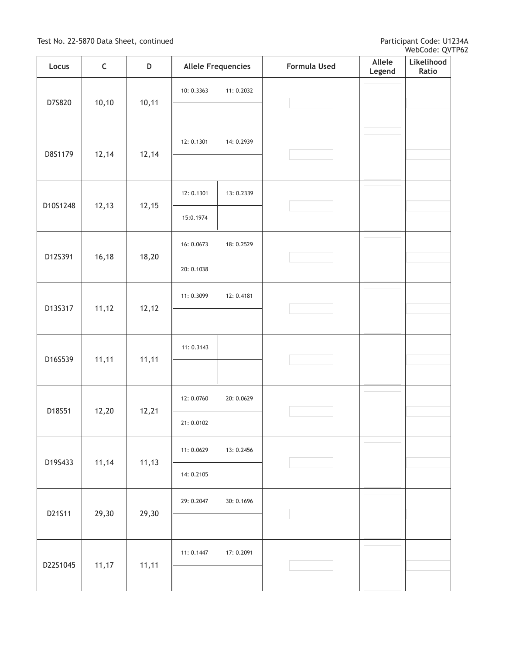| Locus              | $\mathsf C$ | D      | <b>Allele Frequencies</b> |            | Formula Used | Allele<br>Legend | Likelihood<br>Ratio |
|--------------------|-------------|--------|---------------------------|------------|--------------|------------------|---------------------|
| D7S820             |             | 10,11  | 10: 0.3363                | 11: 0.2032 |              |                  |                     |
|                    | 10, 10      |        |                           |            |              |                  |                     |
| 12,14<br>D8S1179   |             | 12,14  | 12: 0.1301                | 14: 0.2939 |              |                  |                     |
|                    |             |        |                           |            |              |                  |                     |
| 12, 13<br>D10S1248 |             | 12,15  | 12: 0.1301                | 13: 0.2339 |              |                  |                     |
|                    |             |        | 15:0.1974                 |            |              |                  |                     |
| D12S391            | 16, 18      | 18,20  | 16: 0.0673                | 18: 0.2529 |              |                  |                     |
|                    |             |        | 20: 0.1038                |            |              |                  |                     |
| 11, 12<br>D13S317  |             | 12, 12 | 11: 0.3099                | 12: 0.4181 |              |                  |                     |
|                    |             |        |                           |            |              |                  |                     |
| D16S539            | 11,11       | 11,11  | 11: 0.3143                |            |              |                  |                     |
|                    |             |        |                           |            |              |                  |                     |
| D18S51             | 12,20       | 12,21  | 12: 0.0760                | 20: 0.0629 |              |                  |                     |
|                    |             |        | 21: 0.0102                |            |              |                  |                     |
| D19S433            | 11,14       | 11, 13 | 11: 0.0629                | 13: 0.2456 |              |                  |                     |
|                    |             |        | 14: 0.2105                |            |              |                  |                     |
| D21S11             | 29,30       | 29,30  | 29: 0.2047                | 30: 0.1696 |              |                  |                     |
|                    |             |        |                           |            |              |                  |                     |
| D22S1045           | 11,17       |        | 11: 0.1447                | 17: 0.2091 |              |                  |                     |
|                    |             | 11,11  |                           |            |              |                  |                     |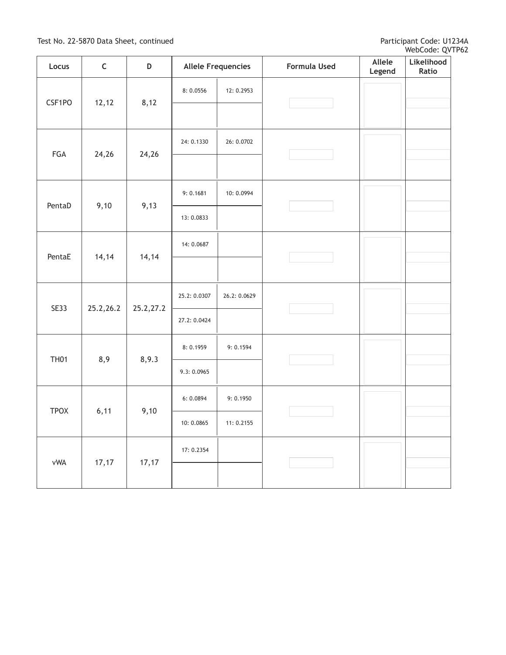| Locus            | $\mathsf C$ | D         | <b>Allele Frequencies</b> |              | Formula Used | Allele<br>Legend | Likelihood<br>Ratio |
|------------------|-------------|-----------|---------------------------|--------------|--------------|------------------|---------------------|
| CSF1PO           |             | 8,12      | 8:0.0556                  | 12: 0.2953   |              |                  |                     |
|                  | 12, 12      |           |                           |              |              |                  |                     |
| FGA<br>24,26     |             |           | 24: 0.1330                | 26: 0.0702   |              |                  |                     |
|                  |             | 24,26     |                           |              |              |                  |                     |
| 9,10<br>PentaD   |             |           | 9:0.1681                  | 10: 0.0994   |              |                  |                     |
|                  | 9,13        | 13:0.0833 |                           |              |              |                  |                     |
| 14, 14<br>PentaE |             | 14,14     | 14: 0.0687                |              |              |                  |                     |
|                  |             |           |                           |              |              |                  |                     |
| <b>SE33</b>      | 25.2,26.2   | 25.2,27.2 | 25.2: 0.0307              | 26.2: 0.0629 |              |                  |                     |
|                  |             |           | 27.2: 0.0424              |              |              |                  |                     |
| <b>TH01</b>      | 8,9         | 8,9.3     | 8: 0.1959                 | 9: 0.1594    |              |                  |                     |
|                  |             |           | 9.3: 0.0965               |              |              |                  |                     |
| <b>TPOX</b>      | 6,11        | 9,10      | 6: 0.0894                 | 9: 0.1950    |              |                  |                     |
|                  |             |           | 10: 0.0865                | 11: 0.2155   |              |                  |                     |
| vWA              | 17,17       | 17,17     | 17: 0.2354                |              |              |                  |                     |
|                  |             |           |                           |              |              |                  |                     |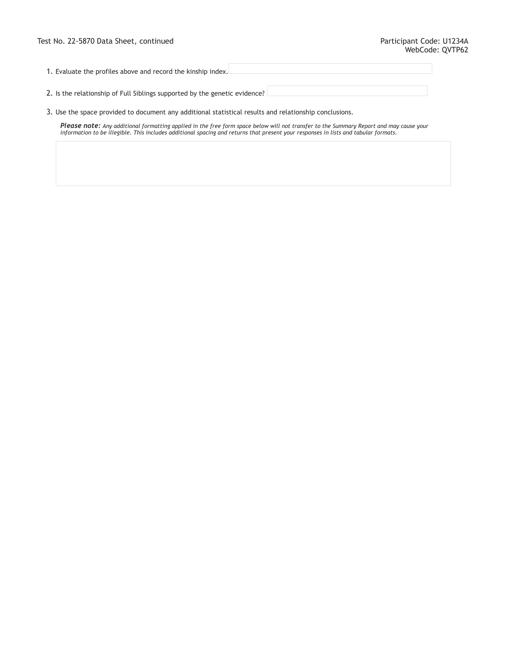1. Evaluate the profiles above and record the kinship index.

2. Is the relationship of Full Siblings supported by the genetic evidence?

3. Use the space provided to document any additional statistical results and relationship conclusions.

**Please note:** Any additional formatting applied in the free form space below will not transfer to the Summary Report and may cause your<br>information to be illegible. This includes additional spacing and returns that presen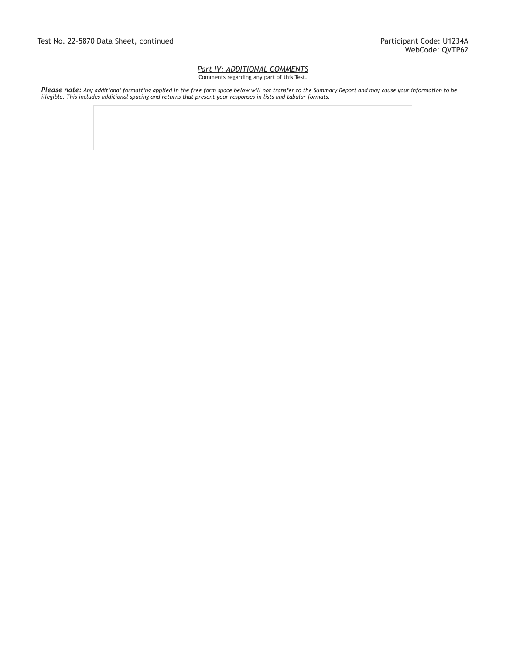#### *Part IV: ADDITIONAL COMMENTS* Comments regarding any part of this Test.

**Please note:** Any additional formatting applied in the free form space below will not transfer to the Summary Report and may cause your information to be<br>illegible. This includes additional spacing and returns that presen